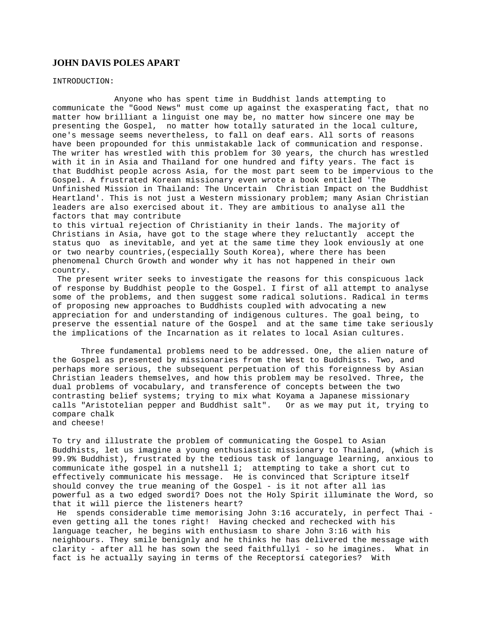# **JOHN DAVIS POLES APART**

INTRODUCTION:

 Anyone who has spent time in Buddhist lands attempting to communicate the "Good News" must come up against the exasperating fact, that no matter how brilliant a linguist one may be, no matter how sincere one may be presenting the Gospel, no matter how totally saturated in the local culture, one's message seems nevertheless, to fall on deaf ears. All sorts of reasons have been propounded for this unmistakable lack of communication and response. The writer has wrestled with this problem for 30 years, the church has wrestled with it in in Asia and Thailand for one hundred and fifty years. The fact is that Buddhist people across Asia, for the most part seem to be impervious to the Gospel. A frustrated Korean missionary even wrote a book entitled 'The Unfinished Mission in Thailand: The Uncertain Christian Impact on the Buddhist Heartland'. This is not just a Western missionary problem; many Asian Christian leaders are also exercised about it. They are ambitious to analyse all the factors that may contribute

to this virtual rejection of Christianity in their lands. The majority of Christians in Asia, have got to the stage where they reluctantly accept the status quo as inevitable, and yet at the same time they look enviously at one or two nearby countries,(especially South Korea), where there has been phenomenal Church Growth and wonder why it has not happened in their own country.

 The present writer seeks to investigate the reasons for this conspicuous lack of response by Buddhist people to the Gospel. I first of all attempt to analyse some of the problems, and then suggest some radical solutions. Radical in terms of proposing new approaches to Buddhists coupled with advocating a new appreciation for and understanding of indigenous cultures. The goal being, to preserve the essential nature of the Gospel and at the same time take seriously the implications of the Incarnation as it relates to local Asian cultures.

Three fundamental problems need to be addressed. One, the alien nature of the Gospel as presented by missionaries from the West to Buddhists. Two, and perhaps more serious, the subsequent perpetuation of this foreignness by Asian Christian leaders themselves, and how this problem may be resolved. Three, the dual problems of vocabulary, and transference of concepts between the two contrasting belief systems; trying to mix what Koyama a Japanese missionary calls "Aristotelian pepper and Buddhist salt". Or as we may put it, trying to compare chalk and cheese!

To try and illustrate the problem of communicating the Gospel to Asian Buddhists, let us imagine a young enthusiastic missionary to Thailand, (which is 99.9% Buddhist), frustrated by the tedious task of language learning, anxious to communicate ìthe gospel in a nutshell î; attempting to take a short cut to effectively communicate his message. He is convinced that Scripture itself should convey the true meaning of the Gospel - is it not after all ìas powerful as a two edged swordî? Does not the Holy Spirit illuminate the Word, so that it will pierce the listeners heart?

 He spends considerable time memorising John 3:16 accurately, in perfect Thai even getting all the tones right! Having checked and rechecked with his language teacher, he begins with enthusiasm to share John 3:16 with his neighbours. They smile benignly and he thinks he has delivered the message with clarity - after all he has sown the seed faithfullyî - so he imagines. What in fact is he actually saying in terms of the Receptorsí categories? With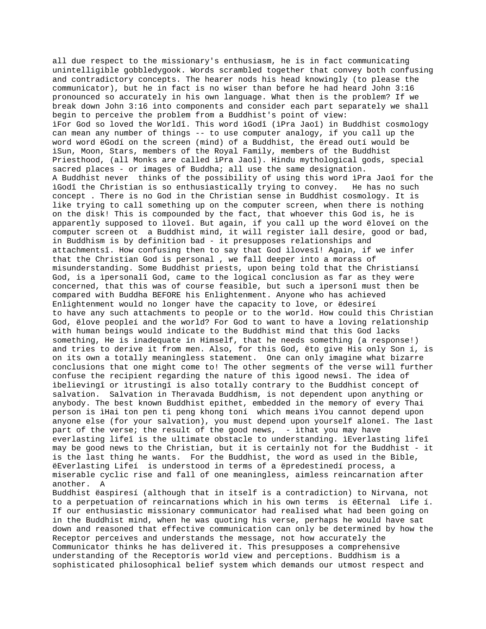all due respect to the missionary's enthusiasm, he is in fact communicating unintelligible gobbledygook. Words scrambled together that convey both confusing and contradictory concepts. The hearer nods his head knowingly (to please the communicator), but he in fact is no wiser than before he had heard John 3:16 pronounced so accurately in his own language. What then is the problem? If we break down John 3:16 into components and consider each part separately we shall begin to perceive the problem from a Buddhist's point of view: ìFor God so loved the Worldî. This word ìGodî (ìPra Jaoî) in Buddhist cosmology can mean any number of things -- to use computer analogy, if you call up the word word ëGodí on the screen (mind) of a Buddhist, the ëread outí would be ìSun, Moon, Stars, members of the Royal Family, members of the Buddhist Priesthood, (all Monks are called ìPra Jaoî). Hindu mythological gods, special sacred places - or images of Buddha; all use the same designation. A Buddhist never thinks of the possibility of using this word ìPra Jaoî for the ìGodî the Christian is so enthusiastically trying to convey. He has no such concept . There is no God in the Christian sense in Buddhist cosmology. It is like trying to call something up on the computer screen, when there is nothing on the disk! This is compounded by the fact, that whoever this God is, he is apparently supposed to ìloveî. But again, if you call up the word ëloveí on the computer screen ot a Buddhist mind, it will register ìall desire, good or bad, in Buddhism is by definition bad - it presupposes relationships and attachmentsî. How confusing then to say that God ìlovesî! Again, if we infer that the Christian God is personal , we fall deeper into a morass of misunderstanding. Some Buddhist priests, upon being told that the Christiansí God, is a ìpersonalî God, came to the logical conclusion as far as they were concerned, that this was of course feasible, but such a ìpersonî must then be compared with Buddha BEFORE his Enlightenment. Anyone who has achieved Enlightenment would no longer have the capacity to love, or ëdesireí to have any such attachments to people or to the world. How could this Christian God, ëlove peopleí and the world? For God to want to have a loving relationship with human beings would indicate to the Buddhist mind that this God lacks something, He is inadequate in Himself, that he needs something (a response!) and tries to derive it from men. Also, for this God, ëto give His only Son í, is on its own a totally meaningless statement. One can only imagine what bizarre conclusions that one might come to! The other segments of the verse will further confuse the recipient regarding the nature of this ìgood newsî. The idea of ìbelievingî or ìtrustingî is also totally contrary to the Buddhist concept of salvation. Salvation in Theravada Buddhism, is not dependent upon anything or anybody. The best known Buddhist epithet, embedded in the memory of every Thai person is ìHai ton pen ti peng khong toní which means ìYou cannot depend upon anyone else (for your salvation), you must depend upon yourself aloneî. The last part of the verse; the result of the good news, - ìthat you may have everlasting lifeî is the ultimate obstacle to understanding. ìEverlasting lifeî may be good news to the Christian, but it is certainly not for the Buddhist - it is the last thing he wants. For the Buddhist, the word as used in the Bible, ëEverlasting Lifeí is understood in terms of a ëpredestinedí process, a miserable cyclic rise and fall of one meaningless, aimless reincarnation after another. A Buddhist ëaspiresí (although that in itself is a contradiction) to Nirvana, not to a perpetuation of reincarnations which in his own terms is ëEternal Life í. If our enthusiastic missionary communicator had realised what had been going on in the Buddhist mind, when he was quoting his verse, perhaps he would have sat down and reasoned that effective communication can only be determined by how the Receptor perceives and understands the message, not how accurately the Communicator thinks he has delivered it. This presupposes a comprehensive understanding of the Receptorís world view and perceptions. Buddhism is a

sophisticated philosophical belief system which demands our utmost respect and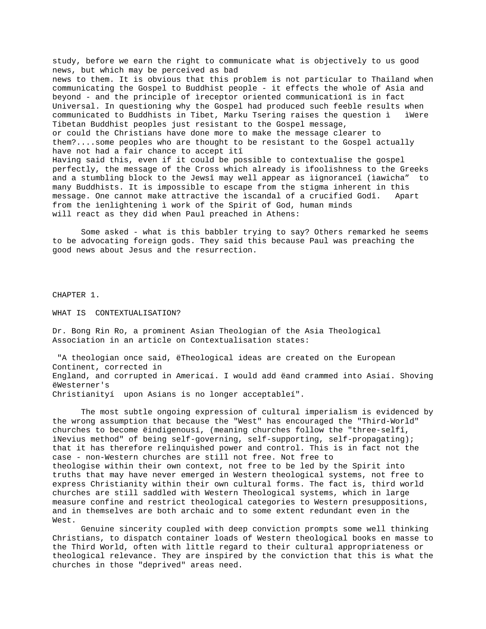study, before we earn the right to communicate what is objectively to us good news, but which may be perceived as bad news to them. It is obvious that this problem is not particular to Thailand when communicating the Gospel to Buddhist people - it effects the whole of Asia and beyond - and the principle of ìreceptor oriented communicationî is in fact Universal. In questioning why the Gospel had produced such feeble results when communicated to Buddhists in Tibet, Marku Tsering raises the question ì ìWere Tibetan Buddhist peoples just resistant to the Gospel message, or could the Christians have done more to make the message clearer to them?....some peoples who are thought to be resistant to the Gospel actually have not had a fair chance to accept itî Having said this, even if it could be possible to contextualise the gospel perfectly, the message of the Cross which already is ìfoolishness to the Greeks and a stumbling block to the Jewsî may well appear as ìignoranceî (ìawicha" to many Buddhists. It is impossible to escape from the stigma inherent in this message. One cannot make attractive the ìscandal of a crucified Godî. Apart from the ìenlightening ì work of the Spirit of God, human minds will react as they did when Paul preached in Athens:

Some asked - what is this babbler trying to say? Others remarked he seems to be advocating foreign gods. They said this because Paul was preaching the good news about Jesus and the resurrection.

CHAPTER 1.

WHAT IS CONTEXTUALISATION?

Dr. Bong Rin Ro, a prominent Asian Theologian of the Asia Theological Association in an article on Contextualisation states:

 "A theologian once said, ëTheological ideas are created on the European Continent, corrected in England, and corrupted in Americaí. I would add ëand crammed into Asiaí. Shoving ëWesterner's Christianityí upon Asians is no longer acceptableí".

The most subtle ongoing expression of cultural imperialism is evidenced by the wrong assumption that because the "West" has encouraged the "Third-World" churches to become ëindigenousí, (meaning churches follow the "three-selfî, ìNevius method" of being self-governing, self-supporting, self-propagating); that it has therefore relinquished power and control. This is in fact not the case - non-Western churches are still not free. Not free to theologise within their own context, not free to be led by the Spirit into truths that may have never emerged in Western theological systems, not free to express Christianity within their own cultural forms. The fact is, third world churches are still saddled with Western Theological systems, which in large measure confine and restrict theological categories to Western presuppositions, and in themselves are both archaic and to some extent redundant even in the West.

Genuine sincerity coupled with deep conviction prompts some well thinking Christians, to dispatch container loads of Western theological books en masse to the Third World, often with little regard to their cultural appropriateness or theological relevance. They are inspired by the conviction that this is what the churches in those "deprived" areas need.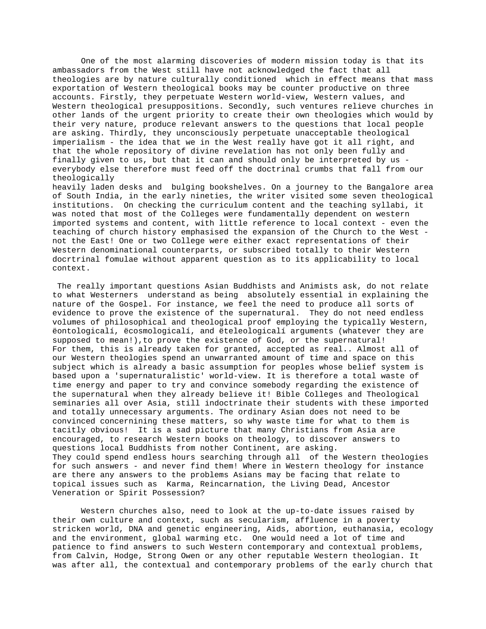One of the most alarming discoveries of modern mission today is that its ambassadors from the West still have not acknowledged the fact that all theologies are by nature culturally conditioned which in effect means that mass exportation of Western theological books may be counter productive on three accounts. Firstly, they perpetuate Western world-view, Western values, and Western theological presuppositions. Secondly, such ventures relieve churches in other lands of the urgent priority to create their own theologies which would by their very nature, produce relevant answers to the questions that local people are asking. Thirdly, they unconsciously perpetuate unacceptable theological imperialism - the idea that we in the West really have got it all right, and that the whole repository of divine revelation has not only been fully and finally given to us, but that it can and should only be interpreted by us everybody else therefore must feed off the doctrinal crumbs that fall from our theologically

heavily laden desks and bulging bookshelves. On a journey to the Bangalore area of South India, in the early nineties, the writer visited some seven theological institutions. On checking the curriculum content and the teaching syllabi, it was noted that most of the Colleges were fundamentally dependent on western imported systems and content, with little reference to local context - even the teaching of church history emphasised the expansion of the Church to the West not the East! One or two College were either exact representations of their Western denominational counterparts, or subscribed totally to their Western docrtrinal fomulae without apparent question as to its applicability to local context.

 The really important questions Asian Buddhists and Animists ask, do not relate to what Westerners understand as being absolutely essential in explaining the nature of the Gospel. For instance, we feel the need to produce all sorts of evidence to prove the existence of the supernatural. They do not need endless volumes of philosophical and theological proof employing the typically Western, ëontologicalí, ëcosmologicalí, and ëteleologicalí arguments (whatever they are supposed to mean!),to prove the existence of God, or the supernatural! For them, this is already taken for granted, accepted as real.. Almost all of our Western theologies spend an unwarranted amount of time and space on this subject which is already a basic assumption for peoples whose belief system is based upon a 'supernaturalistic' world-view. It is therefore a total waste of time energy and paper to try and convince somebody regarding the existence of the supernatural when they already believe it! Bible Colleges and Theological seminaries all over Asia, still indoctrinate their students with these imported and totally unnecessary arguments. The ordinary Asian does not need to be convinced concernining these matters, so why waste time for what to them is tacitly obvious! It is a sad picture that many Christians from Asia are encouraged, to research Western books on theology, to discover answers to questions local Buddhists from nother Continent, are asking. They could spend endless hours searching through all of the Western theologies for such answers - and never find them! Where in Western theology for instance are there any answers to the problems Asians may be facing that relate to topical issues such as Karma, Reincarnation, the Living Dead, Ancestor Veneration or Spirit Possession?

Western churches also, need to look at the up-to-date issues raised by their own culture and context, such as secularism, affluence in a poverty stricken world, DNA and genetic engineering, Aids, abortion, euthanasia, ecology and the environment, global warming etc. One would need a lot of time and patience to find answers to such Western contemporary and contextual problems, from Calvin, Hodge, Strong Owen or any other reputable Western theologian. It was after all, the contextual and contemporary problems of the early church that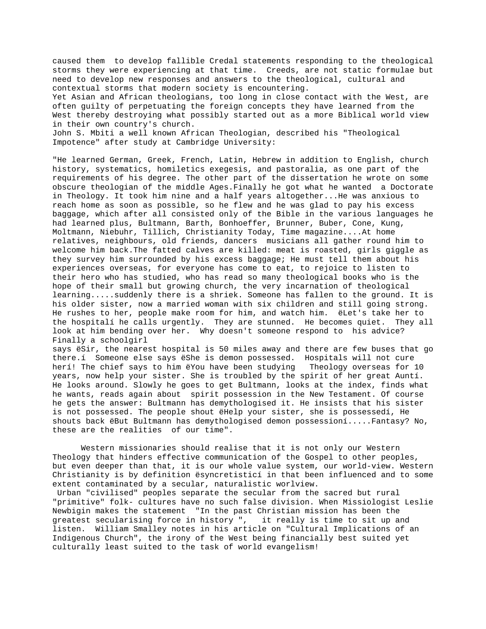caused them to develop fallible Credal statements responding to the theological storms they were experiencing at that time. Creeds, are not static formulae but need to develop new responses and answers to the theological, cultural and contextual storms that modern society is encountering.

Yet Asian and African theologians, too long in close contact with the West, are often guilty of perpetuating the foreign concepts they have learned from the West thereby destroying what possibly started out as a more Biblical world view in their own country's church.

John S. Mbiti a well known African Theologian, described his "Theological Impotence" after study at Cambridge University:

"He learned German, Greek, French, Latin, Hebrew in addition to English, church history, systematics, homiletics exegesis, and pastoralia, as one part of the requirements of his degree. The other part of the dissertation he wrote on some obscure theologian of the middle Ages.Finally he got what he wanted a Doctorate in Theology. It took him nine and a half years altogether...He was anxious to reach home as soon as possible, so he flew and he was glad to pay his excess baggage, which after all consisted only of the Bible in the various languages he had learned plus, Bultmann, Barth, Bonhoeffer, Brunner, Buber, Cone, Kung, Moltmann, Niebuhr, Tillich, Christianity Today, Time magazine....At home relatives, neighbours, old friends, dancers musicians all gather round him to welcome him back.The fatted calves are killed: meat is roasted, girls giggle as they survey him surrounded by his excess baggage; He must tell them about his experiences overseas, for everyone has come to eat, to rejoice to listen to their hero who has studied, who has read so many theological books who is the hope of their small but growing church, the very incarnation of theological learning.....suddenly there is a shriek. Someone has fallen to the ground. It is his older sister, now a married woman with six children and still going strong. He rushes to her, people make room for him, and watch him. ëLet's take her to the hospitalí he calls urgently. They are stunned. He becomes quiet. They all look at him bending over her. Why doesn't someone respond to his advice? Finally a schoolgirl

says ëSir, the nearest hospital is 50 miles away and there are few buses that go there.í Someone else says ëShe is demon possessed. Hospitals will not cure herí! The chief says to him ëYou have been studying Theology overseas for 10 years, now help your sister. She is troubled by the spirit of her great Auntí. He looks around. Slowly he goes to get Bultmann, looks at the index, finds what he wants, reads again about spirit possession in the New Testament. Of course he gets the answer: Bultmann has demythologised it. He insists that his sister is not possessed. The people shout ëHelp your sister, she is possessedí, He shouts back ëBut Bultmann has demythologised demon possessioní.....Fantasy? No, these are the realities of our time".

Western missionaries should realise that it is not only our Western Theology that hinders effective communication of the Gospel to other peoples, but even deeper than that, it is our whole value system, our world-view. Western Christianity is by definition ësyncretisticí in that been influenced and to some extent contaminated by a secular, naturalistic worlview.

 Urban "civilised" peoples separate the secular from the sacred but rural "primitive" folk- cultures have no such false division. When Missiologist Leslie Newbigin makes the statement "In the past Christian mission has been the greatest secularising force in history ", it really is time to sit up and listen. William Smalley notes in his article on "Cultural Implications of an Indigenous Church", the irony of the West being financially best suited yet culturally least suited to the task of world evangelism!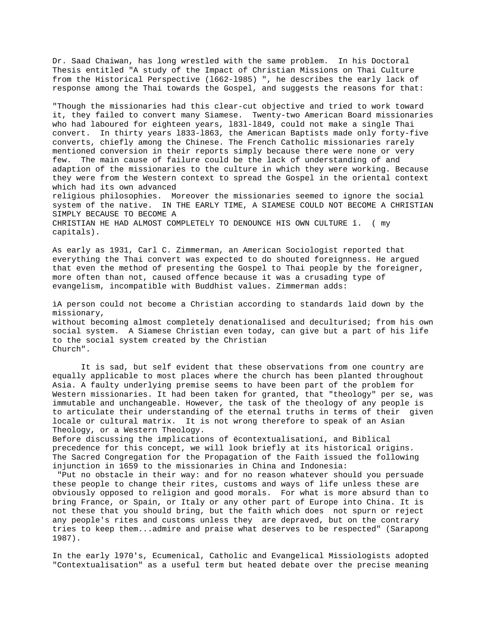Dr. Saad Chaiwan, has long wrestled with the same problem. In his Doctoral Thesis entitled "A study of the Impact of Christian Missions on Thai Culture from the Historical Perspective (l662-l985) ", he describes the early lack of response among the Thai towards the Gospel, and suggests the reasons for that:

"Though the missionaries had this clear-cut objective and tried to work toward it, they failed to convert many Siamese. Twenty-two American Board missionaries who had laboured for eighteen years, l83l-l849, could not make a single Thai convert. In thirty years l833-l863, the American Baptists made only forty-five converts, chiefly among the Chinese. The French Catholic missionaries rarely mentioned conversion in their reports simply because there were none or very few. The main cause of failure could be the lack of understanding of and adaption of the missionaries to the culture in which they were working. Because they were from the Western context to spread the Gospel in the oriental context which had its own advanced religious philosophies. Moreover the missionaries seemed to ignore the social system of the native. IN THE EARLY TIME, A SIAMESE COULD NOT BECOME A CHRISTIAN SIMPLY BECAUSE TO BECOME A CHRISTIAN HE HAD ALMOST COMPLETELY TO DENOUNCE HIS OWN CULTURE î. ( my capitals).

As early as 1931, Carl C. Zimmerman, an American Sociologist reported that everything the Thai convert was expected to do shouted foreignness. He argued that even the method of presenting the Gospel to Thai people by the foreigner, more often than not, caused offence because it was a crusading type of evangelism, incompatible with Buddhist values. Zimmerman adds:

ìA person could not become a Christian according to standards laid down by the missionary, without becoming almost completely denationalised and deculturised; from his own social system. A Siamese Christian even today, can give but a part of his life to the social system created by the Christian Church".

It is sad, but self evident that these observations from one country are equally applicable to most places where the church has been planted throughout Asia. A faulty underlying premise seems to have been part of the problem for Western missionaries. It had been taken for granted, that "theology" per se, was immutable and unchangeable. However, the task of the theology of any people is to articulate their understanding of the eternal truths in terms of their given locale or cultural matrix. It is not wrong therefore to speak of an Asian Theology, or a Western Theology.

Before discussing the implications of ëcontextualisationí, and Biblical precedence for this concept, we will look briefly at its historical origins. The Sacred Congregation for the Propagation of the Faith issued the following injunction in 1659 to the missionaries in China and Indonesia:

 "Put no obstacle in their way: and for no reason whatever should you persuade these people to change their rites, customs and ways of life unless these are obviously opposed to religion and good morals. For what is more absurd than to bring France, or Spain, or Italy or any other part of Europe into China. It is not these that you should bring, but the faith which does not spurn or reject any people's rites and customs unless they are depraved, but on the contrary tries to keep them...admire and praise what deserves to be respected" (Sarapong 1987).

In the early l970's, Ecumenical, Catholic and Evangelical Missiologists adopted "Contextualisation" as a useful term but heated debate over the precise meaning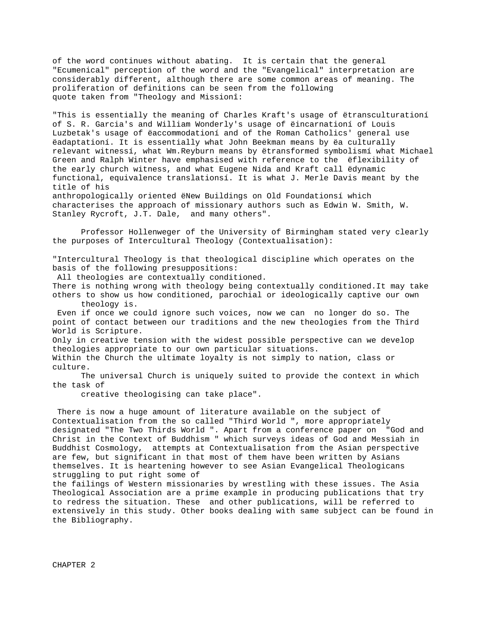of the word continues without abating. It is certain that the general "Ecumenical" perception of the word and the "Evangelical" interpretation are considerably different, although there are some common areas of meaning. The proliferation of definitions can be seen from the following quote taken from "Theology and Missionî:

"This is essentially the meaning of Charles Kraft's usage of ëtransculturationí of S. R. Garcia's and William Wonderly's usage of ëincarnationí of Louis Luzbetak's usage of ëaccommodationí and of the Roman Catholics' general use ëadaptationí. It is essentially what John Beekman means by ëa culturally relevant witnessí, what Wm.Reyburn means by ëtransformed symbolismí what Michael Green and Ralph Winter have emphasised with reference to the ëflexibility of the early church witness, and what Eugene Nida and Kraft call ëdynamic functional, equivalence translationsí. It is what J. Merle Davis meant by the title of his

anthropologically oriented ëNew Buildings on Old Foundationsí which characterises the approach of missionary authors such as Edwin W. Smith, W. Stanley Rycroft, J.T. Dale, and many others".

Professor Hollenweger of the University of Birmingham stated very clearly the purposes of Intercultural Theology (Contextualisation):

"Intercultural Theology is that theological discipline which operates on the basis of the following presuppositions:

All theologies are contextually conditioned.

There is nothing wrong with theology being contextually conditioned.It may take others to show us how conditioned, parochial or ideologically captive our own theology is.

 Even if once we could ignore such voices, now we can no longer do so. The point of contact between our traditions and the new theologies from the Third World is Scripture.

Only in creative tension with the widest possible perspective can we develop theologies appropriate to our own particular situations.

Within the Church the ultimate loyalty is not simply to nation, class or culture.

The universal Church is uniquely suited to provide the context in which the task of

creative theologising can take place".

 There is now a huge amount of literature available on the subject of Contextualisation from the so called "Third World ", more appropriately designated "The Two Thirds World ". Apart from a conference paper on "God and Christ in the Context of Buddhism " which surveys ideas of God and Messiah in Buddhist Cosmology, attempts at Contextualisation from the Asian perspective are few, but significant in that most of them have been written by Asians themselves. It is heartening however to see Asian Evangelical Theologicans struggling to put right some of

the failings of Western missionaries by wrestling with these issues. The Asia Theological Association are a prime example in producing publications that try to redress the situation. These and other publications, will be referred to extensively in this study. Other books dealing with same subject can be found in the Bibliography.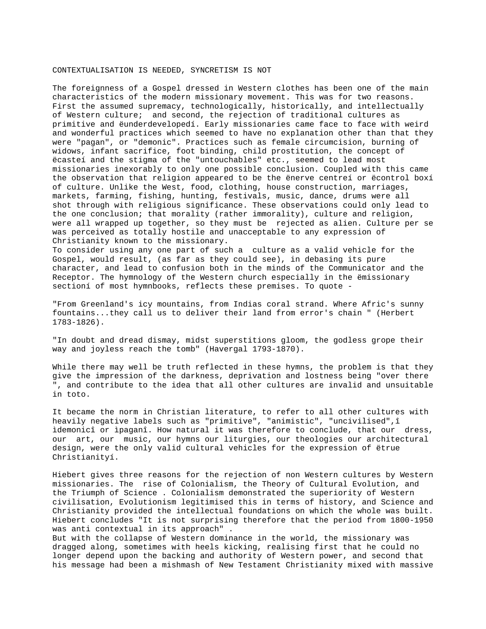#### CONTEXTUALISATION IS NEEDED, SYNCRETISM IS NOT

The foreignness of a Gospel dressed in Western clothes has been one of the main characteristics of the modern missionary movement. This was for two reasons. First the assumed supremacy, technologically, historically, and intellectually of Western culture; and second, the rejection of traditional cultures as primitive and ëunderdevelopedí. Early missionaries came face to face with weird and wonderful practices which seemed to have no explanation other than that they were "pagan", or "demonic". Practices such as female circumcision, burning of widows, infant sacrifice, foot binding, child prostitution, the concept of ëcasteí and the stigma of the "untouchables" etc., seemed to lead most missionaries inexorably to only one possible conclusion. Coupled with this came the observation that religion appeared to be the ënerve centreí or ëcontrol boxí of culture. Unlike the West, food, clothing, house construction, marriages, markets, farming, fishing, hunting, festivals, music, dance, drums were all shot through with religious significance. These observations could only lead to the one conclusion; that morality (rather immorality), culture and religion, were all wrapped up together, so they must be rejected as alien. Culture per se was perceived as totally hostile and unacceptable to any expression of Christianity known to the missionary.

To consider using any one part of such a culture as a valid vehicle for the Gospel, would result, (as far as they could see), in debasing its pure character, and lead to confusion both in the minds of the Communicator and the Receptor. The hymnology of the Western church especially in the ëmissionary sectioní of most hymnbooks, reflects these premises. To quote -

"From Greenland's icy mountains, from Indias coral strand. Where Afric's sunny fountains...they call us to deliver their land from error's chain " (Herbert 1783-1826).

"In doubt and dread dismay, midst superstitions gloom, the godless grope their way and joyless reach the tomb" (Havergal 1793-1870).

While there may well be truth reflected in these hymns, the problem is that they give the impression of the darkness, deprivation and lostness being "over there ", and contribute to the idea that all other cultures are invalid and unsuitable in toto.

It became the norm in Christian literature, to refer to all other cultures with heavily negative labels such as "primitive", "animistic", "uncivilised",î ìdemonicî or ìpaganî. How natural it was therefore to conclude, that our dress, our art, our music, our hymns our liturgies, our theologies our architectural design, were the only valid cultural vehicles for the expression of ëtrue Christianityí.

Hiebert gives three reasons for the rejection of non Western cultures by Western missionaries. The rise of Colonialism, the Theory of Cultural Evolution, and the Triumph of Science . Colonialism demonstrated the superiority of Western civilisation, Evolutionism legitimised this in terms of history, and Science and Christianity provided the intellectual foundations on which the whole was built. Hiebert concludes "It is not surprising therefore that the period from 1800-1950 was anti contextual in its approach" .

But with the collapse of Western dominance in the world, the missionary was dragged along, sometimes with heels kicking, realising first that he could no longer depend upon the backing and authority of Western power, and second that his message had been a mishmash of New Testament Christianity mixed with massive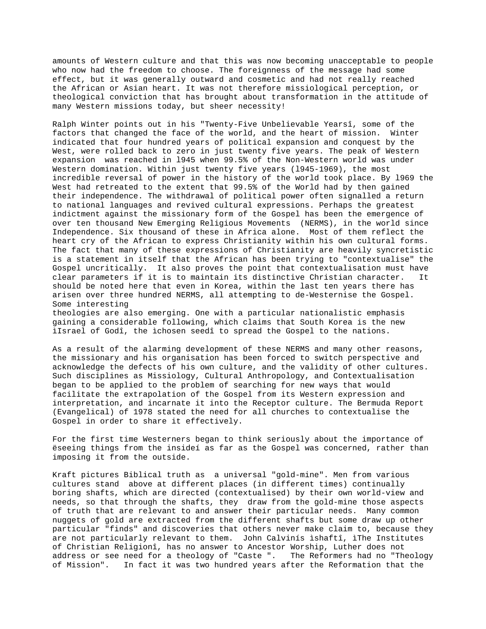amounts of Western culture and that this was now becoming unacceptable to people who now had the freedom to choose. The foreignness of the message had some effect, but it was generally outward and cosmetic and had not really reached the African or Asian heart. It was not therefore missiological perception, or theological conviction that has brought about transformation in the attitude of many Western missions today, but sheer necessity!

Ralph Winter points out in his "Twenty-Five Unbelievable Yearsî, some of the factors that changed the face of the world, and the heart of mission. Winter indicated that four hundred years of political expansion and conquest by the West, were rolled back to zero in just twenty five years. The peak of Western expansion was reached in l945 when 99.5% of the Non-Western world was under Western domination. Within just twenty five years (l945-1969), the most incredible reversal of power in the history of the world took place. By l969 the West had retreated to the extent that 99.5% of the World had by then gained their independence. The withdrawal of political power often signalled a return to national languages and revived cultural expressions. Perhaps the greatest indictment against the missionary form of the Gospel has been the emergence of over ten thousand New Emerging Religious Movements (NERMS), in the world since Independence. Six thousand of these in Africa alone. Most of them reflect the heart cry of the African to express Christianity within his own cultural forms. The fact that many of these expressions of Christianity are heavily syncretistic is a statement in itself that the African has been trying to "contextualise" the Gospel uncritically. It also proves the point that contextualisation must have clear parameters if it is to maintain its distinctive Christian character. It should be noted here that even in Korea, within the last ten years there has arisen over three hundred NERMS, all attempting to de-Westernise the Gospel. Some interesting

theologies are also emerging. One with a particular nationalistic emphasis gaining a considerable following, which claims that South Korea is the new ìIsrael of Godî, the ìchosen seedî to spread the Gospel to the nations.

As a result of the alarming development of these NERMS and many other reasons, the missionary and his organisation has been forced to switch perspective and acknowledge the defects of his own culture, and the validity of other cultures. Such disciplines as Missiology, Cultural Anthropology, and Contextualisation began to be applied to the problem of searching for new ways that would facilitate the extrapolation of the Gospel from its Western expression and interpretation, and incarnate it into the Receptor culture. The Bermuda Report (Evangelical) of 1978 stated the need for all churches to contextualise the Gospel in order to share it effectively.

For the first time Westerners began to think seriously about the importance of ëseeing things from the insideí as far as the Gospel was concerned, rather than imposing it from the outside.

Kraft pictures Biblical truth as a universal "gold-mine". Men from various cultures stand above at different places (in different times) continually boring shafts, which are directed (contextualised) by their own world-view and needs, so that through the shafts, they draw from the gold-mine those aspects of truth that are relevant to and answer their particular needs. Many common nuggets of gold are extracted from the different shafts but some draw up other particular "finds" and discoveries that others never make claim to, because they are not particularly relevant to them. John Calvinís ìshaftî, ìThe Institutes of Christian Religionî, has no answer to Ancestor Worship, Luther does not address or see need for a theology of "Caste ". The Reformers had no "Theology of Mission". In fact it was two hundred years after the Reformation that the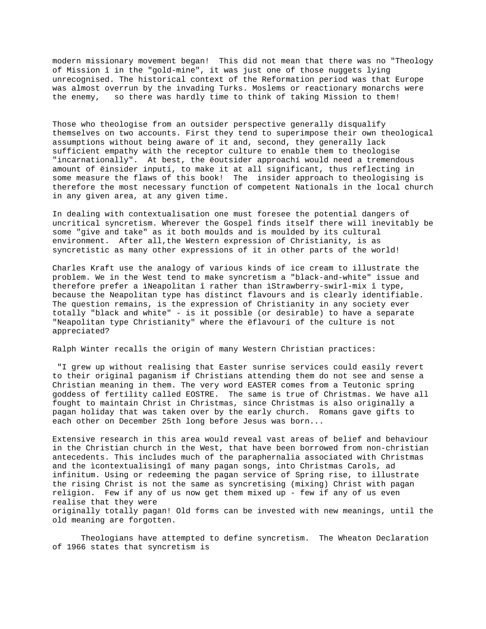modern missionary movement began! This did not mean that there was no "Theology of Mission î in the "gold-mine", it was just one of those nuggets lying unrecognised. The historical context of the Reformation period was that Europe was almost overrun by the invading Turks. Moslems or reactionary monarchs were the enemy, so there was hardly time to think of taking Mission to them!

Those who theologise from an outsider perspective generally disqualify themselves on two accounts. First they tend to superimpose their own theological assumptions without being aware of it and, second, they generally lack sufficient empathy with the receptor culture to enable them to theologise "incarnationally". At best, the ëoutsider approachí would need a tremendous amount of ëinsider inputí, to make it at all significant, thus reflecting in some measure the flaws of this book! The insider approach to theologising is therefore the most necessary function of competent Nationals in the local church in any given area, at any given time.

In dealing with contextualisation one must foresee the potential dangers of uncritical syncretism. Wherever the Gospel finds itself there will inevitably be some "give and take" as it both moulds and is moulded by its cultural environment. After all,the Western expression of Christianity, is as syncretistic as many other expressions of it in other parts of the world!

Charles Kraft use the analogy of various kinds of ice cream to illustrate the problem. We in the West tend to make syncretism a "black-and-white" issue and therefore prefer a ìNeapolitan î rather than ìStrawberry-swirl-mix î type, because the Neapolitan type has distinct flavours and is clearly identifiable. The question remains, is the expression of Christianity in any society ever totally "black and white" - is it possible (or desirable) to have a separate "Neapolitan type Christianity" where the ëflavourí of the culture is not appreciated?

Ralph Winter recalls the origin of many Western Christian practices:

 "I grew up without realising that Easter sunrise services could easily revert to their original paganism if Christians attending them do not see and sense a Christian meaning in them. The very word EASTER comes from a Teutonic spring goddess of fertility called EOSTRE. The same is true of Christmas. We have all fought to maintain Christ in Christmas, since Christmas is also originally a pagan holiday that was taken over by the early church. Romans gave gifts to each other on December 25th long before Jesus was born...

Extensive research in this area would reveal vast areas of belief and behaviour in the Christian church in the West, that have been borrowed from non-christian antecedents. This includes much of the paraphernalia associated with Christmas and the ìcontextualisingî of many pagan songs, into Christmas Carols, ad infinitum. Using or redeeming the pagan service of Spring rise, to illustrate the rising Christ is not the same as syncretising (mixing) Christ with pagan religion. Few if any of us now get them mixed up - few if any of us even realise that they were originally totally pagan! Old forms can be invested with new meanings, until the old meaning are forgotten.

Theologians have attempted to define syncretism. The Wheaton Declaration of 1966 states that syncretism is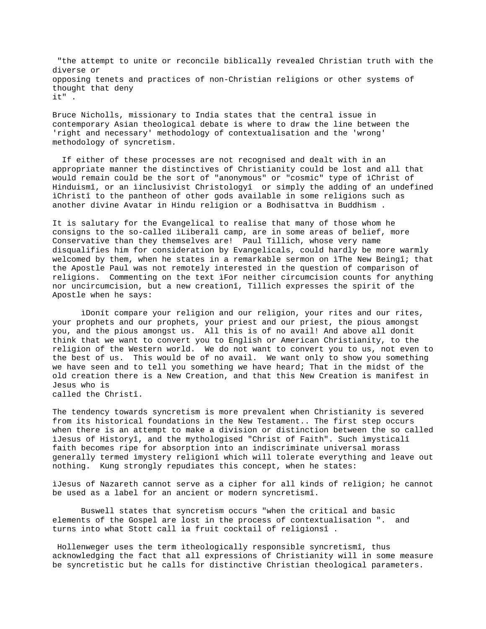"the attempt to unite or reconcile biblically revealed Christian truth with the diverse or opposing tenets and practices of non-Christian religions or other systems of thought that deny it" .

Bruce Nicholls, missionary to India states that the central issue in contemporary Asian theological debate is where to draw the line between the 'right and necessary' methodology of contextualisation and the 'wrong' methodology of syncretism.

 If either of these processes are not recognised and dealt with in an appropriate manner the distinctives of Christianity could be lost and all that would remain could be the sort of "anonymous" or "cosmic" type of ìChrist of Hinduismî, or an ìinclusivist Christologyî or simply the adding of an undefined ìChristî to the pantheon of other gods available in some religions such as another divine Avatar in Hindu religion or a Bodhisattva in Buddhism .

It is salutary for the Evangelical to realise that many of those whom he consigns to the so-called ìLiberalî camp, are in some areas of belief, more Conservative than they themselves are! Paul Tillich, whose very name disqualifies him for consideration by Evangelicals, could hardly be more warmly welcomed by them, when he states in a remarkable sermon on ìThe New Beingî; that the Apostle Paul was not remotely interested in the question of comparison of religions. Commenting on the text ìFor neither circumcision counts for anything nor uncircumcision, but a new creationî, Tillich expresses the spirit of the Apostle when he says:

ìDonít compare your religion and our religion, your rites and our rites, your prophets and our prophets, your priest and our priest, the pious amongst you, and the pious amongst us. All this is of no avail! And above all donít think that we want to convert you to English or American Christianity, to the religion of the Western world. We do not want to convert you to us, not even to the best of us. This would be of no avail. We want only to show you something we have seen and to tell you something we have heard; That in the midst of the old creation there is a New Creation, and that this New Creation is manifest in Jesus who is called the Christî.

The tendency towards syncretism is more prevalent when Christianity is severed from its historical foundations in the New Testament.. The first step occurs when there is an attempt to make a division or distinction between the so called ìJesus of Historyî, and the mythologised "Christ of Faith". Such ìmysticalî faith becomes ripe for absorption into an indiscriminate universal morass generally termed ìmystery religionî which will tolerate everything and leave out nothing. Kung strongly repudiates this concept, when he states:

ìJesus of Nazareth cannot serve as a cipher for all kinds of religion; he cannot be used as a label for an ancient or modern syncretismî.

Buswell states that syncretism occurs "when the critical and basic elements of the Gospel are lost in the process of contextualisation ". and turns into what Stott call ìa fruit cocktail of religionsî .

 Hollenweger uses the term ìtheologically responsible syncretismî, thus acknowledging the fact that all expressions of Christianity will in some measure be syncretistic but he calls for distinctive Christian theological parameters.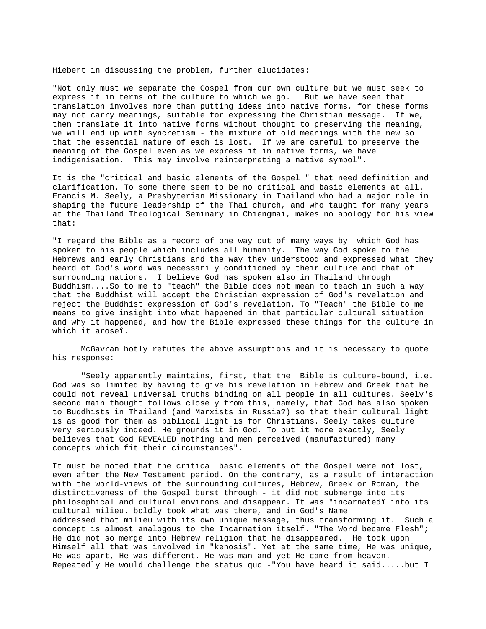Hiebert in discussing the problem, further elucidates:

"Not only must we separate the Gospel from our own culture but we must seek to express it in terms of the culture to which we go. But we have seen that translation involves more than putting ideas into native forms, for these forms may not carry meanings, suitable for expressing the Christian message. If we, then translate it into native forms without thought to preserving the meaning, we will end up with syncretism - the mixture of old meanings with the new so that the essential nature of each is lost. If we are careful to preserve the meaning of the Gospel even as we express it in native forms, we have indigenisation. This may involve reinterpreting a native symbol".

It is the "critical and basic elements of the Gospel " that need definition and clarification. To some there seem to be no critical and basic elements at all. Francis M. Seely, a Presbyterian Missionary in Thailand who had a major role in shaping the future leadership of the Thai church, and who taught for many years at the Thailand Theological Seminary in Chiengmai, makes no apology for his view that:

"I regard the Bible as a record of one way out of many ways by which God has spoken to his people which includes all humanity. The way God spoke to the Hebrews and early Christians and the way they understood and expressed what they heard of God's word was necessarily conditioned by their culture and that of surrounding nations. I believe God has spoken also in Thailand through Buddhism....So to me to "teach" the Bible does not mean to teach in such a way that the Buddhist will accept the Christian expression of God's revelation and reject the Buddhist expression of God's revelation. To "Teach" the Bible to me means to give insight into what happened in that particular cultural situation and why it happened, and how the Bible expressed these things for the culture in which it aroseî.

McGavran hotly refutes the above assumptions and it is necessary to quote his response:

"Seely apparently maintains, first, that the Bible is culture-bound, i.e. God was so limited by having to give his revelation in Hebrew and Greek that he could not reveal universal truths binding on all people in all cultures. Seely's second main thought follows closely from this, namely, that God has also spoken to Buddhists in Thailand (and Marxists in Russia?) so that their cultural light is as good for them as biblical light is for Christians. Seely takes culture very seriously indeed. He grounds it in God. To put it more exactly, Seely believes that God REVEALED nothing and men perceived (manufactured) many concepts which fit their circumstances".

It must be noted that the critical basic elements of the Gospel were not lost, even after the New Testament period. On the contrary, as a result of interaction with the world-views of the surrounding cultures, Hebrew, Greek or Roman, the distinctiveness of the Gospel burst through - it did not submerge into its philosophical and cultural environs and disappear. It was "incarnatedî into its cultural milieu. boldly took what was there, and in God's Name addressed that milieu with its own unique message, thus transforming it. Such a concept is almost analogous to the Incarnation itself. "The Word became Flesh"; He did not so merge into Hebrew religion that he disappeared. He took upon Himself all that was involved in "kenosis". Yet at the same time, He was unique, He was apart, He was different. He was man and yet He came from heaven. Repeatedly He would challenge the status quo -"You have heard it said.....but I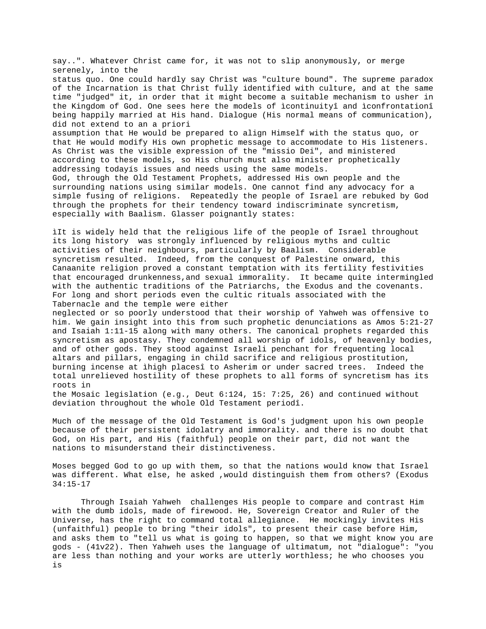say..". Whatever Christ came for, it was not to slip anonymously, or merge serenely, into the status quo. One could hardly say Christ was "culture bound". The supreme paradox of the Incarnation is that Christ fully identified with culture, and at the same time "judged" it, in order that it might become a suitable mechanism to usher in the Kingdom of God. One sees here the models of ìcontinuityî and ìconfrontationî being happily married at His hand. Dialogue (His normal means of communication), did not extend to an a priori assumption that He would be prepared to align Himself with the status quo, or that He would modify His own prophetic message to accommodate to His listeners. As Christ was the visible expression of the "missio Dei", and ministered according to these models, so His church must also minister prophetically addressing todayís issues and needs using the same models. God, through the Old Testament Prophets, addressed His own people and the surrounding nations using similar models. One cannot find any advocacy for a simple fusing of religions. Repeatedly the people of Israel are rebuked by God through the prophets for their tendency toward indiscriminate syncretism, especially with Baalism. Glasser poignantly states:

ìIt is widely held that the religious life of the people of Israel throughout its long history was strongly influenced by religious myths and cultic activities of their neighbours, particularly by Baalism. Considerable syncretism resulted. Indeed, from the conquest of Palestine onward, this Canaanite religion proved a constant temptation with its fertility festivities that encouraged drunkenness,and sexual immorality. It became quite intermingled with the authentic traditions of the Patriarchs, the Exodus and the covenants. For long and short periods even the cultic rituals associated with the Tabernacle and the temple were either

neglected or so poorly understood that their worship of Yahweh was offensive to him. We gain insight into this from such prophetic denunciations as Amos 5:21-27 and Isaiah 1:11-15 along with many others. The canonical prophets regarded this syncretism as apostasy. They condemned all worship of idols, of heavenly bodies, and of other gods. They stood against Israeli penchant for frequenting local altars and pillars, engaging in child sacrifice and religious prostitution, burning incense at ìhigh placesî to Asherim or under sacred trees. Indeed the total unrelieved hostility of these prophets to all forms of syncretism has its roots in

the Mosaic legislation (e.g., Deut 6:124, 15: 7:25, 26) and continued without deviation throughout the whole Old Testament periodî.

Much of the message of the Old Testament is God's judgment upon his own people because of their persistent idolatry and immorality. and there is no doubt that God, on His part, and His (faithful) people on their part, did not want the nations to misunderstand their distinctiveness.

Moses begged God to go up with them, so that the nations would know that Israel was different. What else, he asked ,would distinguish them from others? (Exodus 34:15-17

Through Isaiah Yahweh challenges His people to compare and contrast Him with the dumb idols, made of firewood. He, Sovereign Creator and Ruler of the Universe, has the right to command total allegiance. He mockingly invites His (unfaithful) people to bring "their idols", to present their case before Him, and asks them to "tell us what is going to happen, so that we might know you are gods - (41v22). Then Yahweh uses the language of ultimatum, not "dialogue": "you are less than nothing and your works are utterly worthless; he who chooses you is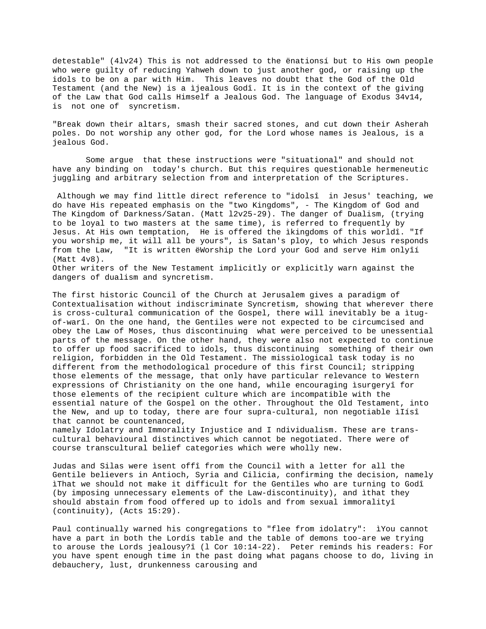detestable" (4lv24) This is not addressed to the ënationsí but to His own people who were guilty of reducing Yahweh down to just another god, or raising up the idols to be on a par with Him. This leaves no doubt that the God of the Old Testament (and the New) is a ìjealous Godî. It is in the context of the giving of the Law that God calls Himself a Jealous God. The language of Exodus 34v14, is not one of syncretism.

"Break down their altars, smash their sacred stones, and cut down their Asherah poles. Do not worship any other god, for the Lord whose names is Jealous, is a jealous God.

 Some argue that these instructions were "situational" and should not have any binding on today's church. But this requires questionable hermeneutic juggling and arbitrary selection from and interpretation of the Scriptures.

 Although we may find little direct reference to "idolsî in Jesus' teaching, we do have His repeated emphasis on the "two Kingdoms", - The Kingdom of God and The Kingdom of Darkness/Satan. (Matt l2v25-29). The danger of Dualism, (trying to be loyal to two masters at the same time), is referred to frequently by Jesus. At His own temptation, He is offered the ìkingdoms of this worldî. "If you worship me, it will all be yours", is Satan's ploy, to which Jesus responds from the Law, "It is written ëWorship the Lord your God and serve Him onlyîí (Matt 4v8). Other writers of the New Testament implicitly or explicitly warn against the

dangers of dualism and syncretism.

The first historic Council of the Church at Jerusalem gives a paradigm of Contextualisation without indiscriminate Syncretism, showing that wherever there is cross-cultural communication of the Gospel, there will inevitably be a ìtugof-warî. On the one hand, the Gentiles were not expected to be circumcised and obey the Law of Moses, thus discontinuing what were perceived to be unessential parts of the message. On the other hand, they were also not expected to continue to offer up food sacrificed to idols, thus discontinuing something of their own religion, forbidden in the Old Testament. The missiological task today is no different from the methodological procedure of this first Council; stripping those elements of the message, that only have particular relevance to Western expressions of Christianity on the one hand, while encouraging ìsurgeryî for those elements of the recipient culture which are incompatible with the essential nature of the Gospel on the other. Throughout the Old Testament, into the New, and up to today, there are four supra-cultural, non negotiable ìIísî that cannot be countenanced,

namely Idolatry and Immorality Injustice and I ndividualism. These are transcultural behavioural distinctives which cannot be negotiated. There were of course transcultural belief categories which were wholly new.

Judas and Silas were ìsent offî from the Council with a letter for all the Gentile believers in Antioch, Syria and Cilicia, confirming the decision, namely ìThat we should not make it difficult for the Gentiles who are turning to Godî (by imposing unnecessary elements of the Law-discontinuity), and ìthat they should abstain from food offered up to idols and from sexual immoralityî (continuity), (Acts 15:29).

Paul continually warned his congregations to "flee from idolatry": ìYou cannot have a part in both the Lordís table and the table of demons too-are we trying to arouse the Lords jealousy?î (l Cor 10:14-22). Peter reminds his readers: For you have spent enough time in the past doing what pagans choose to do, living in debauchery, lust, drunkenness carousing and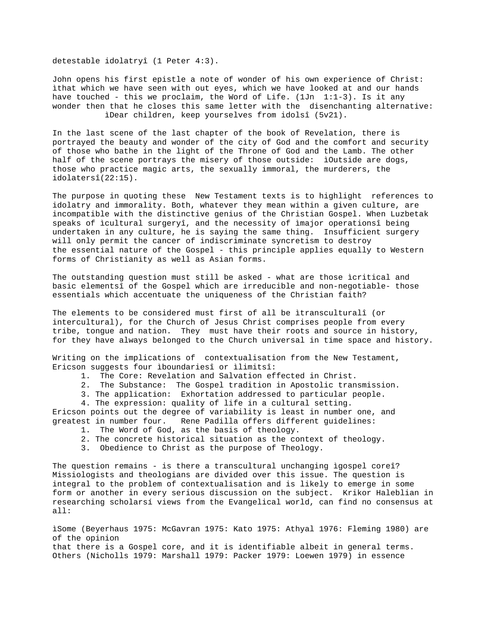detestable idolatryî (1 Peter 4:3).

John opens his first epistle a note of wonder of his own experience of Christ: ìthat which we have seen with out eyes, which we have looked at and our hands have touched - this we proclaim, the Word of Life. (1Jn 1:1-3). Is it any wonder then that he closes this same letter with the disenchanting alternative: ìDear children, keep yourselves from idolsî (5v21).

In the last scene of the last chapter of the book of Revelation, there is portrayed the beauty and wonder of the city of God and the comfort and security of those who bathe in the light of the Throne of God and the Lamb. The other half of the scene portrays the misery of those outside: iOutside are dogs, those who practice magic arts, the sexually immoral, the murderers, the idolatersî(22:15).

The purpose in quoting these New Testament texts is to highlight references to idolatry and immorality. Both, whatever they mean within a given culture, are incompatible with the distinctive genius of the Christian Gospel. When Luzbetak speaks of ìcultural surgeryî, and the necessity of ìmajor operationsî being undertaken in any culture, he is saying the same thing. Insufficient surgery will only permit the cancer of indiscriminate syncretism to destroy the essential nature of the Gospel - this principle applies equally to Western forms of Christianity as well as Asian forms.

The outstanding question must still be asked - what are those ìcritical and basic elementsî of the Gospel which are irreducible and non-negotiable- those essentials which accentuate the uniqueness of the Christian faith?

The elements to be considered must first of all be ìtransculturalî (or intercultural), for the Church of Jesus Christ comprises people from every tribe, tongue and nation. They must have their roots and source in history, for they have always belonged to the Church universal in time space and history.

Writing on the implications of contextualisation from the New Testament, Ericson suggests four ìboundariesî or ìlimitsî:

- 1. The Core: Revelation and Salvation effected in Christ.
- 2. The Substance: The Gospel tradition in Apostolic transmission.
- 3. The application: Exhortation addressed to particular people.
- 4. The expression: quality of life in a cultural setting.

Ericson points out the degree of variability is least in number one, and greatest in number four. Rene Padilla offers different guidelines:

- 1. The Word of God, as the basis of theology.
- 2. The concrete historical situation as the context of theology.
- 3. Obedience to Christ as the purpose of Theology.

The question remains - is there a transcultural unchanging ìgospel coreî? Missiologists and theologians are divided over this issue. The question is integral to the problem of contextualisation and is likely to emerge in some form or another in every serious discussion on the subject. Krikor Haleblian in researching scholarsí views from the Evangelical world, can find no consensus at all:

ìSome (Beyerhaus 1975: McGavran 1975: Kato 1975: Athyal 1976: Fleming 1980) are of the opinion that there is a Gospel core, and it is identifiable albeit in general terms. Others (Nicholls 1979: Marshall 1979: Packer 1979: Loewen 1979) in essence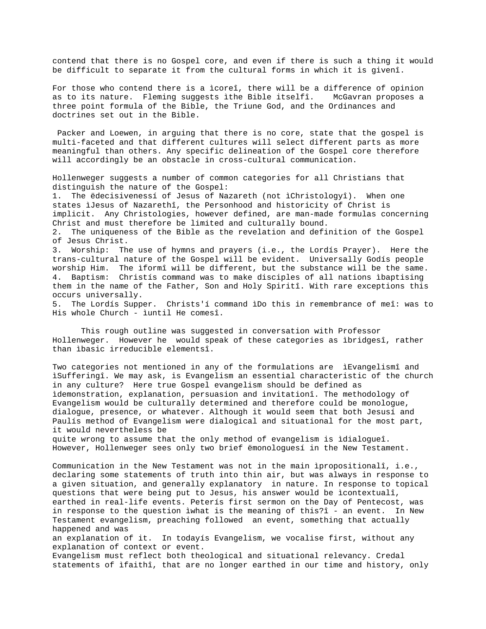contend that there is no Gospel core, and even if there is such a thing it would be difficult to separate it from the cultural forms in which it is givenî.

For those who contend there is a ìcoreî, there will be a difference of opinion as to its nature. Fleming suggests ìthe Bible itselfî. McGavran proposes a three point formula of the Bible, the Triune God, and the Ordinances and doctrines set out in the Bible.

 Packer and Loewen, in arguing that there is no core, state that the gospel is multi-faceted and that different cultures will select different parts as more meaningful than others. Any specific delineation of the Gospel core therefore will accordingly be an obstacle in cross-cultural communication.

Hollenweger suggests a number of common categories for all Christians that distinguish the nature of the Gospel: 1. The ëdecisivenessí of Jesus of Nazareth (not ìChristologyî). When one states ìJesus of Nazarethî, the Personhood and historicity of Christ is implicit. Any Christologies, however defined, are man-made formulas concerning Christ and must therefore be limited and culturally bound. 2. The uniqueness of the Bible as the revelation and definition of the Gospel of Jesus Christ. 3. Worship: The use of hymns and prayers (i.e., the Lordís Prayer). Here the trans-cultural nature of the Gospel will be evident. Universally Godís people worship Him. The ìformî will be different, but the substance will be the same. 4. Baptism: Christís command was to make disciples of all nations ìbaptising them in the name of the Father, Son and Holy Spiritî. With rare exceptions this occurs universally. 5. The Lordís Supper. Christs'í command ìDo this in remembrance of meî: was to

His whole Church - ìuntil He comesî.

This rough outline was suggested in conversation with Professor Hollenweger. However he would speak of these categories as ìbridgesî, rather than ìbasic irreducible elementsî.

Two categories not mentioned in any of the formulations are ìEvangelismî and ìSufferingî. We may ask, is Evangelism an essential characteristic of the church in any culture? Here true Gospel evangelism should be defined as ìdemonstration, explanation, persuasion and invitationî. The methodology of Evangelism would be culturally determined and therefore could be monologue, dialogue, presence, or whatever. Although it would seem that both Jesusí and Paulís method of Evangelism were dialogical and situational for the most part, it would nevertheless be quite wrong to assume that the only method of evangelism is ìdialogueî. However, Hollenweger sees only two brief ëmonologuesí in the New Testament.

Communication in the New Testament was not in the main ìpropositionalî, i.e., declaring some statements of truth into thin air, but was always in response to a given situation, and generally explanatory in nature. In response to topical questions that were being put to Jesus, his answer would be ìcontextualî, earthed in real-life events. Peterís first sermon on the Day of Pentecost, was in response to the question ìwhat is the meaning of this?î - an event. In New Testament evangelism, preaching followed an event, something that actually happened and was

an explanation of it. In todayís Evangelism, we vocalise first, without any explanation of context or event.

Evangelism must reflect both theological and situational relevancy. Credal statements of ìfaithî, that are no longer earthed in our time and history, only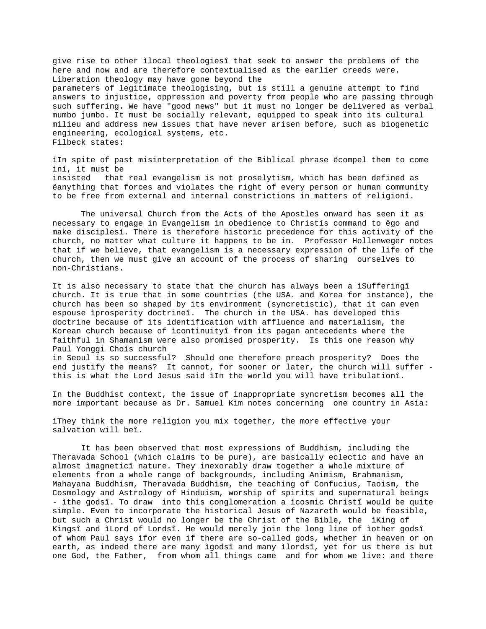give rise to other ìlocal theologiesî that seek to answer the problems of the here and now and are therefore contextualised as the earlier creeds were. Liberation theology may have gone beyond the parameters of legitimate theologising, but is still a genuine attempt to find answers to injustice, oppression and poverty from people who are passing through such suffering. We have "good news" but it must no longer be delivered as verbal mumbo jumbo. It must be socially relevant, equipped to speak into its cultural milieu and address new issues that have never arisen before, such as biogenetic engineering, ecological systems, etc. Filbeck states:

ìIn spite of past misinterpretation of the Biblical phrase ëcompel them to come iní, it must be insisted that real evangelism is not proselytism, which has been defined as ëanything that forces and violates the right of every person or human community to be free from external and internal constrictions in matters of religioní.

The universal Church from the Acts of the Apostles onward has seen it as necessary to engage in Evangelism in obedience to Christís command to ëgo and make disciplesí. There is therefore historic precedence for this activity of the church, no matter what culture it happens to be in. Professor Hollenweger notes that if we believe, that evangelism is a necessary expression of the life of the church, then we must give an account of the process of sharing ourselves to non-Christians.

It is also necessary to state that the church has always been a ìSufferingî church. It is true that in some countries (the USA. and Korea for instance), the church has been so shaped by its environment (syncretistic), that it can even espouse ìprosperity doctrineî. The church in the USA. has developed this doctrine because of its identification with affluence and materialism, the Korean church because of ìcontinuityî from its pagan antecedents where the faithful in Shamanism were also promised prosperity. Is this one reason why Paul Yonggi Choís church in Seoul is so successful? Should one therefore preach prosperity? Does the end justify the means? It cannot, for sooner or later, the church will suffer this is what the Lord Jesus said ìIn the world you will have tribulationî.

In the Buddhist context, the issue of inappropriate syncretism becomes all the more important because as Dr. Samuel Kim notes concerning one country in Asia:

ìThey think the more religion you mix together, the more effective your salvation will beî.

It has been observed that most expressions of Buddhism, including the Theravada School (which claims to be pure), are basically eclectic and have an almost ìmagneticî nature. They inexorably draw together a whole mixture of elements from a whole range of backgrounds, including Animism, Brahmanism, Mahayana Buddhism, Theravada Buddhism, the teaching of Confucius, Taoism, the Cosmology and Astrology of Hinduism, worship of spirits and supernatural beings - ìthe godsî. To draw into this conglomeration a ìcosmic Christî would be quite simple. Even to incorporate the historical Jesus of Nazareth would be feasible, but such a Christ would no longer be the Christ of the Bible, the ìKing of Kingsî and ìLord of Lordsî. He would merely join the long line of ìother godsî of whom Paul says ìfor even if there are so-called gods, whether in heaven or on earth, as indeed there are many ìgodsî and many ìlordsî, yet for us there is but one God, the Father, from whom all things came and for whom we live: and there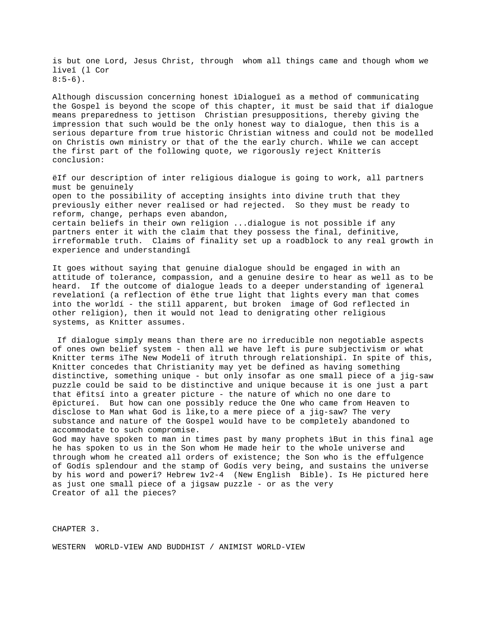is but one Lord, Jesus Christ, through whom all things came and though whom we liveî (l Cor  $8:5-6$ ).

Although discussion concerning honest ìDialogueî as a method of communicating the Gospel is beyond the scope of this chapter, it must be said that if dialogue means preparedness to jettison Christian presuppositions, thereby giving the impression that such would be the only honest way to dialogue, then this is a serious departure from true historic Christian witness and could not be modelled on Christís own ministry or that of the the early church. While we can accept the first part of the following quote, we rigorously reject Knitterís conclusion:

ëIf our description of inter religious dialogue is going to work, all partners must be genuinely open to the possibility of accepting insights into divine truth that they previously either never realised or had rejected. So they must be ready to reform, change, perhaps even abandon, certain beliefs in their own religion ...dialogue is not possible if any partners enter it with the claim that they possess the final, definitive, irreformable truth. Claims of finality set up a roadblock to any real growth in experience and understandingî

It goes without saying that genuine dialogue should be engaged in with an attitude of tolerance, compassion, and a genuine desire to hear as well as to be heard. If the outcome of dialogue leads to a deeper understanding of ìgeneral revelationî (a reflection of ëthe true light that lights every man that comes into the worldí - the still apparent, but broken image of God reflected in other religion), then it would not lead to denigrating other religious systems, as Knitter assumes.

 If dialogue simply means than there are no irreducible non negotiable aspects of ones own belief system - then all we have left is pure subjectivism or what Knitter terms ìThe New Modelî of ìtruth through relationshipî. In spite of this, Knitter concedes that Christianity may yet be defined as having something distinctive, something unique - but only insofar as one small piece of a jig-saw puzzle could be said to be distinctive and unique because it is one just a part that ëfitsí into a greater picture - the nature of which no one dare to ëpictureí. But how can one possibly reduce the One who came from Heaven to disclose to Man what God is like,to a mere piece of a jig-saw? The very substance and nature of the Gospel would have to be completely abandoned to accommodate to such compromise.

God may have spoken to man in times past by many prophets ìBut in this final age he has spoken to us in the Son whom He made heir to the whole universe and through whom he created all orders of existence; the Son who is the effulgence of Godís splendour and the stamp of Godís very being, and sustains the universe by his word and powerî? Hebrew 1v2-4 (New English Bible). Is He pictured here as just one small piece of a jigsaw puzzle - or as the very Creator of all the pieces?

CHAPTER 3.

WESTERN WORLD-VIEW AND BUDDHIST / ANIMIST WORLD-VIEW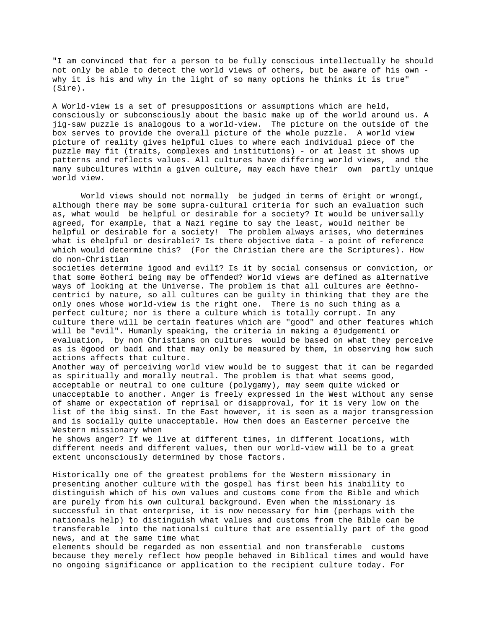"I am convinced that for a person to be fully conscious intellectually he should not only be able to detect the world views of others, but be aware of his own why it is his and why in the light of so many options he thinks it is true" (Sire).

A World-view is a set of presuppositions or assumptions which are held, consciously or subconsciously about the basic make up of the world around us. A jig-saw puzzle is analogous to a world-view. The picture on the outside of the box serves to provide the overall picture of the whole puzzle. A world view picture of reality gives helpful clues to where each individual piece of the puzzle may fit (traits, complexes and institutions) - or at least it shows up patterns and reflects values. All cultures have differing world views, and the many subcultures within a given culture, may each have their own partly unique world view.

World views should not normally be judged in terms of ëright or wrongí, although there may be some supra-cultural criteria for such an evaluation such as, what would be helpful or desirable for a society? It would be universally agreed, for example, that a Nazi regime to say the least, would neither be helpful or desirable for a society! The problem always arises, who determines what is ëhelpful or desirableí? Is there objective data - a point of reference which would determine this? (For the Christian there are the Scriptures). How do non-Christian

societies determine ìgood and evilî? Is it by social consensus or conviction, or that some ëotherí being may be offended? World views are defined as alternative ways of looking at the Universe. The problem is that all cultures are ëethnocentricí by nature, so all cultures can be guilty in thinking that they are the only ones whose world-view is the right one. There is no such thing as a perfect culture; nor is there a culture which is totally corrupt. In any culture there will be certain features which are "good" and other features which will be "evil". Humanly speaking, the criteria in making a ëjudgementí or evaluation, by non Christians on cultures would be based on what they perceive as is ëgood or badí and that may only be measured by them, in observing how such actions affects that culture.

Another way of perceiving world view would be to suggest that it can be regarded as spiritually and morally neutral. The problem is that what seems good, acceptable or neutral to one culture (polygamy), may seem quite wicked or unacceptable to another. Anger is freely expressed in the West without any sense of shame or expectation of reprisal or disapproval, for it is very low on the list of the ìbig sinsî. In the East however, it is seen as a major transgression and is socially quite unacceptable. How then does an Easterner perceive the Western missionary when

he shows anger? If we live at different times, in different locations, with different needs and different values, then our world-view will be to a great extent unconsciously determined by those factors.

Historically one of the greatest problems for the Western missionary in presenting another culture with the gospel has first been his inability to distinguish which of his own values and customs come from the Bible and which are purely from his own cultural background. Even when the missionary is successful in that enterprise, it is now necessary for him (perhaps with the nationals help) to distinguish what values and customs from the Bible can be transferable into the nationalsí culture that are essentially part of the good news, and at the same time what

elements should be regarded as non essential and non transferable customs because they merely reflect how people behaved in Biblical times and would have no ongoing significance or application to the recipient culture today. For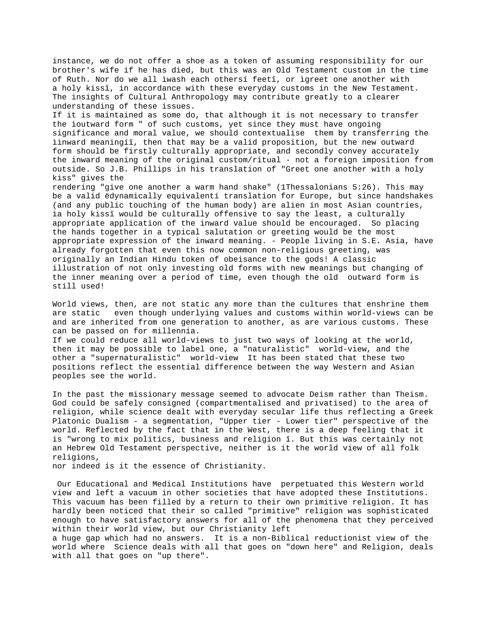instance, we do not offer a shoe as a token of assuming responsibility for our brother's wife if he has died, but this was an Old Testament custom in the time of Ruth. Nor do we all ìwash each othersí feetî, or ìgreet one another with a holy kissî, in accordance with these everyday customs in the New Testament. The insights of Cultural Anthropology may contribute greatly to a clearer understanding of these issues.

If it is maintained as some do, that although it is not necessary to transfer the ìoutward form " of such customs, yet since they must have ongoing significance and moral value, we should contextualise them by transferring the ìinward meaningíî, then that may be a valid proposition, but the new outward form should be firstly culturally appropriate, and secondly convey accurately the inward meaning of the original custom/ritual - not a foreign imposition from outside. So J.B. Phillips in his translation of "Greet one another with a holy kiss" gives the

rendering "give one another a warm hand shake" (1Thessalonians 5:26). This may be a valid ëdynamically equivalentí translation for Europe, but since handshakes (and any public touching of the human body) are alien in most Asian countries, ìa holy kissî would be culturally offensive to say the least, a culturally appropriate application of the inward value should be encouraged. So placing the hands together in a typical salutation or greeting would be the most appropriate expression of the inward meaning. - People living in S.E. Asia, have already forgotten that even this now common non-religious greeting, was originally an Indian Hindu token of obeisance to the gods! A classic illustration of not only investing old forms with new meanings but changing of the inner meaning over a period of time, even though the old outward form is still used!

World views, then, are not static any more than the cultures that enshrine them are static even though underlying values and customs within world-views can be and are inherited from one generation to another, as are various customs. These can be passed on for millennia.

If we could reduce all world-views to just two ways of looking at the world, then it may be possible to label one, a "naturalistic" world-view, and the other a "supernaturalistic" world-view It has been stated that these two positions reflect the essential difference between the way Western and Asian peoples see the world.

In the past the missionary message seemed to advocate Deism rather than Theism. God could be safely consigned (compartmentalised and privatised) to the area of religion, while science dealt with everyday secular life thus reflecting a Greek Platonic Dualism - a segmentation, "Upper tier - Lower tier" perspective of the world. Reflected by the fact that in the West, there is a deep feeling that it is "wrong to mix politics, business and religion î. But this was certainly not an Hebrew Old Testament perspective, neither is it the world view of all folk religions,

nor indeed is it the essence of Christianity.

 Our Educational and Medical Institutions have perpetuated this Western world view and left a vacuum in other societies that have adopted these Institutions. This vacuum has been filled by a return to their own primitive religion. It has hardly been noticed that their so called "primitive" religion was sophisticated enough to have satisfactory answers for all of the phenomena that they perceived within their world view, but our Christianity left

a huge gap which had no answers. It is a non-Biblical reductionist view of the world where Science deals with all that goes on "down here" and Religion, deals with all that goes on "up there".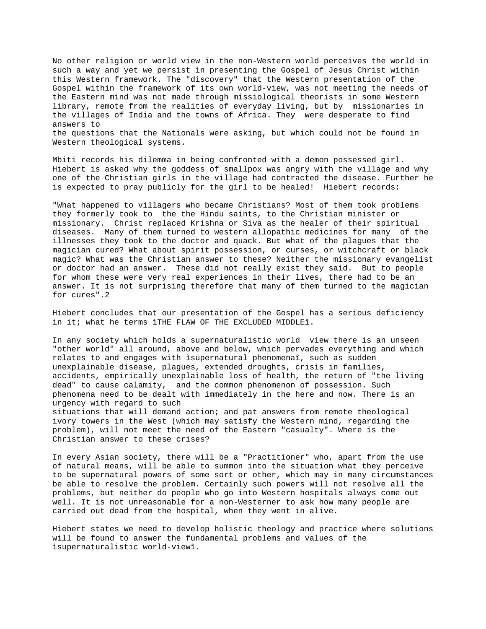No other religion or world view in the non-Western world perceives the world in such a way and yet we persist in presenting the Gospel of Jesus Christ within this Western framework. The "discovery" that the Western presentation of the Gospel within the framework of its own world-view, was not meeting the needs of the Eastern mind was not made through missiological theorists in some Western library, remote from the realities of everyday living, but by missionaries in the villages of India and the towns of Africa. They were desperate to find answers to the questions that the Nationals were asking, but which could not be found in Western theological systems.

Mbiti records his dilemma in being confronted with a demon possessed girl. Hiebert is asked why the goddess of smallpox was angry with the village and why one of the Christian girls in the village had contracted the disease. Further he is expected to pray publicly for the girl to be healed! Hiebert records:

"What happened to villagers who became Christians? Most of them took problems they formerly took to the the Hindu saints, to the Christian minister or missionary. Christ replaced Krishna or Siva as the healer of their spiritual diseases. Many of them turned to western allopathic medicines for many of the illnesses they took to the doctor and quack. But what of the plagues that the magician cured? What about spirit possession, or curses, or witchcraft or black magic? What was the Christian answer to these? Neither the missionary evangelist or doctor had an answer. These did not really exist they said. But to people for whom these were very real experiences in their lives, there had to be an answer. It is not surprising therefore that many of them turned to the magician for cures".2

Hiebert concludes that our presentation of the Gospel has a serious deficiency in it; what he terms ìTHE FLAW OF THE EXCLUDED MIDDLEî.

In any society which holds a supernaturalistic world view there is an unseen "other world" all around, above and below, which pervades everything and which relates to and engages with ìsupernatural phenomenaî, such as sudden unexplainable disease, plagues, extended droughts, crisis in families, accidents, empirically unexplainable loss of health, the return of "the living dead" to cause calamity, and the common phenomenon of possession. Such phenomena need to be dealt with immediately in the here and now. There is an urgency with regard to such situations that will demand action; and pat answers from remote theological ivory towers in the West (which may satisfy the Western mind, regarding the

problem), will not meet the need of the Eastern "casualty". Where is the Christian answer to these crises?

In every Asian society, there will be a "Practitioner" who, apart from the use of natural means, will be able to summon into the situation what they perceive to be supernatural powers of some sort or other, which may in many circumstances be able to resolve the problem. Certainly such powers will not resolve all the problems, but neither do people who go into Western hospitals always come out well. It is not unreasonable for a non-Westerner to ask how many people are carried out dead from the hospital, when they went in alive.

Hiebert states we need to develop holistic theology and practice where solutions will be found to answer the fundamental problems and values of the ìsupernaturalistic world-viewî.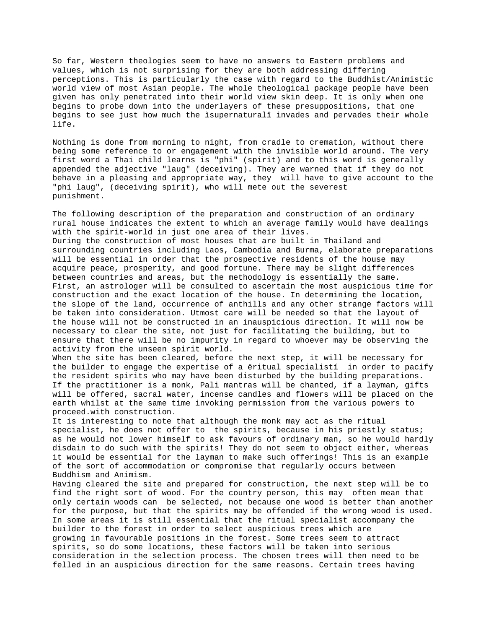So far, Western theologies seem to have no answers to Eastern problems and values, which is not surprising for they are both addressing differing perceptions. This is particularly the case with regard to the Buddhist/Animistic world view of most Asian people. The whole theological package people have been given has only penetrated into their world view skin deep. It is only when one begins to probe down into the underlayers of these presuppositions, that one begins to see just how much the ìsupernaturalî invades and pervades their whole life.

Nothing is done from morning to night, from cradle to cremation, without there being some reference to or engagement with the invisible world around. The very first word a Thai child learns is "phi" (spirit) and to this word is generally appended the adjective "laug" (deceiving). They are warned that if they do not behave in a pleasing and appropriate way, they will have to give account to the "phi laug", (deceiving spirit), who will mete out the severest punishment.

The following description of the preparation and construction of an ordinary rural house indicates the extent to which an average family would have dealings with the spirit-world in just one area of their lives. During the construction of most houses that are built in Thailand and surrounding countries including Laos, Cambodia and Burma, elaborate preparations will be essential in order that the prospective residents of the house may acquire peace, prosperity, and good fortune. There may be slight differences between countries and areas, but the methodology is essentially the same. First, an astrologer will be consulted to ascertain the most auspicious time for construction and the exact location of the house. In determining the location, the slope of the land, occurrence of anthills and any other strange factors will be taken into consideration. Utmost care will be needed so that the layout of the house will not be constructed in an inauspicious direction. It will now be necessary to clear the site, not just for facilitating the building, but to ensure that there will be no impurity in regard to whoever may be observing the activity from the unseen spirit world.

When the site has been cleared, before the next step, it will be necessary for the builder to engage the expertise of a ëritual specialistí in order to pacify the resident spirits who may have been disturbed by the building preparations. If the practitioner is a monk, Pali mantras will be chanted, if a layman, gifts will be offered, sacral water, incense candles and flowers will be placed on the earth whilst at the same time invoking permission from the various powers to proceed.with construction.

It is interesting to note that although the monk may act as the ritual specialist, he does not offer to the spirits, because in his priestly status; as he would not lower himself to ask favours of ordinary man, so he would hardly disdain to do such with the spirits! They do not seem to object either, whereas it would be essential for the layman to make such offerings! This is an example of the sort of accommodation or compromise that regularly occurs between Buddhism and Animism.

Having cleared the site and prepared for construction, the next step will be to find the right sort of wood. For the country person, this may often mean that only certain woods can be selected, not because one wood is better than another for the purpose, but that the spirits may be offended if the wrong wood is used. In some areas it is still essential that the ritual specialist accompany the builder to the forest in order to select auspicious trees which are growing in favourable positions in the forest. Some trees seem to attract spirits, so do some locations, these factors will be taken into serious consideration in the selection process. The chosen trees will then need to be felled in an auspicious direction for the same reasons. Certain trees having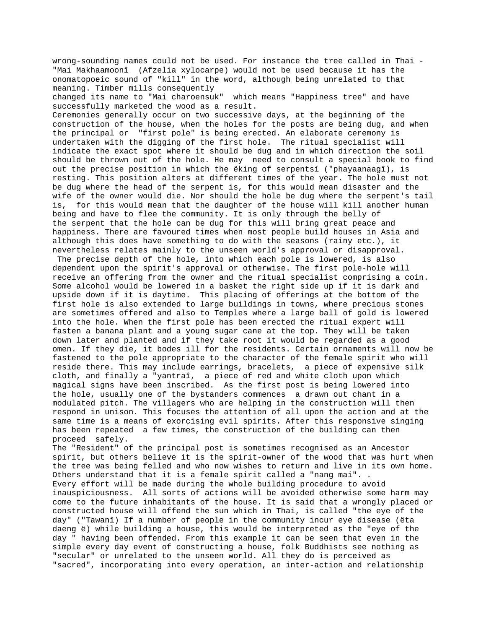wrong-sounding names could not be used. For instance the tree called in Thai - "Mai Makhaamoonî (Afzelia xylocarpe) would not be used because it has the onomatopoeic sound of "kill" in the word, although being unrelated to that meaning. Timber mills consequently

changed its name to "Mai charoensuk" which means "Happiness tree" and have successfully marketed the wood as a result.

Ceremonies generally occur on two successive days, at the beginning of the construction of the house, when the holes for the posts are being dug, and when the principal or "first pole" is being erected. An elaborate ceremony is undertaken with the digging of the first hole. The ritual specialist will indicate the exact spot where it should be dug and in which direction the soil should be thrown out of the hole. He may need to consult a special book to find out the precise position in which the ëking of serpentsí ("phayaanaagî), is resting. This position alters at different times of the year. The hole must not be dug where the head of the serpent is, for this would mean disaster and the wife of the owner would die. Nor should the hole be dug where the serpent's tail is, for this would mean that the daughter of the house will kill another human being and have to flee the community. It is only through the belly of the serpent that the hole can be dug for this will bring great peace and happiness. There are favoured times when most people build houses in Asia and although this does have something to do with the seasons (rainy etc.), it nevertheless relates mainly to the unseen world's approval or disapproval.

 The precise depth of the hole, into which each pole is lowered, is also dependent upon the spirit's approval or otherwise. The first pole-hole will receive an offering from the owner and the ritual specialist comprising a coin. Some alcohol would be lowered in a basket the right side up if it is dark and upside down if it is daytime. This placing of offerings at the bottom of the first hole is also extended to large buildings in towns, where precious stones are sometimes offered and also to Temples where a large ball of gold is lowered into the hole. When the first pole has been erected the ritual expert will fasten a banana plant and a young sugar cane at the top. They will be taken down later and planted and if they take root it would be regarded as a good omen. If they die, it bodes ill for the residents. Certain ornaments will now be fastened to the pole appropriate to the character of the female spirit who will reside there. This may include earrings, bracelets, a piece of expensive silk cloth, and finally a "yantraî, a piece of red and white cloth upon which magical signs have been inscribed. As the first post is being lowered into the hole, usually one of the bystanders commences a drawn out chant in a modulated pitch. The villagers who are helping in the construction will then respond in unison. This focuses the attention of all upon the action and at the same time is a means of exorcising evil spirits. After this responsive singing has been repeated a few times, the construction of the building can then proceed safely.

The "Resident" of the principal post is sometimes recognised as an Ancestor spirit, but others believe it is the spirit-owner of the wood that was hurt when the tree was being felled and who now wishes to return and live in its own home. Others understand that it is a female spirit called a "nang mai". . Every effort will be made during the whole building procedure to avoid inauspiciousness. All sorts of actions will be avoided otherwise some harm may come to the future inhabitants of the house. It is said that a wrongly placed or constructed house will offend the sun which in Thai, is called "the eye of the day" ("Tawanî) If a number of people in the community incur eye disease (ëta daeng ë) while building a house, this would be interpreted as the "eye of the day " having been offended. From this example it can be seen that even in the simple every day event of constructing a house, folk Buddhists see nothing as "secular" or unrelated to the unseen world. All they do is perceived as "sacred", incorporating into every operation, an inter-action and relationship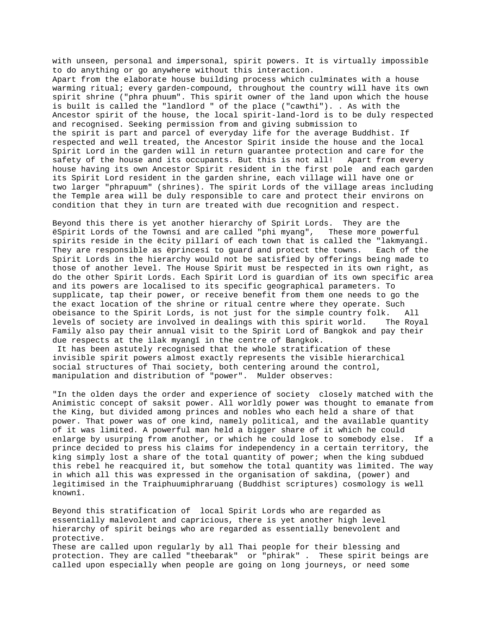with unseen, personal and impersonal, spirit powers. It is virtually impossible to do anything or go anywhere without this interaction. Apart from the elaborate house building process which culminates with a house warming ritual; every garden-compound, throughout the country will have its own spirit shrine ("phra phuum". This spirit owner of the land upon which the house is built is called the "landlord " of the place ("cawthi"). . As with the Ancestor spirit of the house, the local spirit-land-lord is to be duly respected and recognised. Seeking permission from and giving submission to the spirit is part and parcel of everyday life for the average Buddhist. If respected and well treated, the Ancestor Spirit inside the house and the local Spirit Lord in the garden will in return guarantee protection and care for the safety of the house and its occupants. But this is not all! Apart from every house having its own Ancestor Spirit resident in the first pole and each garden its Spirit Lord resident in the garden shrine, each village will have one or two larger "phrapuum" (shrines). The spirit Lords of the village areas including the Temple area will be duly responsible to care and protect their environs on condition that they in turn are treated with due recognition and respect.

Beyond this there is yet another hierarchy of Spirit Lords. They are the ëSpirit Lords of the Townsí and are called "phi myang", These more powerful spirits reside in the ëcity pillarí of each town that is called the "lakmyangî. They are responsible as ëprincesí to guard and protect the towns. Each of the Spirit Lords in the hierarchy would not be satisfied by offerings being made to those of another level. The House Spirit must be respected in its own right, as do the other Spirit Lords. Each Spirit Lord is guardian of its own specific area and its powers are localised to its specific geographical parameters. To supplicate, tap their power, or receive benefit from them one needs to go the the exact location of the shrine or ritual centre where they operate. Such obeisance to the Spirit Lords, is not just for the simple country folk. All levels of society are involved in dealings with this spirit world. The Royal Family also pay their annual visit to the Spirit Lord of Bangkok and pay their due respects at the ìlak myangî in the centre of Bangkok. It has been astutely recognised that the whole stratification of these invisible spirit powers almost exactly represents the visible hierarchical social structures of Thai society, both centering around the control, manipulation and distribution of "power". Mulder observes:

"In the olden days the order and experience of society closely matched with the Animistic concept of saksit power. All worldly power was thought to emanate from the King, but divided among princes and nobles who each held a share of that power. That power was of one kind, namely political, and the available quantity of it was limited. A powerful man held a bigger share of it which he could enlarge by usurping from another, or which he could lose to somebody else. If a prince decided to press his claims for independency in a certain territory, the king simply lost a share of the total quantity of power; when the king subdued this rebel he reacquired it, but somehow the total quantity was limited. The way in which all this was expressed in the organisation of sakdina, (power) and legitimised in the Traiphuumiphraruang (Buddhist scriptures) cosmology is well knownî.

Beyond this stratification of local Spirit Lords who are regarded as essentially malevolent and capricious, there is yet another high level hierarchy of spirit beings who are regarded as essentially benevolent and protective. These are called upon regularly by all Thai people for their blessing and protection. They are called "theebarak" or "phirak" . These spirit beings are called upon especially when people are going on long journeys, or need some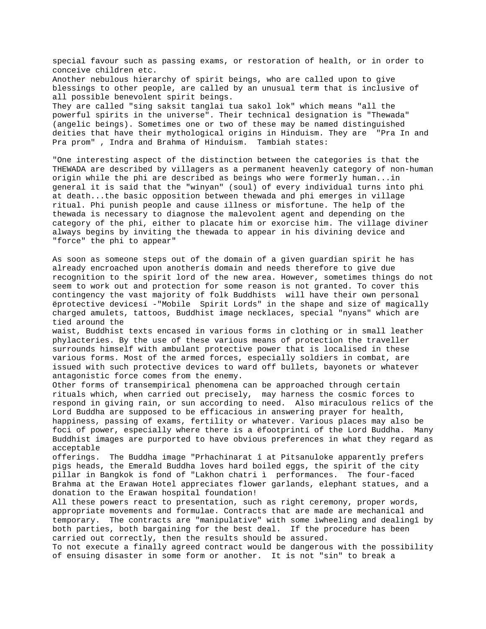special favour such as passing exams, or restoration of health, or in order to conceive children etc. Another nebulous hierarchy of spirit beings, who are called upon to give blessings to other people, are called by an unusual term that is inclusive of all possible benevolent spirit beings. They are called "sing saksit tanglai tua sakol lok" which means "all the powerful spirits in the universe". Their technical designation is "Thewada" (angelic beings). Sometimes one or two of these may be named distinguished deities that have their mythological origins in Hinduism. They are "Pra In and Pra prom" , Indra and Brahma of Hinduism. Tambiah states:

"One interesting aspect of the distinction between the categories is that the THEWADA are described by villagers as a permanent heavenly category of non-human origin while the phi are described as beings who were formerly human...in general it is said that the "winyan" (soul) of every individual turns into phi at death...the basic opposition between thewada and phi emerges in village ritual. Phi punish people and cause illness or misfortune. The help of the thewada is necessary to diagnose the malevolent agent and depending on the category of the phi, either to placate him or exorcise him. The village diviner always begins by inviting the thewada to appear in his divining device and "force" the phi to appear"

As soon as someone steps out of the domain of a given guardian spirit he has already encroached upon anotherís domain and needs therefore to give due recognition to the spirit lord of the new area. However, sometimes things do not seem to work out and protection for some reason is not granted. To cover this contingency the vast majority of folk Buddhists will have their own personal ëprotective devicesí -"Mobile Spirit Lords" in the shape and size of magically charged amulets, tattoos, Buddhist image necklaces, special "nyans" which are tied around the

waist, Buddhist texts encased in various forms in clothing or in small leather phylacteries. By the use of these various means of protection the traveller surrounds himself with ambulant protective power that is localised in these various forms. Most of the armed forces, especially soldiers in combat, are issued with such protective devices to ward off bullets, bayonets or whatever antagonistic force comes from the enemy.

Other forms of transempirical phenomena can be approached through certain rituals which, when carried out precisely, may harness the cosmic forces to respond in giving rain, or sun according to need. Also miraculous relics of the Lord Buddha are supposed to be efficacious in answering prayer for health, happiness, passing of exams, fertility or whatever. Various places may also be foci of power, especially where there is a ëfootprintí of the Lord Buddha. Many Buddhist images are purported to have obvious preferences in what they regard as acceptable

offerings. The Buddha image "Prhachinarat î at Pitsanuloke apparently prefers pigs heads, the Emerald Buddha loves hard boiled eggs, the spirit of the city pillar in Bangkok is fond of "Lakhon chatri ì performances. The four-faced Brahma at the Erawan Hotel appreciates flower garlands, elephant statues, and a donation to the Erawan hospital foundation!

All these powers react to presentation, such as right ceremony, proper words, appropriate movements and formulae. Contracts that are made are mechanical and temporary. The contracts are "manipulative" with some ìwheeling and dealingî by both parties, both bargaining for the best deal. If the procedure has been carried out correctly, then the results should be assured.

To not execute a finally agreed contract would be dangerous with the possibility of ensuing disaster in some form or another. It is not "sin" to break a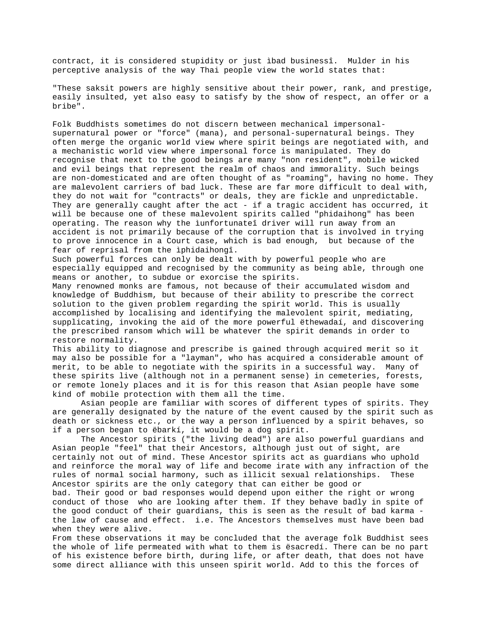contract, it is considered stupidity or just ìbad businessî. Mulder in his perceptive analysis of the way Thai people view the world states that:

"These saksit powers are highly sensitive about their power, rank, and prestige, easily insulted, yet also easy to satisfy by the show of respect, an offer or a bribe".

Folk Buddhists sometimes do not discern between mechanical impersonalsupernatural power or "force" (mana), and personal-supernatural beings. They often merge the organic world view where spirit beings are negotiated with, and a mechanistic world view where impersonal force is manipulated. They do recognise that next to the good beings are many "non resident", mobile wicked and evil beings that represent the realm of chaos and immorality. Such beings are non-domesticated and are often thought of as "roaming", having no home. They are malevolent carriers of bad luck. These are far more difficult to deal with, they do not wait for "contracts" or deals, they are fickle and unpredictable. They are generally caught after the act - if a tragic accident has occurred, it will be because one of these malevolent spirits called "phidaihong" has been operating. The reason why the ìunfortunateî driver will run away from an accident is not primarily because of the corruption that is involved in trying to prove innocence in a Court case, which is bad enough, but because of the fear of reprisal from the ìphidaihongî.

Such powerful forces can only be dealt with by powerful people who are especially equipped and recognised by the community as being able, through one means or another, to subdue or exorcise the spirits.

Many renowned monks are famous, not because of their accumulated wisdom and knowledge of Buddhism, but because of their ability to prescribe the correct solution to the given problem regarding the spirit world. This is usually accomplished by localising and identifying the malevolent spirit, mediating, supplicating, invoking the aid of the more powerful ëthewadaí, and discovering the prescribed ransom which will be whatever the spirit demands in order to restore normality.

This ability to diagnose and prescribe is gained through acquired merit so it may also be possible for a "layman", who has acquired a considerable amount of merit, to be able to negotiate with the spirits in a successful way. Many of these spirits live (although not in a permanent sense) in cemeteries, forests, or remote lonely places and it is for this reason that Asian people have some kind of mobile protection with them all the time.

Asian people are familiar with scores of different types of spirits. They are generally designated by the nature of the event caused by the spirit such as death or sickness etc., or the way a person influenced by a spirit behaves, so if a person began to ëbarkí, it would be a dog spirit.

The Ancestor spirits ("the living dead") are also powerful guardians and Asian people "feel" that their Ancestors, although just out of sight, are certainly not out of mind. These Ancestor spirits act as guardians who uphold and reinforce the moral way of life and become irate with any infraction of the rules of normal social harmony, such as illicit sexual relationships. These Ancestor spirits are the only category that can either be good or bad. Their good or bad responses would depend upon either the right or wrong conduct of those who are looking after them. If they behave badly in spite of the good conduct of their guardians, this is seen as the result of bad karma the law of cause and effect. i.e. The Ancestors themselves must have been bad when they were alive.

From these observations it may be concluded that the average folk Buddhist sees the whole of life permeated with what to them is ësacredí. There can be no part of his existence before birth, during life, or after death, that does not have some direct alliance with this unseen spirit world. Add to this the forces of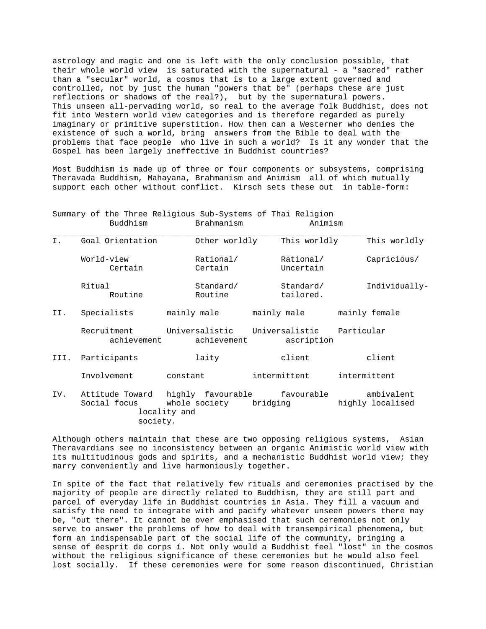astrology and magic and one is left with the only conclusion possible, that their whole world view is saturated with the supernatural - a "sacred" rather than a "secular" world, a cosmos that is to a large extent governed and controlled, not by just the human "powers that be" (perhaps these are just reflections or shadows of the real?), but by the supernatural powers. This unseen all-pervading world, so real to the average folk Buddhist, does not fit into Western world view categories and is therefore regarded as purely imaginary or primitive superstition. How then can a Westerner who denies the existence of such a world, bring answers from the Bible to deal with the problems that face people who live in such a world? Is it any wonder that the Gospel has been largely ineffective in Buddhist countries?

Most Buddhism is made up of three or four components or subsystems, comprising Theravada Buddhism, Mahayana, Brahmanism and Animism all of which mutually support each other without conflict. Kirsch sets these out in table-form:

|      |                            | Summary of the Three Religious Sub-Systems of Thai Religion<br>Buddhism |                               | Brahmanism             |                                         | Animism                         |              |                                |
|------|----------------------------|-------------------------------------------------------------------------|-------------------------------|------------------------|-----------------------------------------|---------------------------------|--------------|--------------------------------|
| Ι.   |                            | Goal Orientation                                                        |                               | Other worldly          |                                         | This worldly                    |              | This worldly                   |
|      |                            | World-view<br>Certain                                                   |                               | Rational/<br>Certain   |                                         | Rational/<br>Uncertain          |              | Capricious/                    |
|      | Ritual                     | Routine                                                                 |                               | Standard/<br>Routine   |                                         | Standard/<br>tailored.          |              | Individually-                  |
| II.  |                            | Specialists                                                             |                               | mainly male            |                                         | mainly male                     |              | mainly female                  |
|      | Recruitment<br>achievement |                                                                         | Universalistic<br>achievement |                        | Universalistic Particular<br>ascription |                                 |              |                                |
| III. |                            | Participants                                                            |                               | laity                  |                                         | client                          |              | client                         |
|      | Involvement<br>constant    |                                                                         |                               |                        | intermittent                            |                                 | intermittent |                                |
| IV.  |                            | Attitude Toward<br>Social focus<br>society.                             | locality and                  | whole society bridging |                                         | highly favourable    favourable |              | ambivalent<br>highly localised |

Although others maintain that these are two opposing religious systems, Asian Theravardians see no inconsistency between an organic Animistic world view with its multitudinous gods and spirits, and a mechanistic Buddhist world view; they marry conveniently and live harmoniously together.

In spite of the fact that relatively few rituals and ceremonies practised by the majority of people are directly related to Buddhism, they are still part and parcel of everyday life in Buddhist countries in Asia. They fill a vacuum and satisfy the need to integrate with and pacify whatever unseen powers there may be, "out there". It cannot be over emphasised that such ceremonies not only serve to answer the problems of how to deal with transempirical phenomena, but form an indispensable part of the social life of the community, bringing a sense of ëesprit de corps í. Not only would a Buddhist feel "lost" in the cosmos without the religious significance of these ceremonies but he would also feel lost socially. If these ceremonies were for some reason discontinued, Christian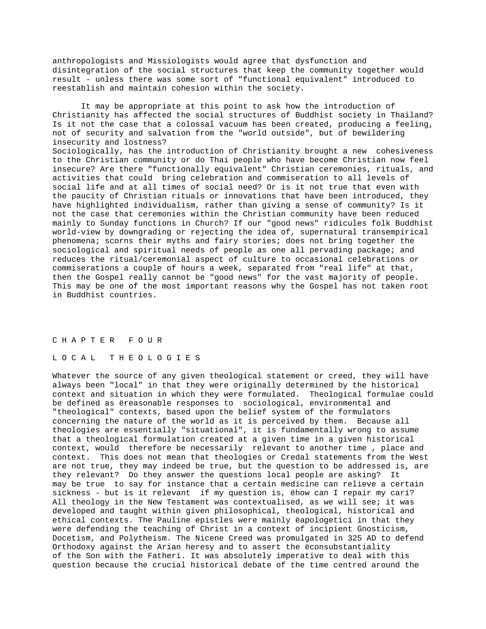anthropologists and Missiologists would agree that dysfunction and disintegration of the social structures that keep the community together would result - unless there was some sort of "functional equivalent" introduced to reestablish and maintain cohesion within the society.

It may be appropriate at this point to ask how the introduction of Christianity has affected the social structures of Buddhist society in Thailand? Is it not the case that a colossal vacuum has been created, producing a feeling, not of security and salvation from the "world outside", but of bewildering insecurity and lostness? Sociologically, has the introduction of Christianity brought a new cohesiveness to the Christian community or do Thai people who have become Christian now feel insecure? Are there "functionally equivalent" Christian ceremonies, rituals, and activities that could bring celebration and commiseration to all levels of social life and at all times of social need? Or is it not true that even with the paucity of Christian rituals or innovations that have been introduced, they have highlighted individualism, rather than giving a sense of community? Is it not the case that ceremonies within the Christian community have been reduced mainly to Sunday functions in Church? If our "good news" ridicules folk Buddhist world-view by downgrading or rejecting the idea of, supernatural transempirical phenomena; scorns their myths and fairy stories; does not bring together the sociological and spiritual needs of people as one all pervading package; and reduces the ritual/ceremonial aspect of culture to occasional celebrations or commiserations a couple of hours a week, separated from "real life" at that, then the Gospel really cannot be "good news" for the vast majority of people. This may be one of the most important reasons why the Gospel has not taken root in Buddhist countries.

### C H A P T E R F O U R

### L O C A L T H E O L O G I E S

Whatever the source of any given theological statement or creed, they will have always been "local" in that they were originally determined by the historical context and situation in which they were formulated. Theological formulae could be defined as ëreasonable responses to sociological, environmental and "theological" contexts, based upon the belief system of the formulators concerning the nature of the world as it is perceived by them. Because all theologies are essentially "situational", it is fundamentally wrong to assume that a theological formulation created at a given time in a given historical context, would therefore be necessarily relevant to another time , place and context. This does not mean that theologies or Credal statements from the West are not true, they may indeed be true, but the question to be addressed is, are they relevant? Do they answer the questions local people are asking? It may be true to say for instance that a certain medicine can relieve a certain sickness - but is it relevant if my question is, ëhow can I repair my carí? All theology in the New Testament was contextualised, as we will see; it was developed and taught within given philosophical, theological, historical and ethical contexts. The Pauline epistles were mainly ëapologeticí in that they were defending the teaching of Christ in a context of incipient Gnosticism, Docetism, and Polytheism. The Nicene Creed was promulgated in 325 AD to defend Orthodoxy against the Arian heresy and to assert the ëconsubstantiality of the Son with the Fatherí. It was absolutely imperative to deal with this question because the crucial historical debate of the time centred around the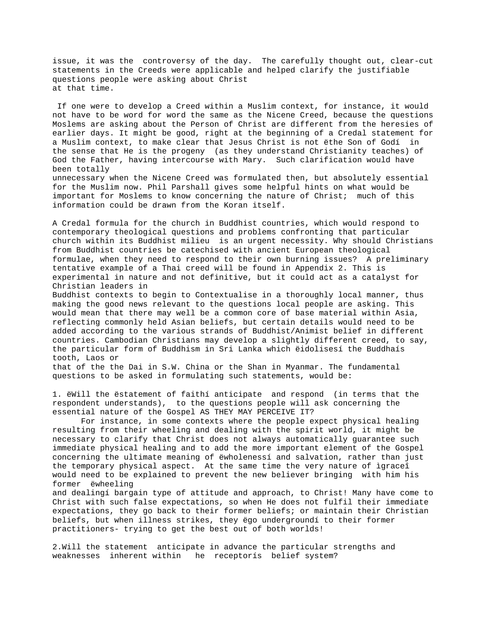issue, it was the controversy of the day. The carefully thought out, clear-cut statements in the Creeds were applicable and helped clarify the justifiable questions people were asking about Christ at that time.

 If one were to develop a Creed within a Muslim context, for instance, it would not have to be word for word the same as the Nicene Creed, because the questions Moslems are asking about the Person of Christ are different from the heresies of earlier days. It might be good, right at the beginning of a Credal statement for a Muslim context, to make clear that Jesus Christ is not ëthe Son of Godí in the sense that He is the progeny (as they understand Christianity teaches) of God the Father, having intercourse with Mary. Such clarification would have been totally unnecessary when the Nicene Creed was formulated then, but absolutely essential for the Muslim now. Phil Parshall gives some helpful hints on what would be important for Moslems to know concerning the nature of Christ; much of this

information could be drawn from the Koran itself.

A Credal formula for the church in Buddhist countries, which would respond to contemporary theological questions and problems confronting that particular church within its Buddhist milieu is an urgent necessity. Why should Christians from Buddhist countries be catechised with ancient European theological formulae, when they need to respond to their own burning issues? A preliminary tentative example of a Thai creed will be found in Appendix 2. This is experimental in nature and not definitive, but it could act as a catalyst for Christian leaders in

Buddhist contexts to begin to Contextualise in a thoroughly local manner, thus making the good news relevant to the questions local people are asking. This would mean that there may well be a common core of base material within Asia, reflecting commonly held Asian beliefs, but certain details would need to be added according to the various strands of Buddhist/Animist belief in different countries. Cambodian Christians may develop a slightly different creed, to say, the particular form of Buddhism in Sri Lanka which ëidolisesí the Buddhaís tooth, Laos or

that of the the Dai in S.W. China or the Shan in Myanmar. The fundamental questions to be asked in formulating such statements, would be:

1. ëWill the ëstatement of faithí anticipate and respond (in terms that the respondent understands), to the questions people will ask concerning the essential nature of the Gospel AS THEY MAY PERCEIVE IT?

For instance, in some contexts where the people expect physical healing resulting from their wheeling and dealing with the spirit world, it might be necessary to clarify that Christ does not always automatically guarantee such immediate physical healing and to add the more important element of the Gospel concerning the ultimate meaning of ëwholenessí and salvation, rather than just the temporary physical aspect. At the same time the very nature of ìgraceî would need to be explained to prevent the new believer bringing with him his former ëwheeling

and dealingí bargain type of attitude and approach, to Christ! Many have come to Christ with such false expectations, so when He does not fulfil their immediate expectations, they go back to their former beliefs; or maintain their Christian beliefs, but when illness strikes, they ëgo undergroundí to their former practitioners- trying to get the best out of both worlds!

2.Will the statement anticipate in advance the particular strengths and weaknesses inherent within he receptorís belief system?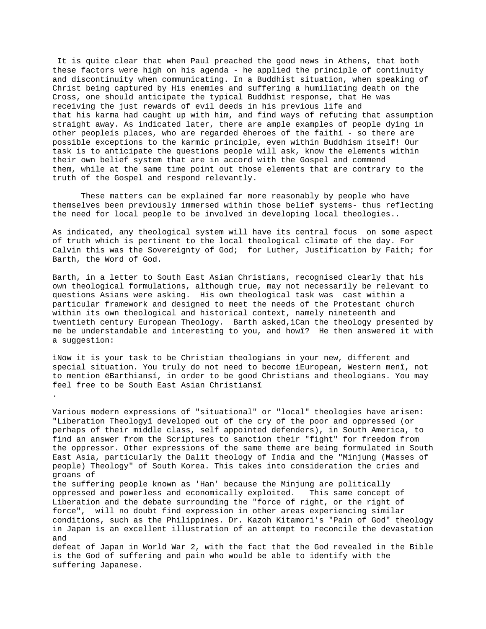It is quite clear that when Paul preached the good news in Athens, that both these factors were high on his agenda - he applied the principle of continuity and discontinuity when communicating. In a Buddhist situation, when speaking of Christ being captured by His enemies and suffering a humiliating death on the Cross, one should anticipate the typical Buddhist response, that He was receiving the just rewards of evil deeds in his previous life and that his karma had caught up with him, and find ways of refuting that assumption straight away. As indicated later, there are ample examples of people dying in other peopleís places, who are regarded ëheroes of the faithí - so there are possible exceptions to the karmic principle, even within Buddhism itself! Our task is to anticipate the questions people will ask, know the elements within their own belief system that are in accord with the Gospel and commend them, while at the same time point out those elements that are contrary to the truth of the Gospel and respond relevantly.

These matters can be explained far more reasonably by people who have themselves been previously immersed within those belief systems- thus reflecting the need for local people to be involved in developing local theologies..

As indicated, any theological system will have its central focus on some aspect of truth which is pertinent to the local theological climate of the day. For Calvin this was the Sovereignty of God; for Luther, Justification by Faith; for Barth, the Word of God.

Barth, in a letter to South East Asian Christians, recognised clearly that his own theological formulations, although true, may not necessarily be relevant to questions Asians were asking. His own theological task was cast within a particular framework and designed to meet the needs of the Protestant church within its own theological and historical context, namely nineteenth and twentieth century European Theology. Barth asked,ìCan the theology presented by me be understandable and interesting to you, and howî? He then answered it with a suggestion:

ìNow it is your task to be Christian theologians in your new, different and special situation. You truly do not need to become ìEuropean, Western menî, not to mention ëBarthiansí, in order to be good Christians and theologians. You may feel free to be South East Asian Christiansî

.

Various modern expressions of "situational" or "local" theologies have arisen: "Liberation Theologyî developed out of the cry of the poor and oppressed (or perhaps of their middle class, self appointed defenders), in South America, to find an answer from the Scriptures to sanction their "fight" for freedom from the oppressor. Other expressions of the same theme are being formulated in South East Asia, particularly the Dalit theology of India and the "Minjung (Masses of people) Theology" of South Korea. This takes into consideration the cries and groans of the suffering people known as 'Han' because the Minjung are politically oppressed and powerless and economically exploited. This same concept of Liberation and the debate surrounding the "force of right, or the right of

force", will no doubt find expression in other areas experiencing similar conditions, such as the Philippines. Dr. Kazoh Kitamori's "Pain of God" theology in Japan is an excellent illustration of an attempt to reconcile the devastation and

defeat of Japan in World War 2, with the fact that the God revealed in the Bible is the God of suffering and pain who would be able to identify with the suffering Japanese.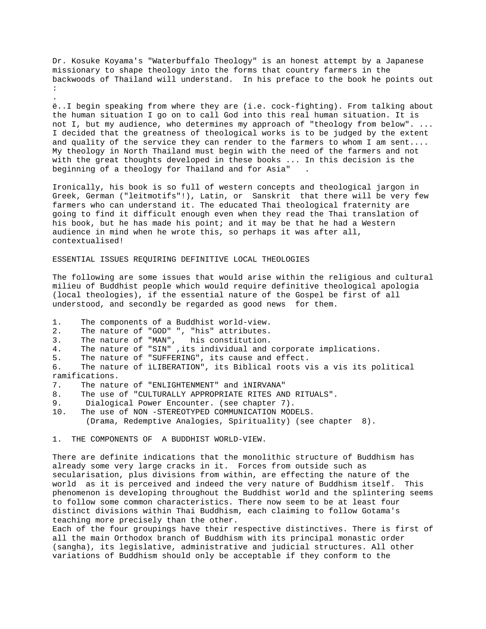Dr. Kosuke Koyama's "Waterbuffalo Theology" is an honest attempt by a Japanese missionary to shape theology into the forms that country farmers in the backwoods of Thailand will understand. In his preface to the book he points out :

ë..I begin speaking from where they are (i.e. cock-fighting). From talking about the human situation I go on to call God into this real human situation. It is not I, but my audience, who determines my approach of "theology from below". ... I decided that the greatness of theological works is to be judged by the extent and quality of the service they can render to the farmers to whom I am sent.... My theology in North Thailand must begin with the need of the farmers and not with the great thoughts developed in these books ... In this decision is the beginning of a theology for Thailand and for Asia" .

Ironically, his book is so full of western concepts and theological jargon in Greek, German ("leitmotifs"!), Latin, or Sanskrit that there will be very few farmers who can understand it. The educated Thai theological fraternity are going to find it difficult enough even when they read the Thai translation of his book, but he has made his point; and it may be that he had a Western audience in mind when he wrote this, so perhaps it was after all, contextualised!

ESSENTIAL ISSUES REQUIRING DEFINITIVE LOCAL THEOLOGIES

The following are some issues that would arise within the religious and cultural milieu of Buddhist people which would require definitive theological apologia (local theologies), if the essential nature of the Gospel be first of all understood, and secondly be regarded as good news for them.

1. The components of a Buddhist world-view.

.

2. The nature of "GOD" ", "his" attributes.

3. The nature of "MAN", his constitution.

4. The nature of "SIN" ,its individual and corporate implications.

5. The nature of "SUFFERING", its cause and effect.

6. The nature of ìLIBERATION", its Biblical roots vis a vis its political ramifications.

7. The nature of "ENLIGHTENMENT" and ìNIRVANA"

8. The use of "CULTURALLY APPROPRIATE RITES AND RITUALS".

- 9. Dialogical Power Encounter. (see chapter 7).
- 10. The use of NON -STEREOTYPED COMMUNICATION MODELS. (Drama, Redemptive Analogies, Spirituality) (see chapter 8).

1. THE COMPONENTS OF A BUDDHIST WORLD-VIEW.

There are definite indications that the monolithic structure of Buddhism has already some very large cracks in it. Forces from outside such as secularisation, plus divisions from within, are effecting the nature of the world as it is perceived and indeed the very nature of Buddhism itself. This phenomenon is developing throughout the Buddhist world and the splintering seems to follow some common characteristics. There now seem to be at least four distinct divisions within Thai Buddhism, each claiming to follow Gotama's teaching more precisely than the other.

Each of the four groupings have their respective distinctives. There is first of all the main Orthodox branch of Buddhism with its principal monastic order (sangha), its legislative, administrative and judicial structures. All other variations of Buddhism should only be acceptable if they conform to the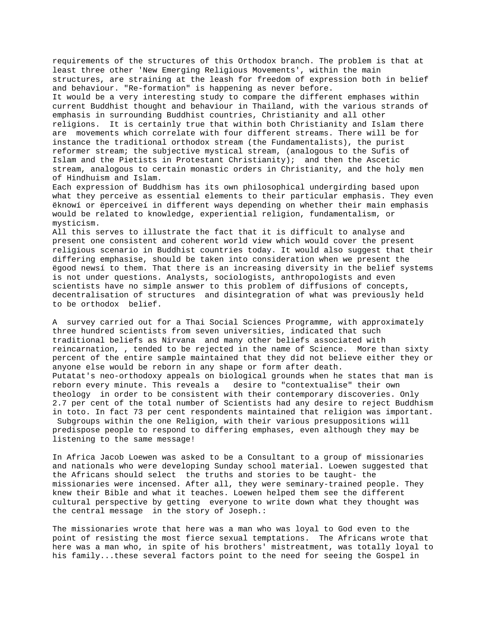requirements of the structures of this Orthodox branch. The problem is that at least three other 'New Emerging Religious Movements', within the main structures, are straining at the leash for freedom of expression both in belief and behaviour. "Re-formation" is happening as never before. It would be a very interesting study to compare the different emphases within

current Buddhist thought and behaviour in Thailand, with the various strands of emphasis in surrounding Buddhist countries, Christianity and all other religions. It is certainly true that within both Christianity and Islam there are movements which correlate with four different streams. There will be for instance the traditional orthodox stream (the Fundamentalists), the purist reformer stream; the subjective mystical stream, (analogous to the Sufis of Islam and the Pietists in Protestant Christianity); and then the Ascetic stream, analogous to certain monastic orders in Christianity, and the holy men of Hindhuism and Islam.

Each expression of Buddhism has its own philosophical undergirding based upon what they perceive as essential elements to their particular emphasis. They even ëknowí or ëperceiveí in different ways depending on whether their main emphasis would be related to knowledge, experiential religion, fundamentalism, or mysticism.

All this serves to illustrate the fact that it is difficult to analyse and present one consistent and coherent world view which would cover the present religious scenario in Buddhist countries today. It would also suggest that their differing emphasise, should be taken into consideration when we present the ëgood newsí to them. That there is an increasing diversity in the belief systems is not under questions. Analysts, sociologists, anthropologists and even scientists have no simple answer to this problem of diffusions of concepts, decentralisation of structures and disintegration of what was previously held to be orthodox belief.

A survey carried out for a Thai Social Sciences Programme, with approximately three hundred scientists from seven universities, indicated that such traditional beliefs as Nirvana and many other beliefs associated with reincarnation, , tended to be rejected in the name of Science. More than sixty percent of the entire sample maintained that they did not believe either they or anyone else would be reborn in any shape or form after death. Putatat's neo-orthodoxy appeals on biological grounds when he states that man is reborn every minute. This reveals a desire to "contextualise" their own theology in order to be consistent with their contemporary discoveries. Only 2.7 per cent of the total number of Scientists had any desire to reject Buddhism in toto. In fact 73 per cent respondents maintained that religion was important. Subgroups within the one Religion, with their various presuppositions will predispose people to respond to differing emphases, even although they may be listening to the same message!

In Africa Jacob Loewen was asked to be a Consultant to a group of missionaries and nationals who were developing Sunday school material. Loewen suggested that the Africans should select the truths and stories to be taught- the missionaries were incensed. After all, they were seminary-trained people. They knew their Bible and what it teaches. Loewen helped them see the different cultural perspective by getting everyone to write down what they thought was the central message in the story of Joseph.:

The missionaries wrote that here was a man who was loyal to God even to the point of resisting the most fierce sexual temptations. The Africans wrote that here was a man who, in spite of his brothers' mistreatment, was totally loyal to his family...these several factors point to the need for seeing the Gospel in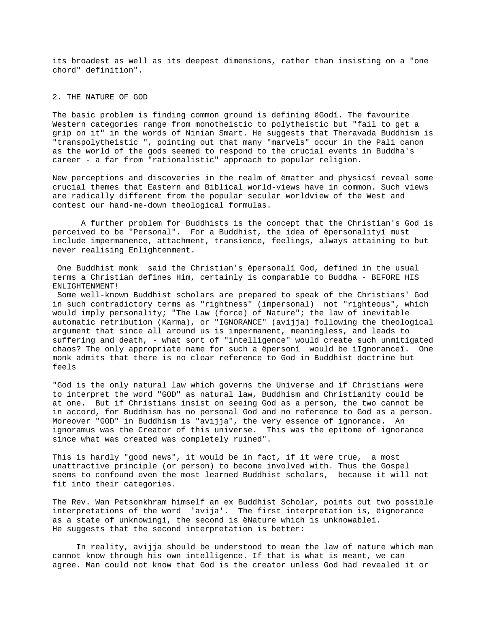its broadest as well as its deepest dimensions, rather than insisting on a "one chord" definition".

## 2. THE NATURE OF GOD

The basic problem is finding common ground is defining ëGodí. The favourite Western categories range from monotheistic to polytheistic but "fail to get a grip on it" in the words of Ninian Smart. He suggests that Theravada Buddhism is "transpolytheistic ", pointing out that many "marvels" occur in the Pali canon as the world of the gods seemed to respond to the crucial events in Buddha's career - a far from "rationalistic" approach to popular religion.

New perceptions and discoveries in the realm of ëmatter and physicsí reveal some crucial themes that Eastern and Biblical world-views have in common. Such views are radically different from the popular secular worldview of the West and contest our hand-me-down theological formulas.

A further problem for Buddhists is the concept that the Christian's God is perceived to be "Personal". For a Buddhist, the idea of ëpersonalityí must include impermanence, attachment, transience, feelings, always attaining to but never realising Enlightenment.

 One Buddhist monk said the Christian's ëpersonalí God, defined in the usual terms a Christian defines Him, certainly is comparable to Buddha - BEFORE HIS ENLIGHTENMENT!

 Some well-known Buddhist scholars are prepared to speak of the Christians' God in such contradictory terms as "rightness" (impersonal) not "righteous", which would imply personality; "The Law (force) of Nature"; the law of inevitable automatic retribution (Karma), or "IGNORANCE" (avijja) following the theological argument that since all around us is impermanent, meaningless, and leads to suffering and death, - what sort of "intelligence" would create such unmitigated chaos? The only appropriate name for such a ëpersoní would be ìIgnoranceî. One monk admits that there is no clear reference to God in Buddhist doctrine but feels

"God is the only natural law which governs the Universe and if Christians were to interpret the word "GOD" as natural law, Buddhism and Christianity could be at one. But if Christians insist on seeing God as a person, the two cannot be in accord, for Buddhism has no personal God and no reference to God as a person. Moreover "GOD" in Buddhism is "avijja", the very essence of ignorance. An ignoramus was the Creator of this universe. This was the epitome of ignorance since what was created was completely ruined".

This is hardly "good news", it would be in fact, if it were true, a most unattractive principle (or person) to become involved with. Thus the Gospel seems to confound even the most learned Buddhist scholars, because it will not fit into their categories.

The Rev. Wan Petsonkhram himself an ex Buddhist Scholar, points out two possible interpretations of the word 'avija'. The first interpretation is, ëignorance as a state of unknowingí, the second is ëNature which is unknowableí. He suggests that the second interpretation is better:

 In reality, avijja should be understood to mean the law of nature which man cannot know through his own intelligence. If that is what is meant, we can agree. Man could not know that God is the creator unless God had revealed it or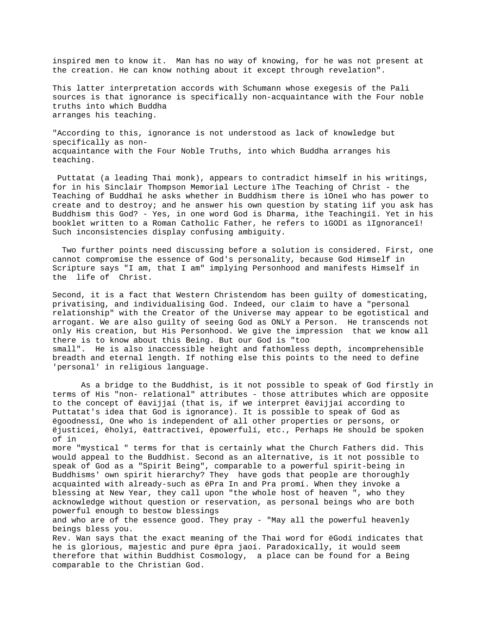inspired men to know it. Man has no way of knowing, for he was not present at the creation. He can know nothing about it except through revelation".

This latter interpretation accords with Schumann whose exegesis of the Pali sources is that ignorance is specifically non-acquaintance with the Four noble truths into which Buddha arranges his teaching.

"According to this, ignorance is not understood as lack of knowledge but specifically as nonacquaintance with the Four Noble Truths, into which Buddha arranges his teaching.

 Puttatat (a leading Thai monk), appears to contradict himself in his writings, for in his Sinclair Thompson Memorial Lecture ìThe Teaching of Christ - the Teaching of Buddhaî he asks whether in Buddhism there is ìOneî who has power to create and to destroy; and he answer his own question by stating ìif you ask has Buddhism this God? - Yes, in one word God is Dharma, ìthe Teachingíî. Yet in his booklet written to a Roman Catholic Father, he refers to ìGODî as ìIgnoranceî! Such inconsistencies display confusing ambiguity.

 Two further points need discussing before a solution is considered. First, one cannot compromise the essence of God's personality, because God Himself in Scripture says "I am, that I am" implying Personhood and manifests Himself in the life of Christ.

Second, it is a fact that Western Christendom has been guilty of domesticating, privatising, and individualising God. Indeed, our claim to have a "personal relationship" with the Creator of the Universe may appear to be egotistical and arrogant. We are also guilty of seeing God as ONLY a Person. He transcends not only His creation, but His Personhood. We give the impression that we know all there is to know about this Being. But our God is "too small". He is also inaccessible height and fathomless depth, incomprehensible breadth and eternal length. If nothing else this points to the need to define 'personal' in religious language.

As a bridge to the Buddhist, is it not possible to speak of God firstly in terms of His "non- relational" attributes - those attributes which are opposite to the concept of ëavijjaí (that is, if we interpret ëavijjaí according to Puttatat's idea that God is ignorance). It is possible to speak of God as ëgoodnessí, One who is independent of all other properties or persons, or ëjusticeí, ëholyí, ëattractiveí, ëpowerfulí, etc., Perhaps He should be spoken of in more "mystical " terms for that is certainly what the Church Fathers did. This would appeal to the Buddhist. Second as an alternative, is it not possible to speak of God as a "Spirit Being", comparable to a powerful spirit-being in Buddhisms' own spirit hierarchy? They have gods that people are thoroughly acquainted with already-such as ëPra In and Pra promí. When they invoke a blessing at New Year, they call upon "the whole host of heaven ", who they acknowledge without question or reservation, as personal beings who are both powerful enough to bestow blessings and who are of the essence good. They pray - "May all the powerful heavenly beings bless you. Rev. Wan says that the exact meaning of the Thai word for ëGodí indicates that he is glorious, majestic and pure ëpra jaoí. Paradoxically, it would seem therefore that within Buddhist Cosmology, a place can be found for a Being

comparable to the Christian God.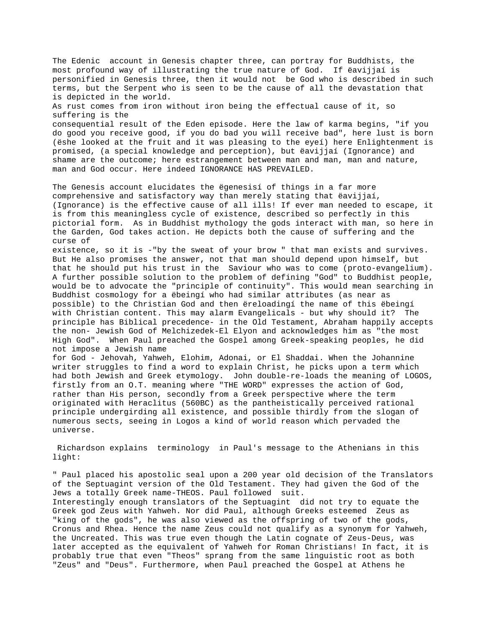The Edenic account in Genesis chapter three, can portray for Buddhists, the most profound way of illustrating the true nature of God. If ëavijjaí is personified in Genesis three, then it would not be God who is described in such terms, but the Serpent who is seen to be the cause of all the devastation that is depicted in the world. As rust comes from iron without iron being the effectual cause of it, so suffering is the consequential result of the Eden episode. Here the law of karma begins, "if you do good you receive good, if you do bad you will receive bad", here lust is born (ëshe looked at the fruit and it was pleasing to the eyeí) here Enlightenment is promised, (a special knowledge and perception), but ëavijjaí (Ignorance) and shame are the outcome; here estrangement between man and man, man and nature, man and God occur. Here indeed IGNORANCE HAS PREVAILED. The Genesis account elucidates the ëgenesisí of things in a far more comprehensive and satisfactory way than merely stating that ëavijjaí, (Ignorance) is the effective cause of all ills! If ever man needed to escape, it is from this meaningless cycle of existence, described so perfectly in this pictorial form. As in Buddhist mythology the gods interact with man, so here in the Garden, God takes action. He depicts both the cause of suffering and the curse of existence, so it is -"by the sweat of your brow " that man exists and survives. But He also promises the answer, not that man should depend upon himself, but that he should put his trust in the Saviour who was to come (proto-evangelium). A further possible solution to the problem of defining "God" to Buddhist people, would be to advocate the "principle of continuity". This would mean searching in Buddhist cosmology for a ëbeingí who had similar attributes (as near as possible) to the Christian God and then ëreloadingí the name of this ëbeingí with Christian content. This may alarm Evangelicals - but why should it? The principle has Biblical precedence- in the Old Testament, Abraham happily accepts the non- Jewish God of Melchizedek-El Elyon and acknowledges him as "the most High God". When Paul preached the Gospel among Greek-speaking peoples, he did not impose a Jewish name for God - Jehovah, Yahweh, Elohim, Adonai, or El Shaddai. When the Johannine writer struggles to find a word to explain Christ, he picks upon a term which had both Jewish and Greek etymology. John double-re-loads the meaning of LOGOS, firstly from an O.T. meaning where "THE WORD" expresses the action of God, rather than His person, secondly from a Greek perspective where the term

originated with Heraclitus (560BC) as the pantheistically perceived rational principle undergirding all existence, and possible thirdly from the slogan of numerous sects, seeing in Logos a kind of world reason which pervaded the universe.

 Richardson explains terminology in Paul's message to the Athenians in this light:

" Paul placed his apostolic seal upon a 200 year old decision of the Translators of the Septuagint version of the Old Testament. They had given the God of the Jews a totally Greek name-THEOS. Paul followed suit. Interestingly enough translators of the Septuagint did not try to equate the Greek god Zeus with Yahweh. Nor did Paul, although Greeks esteemed Zeus as "king of the gods", he was also viewed as the offspring of two of the gods, Cronus and Rhea. Hence the name Zeus could not qualify as a synonym for Yahweh, the Uncreated. This was true even though the Latin cognate of Zeus-Deus, was later accepted as the equivalent of Yahweh for Roman Christians! In fact, it is probably true that even "Theos" sprang from the same linguistic root as both "Zeus" and "Deus". Furthermore, when Paul preached the Gospel at Athens he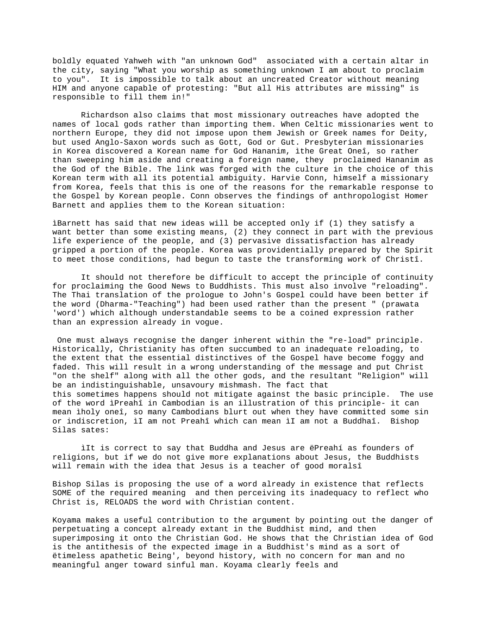boldly equated Yahweh with "an unknown God" associated with a certain altar in the city, saying "What you worship as something unknown I am about to proclaim to you". It is impossible to talk about an uncreated Creator without meaning HIM and anyone capable of protesting: "But all His attributes are missing" is responsible to fill them in!"

Richardson also claims that most missionary outreaches have adopted the names of local gods rather than importing them. When Celtic missionaries went to northern Europe, they did not impose upon them Jewish or Greek names for Deity, but used Anglo-Saxon words such as Gott, God or Gut. Presbyterian missionaries in Korea discovered a Korean name for God Hananim, ìthe Great Oneî, so rather than sweeping him aside and creating a foreign name, they proclaimed Hananim as the God of the Bible. The link was forged with the culture in the choice of this Korean term with all its potential ambiguity. Harvie Conn, himself a missionary from Korea, feels that this is one of the reasons for the remarkable response to the Gospel by Korean people. Conn observes the findings of anthropologist Homer Barnett and applies them to the Korean situation:

ìBarnett has said that new ideas will be accepted only if (1) they satisfy a want better than some existing means, (2) they connect in part with the previous life experience of the people, and (3) pervasive dissatisfaction has already gripped a portion of the people. Korea was providentially prepared by the Spirit to meet those conditions, had begun to taste the transforming work of Christî.

It should not therefore be difficult to accept the principle of continuity for proclaiming the Good News to Buddhists. This must also involve "reloading". The Thai translation of the prologue to John's Gospel could have been better if the word (Dharma-"Teaching") had been used rather than the present " (prawata 'word') which although understandable seems to be a coined expression rather than an expression already in vogue.

 One must always recognise the danger inherent within the "re-load" principle. Historically, Christianity has often succumbed to an inadequate reloading, to the extent that the essential distinctives of the Gospel have become foggy and faded. This will result in a wrong understanding of the message and put Christ "on the shelf" along with all the other gods, and the resultant "Religion" will be an indistinguishable, unsavoury mishmash. The fact that this sometimes happens should not mitigate against the basic principle. The use of the word ìPreahî in Cambodian is an illustration of this principle- it can mean ìholy oneî, so many Cambodians blurt out when they have committed some sin or indiscretion, ìI am not Preahî which can mean ìI am not a Buddhaî. Bishop Silas sates:

ìIt is correct to say that Buddha and Jesus are ëPreahí as founders of religions, but if we do not give more explanations about Jesus, the Buddhists will remain with the idea that Jesus is a teacher of good moralsî

Bishop Silas is proposing the use of a word already in existence that reflects SOME of the required meaning and then perceiving its inadequacy to reflect who Christ is, RELOADS the word with Christian content.

Koyama makes a useful contribution to the argument by pointing out the danger of perpetuating a concept already extant in the Buddhist mind, and then superimposing it onto the Christian God. He shows that the Christian idea of God is the antithesis of the expected image in a Buddhist's mind as a sort of ëtimeless apathetic Being', beyond history, with no concern for man and no meaningful anger toward sinful man. Koyama clearly feels and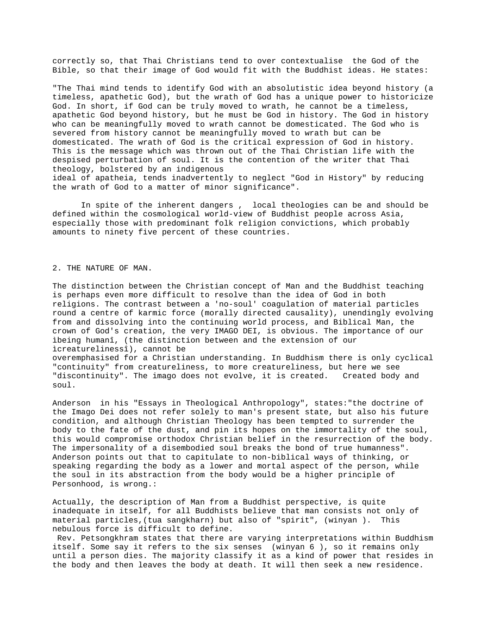correctly so, that Thai Christians tend to over contextualise the God of the Bible, so that their image of God would fit with the Buddhist ideas. He states:

"The Thai mind tends to identify God with an absolutistic idea beyond history (a timeless, apathetic God), but the wrath of God has a unique power to historicize God. In short, if God can be truly moved to wrath, he cannot be a timeless, apathetic God beyond history, but he must be God in history. The God in history who can be meaningfully moved to wrath cannot be domesticated. The God who is severed from history cannot be meaningfully moved to wrath but can be domesticated. The wrath of God is the critical expression of God in history. This is the message which was thrown out of the Thai Christian life with the despised perturbation of soul. It is the contention of the writer that Thai theology, bolstered by an indigenous ideal of apatheia, tends inadvertently to neglect "God in History" by reducing the wrath of God to a matter of minor significance".

In spite of the inherent dangers , local theologies can be and should be defined within the cosmological world-view of Buddhist people across Asia, especially those with predominant folk religion convictions, which probably amounts to ninety five percent of these countries.

### 2. THE NATURE OF MAN.

The distinction between the Christian concept of Man and the Buddhist teaching is perhaps even more difficult to resolve than the idea of God in both religions. The contrast between a 'no-soul' coagulation of material particles round a centre of karmic force (morally directed causality), unendingly evolving from and dissolving into the continuing world process, and Biblical Man, the crown of God's creation, the very IMAGO DEI, is obvious. The importance of our ìbeing humanî, (the distinction between and the extension of our ìcreaturelinessî), cannot be overemphasised for a Christian understanding. In Buddhism there is only cyclical

"continuity" from creatureliness, to more creatureliness, but here we see "discontinuity". The imago does not evolve, it is created. Created body and soul.

Anderson in his "Essays in Theological Anthropology", states:"the doctrine of the Imago Dei does not refer solely to man's present state, but also his future condition, and although Christian Theology has been tempted to surrender the body to the fate of the dust, and pin its hopes on the immortality of the soul, this would compromise orthodox Christian belief in the resurrection of the body. The impersonality of a disembodied soul breaks the bond of true humanness". Anderson points out that to capitulate to non-biblical ways of thinking, or speaking regarding the body as a lower and mortal aspect of the person, while the soul in its abstraction from the body would be a higher principle of Personhood, is wrong.:

Actually, the description of Man from a Buddhist perspective, is quite inadequate in itself, for all Buddhists believe that man consists not only of material particles,(tua sangkharn) but also of "spirit", (winyan ). This nebulous force is difficult to define.

 Rev. Petsongkhram states that there are varying interpretations within Buddhism itself. Some say it refers to the six senses (winyan 6 ), so it remains only until a person dies. The majority classify it as a kind of power that resides in the body and then leaves the body at death. It will then seek a new residence.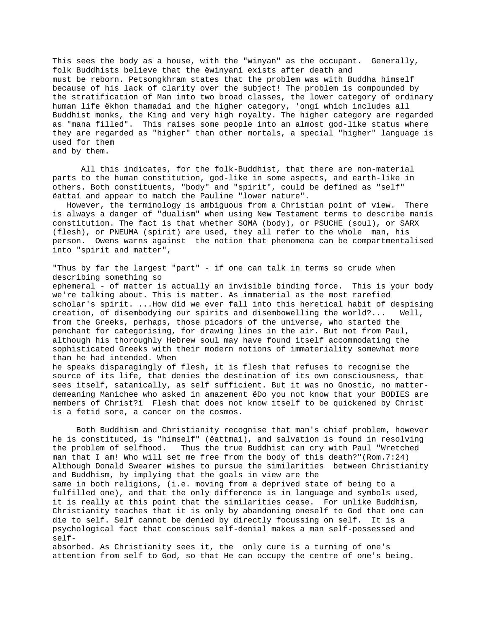This sees the body as a house, with the "winyan" as the occupant. Generally, folk Buddhists believe that the ëwinyaní exists after death and must be reborn. Petsongkhram states that the problem was with Buddha himself because of his lack of clarity over the subject! The problem is compounded by the stratification of Man into two broad classes, the lower category of ordinary human life ëkhon thamadaí and the higher category, 'ongí which includes all Buddhist monks, the King and very high royalty. The higher category are regarded as "mana filled". This raises some people into an almost god-like status where they are regarded as "higher" than other mortals, a special "higher" language is used for them and by them.

All this indicates, for the folk-Buddhist, that there are non-material parts to the human constitution, god-like in some aspects, and earth-like in others. Both constituents, "body" and "spirit", could be defined as "self" ëattaí and appear to match the Pauline "lower nature".

 However, the terminology is ambiguous from a Christian point of view. There is always a danger of "dualism" when using New Testament terms to describe manís constitution. The fact is that whether SOMA (body), or PSUCHE (soul), or SARX (flesh), or PNEUMA (spirit) are used, they all refer to the whole man, his person. Owens warns against the notion that phenomena can be compartmentalised into "spirit and matter",

"Thus by far the largest "part" - if one can talk in terms so crude when describing something so ephemeral - of matter is actually an invisible binding force. This is your body we're talking about. This is matter. As immaterial as the most rarefied scholar's spirit. ...How did we ever fall into this heretical habit of despising creation, of disembodying our spirits and disembowelling the world?... Well, from the Greeks, perhaps, those picadors of the universe, who started the penchant for categorising, for drawing lines in the air. But not from Paul, although his thoroughly Hebrew soul may have found itself accommodating the sophisticated Greeks with their modern notions of immateriality somewhat more than he had intended. When he speaks disparagingly of flesh, it is flesh that refuses to recognise the source of its life, that denies the destination of its own consciousness, that sees itself, satanically, as self sufficient. But it was no Gnostic, no matterdemeaning Manichee who asked in amazement ëDo you not know that your BODIES are members of Christ?í Flesh that does not know itself to be quickened by Christ

 Both Buddhism and Christianity recognise that man's chief problem, however he is constituted, is "himself" (ëattmaí), and salvation is found in resolving the problem of selfhood. Thus the true Buddhist can cry with Paul "Wretched man that I am! Who will set me free from the body of this death?"(Rom.7:24) Although Donald Swearer wishes to pursue the similarities between Christianity and Buddhism, by implying that the goals in view are the same in both religions, (i.e. moving from a deprived state of being to a fulfilled one), and that the only difference is in language and symbols used, it is really at this point that the similarities cease. For unlike Buddhism, Christianity teaches that it is only by abandoning oneself to God that one can die to self. Self cannot be denied by directly focussing on self. It is a psychological fact that conscious self-denial makes a man self-possessed and self-

is a fetid sore, a cancer on the cosmos.

absorbed. As Christianity sees it, the only cure is a turning of one's attention from self to God, so that He can occupy the centre of one's being.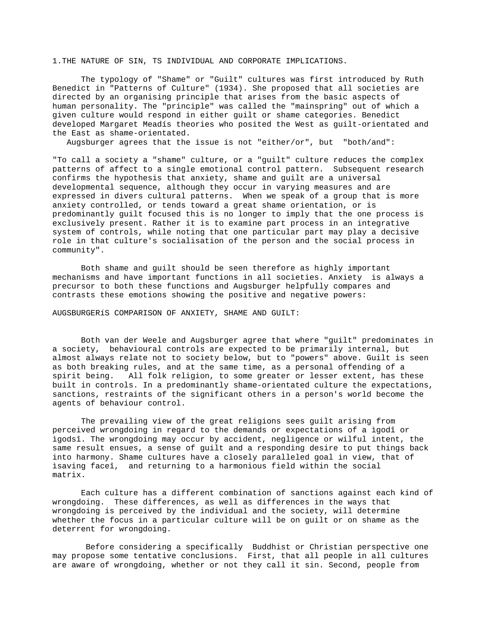1.THE NATURE OF SIN, TS INDIVIDUAL AND CORPORATE IMPLICATIONS.

The typology of "Shame" or "Guilt" cultures was first introduced by Ruth Benedict in "Patterns of Culture" (1934). She proposed that all societies are directed by an organising principle that arises from the basic aspects of human personality. The "principle" was called the "mainspring" out of which a given culture would respond in either guilt or shame categories. Benedict developed Margaret Meadís theories who posited the West as guilt-orientated and the East as shame-orientated.

Augsburger agrees that the issue is not "either/or", but "both/and":

"To call a society a "shame" culture, or a "guilt" culture reduces the complex patterns of affect to a single emotional control pattern. Subsequent research confirms the hypothesis that anxiety, shame and guilt are a universal developmental sequence, although they occur in varying measures and are expressed in divers cultural patterns. When we speak of a group that is more anxiety controlled, or tends toward a great shame orientation, or is predominantly guilt focused this is no longer to imply that the one process is exclusively present. Rather it is to examine part process in an integrative system of controls, while noting that one particular part may play a decisive role in that culture's socialisation of the person and the social process in community".

Both shame and guilt should be seen therefore as highly important mechanisms and have important functions in all societies. Anxiety is always a precursor to both these functions and Augsburger helpfully compares and contrasts these emotions showing the positive and negative powers:

AUGSBURGERíS COMPARISON OF ANXIETY, SHAME AND GUILT:

Both van der Weele and Augsburger agree that where "guilt" predominates in a society, behavioural controls are expected to be primarily internal, but almost always relate not to society below, but to "powers" above. Guilt is seen as both breaking rules, and at the same time, as a personal offending of a spirit being. All folk religion, to some greater or lesser extent, has these built in controls. In a predominantly shame-orientated culture the expectations, sanctions, restraints of the significant others in a person's world become the agents of behaviour control.

The prevailing view of the great religions sees guilt arising from perceived wrongdoing in regard to the demands or expectations of a ìgodî or ìgodsî. The wrongdoing may occur by accident, negligence or wilful intent, the same result ensues, a sense of guilt and a responding desire to put things back into harmony. Shame cultures have a closely paralleled goal in view, that of ìsaving faceî, and returning to a harmonious field within the social matrix.

Each culture has a different combination of sanctions against each kind of wrongdoing. These differences, as well as differences in the ways that wrongdoing is perceived by the individual and the society, will determine whether the focus in a particular culture will be on guilt or on shame as the deterrent for wrongdoing.

 Before considering a specifically Buddhist or Christian perspective one may propose some tentative conclusions. First, that all people in all cultures are aware of wrongdoing, whether or not they call it sin. Second, people from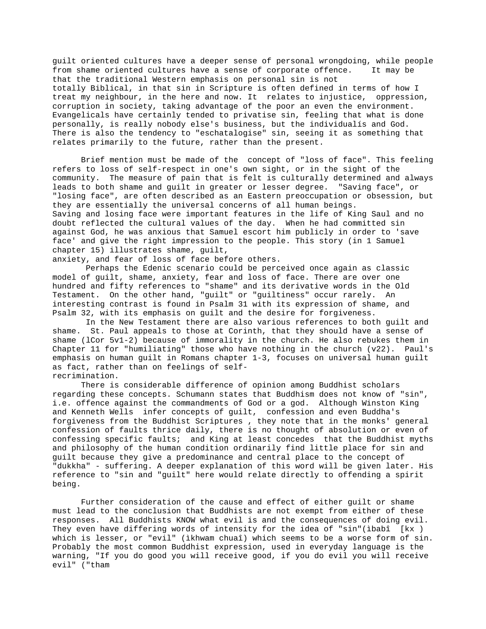guilt oriented cultures have a deeper sense of personal wrongdoing, while people from shame oriented cultures have a sense of corporate offence. It may be that the traditional Western emphasis on personal sin is not totally Biblical, in that sin in Scripture is often defined in terms of how I treat my neighbour, in the here and now. It relates to injustice, oppression, corruption in society, taking advantage of the poor an even the environment. Evangelicals have certainly tended to privatise sin, feeling that what is done personally, is really nobody else's business, but the individualís and God. There is also the tendency to "eschatalogise" sin, seeing it as something that relates primarily to the future, rather than the present.

Brief mention must be made of the concept of "loss of face". This feeling refers to loss of self-respect in one's own sight, or in the sight of the community. The measure of pain that is felt is culturally determined and always leads to both shame and guilt in greater or lesser degree. "Saving face", or "losing face", are often described as an Eastern preoccupation or obsession, but they are essentially the universal concerns of all human beings. Saving and losing face were important features in the life of King Saul and no doubt reflected the cultural values of the day. When he had committed sin against God, he was anxious that Samuel escort him publicly in order to 'save face' and give the right impression to the people. This story (in 1 Samuel chapter 15) illustrates shame, guilt,

anxiety, and fear of loss of face before others.

 Perhaps the Edenic scenario could be perceived once again as classic model of guilt, shame, anxiety, fear and loss of face. There are over one hundred and fifty references to "shame" and its derivative words in the Old Testament. On the other hand, "guilt" or "guiltiness" occur rarely. An interesting contrast is found in Psalm 31 with its expression of shame, and Psalm 32, with its emphasis on guilt and the desire for forgiveness.

 In the New Testament there are also various references to both guilt and shame. St. Paul appeals to those at Corinth, that they should have a sense of shame (lCor 5v1-2) because of immorality in the church. He also rebukes them in Chapter 11 for "humiliating" those who have nothing in the church (v22). Paul's emphasis on human guilt in Romans chapter 1-3, focuses on universal human guilt as fact, rather than on feelings of selfrecrimination.

There is considerable difference of opinion among Buddhist scholars regarding these concepts. Schumann states that Buddhism does not know of "sin", i.e. offence against the commandments of God or a god. Although Winston King and Kenneth Wells infer concepts of guilt, confession and even Buddha's forgiveness from the Buddhist Scriptures , they note that in the monks' general confession of faults thrice daily, there is no thought of absolution or even of confessing specific faults; and King at least concedes that the Buddhist myths and philosophy of the human condition ordinarily find little place for sin and guilt because they give a predominance and central place to the concept of "dukkha" - suffering. A deeper explanation of this word will be given later. His reference to "sin and "guilt" here would relate directly to offending a spirit being.

Further consideration of the cause and effect of either guilt or shame must lead to the conclusion that Buddhists are not exempt from either of these responses. All Buddhists KNOW what evil is and the consequences of doing evil. They even have differing words of intensity for the idea of "sin"(ibabî [kx ) which is lesser, or "evil" (ìkhwam chuaî) which seems to be a worse form of sin. Probably the most common Buddhist expression, used in everyday language is the warning, "If you do good you will receive good, if you do evil you will receive evil" ("tham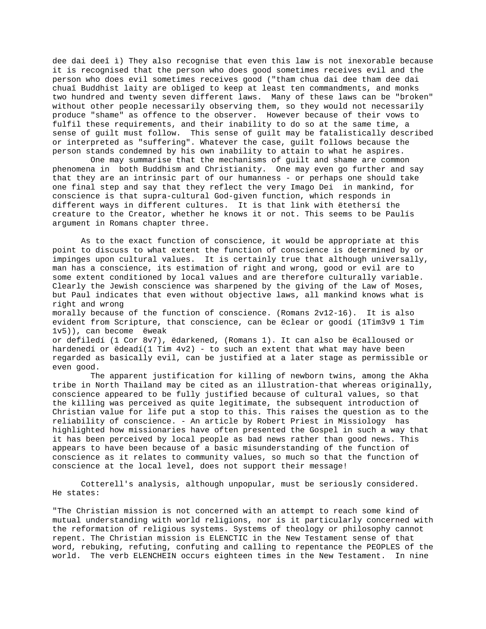dee dai deeî ì) They also recognise that even this law is not inexorable because it is recognised that the person who does good sometimes receives evil and the person who does evil sometimes receives good ("tham chua dai dee tham dee dai chuaî Buddhist laity are obliged to keep at least ten commandments, and monks two hundred and twenty seven different laws. Many of these laws can be "broken" without other people necessarily observing them, so they would not necessarily produce "shame" as offence to the observer. However because of their vows to fulfil these requirements, and their inability to do so at the same time, a sense of guilt must follow. This sense of guilt may be fatalistically described or interpreted as "suffering". Whatever the case, guilt follows because the person stands condemned by his own inability to attain to what he aspires.

 One may summarise that the mechanisms of guilt and shame are common phenomena in both Buddhism and Christianity. One may even go further and say that they are an intrinsic part of our humanness - or perhaps one should take one final step and say that they reflect the very Imago Dei in mankind, for conscience is that supra-cultural God-given function, which responds in different ways in different cultures. It is that link with ëtethersí the creature to the Creator, whether he knows it or not. This seems to be Paulís argument in Romans chapter three.

As to the exact function of conscience, it would be appropriate at this point to discuss to what extent the function of conscience is determined by or impinges upon cultural values. It is certainly true that although universally, man has a conscience, its estimation of right and wrong, good or evil are to some extent conditioned by local values and are therefore culturally variable. Clearly the Jewish conscience was sharpened by the giving of the Law of Moses, but Paul indicates that even without objective laws, all mankind knows what is right and wrong

morally because of the function of conscience. (Romans 2v12-16). It is also evident from Scripture, that conscience, can be ëclear or goodí (1Tim3v9 1 Tim 1v5)), can become ëweak

or defiledí (1 Cor 8v7), ëdarkened, (Romans 1). It can also be ëcalloused or hardenedí or ëdeadí(1 Tim  $4v2$ ) - to such an extent that what may have been regarded as basically evil, can be justified at a later stage as permissible or even good.

 The apparent justification for killing of newborn twins, among the Akha tribe in North Thailand may be cited as an illustration-that whereas originally, conscience appeared to be fully justified because of cultural values, so that the killing was perceived as quite legitimate, the subsequent introduction of Christian value for life put a stop to this. This raises the question as to the reliability of conscience. - An article by Robert Priest in Missiology has highlighted how missionaries have often presented the Gospel in such a way that it has been perceived by local people as bad news rather than good news. This appears to have been because of a basic misunderstanding of the function of conscience as it relates to community values, so much so that the function of conscience at the local level, does not support their message!

Cotterell's analysis, although unpopular, must be seriously considered. He states:

"The Christian mission is not concerned with an attempt to reach some kind of mutual understanding with world religions, nor is it particularly concerned with the reformation of religious systems. Systems of theology or philosophy cannot repent. The Christian mission is ELENCTIC in the New Testament sense of that word, rebuking, refuting, confuting and calling to repentance the PEOPLES of the world. The verb ELENCHEIN occurs eighteen times in the New Testament. In nine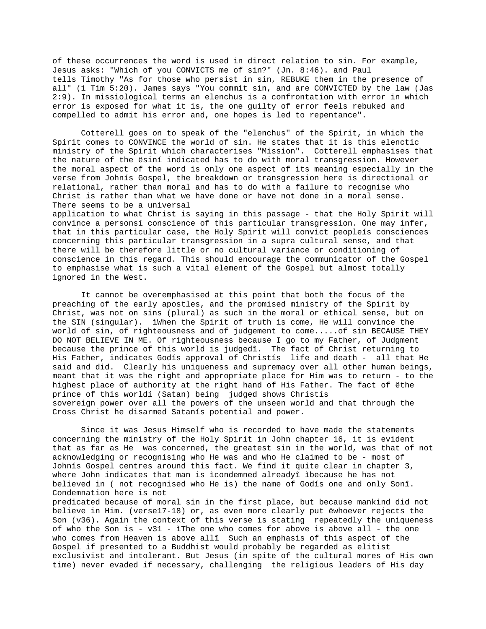of these occurrences the word is used in direct relation to sin. For example, Jesus asks: "Which of you CONVICTS me of sin?" (Jn. 8:46). and Paul tells Timothy "As for those who persist in sin, REBUKE them in the presence of all" (1 Tim 5:20). James says "You commit sin, and are CONVICTED by the law (Jas 2:9). In missiological terms an elenchus is a confrontation with error in which error is exposed for what it is, the one guilty of error feels rebuked and compelled to admit his error and, one hopes is led to repentance".

Cotterell goes on to speak of the "elenchus" of the Spirit, in which the Spirit comes to CONVINCE the world of sin. He states that it is this elenctic ministry of the Spirit which characterises "Mission". Cotterell emphasises that the nature of the ësiní indicated has to do with moral transgression. However the moral aspect of the word is only one aspect of its meaning especially in the verse from Johnís Gospel, the breakdown or transgression here is directional or relational, rather than moral and has to do with a failure to recognise who Christ is rather than what we have done or have not done in a moral sense. There seems to be a universal application to what Christ is saying in this passage - that the Holy Spirit will convince a personsí conscience of this particular transgression. One may infer, that in this particular case, the Holy Spirit will convict peopleís consciences concerning this particular transgression in a supra cultural sense, and that there will be therefore little or no cultural variance or conditioning of

conscience in this regard. This should encourage the communicator of the Gospel to emphasise what is such a vital element of the Gospel but almost totally ignored in the West.

It cannot be overemphasised at this point that both the focus of the preaching of the early apostles, and the promised ministry of the Spirit by Christ, was not on sins (plural) as such in the moral or ethical sense, but on the SIN (singular). ìWhen the Spirit of truth is come, He will convince the world of sin, of righteousness and of judgement to come.....of sin BECAUSE THEY DO NOT BELIEVE IN ME. Of righteousness because I go to my Father, of Judgment because the prince of this world is judgedî. The fact of Christ returning to His Father, indicates Godís approval of Christís life and death - all that He said and did. Clearly his uniqueness and supremacy over all other human beings, meant that it was the right and appropriate place for Him was to return - to the highest place of authority at the right hand of His Father. The fact of ëthe prince of this worldí (Satan) being judged shows Christís sovereign power over all the powers of the unseen world and that through the Cross Christ he disarmed Satanís potential and power.

Since it was Jesus Himself who is recorded to have made the statements concerning the ministry of the Holy Spirit in John chapter 16, it is evident that as far as He was concerned, the greatest sin in the world, was that of not acknowledging or recognising who He was and who He claimed to be - most of Johnís Gospel centres around this fact. We find it quite clear in chapter 3, where John indicates that man is ìcondemned alreadyî ìbecause he has not believed in ( not recognised who He is) the name of Godís one and only Sonî. Condemnation here is not

predicated because of moral sin in the first place, but because mankind did not believe in Him. (verse17-18) or, as even more clearly put ëwhoever rejects the Son (v36). Again the context of this verse is stating repeatedly the uniqueness of who the Son is -  $v31$  - ìThe one who comes for above is above all - the one who comes from Heaven is above allî Such an emphasis of this aspect of the Gospel if presented to a Buddhist would probably be regarded as elitist exclusivist and intolerant. But Jesus (in spite of the cultural mores of His own time) never evaded if necessary, challenging the religious leaders of His day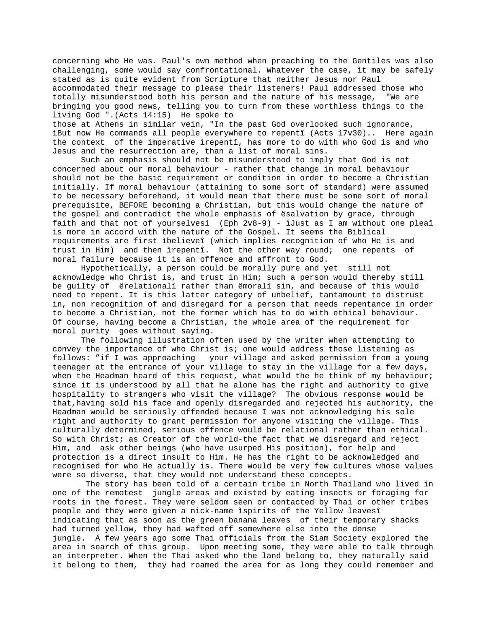concerning who He was. Paul's own method when preaching to the Gentiles was also challenging, some would say confrontational. Whatever the case, it may be safely stated as is quite evident from Scripture that neither Jesus nor Paul accommodated their message to please their listeners! Paul addressed those who totally misunderstood both his person and the nature of his message, "We are bringing you good news, telling you to turn from these worthless things to the living God ".(Acts 14:15) He spoke to

those at Athens in similar vein, "In the past God overlooked such ignorance, ìBut now He commands all people everywhere to repentî (Acts 17v30).. Here again the context of the imperative ìrepentî, has more to do with who God is and who Jesus and the resurrection are, than a list of moral sins.

Such an emphasis should not be misunderstood to imply that God is not concerned about our moral behaviour - rather that change in moral behaviour should not be the basic requirement or condition in order to become a Christian initially. If moral behaviour (attaining to some sort of standard) were assumed to be necessary beforehand, it would mean that there must be some sort of moral prerequisite, BEFORE becoming a Christian, but this would change the nature of the gospel and contradict the whole emphasis of ësalvation by grace, through faith and that not of yourselvesí (Eph 2v8-9) - ìJust as I am without one pleaî is more in accord with the nature of the Gospel. It seems the Biblical requirements are first ìbelieveî (which implies recognition of who He is and trust in Him) and then ìrepentî. Not the other way round; one repents of moral failure because it is an offence and affront to God.

Hypothetically, a person could be morally pure and yet still not acknowledge who Christ is, and trust in Him; such a person would thereby still be guilty of ërelationalí rather than ëmoralí sin, and because of this would need to repent. It is this latter category of unbelief, tantamount to distrust in, non recognition of and disregard for a person that needs repentance in order to become a Christian, not the former which has to do with ethical behaviour. Of course, having become a Christian, the whole area of the requirement for moral purity goes without saying.

The following illustration often used by the writer when attempting to convey the importance of who Christ is; one would address those listening as follows: "if I was approaching your village and asked permission from a young teenager at the entrance of your village to stay in the village for a few days, when the Headman heard of this request, what would the he think of my behaviour; since it is understood by all that he alone has the right and authority to give hospitality to strangers who visit the village? The obvious response would be that,having sold his face and openly disregarded and rejected his authority, the Headman would be seriously offended because I was not acknowledging his sole right and authority to grant permission for anyone visiting the village. This culturally determined, serious offence would be relational rather than ethical. So with Christ; as Creator of the world-the fact that we disregard and reject Him, and ask other beings (who have usurped His position), for help and protection is a direct insult to Him. He has the right to be acknowledged and recognised for who He actually is. There would be very few cultures whose values were so diverse, that they would not understand these concepts.

 The story has been told of a certain tribe in North Thailand who lived in one of the remotest jungle areas and existed by eating insects or foraging for roots in the forest. They were seldom seen or contacted by Thai or other tribes people and they were given a nick-name ìspirits of the Yellow leavesî indicating that as soon as the green banana leaves of their temporary shacks had turned yellow, they had wafted off somewhere else into the dense jungle. A few years ago some Thai officials from the Siam Society explored the area in search of this group. Upon meeting some, they were able to talk through an interpreter. When the Thai asked who the land belong to, they naturally said it belong to them, they had roamed the area for as long they could remember and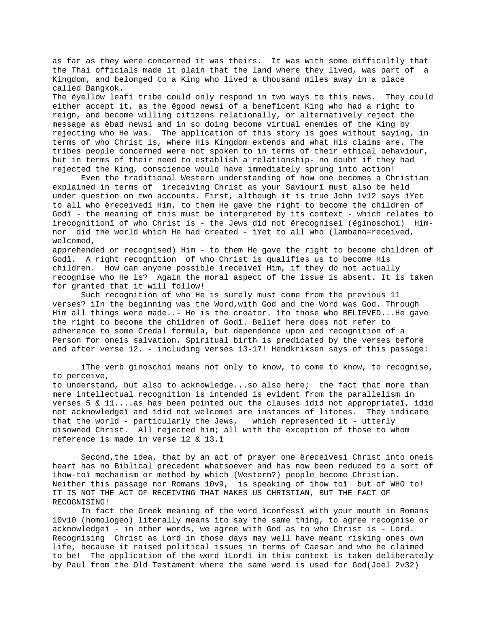as far as they were concerned it was theirs. It was with some difficultly that the Thai officials made it plain that the land where they lived, was part of a Kingdom, and belonged to a King who lived a thousand miles away in a place called Bangkok.

The ëyellow leafí tribe could only respond in two ways to this news. They could either accept it, as the ëgood newsí of a beneficent King who had a right to reign, and become willing citizens relationally, or alternatively reject the message as ëbad newsí and in so doing become virtual enemies of the King by rejecting who He was. The application of this story is goes without saying, in terms of who Christ is, where His Kingdom extends and what His claims are. The tribes people concerned were not spoken to in terms of their ethical behaviour, but in terms of their need to establish a relationship- no doubt if they had rejected the King, conscience would have immediately sprung into action!

Even the traditional Western understanding of how one becomes a Christian explained in terms of ìreceiving Christ as your Saviourî must also be held under question on two accounts. First, although it is true John 1v12 says ìYet to all who ëreceivedí Him, to them He gave the right to become the children of Godî - the meaning of this must be interpreted by its context - which relates to ìrecognitionî of who Christ is - the Jews did not ërecogniseí (ëginoschoí) Himnor did the world which He had created - ìYet to all who (lambano=received, welcomed,

apprehended or recognised) Him - to them He gave the right to become children of Godî. A right recognition of who Christ is qualifies us to become His children. How can anyone possible ìreceiveî Him, if they do not actually recognise who He is? Again the moral aspect of the issue is absent. It is taken for granted that it will follow!

Such recognition of who He is surely must come from the previous 11 verses? ìIn the beginning was the Word,with God and the Word was God. Through Him all things were made..- He is the creator. ìto those who BELIEVED...He gave the right to become the children of Godî. Belief here does not refer to adherence to some Credal formula, but dependence upon and recognition of a Person for oneís salvation. Spiritual birth is predicated by the verses before and after verse 12. - including verses 13-17! Hendkriksen says of this passage:

ìThe verb ginoschoí means not only to know, to come to know, to recognise, to perceive, to understand, but also to acknowledge...so also here; the fact that more than mere intellectual recognition is intended is evident from the parallelism in verses 5 & 11....as has been pointed out the clauses ìdid not appropriateî, ìdid not acknowledgeî and ìdid not welcomeî are instances of litotes. They indicate that the world - particularly the Jews, which represented it - utterly disowned Christ. All rejected him; all with the exception of those to whom reference is made in verse 12 & 13.î

Second,the idea, that by an act of prayer one ëreceivesí Christ into oneís heart has no Biblical precedent whatsoever and has now been reduced to a sort of ìhow-toî mechanism or method by which (Western?) people become Christian. Neither this passage nor Romans 10v9, is speaking of ìhow toî but of WHO to! IT IS NOT THE ACT OF RECEIVING THAT MAKES US CHRISTIAN, BUT THE FACT OF RECOGNISING!

In fact the Greek meaning of the word ìconfessî with your mouth in Romans 10v10 (homologeo) literally means ìto say the same thing, to agree recognise or acknowledgeî - in other words, we agree with God as to who Christ is - Lord. Recognising Christ as Lord in those days may well have meant risking ones own life, because it raised political issues in terms of Caesar and who he claimed to be! The application of the word ìLordî in this context is taken deliberately by Paul from the Old Testament where the same word is used for God(Joel 2v32)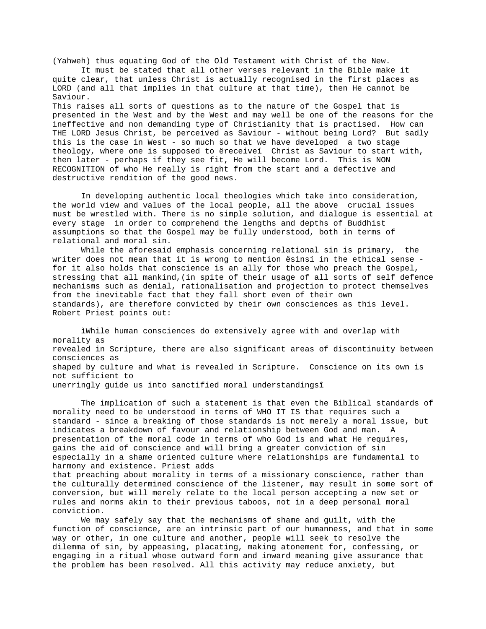(Yahweh) thus equating God of the Old Testament with Christ of the New.

It must be stated that all other verses relevant in the Bible make it quite clear, that unless Christ is actually recognised in the first places as LORD (and all that implies in that culture at that time), then He cannot be Saviour.

This raises all sorts of questions as to the nature of the Gospel that is presented in the West and by the West and may well be one of the reasons for the ineffective and non demanding type of Christianity that is practised. How can THE LORD Jesus Christ, be perceived as Saviour - without being Lord? But sadly this is the case in West - so much so that we have developed a two stage theology, where one is supposed to ëreceiveí Christ as Saviour to start with, then later - perhaps if they see fit, He will become Lord. This is NON RECOGNITION of who He really is right from the start and a defective and destructive rendition of the good news.

In developing authentic local theologies which take into consideration, the world view and values of the local people, all the above crucial issues must be wrestled with. There is no simple solution, and dialogue is essential at every stage in order to comprehend the lengths and depths of Buddhist assumptions so that the Gospel may be fully understood, both in terms of relational and moral sin.

While the aforesaid emphasis concerning relational sin is primary, the writer does not mean that it is wrong to mention ësinsí in the ethical sense for it also holds that conscience is an ally for those who preach the Gospel, stressing that all mankind,(in spite of their usage of all sorts of self defence mechanisms such as denial, rationalisation and projection to protect themselves from the inevitable fact that they fall short even of their own standards), are therefore convicted by their own consciences as this level. Robert Priest points out:

ìWhile human consciences do extensively agree with and overlap with morality as revealed in Scripture, there are also significant areas of discontinuity between consciences as shaped by culture and what is revealed in Scripture. Conscience on its own is not sufficient to unerringly guide us into sanctified moral understandingsî

The implication of such a statement is that even the Biblical standards of morality need to be understood in terms of WHO IT IS that requires such a standard - since a breaking of those standards is not merely a moral issue, but indicates a breakdown of favour and relationship between God and man. A presentation of the moral code in terms of who God is and what He requires, gains the aid of conscience and will bring a greater conviction of sin especially in a shame oriented culture where relationships are fundamental to harmony and existence. Priest adds

that preaching about morality in terms of a missionary conscience, rather than the culturally determined conscience of the listener, may result in some sort of conversion, but will merely relate to the local person accepting a new set or rules and norms akin to their previous taboos, not in a deep personal moral conviction.

We may safely say that the mechanisms of shame and guilt, with the function of conscience, are an intrinsic part of our humanness, and that in some way or other, in one culture and another, people will seek to resolve the dilemma of sin, by appeasing, placating, making atonement for, confessing, or engaging in a ritual whose outward form and inward meaning give assurance that the problem has been resolved. All this activity may reduce anxiety, but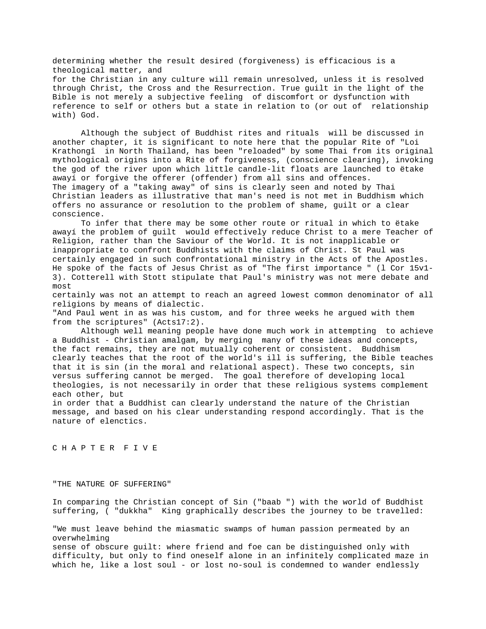determining whether the result desired (forgiveness) is efficacious is a theological matter, and for the Christian in any culture will remain unresolved, unless it is resolved through Christ, the Cross and the Resurrection. True guilt in the light of the Bible is not merely a subjective feeling of discomfort or dysfunction with reference to self or others but a state in relation to (or out of relationship with) God.

Although the subject of Buddhist rites and rituals will be discussed in another chapter, it is significant to note here that the popular Rite of "Loi Krathongî in North Thailand, has been "reloaded" by some Thai from its original mythological origins into a Rite of forgiveness, (conscience clearing), invoking the god of the river upon which little candle-lit floats are launched to ëtake awayí or forgive the offerer (offender) from all sins and offences. The imagery of a "taking away" of sins is clearly seen and noted by Thai Christian leaders as illustrative that man's need is not met in Buddhism which offers no assurance or resolution to the problem of shame, guilt or a clear conscience.

To infer that there may be some other route or ritual in which to ëtake awayí the problem of guilt would effectively reduce Christ to a mere Teacher of Religion, rather than the Saviour of the World. It is not inapplicable or inappropriate to confront Buddhists with the claims of Christ. St Paul was certainly engaged in such confrontational ministry in the Acts of the Apostles. He spoke of the facts of Jesus Christ as of "The first importance " (l Cor 15v1- 3). Cotterell with Stott stipulate that Paul's ministry was not mere debate and most

certainly was not an attempt to reach an agreed lowest common denominator of all religions by means of dialectic.

"And Paul went in as was his custom, and for three weeks he argued with them from the scriptures" (Acts17:2).

Although well meaning people have done much work in attempting to achieve a Buddhist - Christian amalgam, by merging many of these ideas and concepts, the fact remains, they are not mutually coherent or consistent. Buddhism clearly teaches that the root of the world's ill is suffering, the Bible teaches that it is sin (in the moral and relational aspect). These two concepts, sin versus suffering cannot be merged. The goal therefore of developing local theologies, is not necessarily in order that these religious systems complement each other, but

in order that a Buddhist can clearly understand the nature of the Christian message, and based on his clear understanding respond accordingly. That is the nature of elenctics.

C H A P T E R F I V E

"THE NATURE OF SUFFERING"

In comparing the Christian concept of Sin ("baab ") with the world of Buddhist suffering, ( "dukkha" King graphically describes the journey to be travelled:

"We must leave behind the miasmatic swamps of human passion permeated by an overwhelming sense of obscure guilt: where friend and foe can be distinguished only with difficulty, but only to find oneself alone in an infinitely complicated maze in which he, like a lost soul - or lost no-soul is condemned to wander endlessly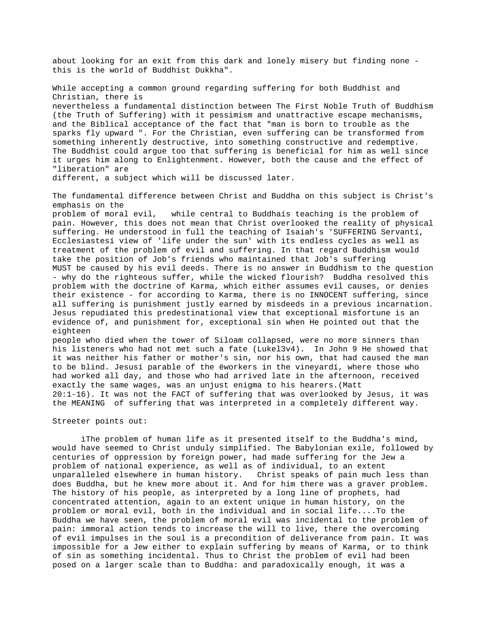about looking for an exit from this dark and lonely misery but finding none this is the world of Buddhist Dukkha".

While accepting a common ground regarding suffering for both Buddhist and Christian, there is nevertheless a fundamental distinction between The First Noble Truth of Buddhism (the Truth of Suffering) with it pessimism and unattractive escape mechanisms, and the Biblical acceptance of the fact that "man is born to trouble as the sparks fly upward ". For the Christian, even suffering can be transformed from something inherently destructive, into something constructive and redemptive. The Buddhist could argue too that suffering is beneficial for him as well since it urges him along to Enlightenment. However, both the cause and the effect of "liberation" are

different, a subject which will be discussed later.

The fundamental difference between Christ and Buddha on this subject is Christ's emphasis on the

problem of moral evil, while central to Buddhaís teaching is the problem of pain. However, this does not mean that Christ overlooked the reality of physical suffering. He understood in full the teaching of Isaiah's 'SUFFERING Servantí, Ecclesiastesí view of 'life under the sun' with its endless cycles as well as treatment of the problem of evil and suffering. In that regard Buddhism would take the position of Job's friends who maintained that Job's suffering MUST be caused by his evil deeds. There is no answer in Buddhism to the question - why do the righteous suffer, while the wicked flourish? Buddha resolved this problem with the doctrine of Karma, which either assumes evil causes, or denies their existence - for according to Karma, there is no INNOCENT suffering, since all suffering is punishment justly earned by misdeeds in a previous incarnation. Jesus repudiated this predestinational view that exceptional misfortune is an evidence of, and punishment for, exceptional sin when He pointed out that the eighteen

people who died when the tower of Siloam collapsed, were no more sinners than his listeners who had not met such a fate (Lukel3v4). In John 9 He showed that it was neither his father or mother's sin, nor his own, that had caused the man to be blind. Jesusí parable of the ëworkers in the vineyardí, where those who had worked all day, and those who had arrived late in the afternoon, received exactly the same wages, was an unjust enigma to his hearers.(Matt 20:1-16). It was not the FACT of suffering that was overlooked by Jesus, it was the MEANING of suffering that was interpreted in a completely different way.

#### Streeter points out:

ìThe problem of human life as it presented itself to the Buddha's mind, would have seemed to Christ unduly simplified. The Babylonian exile, followed by centuries of oppression by foreign power, had made suffering for the Jew a problem of national experience, as well as of individual, to an extent unparalleled elsewhere in human history. Christ speaks of pain much less than does Buddha, but he knew more about it. And for him there was a graver problem. The history of his people, as interpreted by a long line of prophets, had concentrated attention, again to an extent unique in human history, on the problem or moral evil, both in the individual and in social life....To the Buddha we have seen, the problem of moral evil was incidental to the problem of pain: immoral action tends to increase the will to live, there the overcoming of evil impulses in the soul is a precondition of deliverance from pain. It was impossible for a Jew either to explain suffering by means of Karma, or to think of sin as something incidental. Thus to Christ the problem of evil had been posed on a larger scale than to Buddha: and paradoxically enough, it was a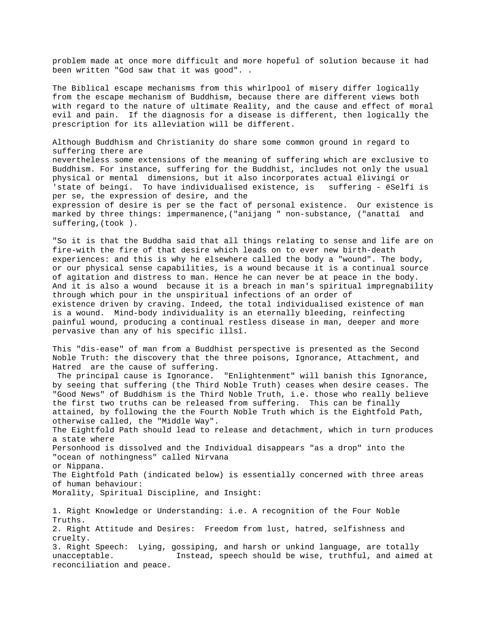problem made at once more difficult and more hopeful of solution because it had been written "God saw that it was good". .

The Biblical escape mechanisms from this whirlpool of misery differ logically from the escape mechanism of Buddhism, because there are different views both with regard to the nature of ultimate Reality, and the cause and effect of moral evil and pain. If the diagnosis for a disease is different, then logically the prescription for its alleviation will be different.

Although Buddhism and Christianity do share some common ground in regard to suffering there are nevertheless some extensions of the meaning of suffering which are exclusive to Buddhism. For instance, suffering for the Buddhist, includes not only the usual physical or mental dimensions, but it also incorporates actual ëlivingí or 'state of beingí. To have individualised existence, is suffering - ëSelfí is per se, the expression of desire, and the expression of desire is per se the fact of personal existence. Our existence is marked by three things: impermanence,("anijang " non-substance, ("anattaî and suffering,(took ).

"So it is that the Buddha said that all things relating to sense and life are on fire-with the fire of that desire which leads on to ever new birth-death experiences: and this is why he elsewhere called the body a "wound". The body, or our physical sense capabilities, is a wound because it is a continual source of agitation and distress to man. Hence he can never be at peace in the body. And it is also a wound because it is a breach in man's spiritual impregnability through which pour in the unspiritual infections of an order of existence driven by craving. Indeed, the total individualised existence of man is a wound. Mind-body individuality is an eternally bleeding, reinfecting painful wound, producing a continual restless disease in man, deeper and more pervasive than any of his specific illsî.

This "dis-ease" of man from a Buddhist perspective is presented as the Second Noble Truth: the discovery that the three poisons, Ignorance, Attachment, and Hatred are the cause of suffering.

 The principal cause is Ignorance. "Enlightenment" will banish this Ignorance, by seeing that suffering (the Third Noble Truth) ceases when desire ceases. The "Good News" of Buddhism is the Third Noble Truth, i.e. those who really believe the first two truths can be released from suffering. This can be finally attained, by following the the Fourth Noble Truth which is the Eightfold Path, otherwise called, the "Middle Way". The Eightfold Path should lead to release and detachment, which in turn produces a state where

Personhood is dissolved and the Individual disappears "as a drop" into the "ocean of nothingness" called Nirvana

or Nippana. The Eightfold Path (indicated below) is essentially concerned with three areas of human behaviour: Morality, Spiritual Discipline, and Insight:

1. Right Knowledge or Understanding: i.e. A recognition of the Four Noble Truths. 2. Right Attitude and Desires: Freedom from lust, hatred, selfishness and cruelty. 3. Right Speech: Lying, gossiping, and harsh or unkind language, are totally unacceptable. Instead, speech should be wise, truthful, and aimed at reconciliation and peace.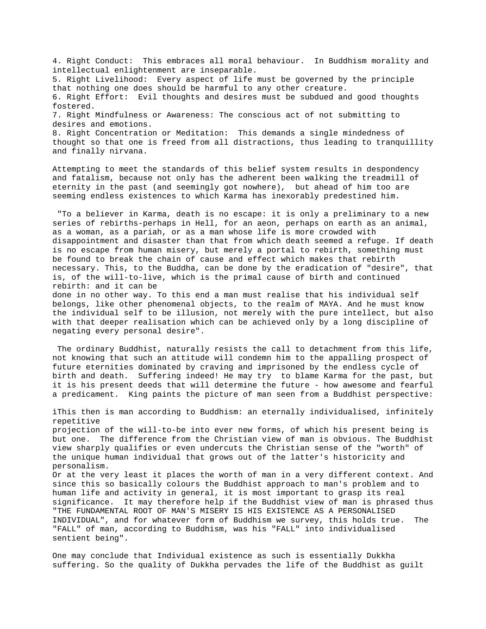4. Right Conduct: This embraces all moral behaviour. In Buddhism morality and intellectual enlightenment are inseparable. 5. Right Livelihood: Every aspect of life must be governed by the principle that nothing one does should be harmful to any other creature. 6. Right Effort: Evil thoughts and desires must be subdued and good thoughts fostered. 7. Right Mindfulness or Awareness: The conscious act of not submitting to desires and emotions. 8. Right Concentration or Meditation: This demands a single mindedness of thought so that one is freed from all distractions, thus leading to tranquillity and finally nirvana.

Attempting to meet the standards of this belief system results in despondency and fatalism, because not only has the adherent been walking the treadmill of eternity in the past (and seemingly got nowhere), but ahead of him too are seeming endless existences to which Karma has inexorably predestined him.

 "To a believer in Karma, death is no escape: it is only a preliminary to a new series of rebirths-perhaps in Hell, for an aeon, perhaps on earth as an animal, as a woman, as a pariah, or as a man whose life is more crowded with disappointment and disaster than that from which death seemed a refuge. If death is no escape from human misery, but merely a portal to rebirth, something must be found to break the chain of cause and effect which makes that rebirth necessary. This, to the Buddha, can be done by the eradication of "desire", that is, of the will-to-live, which is the primal cause of birth and continued rebirth: and it can be

done in no other way. To this end a man must realise that his individual self belongs, like other phenomenal objects, to the realm of MAYA. And he must know the individual self to be illusion, not merely with the pure intellect, but also with that deeper realisation which can be achieved only by a long discipline of negating every personal desire".

 The ordinary Buddhist, naturally resists the call to detachment from this life, not knowing that such an attitude will condemn him to the appalling prospect of future eternities dominated by craving and imprisoned by the endless cycle of birth and death. Suffering indeed! He may try to blame Karma for the past, but it is his present deeds that will determine the future - how awesome and fearful a predicament. King paints the picture of man seen from a Buddhist perspective:

ìThis then is man according to Buddhism: an eternally individualised, infinitely repetitive projection of the will-to-be into ever new forms, of which his present being is but one. The difference from the Christian view of man is obvious. The Buddhist view sharply qualifies or even undercuts the Christian sense of the "worth" of the unique human individual that grows out of the latter's historicity and personalism. Or at the very least it places the worth of man in a very different context. And since this so basically colours the Buddhist approach to man's problem and to human life and activity in general, it is most important to grasp its real significance. It may therefore help if the Buddhist view of man is phrased thus "THE FUNDAMENTAL ROOT OF MAN'S MISERY IS HIS EXISTENCE AS A PERSONALISED INDIVIDUAL", and for whatever form of Buddhism we survey, this holds true. The "FALL" of man, according to Buddhism, was his "FALL" into individualised sentient being".

One may conclude that Individual existence as such is essentially Dukkha suffering. So the quality of Dukkha pervades the life of the Buddhist as guilt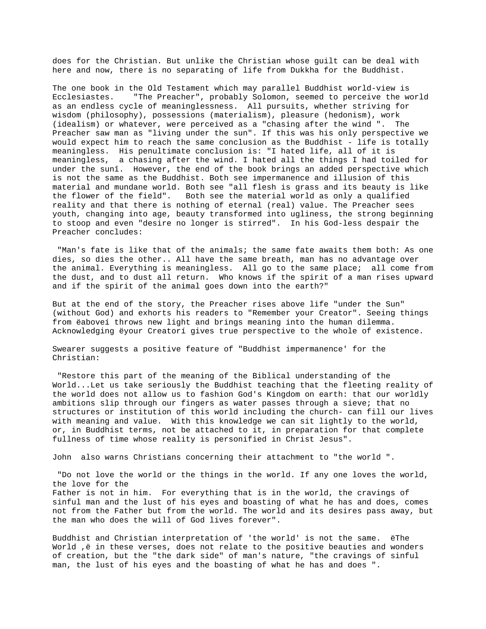does for the Christian. But unlike the Christian whose guilt can be deal with here and now, there is no separating of life from Dukkha for the Buddhist.

The one book in the Old Testament which may parallel Buddhist world-view is Ecclesiastes. "The Preacher", probably Solomon, seemed to perceive the world as an endless cycle of meaninglessness. All pursuits, whether striving for wisdom (philosophy), possessions (materialism), pleasure (hedonism), work (idealism) or whatever, were perceived as a "chasing after the wind ". The Preacher saw man as "living under the sun". If this was his only perspective we would expect him to reach the same conclusion as the Buddhist - life is totally meaningless. His penultimate conclusion is: "I hated life, all of it is meaningless, a chasing after the wind. I hated all the things I had toiled for under the sunî. However, the end of the book brings an added perspective which is not the same as the Buddhist. Both see impermanence and illusion of this material and mundane world. Both see "all flesh is grass and its beauty is like the flower of the field". Both see the material world as only a qualified reality and that there is nothing of eternal (real) value. The Preacher sees youth, changing into age, beauty transformed into ugliness, the strong beginning to stoop and even "desire no longer is stirred". In his God-less despair the Preacher concludes:

 "Man's fate is like that of the animals; the same fate awaits them both: As one dies, so dies the other.. All have the same breath, man has no advantage over the animal. Everything is meaningless. All go to the same place; all come from the dust, and to dust all return. Who knows if the spirit of a man rises upward and if the spirit of the animal goes down into the earth?"

But at the end of the story, the Preacher rises above life "under the Sun" (without God) and exhorts his readers to "Remember your Creator". Seeing things from ëaboveí throws new light and brings meaning into the human dilemma. Acknowledging ëyour Creatorí gives true perspective to the whole of existence.

Swearer suggests a positive feature of "Buddhist impermanence' for the Christian:

 "Restore this part of the meaning of the Biblical understanding of the World...Let us take seriously the Buddhist teaching that the fleeting reality of the world does not allow us to fashion God's Kingdom on earth: that our worldly ambitions slip through our fingers as water passes through a sieve; that no structures or institution of this world including the church- can fill our lives with meaning and value. With this knowledge we can sit lightly to the world, or, in Buddhist terms, not be attached to it, in preparation for that complete fullness of time whose reality is personified in Christ Jesus".

John also warns Christians concerning their attachment to "the world ".

 "Do not love the world or the things in the world. If any one loves the world, the love for the Father is not in him. For everything that is in the world, the cravings of sinful man and the lust of his eyes and boasting of what he has and does, comes not from the Father but from the world. The world and its desires pass away, but the man who does the will of God lives forever".

Buddhist and Christian interpretation of 'the world' is not the same. ëThe World ,ë in these verses, does not relate to the positive beauties and wonders of creation, but the "the dark side" of man's nature, "the cravings of sinful man, the lust of his eyes and the boasting of what he has and does ".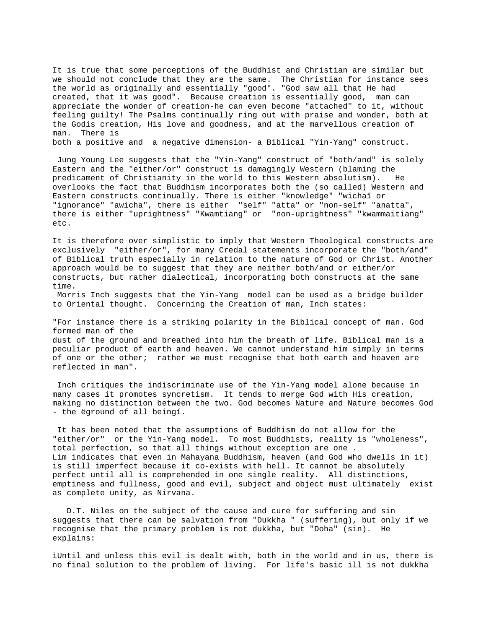It is true that some perceptions of the Buddhist and Christian are similar but we should not conclude that they are the same. The Christian for instance sees the world as originally and essentially "good". "God saw all that He had created, that it was good". Because creation is essentially good, man can appreciate the wonder of creation-he can even become "attached" to it, without feeling guilty! The Psalms continually ring out with praise and wonder, both at the Godís creation, His love and goodness, and at the marvellous creation of man. There is

both a positive and a negative dimension- a Biblical "Yin-Yang" construct.

 Jung Young Lee suggests that the "Yin-Yang" construct of "both/and" is solely Eastern and the "either/or" construct is damagingly Western (blaming the predicament of Christianity in the world to this Western absolutism). He overlooks the fact that Buddhism incorporates both the (so called) Western and Eastern constructs continually. There is either "knowledge" "wichaî or "ignorance" "awicha", there is either "self" "atta" or "non-self" "anatta", there is either "uprightness" "Kwamtiang" or "non-uprightness" "kwammaitiang" etc.

It is therefore over simplistic to imply that Western Theological constructs are exclusively "either/or", for many Credal statements incorporate the "both/and" of Biblical truth especially in relation to the nature of God or Christ. Another approach would be to suggest that they are neither both/and or either/or constructs, but rather dialectical, incorporating both constructs at the same time.

 Morris Inch suggests that the Yin-Yang model can be used as a bridge builder to Oriental thought. Concerning the Creation of man, Inch states:

"For instance there is a striking polarity in the Biblical concept of man. God formed man of the dust of the ground and breathed into him the breath of life. Biblical man is a peculiar product of earth and heaven. We cannot understand him simply in terms of one or the other; rather we must recognise that both earth and heaven are reflected in man".

 Inch critiques the indiscriminate use of the Yin-Yang model alone because in many cases it promotes syncretism. It tends to merge God with His creation, making no distinction between the two. God becomes Nature and Nature becomes God - the ëground of all beingí.

 It has been noted that the assumptions of Buddhism do not allow for the "either/or" or the Yin-Yang model. To most Buddhists, reality is "wholeness", total perfection, so that all things without exception are one . Lim indicates that even in Mahayana Buddhism, heaven (and God who dwells in it) is still imperfect because it co-exists with hell. It cannot be absolutely perfect until all is comprehended in one single reality. All distinctions, emptiness and fullness, good and evil, subject and object must ultimately exist as complete unity, as Nirvana.

 D.T. Niles on the subject of the cause and cure for suffering and sin suggests that there can be salvation from "Dukkha " (suffering), but only if we recognise that the primary problem is not dukkha, but "Doha" (sin). He explains:

ìUntil and unless this evil is dealt with, both in the world and in us, there is no final solution to the problem of living. For life's basic ill is not dukkha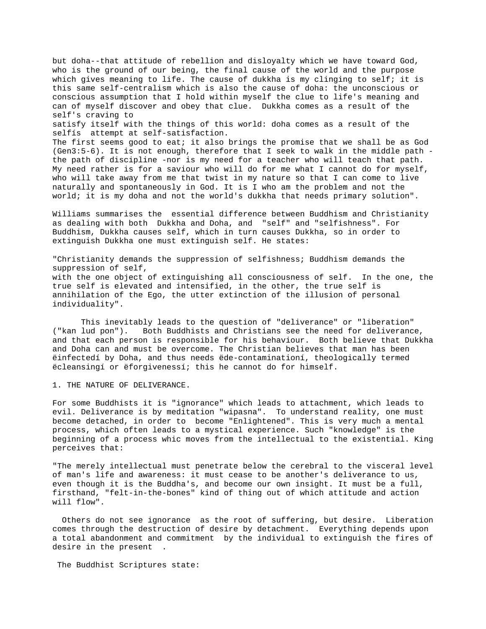but doha--that attitude of rebellion and disloyalty which we have toward God, who is the ground of our being, the final cause of the world and the purpose which gives meaning to life. The cause of dukkha is my clinging to self; it is this same self-centralism which is also the cause of doha: the unconscious or conscious assumption that I hold within myself the clue to life's meaning and can of myself discover and obey that clue. Dukkha comes as a result of the self's craving to satisfy itself with the things of this world: doha comes as a result of the selfís attempt at self-satisfaction. The first seems good to eat; it also brings the promise that we shall be as God (Gen3:5-6). It is not enough, therefore that I seek to walk in the middle path the path of discipline -nor is my need for a teacher who will teach that path. My need rather is for a saviour who will do for me what I cannot do for myself, who will take away from me that twist in my nature so that I can come to live naturally and spontaneously in God. It is I who am the problem and not the world; it is my doha and not the world's dukkha that needs primary solution".

Williams summarises the essential difference between Buddhism and Christianity as dealing with both Dukkha and Doha, and "self" and "selfishness". For Buddhism, Dukkha causes self, which in turn causes Dukkha, so in order to extinguish Dukkha one must extinguish self. He states:

"Christianity demands the suppression of selfishness; Buddhism demands the suppression of self, with the one object of extinguishing all consciousness of self. In the one, the true self is elevated and intensified, in the other, the true self is annihilation of the Ego, the utter extinction of the illusion of personal individuality".

This inevitably leads to the question of "deliverance" or "liberation" ("kan lud pon"). Both Buddhists and Christians see the need for deliverance, and that each person is responsible for his behaviour. Both believe that Dukkha and Doha can and must be overcome. The Christian believes that man has been ëinfectedí by Doha, and thus needs ëde-contaminationí, theologically termed ëcleansingí or ëforgivenessí; this he cannot do for himself.

1. THE NATURE OF DELIVERANCE.

For some Buddhists it is "ignorance" which leads to attachment, which leads to evil. Deliverance is by meditation "wipasna". To understand reality, one must become detached, in order to become "Enlightened". This is very much a mental process, which often leads to a mystical experience. Such "knowledge" is the beginning of a process whic moves from the intellectual to the existential. King perceives that:

"The merely intellectual must penetrate below the cerebral to the visceral level of man's life and awareness: it must cease to be another's deliverance to us, even though it is the Buddha's, and become our own insight. It must be a full, firsthand, "felt-in-the-bones" kind of thing out of which attitude and action will flow".

 Others do not see ignorance as the root of suffering, but desire. Liberation comes through the destruction of desire by detachment. Everything depends upon a total abandonment and commitment by the individual to extinguish the fires of desire in the present .

The Buddhist Scriptures state: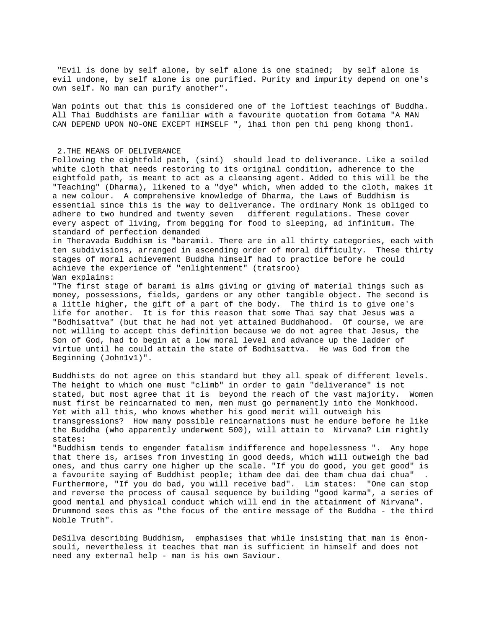"Evil is done by self alone, by self alone is one stained; by self alone is evil undone, by self alone is one purified. Purity and impurity depend on one's own self. No man can purify another".

Wan points out that this is considered one of the loftiest teachings of Buddha. All Thai Buddhists are familiar with a favourite quotation from Gotama "A MAN CAN DEPEND UPON NO-ONE EXCEPT HIMSELF ", ìhai thon pen thi peng khong thonî.

#### 2.THE MEANS OF DELIVERANCE

Following the eightfold path, (siní) should lead to deliverance. Like a soiled white cloth that needs restoring to its original condition, adherence to the eightfold path, is meant to act as a cleansing agent. Added to this will be the "Teaching" (Dharma), likened to a "dye" which, when added to the cloth, makes it a new colour. A comprehensive knowledge of Dharma, the Laws of Buddhism is essential since this is the way to deliverance. The ordinary Monk is obliged to adhere to two hundred and twenty seven different regulations. These cover every aspect of living, from begging for food to sleeping, ad infinitum. The standard of perfection demanded

in Theravada Buddhism is "baramiì. There are in all thirty categories, each with ten subdivisions, arranged in ascending order of moral difficulty. These thirty stages of moral achievement Buddha himself had to practice before he could achieve the experience of "enlightenment" (tratsroo) Wan explains:

"The first stage of barami is alms giving or giving of material things such as money, possessions, fields, gardens or any other tangible object. The second is a little higher, the gift of a part of the body. The third is to give one's life for another. It is for this reason that some Thai say that Jesus was a "Bodhisattva" (but that he had not yet attained Buddhahood. Of course, we are not willing to accept this definition because we do not agree that Jesus, the Son of God, had to begin at a low moral level and advance up the ladder of virtue until he could attain the state of Bodhisattva. He was God from the Beginning (John1v1)".

Buddhists do not agree on this standard but they all speak of different levels. The height to which one must "climb" in order to gain "deliverance" is not stated, but most agree that it is beyond the reach of the vast majority. Women must first be reincarnated to men, men must go permanently into the Monkhood. Yet with all this, who knows whether his good merit will outweigh his transgressions? How many possible reincarnations must he endure before he like the Buddha (who apparently underwent 500), will attain to Nirvana? Lim rightly states:

"Buddhism tends to engender fatalism indifference and hopelessness ". Any hope that there is, arises from investing in good deeds, which will outweigh the bad ones, and thus carry one higher up the scale. "If you do good, you get good" is a favourite saying of Buddhist people; ìtham dee dai dee tham chua dai chua" . Furthermore, "If you do bad, you will receive bad". Lim states: "One can stop and reverse the process of causal sequence by building "good karma", a series of good mental and physical conduct which will end in the attainment of Nirvana". Drummond sees this as "the focus of the entire message of the Buddha - the third Noble Truth".

DeSilva describing Buddhism, emphasises that while insisting that man is ënonsoulí, nevertheless it teaches that man is sufficient in himself and does not need any external help - man is his own Saviour.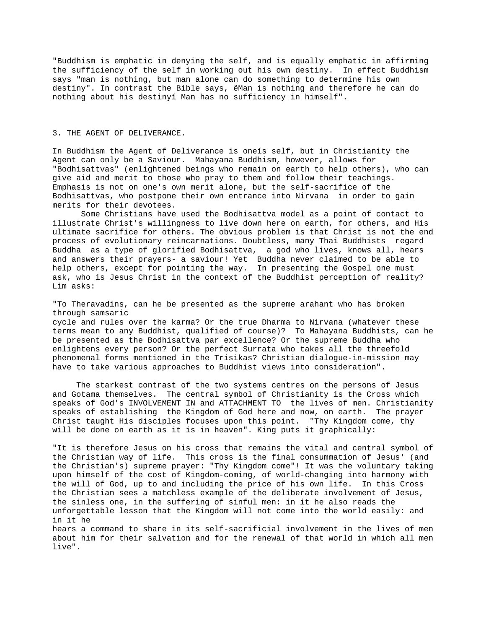"Buddhism is emphatic in denying the self, and is equally emphatic in affirming the sufficiency of the self in working out his own destiny. In effect Buddhism says "man is nothing, but man alone can do something to determine his own destiny". In contrast the Bible says, ëMan is nothing and therefore he can do nothing about his destinyí Man has no sufficiency in himself".

# 3. THE AGENT OF DELIVERANCE.

In Buddhism the Agent of Deliverance is oneís self, but in Christianity the Agent can only be a Saviour. Mahayana Buddhism, however, allows for "Bodhisattvas" (enlightened beings who remain on earth to help others), who can give aid and merit to those who pray to them and follow their teachings. Emphasis is not on one's own merit alone, but the self-sacrifice of the Bodhisattvas, who postpone their own entrance into Nirvana in order to gain merits for their devotees.

 Some Christians have used the Bodhisattva model as a point of contact to illustrate Christ's willingness to live down here on earth, for others, and His ultimate sacrifice for others. The obvious problem is that Christ is not the end process of evolutionary reincarnations. Doubtless, many Thai Buddhists regard Buddha as a type of glorified Bodhisattva, a god who lives, knows all, hears and answers their prayers- a saviour! Yet Buddha never claimed to be able to help others, except for pointing the way. In presenting the Gospel one must ask, who is Jesus Christ in the context of the Buddhist perception of reality? Lim asks:

"To Theravadins, can he be presented as the supreme arahant who has broken through samsaric

cycle and rules over the karma? Or the true Dharma to Nirvana (whatever these terms mean to any Buddhist, qualified of course)? To Mahayana Buddhists, can he be presented as the Bodhisattva par excellence? Or the supreme Buddha who enlightens every person? Or the perfect Surrata who takes all the threefold phenomenal forms mentioned in the Trisikas? Christian dialogue-in-mission may have to take various approaches to Buddhist views into consideration".

 The starkest contrast of the two systems centres on the persons of Jesus and Gotama themselves. The central symbol of Christianity is the Cross which speaks of God's INVOLVEMENT IN and ATTACHMENT TO the lives of men. Christianity speaks of establishing the Kingdom of God here and now, on earth. The prayer Christ taught His disciples focuses upon this point. "Thy Kingdom come, thy will be done on earth as it is in heaven". King puts it graphically:

"It is therefore Jesus on his cross that remains the vital and central symbol of the Christian way of life. This cross is the final consummation of Jesus' (and the Christian's) supreme prayer: "Thy Kingdom come"! It was the voluntary taking upon himself of the cost of Kingdom-coming, of world-changing into harmony with the will of God, up to and including the price of his own life. In this Cross the Christian sees a matchless example of the deliberate involvement of Jesus, the sinless one, in the suffering of sinful men: in it he also reads the unforgettable lesson that the Kingdom will not come into the world easily: and in it he

hears a command to share in its self-sacrificial involvement in the lives of men about him for their salvation and for the renewal of that world in which all men live".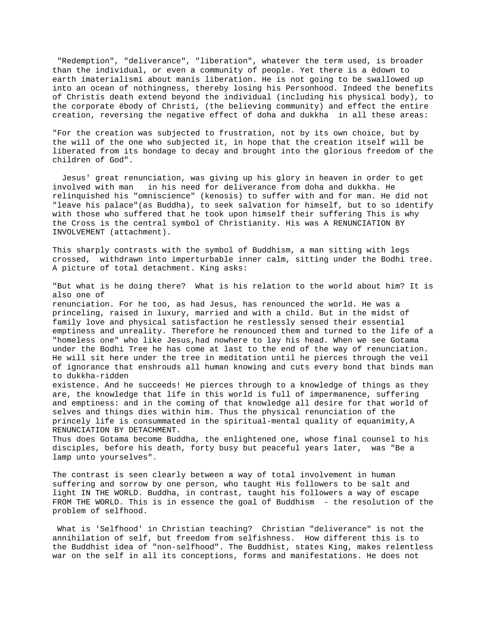"Redemption", "deliverance", "liberation", whatever the term used, is broader than the individual, or even a community of people. Yet there is a ëdown to earth ímaterialismí about manís liberation. He is not going to be swallowed up into an ocean of nothingness, thereby losing his Personhood. Indeed the benefits of Christís death extend beyond the individual (including his physical body), to the corporate ëbody of Christí, (the believing community) and effect the entire creation, reversing the negative effect of doha and dukkha in all these areas:

"For the creation was subjected to frustration, not by its own choice, but by the will of the one who subjected it, in hope that the creation itself will be liberated from its bondage to decay and brought into the glorious freedom of the children of God".

 Jesus' great renunciation, was giving up his glory in heaven in order to get involved with man in his need for deliverance from doha and dukkha. He relinquished his "omniscience" (kenosis) to suffer with and for man. He did not "leave his palace"(as Buddha), to seek salvation for himself, but to so identify with those who suffered that he took upon himself their suffering This is why the Cross is the central symbol of Christianity. His was A RENUNCIATION BY INVOLVEMENT (attachment).

This sharply contrasts with the symbol of Buddhism, a man sitting with legs crossed, withdrawn into imperturbable inner calm, sitting under the Bodhi tree. A picture of total detachment. King asks:

"But what is he doing there? What is his relation to the world about him? It is also one of renunciation. For he too, as had Jesus, has renounced the world. He was a princeling, raised in luxury, married and with a child. But in the midst of family love and physical satisfaction he restlessly sensed their essential emptiness and unreality. Therefore he renounced them and turned to the life of a "homeless one" who like Jesus,had nowhere to lay his head. When we see Gotama under the Bodhi Tree he has come at last to the end of the way of renunciation. He will sit here under the tree in meditation until he pierces through the veil of ignorance that enshrouds all human knowing and cuts every bond that binds man to dukkha-ridden existence. And he succeeds! He pierces through to a knowledge of things as they are, the knowledge that life in this world is full of impermanence, suffering and emptiness: and in the coming of that knowledge all desire for that world of selves and things dies within him. Thus the physical renunciation of the princely life is consummated in the spiritual-mental quality of equanimity,A RENUNCIATION BY DETACHMENT.

Thus does Gotama become Buddha, the enlightened one, whose final counsel to his disciples, before his death, forty busy but peaceful years later, was "Be a lamp unto yourselves".

The contrast is seen clearly between a way of total involvement in human suffering and sorrow by one person, who taught His followers to be salt and light IN THE WORLD. Buddha, in contrast, taught his followers a way of escape FROM THE WORLD. This is in essence the goal of Buddhism - the resolution of the problem of selfhood.

 What is 'Selfhood' in Christian teaching? Christian "deliverance" is not the annihilation of self, but freedom from selfishness. How different this is to the Buddhist idea of "non-selfhood". The Buddhist, states King, makes relentless war on the self in all its conceptions, forms and manifestations. He does not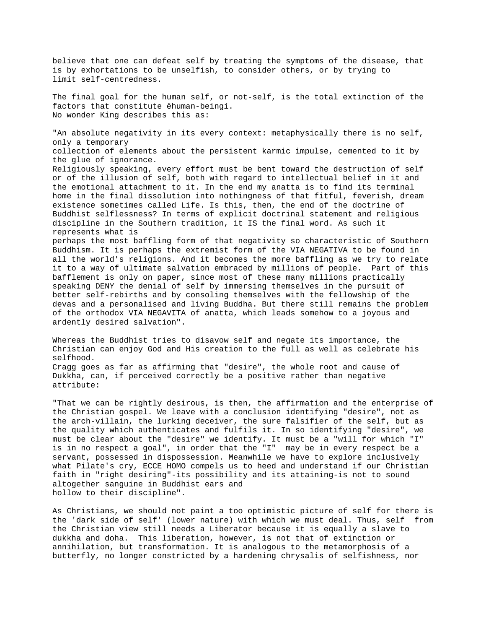believe that one can defeat self by treating the symptoms of the disease, that is by exhortations to be unselfish, to consider others, or by trying to limit self-centredness. The final goal for the human self, or not-self, is the total extinction of the factors that constitute ëhuman-beingí. No wonder King describes this as: "An absolute negativity in its every context: metaphysically there is no self, only a temporary collection of elements about the persistent karmic impulse, cemented to it by the glue of ignorance. Religiously speaking, every effort must be bent toward the destruction of self or of the illusion of self, both with regard to intellectual belief in it and the emotional attachment to it. In the end my anatta is to find its terminal home in the final dissolution into nothingness of that fitful, feverish, dream existence sometimes called Life. Is this, then, the end of the doctrine of Buddhist selflessness? In terms of explicit doctrinal statement and religious discipline in the Southern tradition, it IS the final word. As such it represents what is perhaps the most baffling form of that negativity so characteristic of Southern Buddhism. It is perhaps the extremist form of the VIA NEGATIVA to be found in all the world's religions. And it becomes the more baffling as we try to relate it to a way of ultimate salvation embraced by millions of people. Part of this bafflement is only on paper, since most of these many millions practically speaking DENY the denial of self by immersing themselves in the pursuit of better self-rebirths and by consoling themselves with the fellowship of the devas and a personalised and living Buddha. But there still remains the problem of the orthodox VIA NEGAVITA of anatta, which leads somehow to a joyous and ardently desired salvation". Whereas the Buddhist tries to disavow self and negate its importance, the

Christian can enjoy God and His creation to the full as well as celebrate his selfhood. Cragg goes as far as affirming that "desire", the whole root and cause of Dukkha, can, if perceived correctly be a positive rather than negative attribute:

"That we can be rightly desirous, is then, the affirmation and the enterprise of the Christian gospel. We leave with a conclusion identifying "desire", not as the arch-villain, the lurking deceiver, the sure falsifier of the self, but as the quality which authenticates and fulfils it. In so identifying "desire", we must be clear about the "desire" we identify. It must be a "will for which "I" is in no respect a goal", in order that the "I" may be in every respect be a servant, possessed in dispossession. Meanwhile we have to explore inclusively what Pilate's cry, ECCE HOMO compels us to heed and understand if our Christian faith in "right desiring"-its possibility and its attaining-is not to sound altogether sanguine in Buddhist ears and hollow to their discipline".

As Christians, we should not paint a too optimistic picture of self for there is the 'dark side of self' (lower nature) with which we must deal. Thus, self from the Christian view still needs a Liberator because it is equally a slave to dukkha and doha. This liberation, however, is not that of extinction or annihilation, but transformation. It is analogous to the metamorphosis of a butterfly, no longer constricted by a hardening chrysalis of selfishness, nor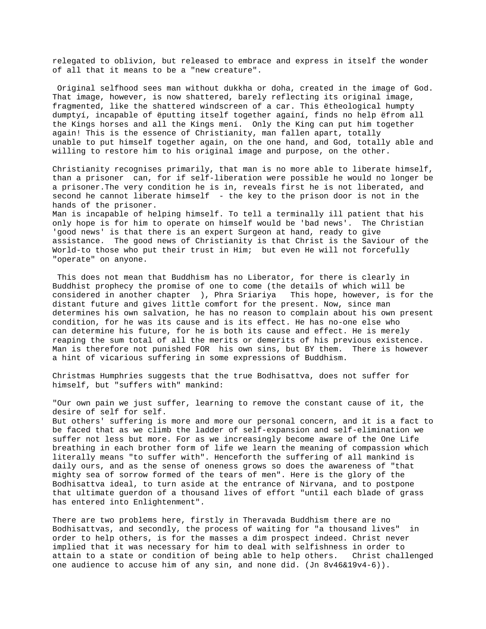relegated to oblivion, but released to embrace and express in itself the wonder of all that it means to be a "new creature".

 Original selfhood sees man without dukkha or doha, created in the image of God. That image, however, is now shattered, barely reflecting its original image, fragmented, like the shattered windscreen of a car. This ëtheological humpty dumptyí, incapable of ëputting itself together againí, finds no help ëfrom all the Kings horses and all the Kings mení. Only the King can put him together again! This is the essence of Christianity, man fallen apart, totally unable to put himself together again, on the one hand, and God, totally able and willing to restore him to his original image and purpose, on the other.

Christianity recognises primarily, that man is no more able to liberate himself, than a prisoner can, for if self-liberation were possible he would no longer be a prisoner.The very condition he is in, reveals first he is not liberated, and second he cannot liberate himself - the key to the prison door is not in the hands of the prisoner. Man is incapable of helping himself. To tell a terminally ill patient that his only hope is for him to operate on himself would be 'bad news'. The Christian 'good news' is that there is an expert Surgeon at hand, ready to give assistance. The good news of Christianity is that Christ is the Saviour of the World-to those who put their trust in Him; but even He will not forcefully

"operate" on anyone.

 This does not mean that Buddhism has no Liberator, for there is clearly in Buddhist prophecy the promise of one to come (the details of which will be considered in another chapter ), Phra Sriariya This hope, however, is for the distant future and gives little comfort for the present. Now, since man determines his own salvation, he has no reason to complain about his own present condition, for he was its cause and is its effect. He has no-one else who can determine his future, for he is both its cause and effect. He is merely reaping the sum total of all the merits or demerits of his previous existence. Man is therefore not punished FOR his own sins, but BY them. There is however a hint of vicarious suffering in some expressions of Buddhism.

Christmas Humphries suggests that the true Bodhisattva, does not suffer for himself, but "suffers with" mankind:

"Our own pain we just suffer, learning to remove the constant cause of it, the desire of self for self.

But others' suffering is more and more our personal concern, and it is a fact to be faced that as we climb the ladder of self-expansion and self-elimination we suffer not less but more. For as we increasingly become aware of the One Life breathing in each brother form of life we learn the meaning of compassion which literally means "to suffer with". Henceforth the suffering of all mankind is daily ours, and as the sense of oneness grows so does the awareness of "that mighty sea of sorrow formed of the tears of men". Here is the glory of the Bodhisattva ideal, to turn aside at the entrance of Nirvana, and to postpone that ultimate guerdon of a thousand lives of effort "until each blade of grass has entered into Enlightenment".

There are two problems here, firstly in Theravada Buddhism there are no Bodhisattvas, and secondly, the process of waiting for "a thousand lives" in order to help others, is for the masses a dim prospect indeed. Christ never implied that it was necessary for him to deal with selfishness in order to attain to a state or condition of being able to help others. Christ challenged one audience to accuse him of any sin, and none did. (Jn 8v46&19v4-6)).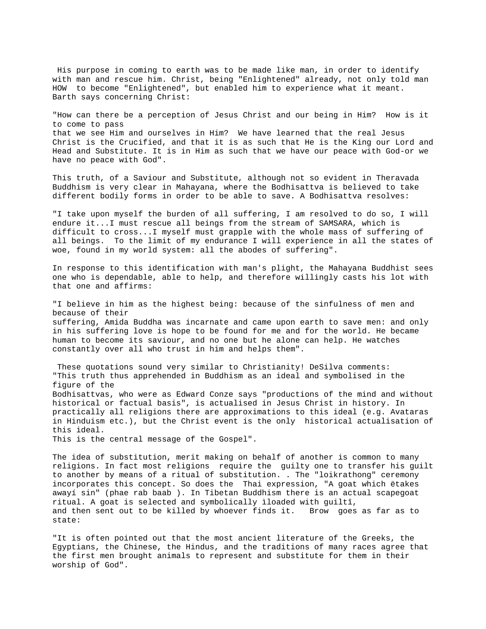His purpose in coming to earth was to be made like man, in order to identify with man and rescue him. Christ, being "Enlightened" already, not only told man HOW to become "Enlightened", but enabled him to experience what it meant. Barth says concerning Christ:

"How can there be a perception of Jesus Christ and our being in Him? How is it to come to pass that we see Him and ourselves in Him? We have learned that the real Jesus Christ is the Crucified, and that it is as such that He is the King our Lord and Head and Substitute. It is in Him as such that we have our peace with God-or we have no peace with God".

This truth, of a Saviour and Substitute, although not so evident in Theravada Buddhism is very clear in Mahayana, where the Bodhisattva is believed to take different bodily forms in order to be able to save. A Bodhisattva resolves:

"I take upon myself the burden of all suffering, I am resolved to do so, I will endure it...I must rescue all beings from the stream of SAMSARA, which is difficult to cross...I myself must grapple with the whole mass of suffering of all beings. To the limit of my endurance I will experience in all the states of woe, found in my world system: all the abodes of suffering".

In response to this identification with man's plight, the Mahayana Buddhist sees one who is dependable, able to help, and therefore willingly casts his lot with that one and affirms:

"I believe in him as the highest being: because of the sinfulness of men and because of their suffering, Amida Buddha was incarnate and came upon earth to save men: and only in his suffering love is hope to be found for me and for the world. He became human to become its saviour, and no one but he alone can help. He watches constantly over all who trust in him and helps them".

 These quotations sound very similar to Christianity! DeSilva comments: "This truth thus apprehended in Buddhism as an ideal and symbolised in the figure of the Bodhisattvas, who were as Edward Conze says "productions of the mind and without historical or factual basis", is actualised in Jesus Christ in history. In practically all religions there are approximations to this ideal (e.g. Avataras in Hinduism etc.), but the Christ event is the only historical actualisation of this ideal. This is the central message of the Gospel".

The idea of substitution, merit making on behalf of another is common to many religions. In fact most religions require the guilty one to transfer his guilt to another by means of a ritual of substitution. . The "loikrathong" ceremony incorporates this concept. So does the Thai expression, "A goat which ëtakes awayí sin" (phae rab baab ). In Tibetan Buddhism there is an actual scapegoat ritual. A goat is selected and symbolically ìloaded with guiltî, and then sent out to be killed by whoever finds it. Brow goes as far as to state:

"It is often pointed out that the most ancient literature of the Greeks, the Egyptians, the Chinese, the Hindus, and the traditions of many races agree that the first men brought animals to represent and substitute for them in their worship of God".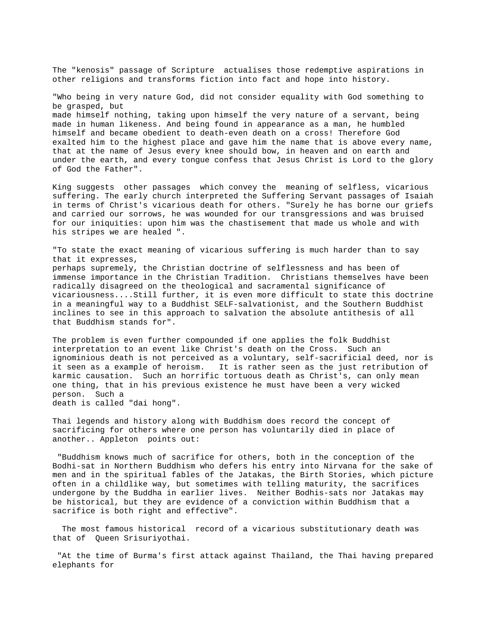The "kenosis" passage of Scripture actualises those redemptive aspirations in other religions and transforms fiction into fact and hope into history. "Who being in very nature God, did not consider equality with God something to be grasped, but made himself nothing, taking upon himself the very nature of a servant, being made in human likeness. And being found in appearance as a man, he humbled himself and became obedient to death-even death on a cross! Therefore God exalted him to the highest place and gave him the name that is above every name, that at the name of Jesus every knee should bow, in heaven and on earth and under the earth, and every tongue confess that Jesus Christ is Lord to the glory of God the Father".

King suggests other passages which convey the meaning of selfless, vicarious suffering. The early church interpreted the Suffering Servant passages of Isaiah in terms of Christ's vicarious death for others. "Surely he has borne our griefs and carried our sorrows, he was wounded for our transgressions and was bruised for our iniquities: upon him was the chastisement that made us whole and with his stripes we are healed ".

"To state the exact meaning of vicarious suffering is much harder than to say that it expresses, perhaps supremely, the Christian doctrine of selflessness and has been of immense importance in the Christian Tradition. Christians themselves have been radically disagreed on the theological and sacramental significance of vicariousness....Still further, it is even more difficult to state this doctrine in a meaningful way to a Buddhist SELF-salvationist, and the Southern Buddhist inclines to see in this approach to salvation the absolute antithesis of all that Buddhism stands for".

The problem is even further compounded if one applies the folk Buddhist interpretation to an event like Christ's death on the Cross. Such an ignominious death is not perceived as a voluntary, self-sacrificial deed, nor is it seen as a example of heroism. It is rather seen as the just retribution of karmic causation. Such an horrific tortuous death as Christ's, can only mean one thing, that in his previous existence he must have been a very wicked person. Such a death is called "dai hong".

Thai legends and history along with Buddhism does record the concept of sacrificing for others where one person has voluntarily died in place of another.. Appleton points out:

 "Buddhism knows much of sacrifice for others, both in the conception of the Bodhi-sat in Northern Buddhism who defers his entry into Nirvana for the sake of men and in the spiritual fables of the Jatakas, the Birth Stories, which picture often in a childlike way, but sometimes with telling maturity, the sacrifices undergone by the Buddha in earlier lives. Neither Bodhis-sats nor Jatakas may be historical, but they are evidence of a conviction within Buddhism that a sacrifice is both right and effective".

 The most famous historical record of a vicarious substitutionary death was that of Queen Srisuriyothai.

 "At the time of Burma's first attack against Thailand, the Thai having prepared elephants for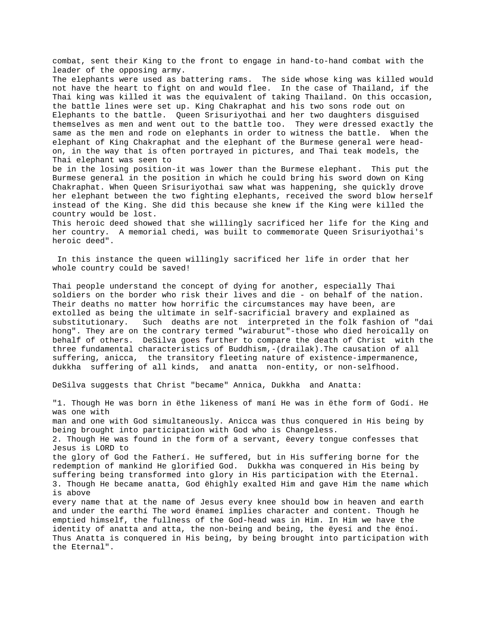combat, sent their King to the front to engage in hand-to-hand combat with the leader of the opposing army.

The elephants were used as battering rams. The side whose king was killed would not have the heart to fight on and would flee. In the case of Thailand, if the Thai king was killed it was the equivalent of taking Thailand. On this occasion, the battle lines were set up. King Chakraphat and his two sons rode out on Elephants to the battle. Queen Srisuriyothai and her two daughters disguised themselves as men and went out to the battle too. They were dressed exactly the same as the men and rode on elephants in order to witness the battle. When the elephant of King Chakraphat and the elephant of the Burmese general were headon, in the way that is often portrayed in pictures, and Thai teak models, the Thai elephant was seen to

be in the losing position-it was lower than the Burmese elephant. This put the Burmese general in the position in which he could bring his sword down on King Chakraphat. When Queen Srisuriyothai saw what was happening, she quickly drove her elephant between the two fighting elephants, received the sword blow herself instead of the King. She did this because she knew if the King were killed the country would be lost.

This heroic deed showed that she willingly sacrificed her life for the King and her country. A memorial chedi, was built to commemorate Queen Srisuriyothai's heroic deed".

 In this instance the queen willingly sacrificed her life in order that her whole country could be saved!

Thai people understand the concept of dying for another, especially Thai soldiers on the border who risk their lives and die - on behalf of the nation. Their deaths no matter how horrific the circumstances may have been, are extolled as being the ultimate in self-sacrificial bravery and explained as substitutionary. Such deaths are not interpreted in the folk fashion of "dai hong". They are on the contrary termed "wiraburut"-those who died heroically on behalf of others. DeSilva goes further to compare the death of Christ with the three fundamental characteristics of Buddhism,-(drailak).The causation of all suffering, anicca, the transitory fleeting nature of existence-impermanence, dukkha suffering of all kinds, and anatta non-entity, or non-selfhood.

DeSilva suggests that Christ "became" Annica, Dukkha and Anatta:

"1. Though He was born in ëthe likeness of maní He was in ëthe form of Godí. He was one with man and one with God simultaneously. Anicca was thus conquered in His being by being brought into participation with God who is Changeless. 2. Though He was found in the form of a servant, ëevery tongue confesses that Jesus is LORD to the glory of God the Fatherí. He suffered, but in His suffering borne for the redemption of mankind He glorified God. Dukkha was conquered in His being by suffering being transformed into glory in His participation with the Eternal. 3. Though He became anatta, God ëhighly exalted Him and gave Him the name which is above every name that at the name of Jesus every knee should bow in heaven and earth and under the earthí The word ënameí implies character and content. Though he emptied himself, the fullness of the God-head was in Him. In Him we have the identity of anatta and atta, the non-being and being, the ëyesí and the ënoí. Thus Anatta is conquered in His being, by being brought into participation with the Eternal".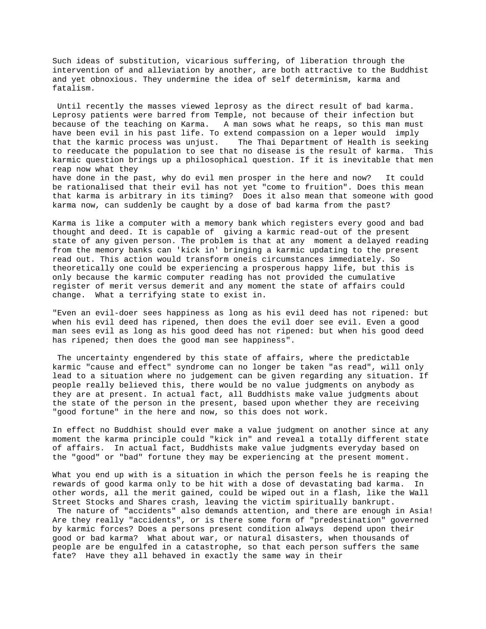Such ideas of substitution, vicarious suffering, of liberation through the intervention of and alleviation by another, are both attractive to the Buddhist and yet obnoxious. They undermine the idea of self determinism, karma and fatalism.

 Until recently the masses viewed leprosy as the direct result of bad karma. Leprosy patients were barred from Temple, not because of their infection but because of the teaching on Karma. A man sows what he reaps, so this man must have been evil in his past life. To extend compassion on a leper would imply that the karmic process was unjust. The Thai Department of Health is seeking to reeducate the population to see that no disease is the result of karma. This karmic question brings up a philosophical question. If it is inevitable that men reap now what they have done in the past, why do evil men prosper in the here and now? It could

be rationalised that their evil has not yet "come to fruition". Does this mean that karma is arbitrary in its timing? Does it also mean that someone with good karma now, can suddenly be caught by a dose of bad karma from the past?

Karma is like a computer with a memory bank which registers every good and bad thought and deed. It is capable of giving a karmic read-out of the present state of any given person. The problem is that at any moment a delayed reading from the memory banks can 'kick in' bringing a karmic updating to the present read out. This action would transform oneís circumstances immediately. So theoretically one could be experiencing a prosperous happy life, but this is only because the karmic computer reading has not provided the cumulative register of merit versus demerit and any moment the state of affairs could change. What a terrifying state to exist in.

"Even an evil-doer sees happiness as long as his evil deed has not ripened: but when his evil deed has ripened, then does the evil doer see evil. Even a good man sees evil as long as his good deed has not ripened: but when his good deed has ripened; then does the good man see happiness".

 The uncertainty engendered by this state of affairs, where the predictable karmic "cause and effect" syndrome can no longer be taken "as read", will only lead to a situation where no judgement can be given regarding any situation. If people really believed this, there would be no value judgments on anybody as they are at present. In actual fact, all Buddhists make value judgments about the state of the person in the present, based upon whether they are receiving "good fortune" in the here and now, so this does not work.

In effect no Buddhist should ever make a value judgment on another since at any moment the karma principle could "kick in" and reveal a totally different state of affairs. In actual fact, Buddhists make value judgments everyday based on the "good" or "bad" fortune they may be experiencing at the present moment.

What you end up with is a situation in which the person feels he is reaping the rewards of good karma only to be hit with a dose of devastating bad karma. In other words, all the merit gained, could be wiped out in a flash, like the Wall Street Stocks and Shares crash, leaving the victim spiritually bankrupt. The nature of "accidents" also demands attention, and there are enough in Asia! Are they really "accidents", or is there some form of "predestination" governed by karmic forces? Does a persons present condition always depend upon their good or bad karma? What about war, or natural disasters, when thousands of people are be engulfed in a catastrophe, so that each person suffers the same fate? Have they all behaved in exactly the same way in their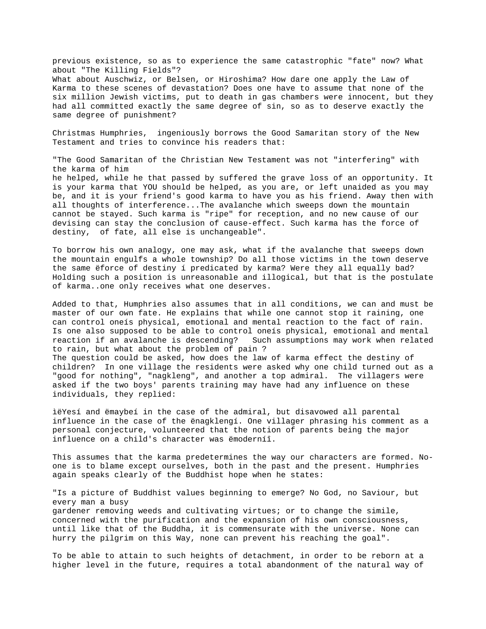previous existence, so as to experience the same catastrophic "fate" now? What about "The Killing Fields"? What about Auschwiz, or Belsen, or Hiroshima? How dare one apply the Law of Karma to these scenes of devastation? Does one have to assume that none of the six million Jewish victims, put to death in gas chambers were innocent, but they had all committed exactly the same degree of sin, so as to deserve exactly the same degree of punishment?

Christmas Humphries, ingeniously borrows the Good Samaritan story of the New Testament and tries to convince his readers that:

"The Good Samaritan of the Christian New Testament was not "interfering" with the karma of him he helped, while he that passed by suffered the grave loss of an opportunity. It is your karma that YOU should be helped, as you are, or left unaided as you may be, and it is your friend's good karma to have you as his friend. Away then with all thoughts of interference...The avalanche which sweeps down the mountain cannot be stayed. Such karma is "ripe" for reception, and no new cause of our devising can stay the conclusion of cause-effect. Such karma has the force of destiny, of fate, all else is unchangeable".

To borrow his own analogy, one may ask, what if the avalanche that sweeps down the mountain engulfs a whole township? Do all those victims in the town deserve the same ëforce of destiny í predicated by karma? Were they all equally bad? Holding such a position is unreasonable and illogical, but that is the postulate of karma..one only receives what one deserves.

Added to that, Humphries also assumes that in all conditions, we can and must be master of our own fate. He explains that while one cannot stop it raining, one can control oneís physical, emotional and mental reaction to the fact of rain. Is one also supposed to be able to control oneís physical, emotional and mental reaction if an avalanche is descending? Such assumptions may work when related to rain, but what about the problem of pain ? The question could be asked, how does the law of karma effect the destiny of children? In one village the residents were asked why one child turned out as a "good for nothing", "nagkleng", and another a top admiral. The villagers were asked if the two boys' parents training may have had any influence on these individuals, they replied:

ìëYesí and ëmaybeí in the case of the admiral, but disavowed all parental influence in the case of the ënagklengí. One villager phrasing his comment as a personal conjecture, volunteered that the notion of parents being the major influence on a child's character was ëmoderníî.

This assumes that the karma predetermines the way our characters are formed. Noone is to blame except ourselves, both in the past and the present. Humphries again speaks clearly of the Buddhist hope when he states:

"Is a picture of Buddhist values beginning to emerge? No God, no Saviour, but every man a busy gardener removing weeds and cultivating virtues; or to change the simile, concerned with the purification and the expansion of his own consciousness, until like that of the Buddha, it is commensurate with the universe. None can hurry the pilgrim on this Way, none can prevent his reaching the goal".

To be able to attain to such heights of detachment, in order to be reborn at a higher level in the future, requires a total abandonment of the natural way of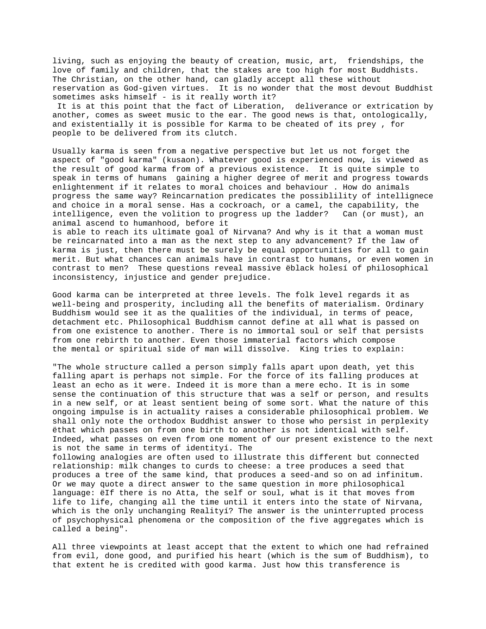living, such as enjoying the beauty of creation, music, art, friendships, the love of family and children, that the stakes are too high for most Buddhists. The Christian, on the other hand, can gladly accept all these without reservation as God-given virtues. It is no wonder that the most devout Buddhist sometimes asks himself - is it really worth it? It is at this point that the fact of Liberation, deliverance or extrication by another, comes as sweet music to the ear. The good news is that, ontologically, and existentially it is possible for Karma to be cheated of its prey , for people to be delivered from its clutch.

Usually karma is seen from a negative perspective but let us not forget the aspect of "good karma" (kusaon). Whatever good is experienced now, is viewed as the result of good karma from of a previous existence. It is quite simple to speak in terms of humans gaining a higher degree of merit and progress towards enlightenment if it relates to moral choices and behaviour . How do animals progress the same way? Reincarnation predicates the possiblility of intellignece and choice in a moral sense. Has a cockroach, or a camel, the capability, the intelligence, even the volition to progress up the ladder? Can (or must), an animal ascend to humanhood, before it

is able to reach its ultimate goal of Nirvana? And why is it that a woman must be reincarnated into a man as the next step to any advancement? If the law of karma is just, then there must be surely be equal opportunities for all to gain merit. But what chances can animals have in contrast to humans, or even women in contrast to men? These questions reveal massive ëblack holesí of philosophical inconsistency, injustice and gender prejudice.

Good karma can be interpreted at three levels. The folk level regards it as well-being and prosperity, including all the benefits of materialism. Ordinary Buddhism would see it as the qualities of the individual, in terms of peace, detachment etc. Philosophical Buddhism cannot define at all what is passed on from one existence to another. There is no immortal soul or self that persists from one rebirth to another. Even those immaterial factors which compose the mental or spiritual side of man will dissolve. King tries to explain:

"The whole structure called a person simply falls apart upon death, yet this falling apart is perhaps not simple. For the force of its falling produces at least an echo as it were. Indeed it is more than a mere echo. It is in some sense the continuation of this structure that was a self or person, and results in a new self, or at least sentient being of some sort. What the nature of this ongoing impulse is in actuality raises a considerable philosophical problem. We shall only note the orthodox Buddhist answer to those who persist in perplexity ëthat which passes on from one birth to another is not identical with self. Indeed, what passes on even from one moment of our present existence to the next is not the same in terms of identityí. The

following analogies are often used to illustrate this different but connected relationship: milk changes to curds to cheese: a tree produces a seed that produces a tree of the same kind, that produces a seed-and so on ad infinitum. Or we may quote a direct answer to the same question in more philosophical language: ëIf there is no Atta, the self or soul, what is it that moves from life to life, changing all the time until it enters into the state of Nirvana, which is the only unchanging Realityí? The answer is the uninterrupted process of psychophysical phenomena or the composition of the five aggregates which is called a being".

All three viewpoints at least accept that the extent to which one had refrained from evil, done good, and purified his heart (which is the sum of Buddhism), to that extent he is credited with good karma. Just how this transference is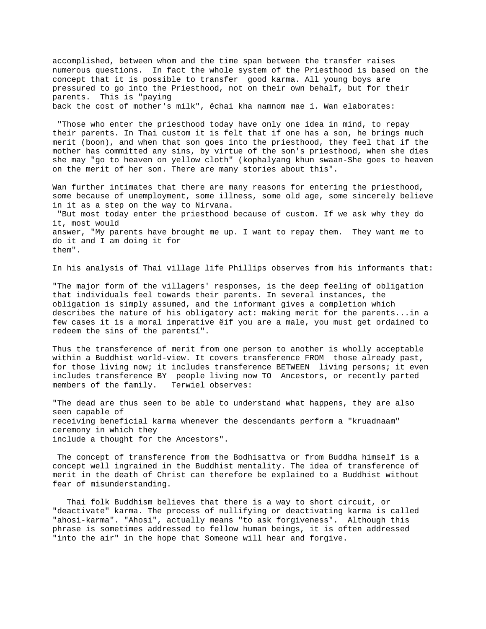accomplished, between whom and the time span between the transfer raises numerous questions. In fact the whole system of the Priesthood is based on the concept that it is possible to transfer good karma. All young boys are pressured to go into the Priesthood, not on their own behalf, but for their parents. This is "paying back the cost of mother's milk", ëchai kha namnom mae í. Wan elaborates:

 "Those who enter the priesthood today have only one idea in mind, to repay their parents. In Thai custom it is felt that if one has a son, he brings much merit (boon), and when that son goes into the priesthood, they feel that if the mother has committed any sins, by virtue of the son's priesthood, when she dies she may "go to heaven on yellow cloth" (kophalyang khun swaan-She goes to heaven on the merit of her son. There are many stories about this".

Wan further intimates that there are many reasons for entering the priesthood, some because of unemployment, some illness, some old age, some sincerely believe in it as a step on the way to Nirvana. "But most today enter the priesthood because of custom. If we ask why they do it, most would answer, "My parents have brought me up. I want to repay them. They want me to do it and I am doing it for them".

In his analysis of Thai village life Phillips observes from his informants that:

"The major form of the villagers' responses, is the deep feeling of obligation that individuals feel towards their parents. In several instances, the obligation is simply assumed, and the informant gives a completion which describes the nature of his obligatory act: making merit for the parents...in a few cases it is a moral imperative ëif you are a male, you must get ordained to redeem the sins of the parentsí".

Thus the transference of merit from one person to another is wholly acceptable within a Buddhist world-view. It covers transference FROM those already past, for those living now; it includes transference BETWEEN living persons; it even includes transference BY people living now TO Ancestors, or recently parted members of the family. Terwiel observes:

"The dead are thus seen to be able to understand what happens, they are also seen capable of receiving beneficial karma whenever the descendants perform a "kruadnaam" ceremony in which they include a thought for the Ancestors".

 The concept of transference from the Bodhisattva or from Buddha himself is a concept well ingrained in the Buddhist mentality. The idea of transference of merit in the death of Christ can therefore be explained to a Buddhist without fear of misunderstanding.

 Thai folk Buddhism believes that there is a way to short circuit, or "deactivate" karma. The process of nullifying or deactivating karma is called "ahosi-karma". "Ahosi", actually means "to ask forgiveness". Although this phrase is sometimes addressed to fellow human beings, it is often addressed "into the air" in the hope that Someone will hear and forgive.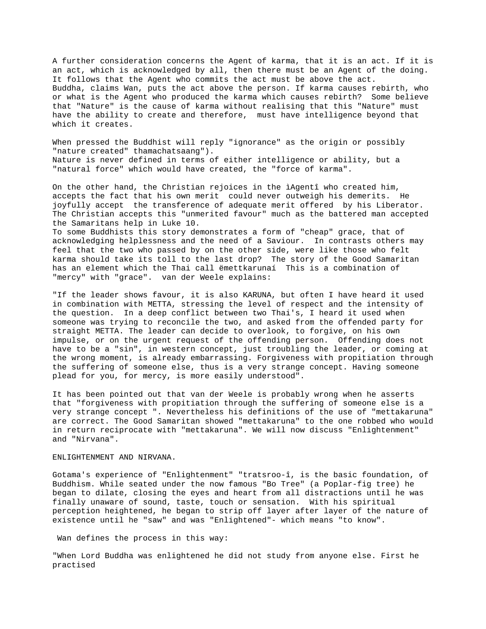A further consideration concerns the Agent of karma, that it is an act. If it is an act, which is acknowledged by all, then there must be an Agent of the doing. It follows that the Agent who commits the act must be above the act. Buddha, claims Wan, puts the act above the person. If karma causes rebirth, who or what is the Agent who produced the karma which causes rebirth? Some believe that "Nature" is the cause of karma without realising that this "Nature" must have the ability to create and therefore, must have intelligence beyond that which it creates.

When pressed the Buddhist will reply "ignorance" as the origin or possibly "nature created" thamachatsaang"). Nature is never defined in terms of either intelligence or ability, but a "natural force" which would have created, the "force of karma".

On the other hand, the Christian rejoices in the ìAgentî who created him, accepts the fact that his own merit could never outweigh his demerits. He joyfully accept the transference of adequate merit offered by his Liberator. The Christian accepts this "unmerited favour" much as the battered man accepted the Samaritans help in Luke 10. To some Buddhists this story demonstrates a form of "cheap" grace, that of acknowledging helplessness and the need of a Saviour. In contrasts others may

feel that the two who passed by on the other side, were like those who felt karma should take its toll to the last drop? The story of the Good Samaritan has an element which the Thai call ëmettkarunaí This is a combination of "mercy" with "grace". van der Weele explains:

"If the leader shows favour, it is also KARUNA, but often I have heard it used in combination with METTA, stressing the level of respect and the intensity of the question. In a deep conflict between two Thai's, I heard it used when someone was trying to reconcile the two, and asked from the offended party for straight METTA. The leader can decide to overlook, to forgive, on his own impulse, or on the urgent request of the offending person. Offending does not have to be a "sin", in western concept, just troubling the leader, or coming at the wrong moment, is already embarrassing. Forgiveness with propitiation through the suffering of someone else, thus is a very strange concept. Having someone plead for you, for mercy, is more easily understood".

It has been pointed out that van der Weele is probably wrong when he asserts that "forgiveness with propitiation through the suffering of someone else is a very strange concept ". Nevertheless his definitions of the use of "mettakaruna" are correct. The Good Samaritan showed "mettakaruna" to the one robbed who would in return reciprocate with "mettakaruna". We will now discuss "Enlightenment" and "Nirvana".

## ENLIGHTENMENT AND NIRVANA.

Gotama's experience of "Enlightenment" "tratsroo-î, is the basic foundation, of Buddhism. While seated under the now famous "Bo Tree" (a Poplar-fig tree) he began to dilate, closing the eyes and heart from all distractions until he was finally unaware of sound, taste, touch or sensation. With his spiritual perception heightened, he began to strip off layer after layer of the nature of existence until he "saw" and was "Enlightened"- which means "to know".

Wan defines the process in this way:

"When Lord Buddha was enlightened he did not study from anyone else. First he practised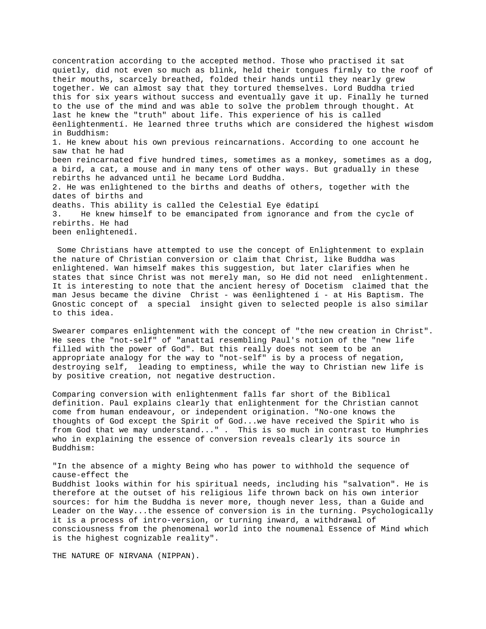concentration according to the accepted method. Those who practised it sat quietly, did not even so much as blink, held their tongues firmly to the roof of their mouths, scarcely breathed, folded their hands until they nearly grew together. We can almost say that they tortured themselves. Lord Buddha tried this for six years without success and eventually gave it up. Finally he turned to the use of the mind and was able to solve the problem through thought. At last he knew the "truth" about life. This experience of his is called ëenlightenmentí. He learned three truths which are considered the highest wisdom in Buddhism: 1. He knew about his own previous reincarnations. According to one account he saw that he had been reincarnated five hundred times, sometimes as a monkey, sometimes as a dog, a bird, a cat, a mouse and in many tens of other ways. But gradually in these rebirths he advanced until he became Lord Buddha. 2. He was enlightened to the births and deaths of others, together with the dates of births and deaths. This ability is called the Celestial Eye ëdatipí 3. He knew himself to be emancipated from ignorance and from the cycle of rebirths. He had been enlightenedî.

 Some Christians have attempted to use the concept of Enlightenment to explain the nature of Christian conversion or claim that Christ, like Buddha was enlightened. Wan himself makes this suggestion, but later clarifies when he states that since Christ was not merely man, so He did not need enlightenment. It is interesting to note that the ancient heresy of Docetism claimed that the man Jesus became the divine Christ - was ëenlightened í - at His Baptism. The Gnostic concept of a special insight given to selected people is also similar to this idea.

Swearer compares enlightenment with the concept of "the new creation in Christ". He sees the "not-self" of "anattaî resembling Paul's notion of the "new life filled with the power of God". But this really does not seem to be an appropriate analogy for the way to "not-self" is by a process of negation, destroying self, leading to emptiness, while the way to Christian new life is by positive creation, not negative destruction.

Comparing conversion with enlightenment falls far short of the Biblical definition. Paul explains clearly that enlightenment for the Christian cannot come from human endeavour, or independent origination. "No-one knows the thoughts of God except the Spirit of God...we have received the Spirit who is from God that we may understand..." . This is so much in contrast to Humphries who in explaining the essence of conversion reveals clearly its source in Buddhism:

"In the absence of a mighty Being who has power to withhold the sequence of cause-effect the Buddhist looks within for his spiritual needs, including his "salvation". He is therefore at the outset of his religious life thrown back on his own interior sources: for him the Buddha is never more, though never less, than a Guide and Leader on the Way...the essence of conversion is in the turning. Psychologically it is a process of intro-version, or turning inward, a withdrawal of consciousness from the phenomenal world into the noumenal Essence of Mind which is the highest cognizable reality".

THE NATURE OF NIRVANA (NIPPAN).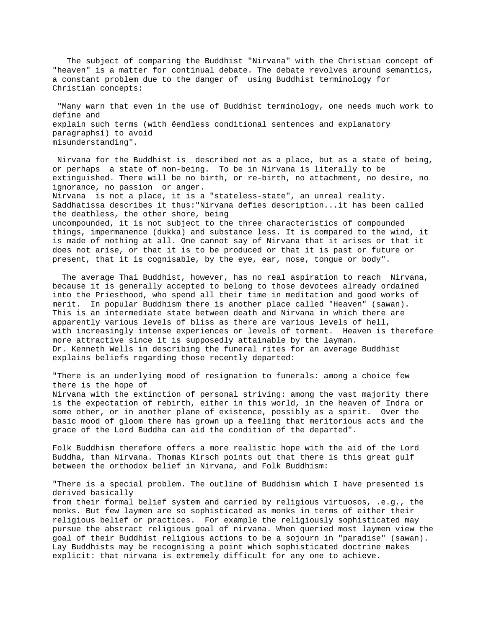The subject of comparing the Buddhist "Nirvana" with the Christian concept of "heaven" is a matter for continual debate. The debate revolves around semantics, a constant problem due to the danger of using Buddhist terminology for Christian concepts:

 "Many warn that even in the use of Buddhist terminology, one needs much work to define and explain such terms (with ëendless conditional sentences and explanatory paragraphsí) to avoid misunderstanding".

 Nirvana for the Buddhist is described not as a place, but as a state of being, or perhaps a state of non-being. To be in Nirvana is literally to be extinguished. There will be no birth, or re-birth, no attachment, no desire, no ignorance, no passion or anger. Nirvana is not a place, it is a "stateless-state", an unreal reality. Saddhatissa describes it thus:"Nirvana defies description...it has been called the deathless, the other shore, being uncompounded, it is not subject to the three characteristics of compounded things, impermanence (dukka) and substance less. It is compared to the wind, it is made of nothing at all. One cannot say of Nirvana that it arises or that it does not arise, or that it is to be produced or that it is past or future or present, that it is cognisable, by the eye, ear, nose, tongue or body".

 The average Thai Buddhist, however, has no real aspiration to reach Nirvana, because it is generally accepted to belong to those devotees already ordained into the Priesthood, who spend all their time in meditation and good works of merit. In popular Buddhism there is another place called "Heaven" (sawan). This is an intermediate state between death and Nirvana in which there are apparently various levels of bliss as there are various levels of hell, with increasingly intense experiences or levels of torment. Heaven is therefore more attractive since it is supposedly attainable by the layman. Dr. Kenneth Wells in describing the funeral rites for an average Buddhist explains beliefs regarding those recently departed:

"There is an underlying mood of resignation to funerals: among a choice few there is the hope of

Nirvana with the extinction of personal striving: among the vast majority there is the expectation of rebirth, either in this world, in the heaven of Indra or some other, or in another plane of existence, possibly as a spirit. Over the basic mood of gloom there has grown up a feeling that meritorious acts and the grace of the Lord Buddha can aid the condition of the departed".

Folk Buddhism therefore offers a more realistic hope with the aid of the Lord Buddha, than Nirvana. Thomas Kirsch points out that there is this great gulf between the orthodox belief in Nirvana, and Folk Buddhism:

"There is a special problem. The outline of Buddhism which I have presented is derived basically

from their formal belief system and carried by religious virtuosos, .e.g., the monks. But few laymen are so sophisticated as monks in terms of either their religious belief or practices. For example the religiously sophisticated may pursue the abstract religious goal of nirvana. When queried most laymen view the goal of their Buddhist religious actions to be a sojourn in "paradise" (sawan). Lay Buddhists may be recognising a point which sophisticated doctrine makes explicit: that nirvana is extremely difficult for any one to achieve.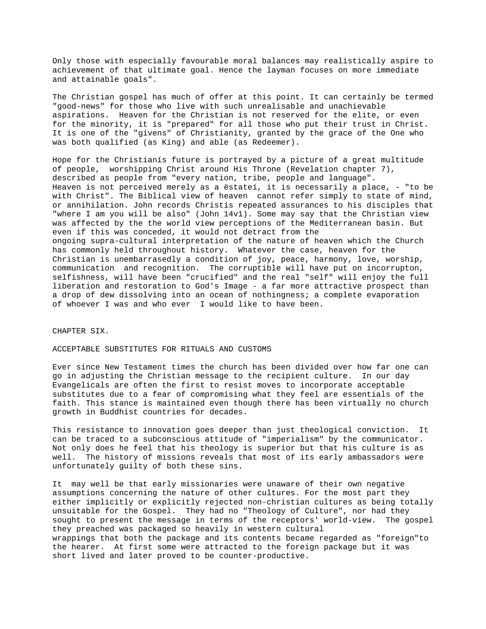Only those with especially favourable moral balances may realistically aspire to achievement of that ultimate goal. Hence the layman focuses on more immediate and attainable goals".

The Christian gospel has much of offer at this point. It can certainly be termed "good-news" for those who live with such unrealisable and unachievable aspirations. Heaven for the Christian is not reserved for the elite, or even for the minority, it is "prepared" for all those who put their trust in Christ. It is one of the "givens" of Christianity, granted by the grace of the One who was both qualified (as King) and able (as Redeemer).

Hope for the Christianís future is portrayed by a picture of a great multitude of people, worshipping Christ around His Throne (Revelation chapter 7), described as people from "every nation, tribe, people and language". Heaven is not perceived merely as a ëstateí, it is necessarily a place, - "to be with Christ". The Biblical view of heaven cannot refer simply to state of mind, or annihilation. John records Christís repeated assurances to his disciples that "where I am you will be also" (John 14v1). Some may say that the Christian view was affected by the the world view perceptions of the Mediterranean basin. But even if this was conceded, it would not detract from the ongoing supra-cultural interpretation of the nature of heaven which the Church has commonly held throughout history. Whatever the case, heaven for the Christian is unembarrasedly a condition of joy, peace, harmony, love, worship, communication and recognition. The corruptible will have put on incorrupton, selfishness, will have been "crucified" and the real "self" will enjoy the full liberation and restoration to God's Image - a far more attractive prospect than a drop of dew dissolving into an ocean of nothingness; a complete evaporation of whoever I was and who ever I would like to have been.

CHAPTER SIX.

ACCEPTABLE SUBSTITUTES FOR RITUALS AND CUSTOMS

Ever since New Testament times the church has been divided over how far one can go in adjusting the Christian message to the recipient culture. In our day Evangelicals are often the first to resist moves to incorporate acceptable substitutes due to a fear of compromising what they feel are essentials of the faith. This stance is maintained even though there has been virtually no church growth in Buddhist countries for decades.

This resistance to innovation goes deeper than just theological conviction. It can be traced to a subconscious attitude of "imperialism" by the communicator. Not only does he feel that his theology is superior but that his culture is as well. The history of missions reveals that most of its early ambassadors were unfortunately guilty of both these sins.

It may well be that early missionaries were unaware of their own negative assumptions concerning the nature of other cultures. For the most part they either implicitly or explicitly rejected non-christian cultures as being totally unsuitable for the Gospel. They had no "Theology of Culture", nor had they sought to present the message in terms of the receptors' world-view. The gospel they preached was packaged so heavily in western cultural wrappings that both the package and its contents became regarded as "foreign"to the hearer. At first some were attracted to the foreign package but it was short lived and later proved to be counter-productive.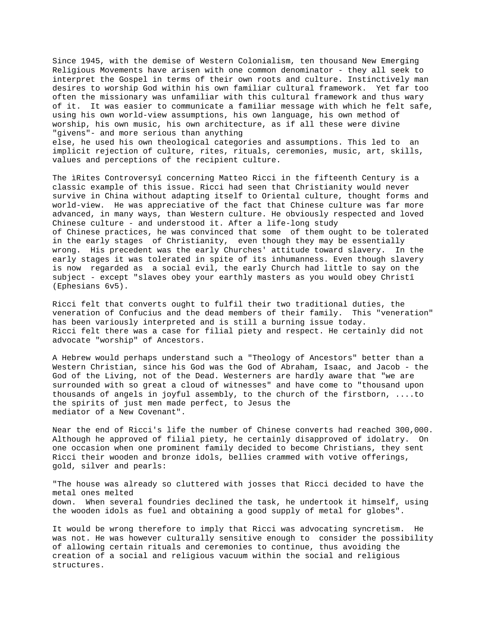Since 1945, with the demise of Western Colonialism, ten thousand New Emerging Religious Movements have arisen with one common denominator - they all seek to interpret the Gospel in terms of their own roots and culture. Instinctively man desires to worship God within his own familiar cultural framework. Yet far too often the missionary was unfamiliar with this cultural framework and thus wary of it. It was easier to communicate a familiar message with which he felt safe, using his own world-view assumptions, his own language, his own method of worship, his own music, his own architecture, as if all these were divine "givens"- and more serious than anything else, he used his own theological categories and assumptions. This led to an implicit rejection of culture, rites, rituals, ceremonies, music, art, skills, values and perceptions of the recipient culture.

The ìRites Controversyî concerning Matteo Ricci in the fifteenth Century is a classic example of this issue. Ricci had seen that Christianity would never survive in China without adapting itself to Oriental culture, thought forms and world-view. He was appreciative of the fact that Chinese culture was far more advanced, in many ways, than Western culture. He obviously respected and loved Chinese culture - and understood it. After a life-long study of Chinese practices, he was convinced that some of them ought to be tolerated in the early stages of Christianity, even though they may be essentially wrong. His precedent was the early Churches' attitude toward slavery. In the early stages it was tolerated in spite of its inhumanness. Even though slavery is now regarded as a social evil, the early Church had little to say on the subject - except "slaves obey your earthly masters as you would obey Christî (Ephesians 6v5).

Ricci felt that converts ought to fulfil their two traditional duties, the veneration of Confucius and the dead members of their family. This "veneration" has been variously interpreted and is still a burning issue today. Ricci felt there was a case for filial piety and respect. He certainly did not advocate "worship" of Ancestors.

A Hebrew would perhaps understand such a "Theology of Ancestors" better than a Western Christian, since his God was the God of Abraham, Isaac, and Jacob - the God of the Living, not of the Dead. Westerners are hardly aware that "we are surrounded with so great a cloud of witnesses" and have come to "thousand upon thousands of angels in joyful assembly, to the church of the firstborn, ....to the spirits of just men made perfect, to Jesus the mediator of a New Covenant".

Near the end of Ricci's life the number of Chinese converts had reached 300,000. Although he approved of filial piety, he certainly disapproved of idolatry. On one occasion when one prominent family decided to become Christians, they sent Ricci their wooden and bronze idols, bellies crammed with votive offerings, gold, silver and pearls:

"The house was already so cluttered with josses that Ricci decided to have the metal ones melted down. When several foundries declined the task, he undertook it himself, using the wooden idols as fuel and obtaining a good supply of metal for globes".

It would be wrong therefore to imply that Ricci was advocating syncretism. He was not. He was however culturally sensitive enough to consider the possibility of allowing certain rituals and ceremonies to continue, thus avoiding the creation of a social and religious vacuum within the social and religious structures.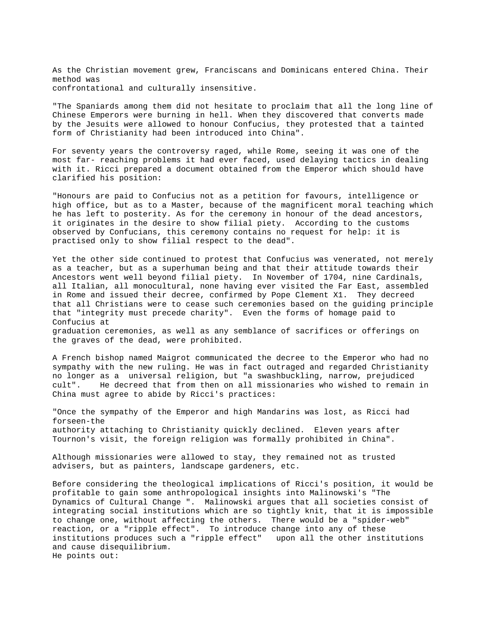As the Christian movement grew, Franciscans and Dominicans entered China. Their method was confrontational and culturally insensitive.

"The Spaniards among them did not hesitate to proclaim that all the long line of Chinese Emperors were burning in hell. When they discovered that converts made by the Jesuits were allowed to honour Confucius, they protested that a tainted form of Christianity had been introduced into China".

For seventy years the controversy raged, while Rome, seeing it was one of the most far- reaching problems it had ever faced, used delaying tactics in dealing with it. Ricci prepared a document obtained from the Emperor which should have clarified his position:

"Honours are paid to Confucius not as a petition for favours, intelligence or high office, but as to a Master, because of the magnificent moral teaching which he has left to posterity. As for the ceremony in honour of the dead ancestors, it originates in the desire to show filial piety. According to the customs observed by Confucians, this ceremony contains no request for help: it is practised only to show filial respect to the dead".

Yet the other side continued to protest that Confucius was venerated, not merely as a teacher, but as a superhuman being and that their attitude towards their Ancestors went well beyond filial piety. In November of 1704, nine Cardinals, all Italian, all monocultural, none having ever visited the Far East, assembled in Rome and issued their decree, confirmed by Pope Clement X1. They decreed that all Christians were to cease such ceremonies based on the guiding principle that "integrity must precede charity". Even the forms of homage paid to Confucius at graduation ceremonies, as well as any semblance of sacrifices or offerings on the graves of the dead, were prohibited.

A French bishop named Maigrot communicated the decree to the Emperor who had no sympathy with the new ruling. He was in fact outraged and regarded Christianity no longer as a universal religion, but "a swashbuckling, narrow, prejudiced cult". He decreed that from then on all missionaries who wished to remain in China must agree to abide by Ricci's practices:

"Once the sympathy of the Emperor and high Mandarins was lost, as Ricci had forseen-the authority attaching to Christianity quickly declined. Eleven years after Tournon's visit, the foreign religion was formally prohibited in China".

Although missionaries were allowed to stay, they remained not as trusted advisers, but as painters, landscape gardeners, etc.

Before considering the theological implications of Ricci's position, it would be profitable to gain some anthropological insights into Malinowski's "The Dynamics of Cultural Change ". Malinowski argues that all societies consist of integrating social institutions which are so tightly knit, that it is impossible to change one, without affecting the others. There would be a "spider-web" reaction, or a "ripple effect". To introduce change into any of these institutions produces such a "ripple effect" upon all the other institutions and cause disequilibrium. He points out: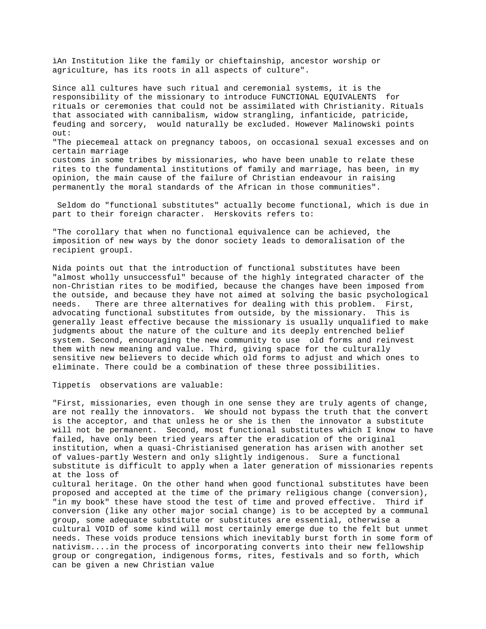ìAn Institution like the family or chieftainship, ancestor worship or agriculture, has its roots in all aspects of culture".

Since all cultures have such ritual and ceremonial systems, it is the responsibility of the missionary to introduce FUNCTIONAL EQUIVALENTS for rituals or ceremonies that could not be assimilated with Christianity. Rituals that associated with cannibalism, widow strangling, infanticide, patricide, feuding and sorcery, would naturally be excluded. However Malinowski points out: "The piecemeal attack on pregnancy taboos, on occasional sexual excesses and on certain marriage customs in some tribes by missionaries, who have been unable to relate these rites to the fundamental institutions of family and marriage, has been, in my opinion, the main cause of the failure of Christian endeavour in raising permanently the moral standards of the African in those communities".

 Seldom do "functional substitutes" actually become functional, which is due in part to their foreign character. Herskovits refers to:

"The corollary that when no functional equivalence can be achieved, the imposition of new ways by the donor society leads to demoralisation of the recipient groupî.

Nida points out that the introduction of functional substitutes have been "almost wholly unsuccessful" because of the highly integrated character of the non-Christian rites to be modified, because the changes have been imposed from the outside, and because they have not aimed at solving the basic psychological needs. There are three alternatives for dealing with this problem. First, advocating functional substitutes from outside, by the missionary. This is generally least effective because the missionary is usually unqualified to make judgments about the nature of the culture and its deeply entrenched belief system. Second, encouraging the new community to use old forms and reinvest them with new meaning and value. Third, giving space for the culturally sensitive new believers to decide which old forms to adjust and which ones to eliminate. There could be a combination of these three possibilities.

Tippetís observations are valuable:

"First, missionaries, even though in one sense they are truly agents of change, are not really the innovators. We should not bypass the truth that the convert is the acceptor, and that unless he or she is then the innovator a substitute will not be permanent. Second, most functional substitutes which I know to have failed, have only been tried years after the eradication of the original institution, when a quasi-Christianised generation has arisen with another set of values-partly Western and only slightly indigenous. Sure a functional substitute is difficult to apply when a later generation of missionaries repents at the loss of cultural heritage. On the other hand when good functional substitutes have been proposed and accepted at the time of the primary religious change (conversion), "in my book" these have stood the test of time and proved effective. Third if conversion (like any other major social change) is to be accepted by a communal group, some adequate substitute or substitutes are essential, otherwise a

cultural VOID of some kind will most certainly emerge due to the felt but unmet needs. These voids produce tensions which inevitably burst forth in some form of nativism....in the process of incorporating converts into their new fellowship group or congregation, indigenous forms, rites, festivals and so forth, which can be given a new Christian value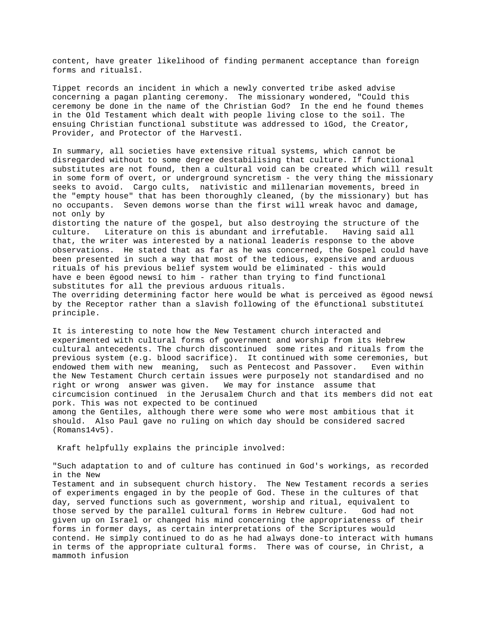content, have greater likelihood of finding permanent acceptance than foreign forms and ritualsî.

Tippet records an incident in which a newly converted tribe asked advise concerning a pagan planting ceremony. The missionary wondered, "Could this ceremony be done in the name of the Christian God? In the end he found themes in the Old Testament which dealt with people living close to the soil. The ensuing Christian functional substitute was addressed to ìGod, the Creator, Provider, and Protector of the Harvestî.

In summary, all societies have extensive ritual systems, which cannot be disregarded without to some degree destabilising that culture. If functional substitutes are not found, then a cultural void can be created which will result in some form of overt, or underground syncretism - the very thing the missionary seeks to avoid. Cargo cults, nativistic and millenarian movements, breed in the "empty house" that has been thoroughly cleaned, (by the missionary) but has no occupants. Seven demons worse than the first will wreak havoc and damage, not only by

distorting the nature of the gospel, but also destroying the structure of the culture. Literature on this is abundant and irrefutable. Having said all that, the writer was interested by a national leaderís response to the above observations. He stated that as far as he was concerned, the Gospel could have been presented in such a way that most of the tedious, expensive and arduous rituals of his previous belief system would be eliminated - this would have e been ëgood newsí to him - rather than trying to find functional substitutes for all the previous arduous rituals.

The overriding determining factor here would be what is perceived as ëgood newsí by the Receptor rather than a slavish following of the ëfunctional substituteí principle.

It is interesting to note how the New Testament church interacted and experimented with cultural forms of government and worship from its Hebrew cultural antecedents. The church discontinued some rites and rituals from the previous system (e.g. blood sacrifice). It continued with some ceremonies, but endowed them with new meaning, such as Pentecost and Passover. Even within the New Testament Church certain issues were purposely not standardised and no right or wrong answer was given. We may for instance assume that circumcision continued in the Jerusalem Church and that its members did not eat pork. This was not expected to be continued among the Gentiles, although there were some who were most ambitious that it

should. Also Paul gave no ruling on which day should be considered sacred (Romans14v5).

Kraft helpfully explains the principle involved:

"Such adaptation to and of culture has continued in God's workings, as recorded in the New

Testament and in subsequent church history. The New Testament records a series of experiments engaged in by the people of God. These in the cultures of that day, served functions such as government, worship and ritual, equivalent to those served by the parallel cultural forms in Hebrew culture. God had not given up on Israel or changed his mind concerning the appropriateness of their forms in former days, as certain interpretations of the Scriptures would contend. He simply continued to do as he had always done-to interact with humans in terms of the appropriate cultural forms. There was of course, in Christ, a mammoth infusion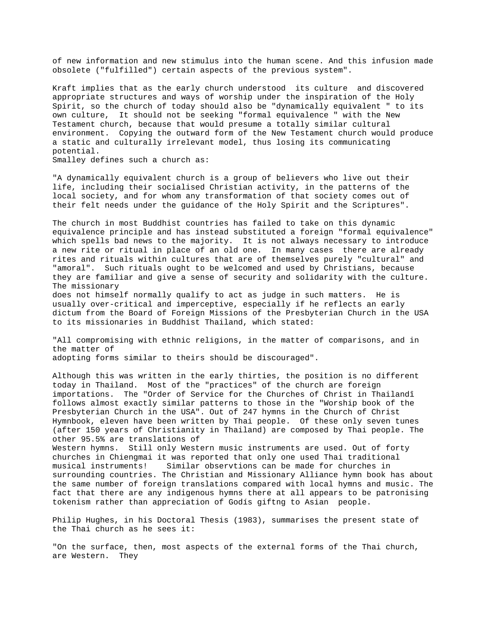of new information and new stimulus into the human scene. And this infusion made obsolete ("fulfilled") certain aspects of the previous system".

Kraft implies that as the early church understood its culture and discovered appropriate structures and ways of worship under the inspiration of the Holy Spirit, so the church of today should also be "dynamically equivalent " to its own culture, It should not be seeking "formal equivalence " with the New Testament church, because that would presume a totally similar cultural environment. Copying the outward form of the New Testament church would produce a static and culturally irrelevant model, thus losing its communicating potential.

Smalley defines such a church as:

"A dynamically equivalent church is a group of believers who live out their life, including their socialised Christian activity, in the patterns of the local society, and for whom any transformation of that society comes out of their felt needs under the guidance of the Holy Spirit and the Scriptures".

The church in most Buddhist countries has failed to take on this dynamic equivalence principle and has instead substituted a foreign "formal equivalence" which spells bad news to the majority. It is not always necessary to introduce a new rite or ritual in place of an old one. In many cases there are already rites and rituals within cultures that are of themselves purely "cultural" and "amoral". Such rituals ought to be welcomed and used by Christians, because they are familiar and give a sense of security and solidarity with the culture. The missionary

does not himself normally qualify to act as judge in such matters. He is usually over-critical and imperceptive, especially if he reflects an early dictum from the Board of Foreign Missions of the Presbyterian Church in the USA to its missionaries in Buddhist Thailand, which stated:

"All compromising with ethnic religions, in the matter of comparisons, and in the matter of adopting forms similar to theirs should be discouraged".

Although this was written in the early thirties, the position is no different today in Thailand. Most of the "practices" of the church are foreign importations. The "Order of Service for the Churches of Christ in Thailandî follows almost exactly similar patterns to those in the "Worship book of the Presbyterian Church in the USA". Out of 247 hymns in the Church of Christ Hymnbook, eleven have been written by Thai people. Of these only seven tunes (after 150 years of Christianity in Thailand) are composed by Thai people. The other 95.5% are translations of

Western hymns. Still only Western music instruments are used. Out of forty churches in Chiengmai it was reported that only one used Thai traditional musical instruments! Similar observtions can be made for churches in surrounding countries. The Christian and Missionary Alliance hymn book has about the same number of foreign translations compared with local hymns and music. The fact that there are any indigenous hymns there at all appears to be patronising tokenism rather than appreciation of Godís giftng to Asian people.

Philip Hughes, in his Doctoral Thesis (1983), summarises the present state of the Thai church as he sees it:

"On the surface, then, most aspects of the external forms of the Thai church, are Western. They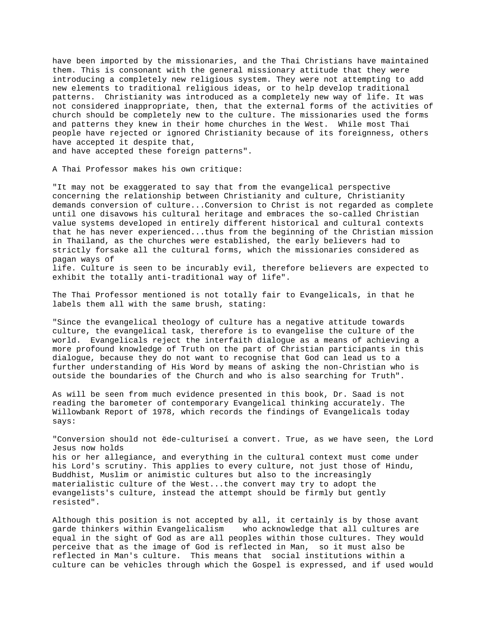have been imported by the missionaries, and the Thai Christians have maintained them. This is consonant with the general missionary attitude that they were introducing a completely new religious system. They were not attempting to add new elements to traditional religious ideas, or to help develop traditional patterns. Christianity was introduced as a completely new way of life. It was not considered inappropriate, then, that the external forms of the activities of church should be completely new to the culture. The missionaries used the forms and patterns they knew in their home churches in the West. While most Thai people have rejected or ignored Christianity because of its foreignness, others have accepted it despite that,

and have accepted these foreign patterns".

A Thai Professor makes his own critique:

"It may not be exaggerated to say that from the evangelical perspective concerning the relationship between Christianity and culture, Christianity demands conversion of culture...Conversion to Christ is not regarded as complete until one disavows his cultural heritage and embraces the so-called Christian value systems developed in entirely different historical and cultural contexts that he has never experienced...thus from the beginning of the Christian mission in Thailand, as the churches were established, the early believers had to strictly forsake all the cultural forms, which the missionaries considered as pagan ways of

life. Culture is seen to be incurably evil, therefore believers are expected to exhibit the totally anti-traditional way of life".

The Thai Professor mentioned is not totally fair to Evangelicals, in that he labels them all with the same brush, stating:

"Since the evangelical theology of culture has a negative attitude towards culture, the evangelical task, therefore is to evangelise the culture of the world. Evangelicals reject the interfaith dialogue as a means of achieving a more profound knowledge of Truth on the part of Christian participants in this dialogue, because they do not want to recognise that God can lead us to a further understanding of His Word by means of asking the non-Christian who is outside the boundaries of the Church and who is also searching for Truth".

As will be seen from much evidence presented in this book, Dr. Saad is not reading the barometer of contemporary Evangelical thinking accurately. The Willowbank Report of 1978, which records the findings of Evangelicals today says:

"Conversion should not ëde-culturiseí a convert. True, as we have seen, the Lord Jesus now holds

his or her allegiance, and everything in the cultural context must come under his Lord's scrutiny. This applies to every culture, not just those of Hindu, Buddhist, Muslim or animistic cultures but also to the increasingly materialistic culture of the West...the convert may try to adopt the evangelists's culture, instead the attempt should be firmly but gently resisted".

Although this position is not accepted by all, it certainly is by those avant garde thinkers within Evangelicalism who acknowledge that all cultures are equal in the sight of God as are all peoples within those cultures. They would perceive that as the image of God is reflected in Man, so it must also be reflected in Man's culture. This means that social institutions within a culture can be vehicles through which the Gospel is expressed, and if used would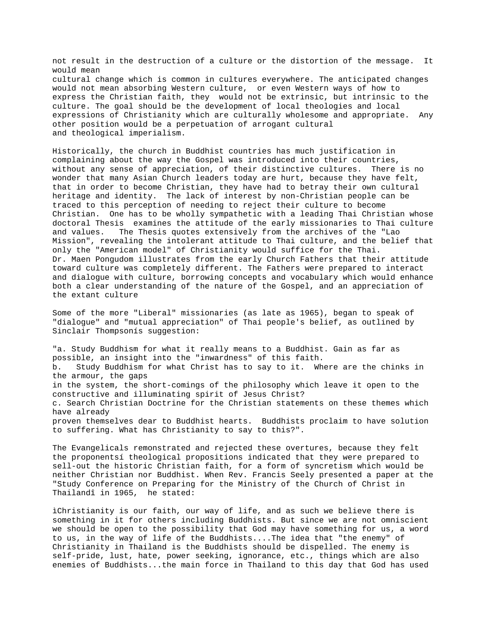not result in the destruction of a culture or the distortion of the message. It would mean cultural change which is common in cultures everywhere. The anticipated changes would not mean absorbing Western culture, or even Western ways of how to express the Christian faith, they would not be extrinsic, but intrinsic to the culture. The goal should be the development of local theologies and local expressions of Christianity which are culturally wholesome and appropriate. Any other position would be a perpetuation of arrogant cultural and theological imperialism.

Historically, the church in Buddhist countries has much justification in complaining about the way the Gospel was introduced into their countries, without any sense of appreciation, of their distinctive cultures. There is no wonder that many Asian Church leaders today are hurt, because they have felt, that in order to become Christian, they have had to betray their own cultural heritage and identity. The lack of interest by non-Christian people can be traced to this perception of needing to reject their culture to become Christian. One has to be wholly sympathetic with a leading Thai Christian whose doctoral Thesis examines the attitude of the early missionaries to Thai culture and values. The Thesis quotes extensively from the archives of the "Lao Mission", revealing the intolerant attitude to Thai culture, and the belief that only the "American model" of Christianity would suffice for the Thai. Dr. Maen Pongudom illustrates from the early Church Fathers that their attitude toward culture was completely different. The Fathers were prepared to interact and dialogue with culture, borrowing concepts and vocabulary which would enhance both a clear understanding of the nature of the Gospel, and an appreciation of the extant culture

Some of the more "Liberal" missionaries (as late as 1965), began to speak of "dialogue" and "mutual appreciation" of Thai people's belief, as outlined by Sinclair Thompsonís suggestion:

"a. Study Buddhism for what it really means to a Buddhist. Gain as far as possible, an insight into the "inwardness" of this faith. b. Study Buddhism for what Christ has to say to it. Where are the chinks in the armour, the gaps in the system, the short-comings of the philosophy which leave it open to the constructive and illuminating spirit of Jesus Christ? c. Search Christian Doctrine for the Christian statements on these themes which have already proven themselves dear to Buddhist hearts. Buddhists proclaim to have solution to suffering. What has Christianity to say to this?".

The Evangelicals remonstrated and rejected these overtures, because they felt the proponentsí theological propositions indicated that they were prepared to sell-out the historic Christian faith, for a form of syncretism which would be neither Christian nor Buddhist. When Rev. Francis Seely presented a paper at the "Study Conference on Preparing for the Ministry of the Church of Christ in Thailandî in 1965, he stated:

ìChristianity is our faith, our way of life, and as such we believe there is something in it for others including Buddhists. But since we are not omniscient we should be open to the possibility that God may have something for us, a word to us, in the way of life of the Buddhists....The idea that "the enemy" of Christianity in Thailand is the Buddhists should be dispelled. The enemy is self-pride, lust, hate, power seeking, ignorance, etc., things which are also enemies of Buddhists...the main force in Thailand to this day that God has used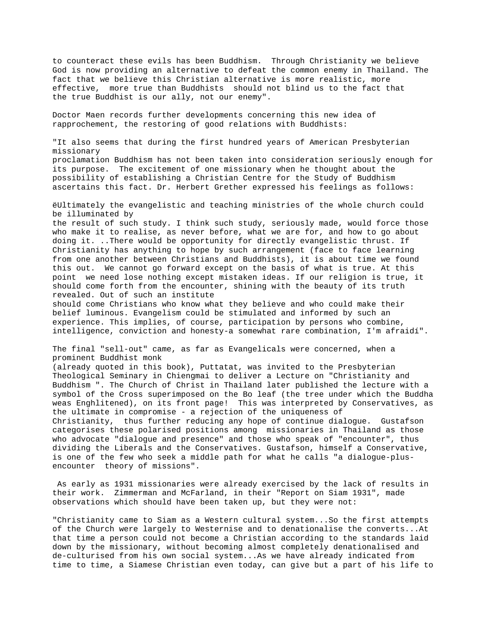to counteract these evils has been Buddhism. Through Christianity we believe God is now providing an alternative to defeat the common enemy in Thailand. The fact that we believe this Christian alternative is more realistic, more effective, more true than Buddhists should not blind us to the fact that the true Buddhist is our ally, not our enemy".

Doctor Maen records further developments concerning this new idea of rapprochement, the restoring of good relations with Buddhists:

"It also seems that during the first hundred years of American Presbyterian missionary proclamation Buddhism has not been taken into consideration seriously enough for its purpose. The excitement of one missionary when he thought about the possibility of establishing a Christian Centre for the Study of Buddhism ascertains this fact. Dr. Herbert Grether expressed his feelings as follows:

ëUltimately the evangelistic and teaching ministries of the whole church could be illuminated by

the result of such study. I think such study, seriously made, would force those who make it to realise, as never before, what we are for, and how to go about doing it. ..There would be opportunity for directly evangelistic thrust. If Christianity has anything to hope by such arrangement (face to face learning from one another between Christians and Buddhists), it is about time we found this out. We cannot go forward except on the basis of what is true. At this point we need lose nothing except mistaken ideas. If our religion is true, it should come forth from the encounter, shining with the beauty of its truth revealed. Out of such an institute

should come Christians who know what they believe and who could make their belief luminous. Evangelism could be stimulated and informed by such an experience. This implies, of course, participation by persons who combine, intelligence, conviction and honesty-a somewhat rare combination, I'm afraidí".

The final "sell-out" came, as far as Evangelicals were concerned, when a prominent Buddhist monk

(already quoted in this book), Puttatat, was invited to the Presbyterian Theological Seminary in Chiengmai to deliver a Lecture on "Christianity and Buddhism ". The Church of Christ in Thailand later published the lecture with a symbol of the Cross superimposed on the Bo leaf (the tree under which the Buddha weas Enghlitened), on its front page! This was interpreted by Conservatives, as the ultimate in compromise - a rejection of the uniqueness of Christianity, thus further reducing any hope of continue dialogue. Gustafson categorises these polarised positions among missionaries in Thailand as those who advocate "dialogue and presence" and those who speak of "encounter", thus dividing the Liberals and the Conservatives. Gustafson, himself a Conservative, is one of the few who seek a middle path for what he calls "a dialogue-plusencounter theory of missions".

 As early as 1931 missionaries were already exercised by the lack of results in their work. Zimmerman and McFarland, in their "Report on Siam 1931", made observations which should have been taken up, but they were not:

"Christianity came to Siam as a Western cultural system...So the first attempts of the Church were largely to Westernise and to denationalise the converts...At that time a person could not become a Christian according to the standards laid down by the missionary, without becoming almost completely denationalised and de-culturised from his own social system...As we have already indicated from time to time, a Siamese Christian even today, can give but a part of his life to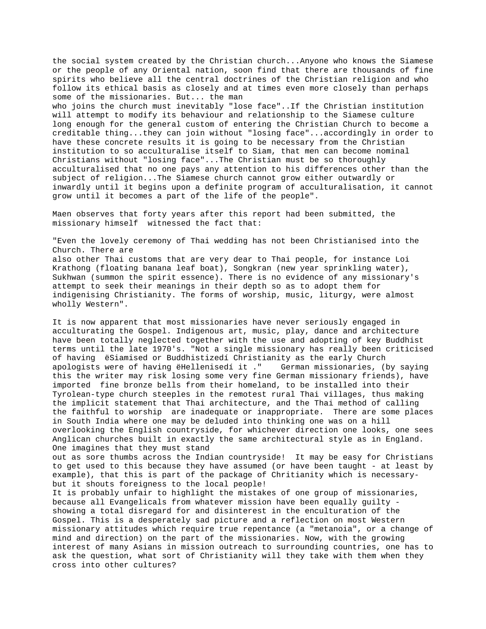the social system created by the Christian church...Anyone who knows the Siamese or the people of any Oriental nation, soon find that there are thousands of fine spirits who believe all the central doctrines of the Christian religion and who follow its ethical basis as closely and at times even more closely than perhaps some of the missionaries. But... the man who joins the church must inevitably "lose face"..If the Christian institution will attempt to modify its behaviour and relationship to the Siamese culture long enough for the general custom of entering the Christian Church to become a creditable thing...they can join without "losing face"...accordingly in order to have these concrete results it is going to be necessary from the Christian institution to so acculturalise itself to Siam, that men can become nominal Christians without "losing face"...The Christian must be so thoroughly acculturalised that no one pays any attention to his differences other than the subject of religion...The Siamese church cannot grow either outwardly or inwardly until it begins upon a definite program of acculturalisation, it cannot grow until it becomes a part of the life of the people".

Maen observes that forty years after this report had been submitted, the missionary himself witnessed the fact that:

"Even the lovely ceremony of Thai wedding has not been Christianised into the Church. There are also other Thai customs that are very dear to Thai people, for instance Loi Krathong (floating banana leaf boat), Songkran (new year sprinkling water), Sukhwan (summon the spirit essence). There is no evidence of any missionary's attempt to seek their meanings in their depth so as to adopt them for indigenising Christianity. The forms of worship, music, liturgy, were almost wholly Western".

It is now apparent that most missionaries have never seriously engaged in acculturating the Gospel. Indigenous art, music, play, dance and architecture have been totally neglected together with the use and adopting of key Buddhist terms until the late 1970's. "Not a single missionary has really been criticised of having ëSiamised or Buddhistizedí Christianity as the early Church apologists were of having ëHellenisedí it ." German missionaries, (by saying this the writer may risk losing some very fine German missionary friends), have imported fine bronze bells from their homeland, to be installed into their Tyrolean-type church steeples in the remotest rural Thai villages, thus making the implicit statement that Thai architecture, and the Thai method of calling the faithful to worship are inadequate or inappropriate. There are some places in South India where one may be deluded into thinking one was on a hill overlooking the English countryside, for whichever direction one looks, one sees Anglican churches built in exactly the same architectural style as in England. One imagines that they must stand

out as sore thumbs across the Indian countryside! It may be easy for Christians to get used to this because they have assumed (or have been taught - at least by example), that this is part of the package of Chritianity which is necessarybut it shouts foreigness to the local people!

It is probably unfair to highlight the mistakes of one group of missionaries, because all Evangelicals from whatever mission have been equally guilty showing a total disregard for and disinterest in the enculturation of the Gospel. This is a desperately sad picture and a reflection on most Western missionary attitudes which require true repentance (a "metanoia", or a change of mind and direction) on the part of the missionaries. Now, with the growing interest of many Asians in mission outreach to surrounding countries, one has to ask the question, what sort of Christianity will they take with them when they cross into other cultures?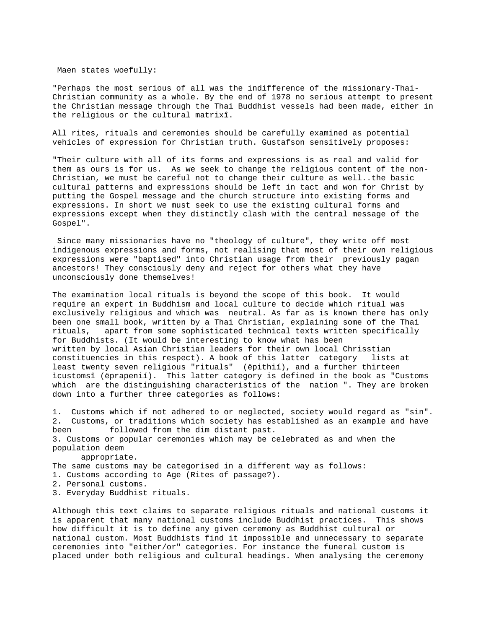Maen states woefully:

"Perhaps the most serious of all was the indifference of the missionary-Thai-Christian community as a whole. By the end of 1978 no serious attempt to present the Christian message through the Thai Buddhist vessels had been made, either in the religious or the cultural matrixî.

All rites, rituals and ceremonies should be carefully examined as potential vehicles of expression for Christian truth. Gustafson sensitively proposes:

"Their culture with all of its forms and expressions is as real and valid for them as ours is for us. As we seek to change the religious content of the non-Christian, we must be careful not to change their culture as well..the basic cultural patterns and expressions should be left in tact and won for Christ by putting the Gospel message and the church structure into existing forms and expressions. In short we must seek to use the existing cultural forms and expressions except when they distinctly clash with the central message of the Gospel".

 Since many missionaries have no "theology of culture", they write off most indigenous expressions and forms, not realising that most of their own religious expressions were "baptised" into Christian usage from their previously pagan ancestors! They consciously deny and reject for others what they have unconsciously done themselves!

The examination local rituals is beyond the scope of this book. It would require an expert in Buddhism and local culture to decide which ritual was exclusively religious and which was neutral. As far as is known there has only been one small book, written by a Thai Christian, explaining some of the Thai rituals, apart from some sophisticated technical texts written specifically for Buddhists. (It would be interesting to know what has been written by local Asian Christian leaders for their own local Chrisstian constituencies in this respect). A book of this latter category lists at least twenty seven religious "rituals" (ëpithií), and a further thirteen ìcustomsî (ëprapenií). This latter category is defined in the book as "Customs which are the distinguishing characteristics of the nation ". They are broken down into a further three categories as follows:

1. Customs which if not adhered to or neglected, society would regard as "sin". 2. Customs, or traditions which society has established as an example and have been followed from the dim distant past. 3. Customs or popular ceremonies which may be celebrated as and when the population deem appropriate.

The same customs may be categorised in a different way as follows: 1. Customs according to Age (Rites of passage?). 2. Personal customs. 3. Everyday Buddhist rituals.

Although this text claims to separate religious rituals and national customs it is apparent that many national customs include Buddhist practices. This shows how difficult it is to define any given ceremony as Buddhist cultural or national custom. Most Buddhists find it impossible and unnecessary to separate ceremonies into "either/or" categories. For instance the funeral custom is placed under both religious and cultural headings. When analysing the ceremony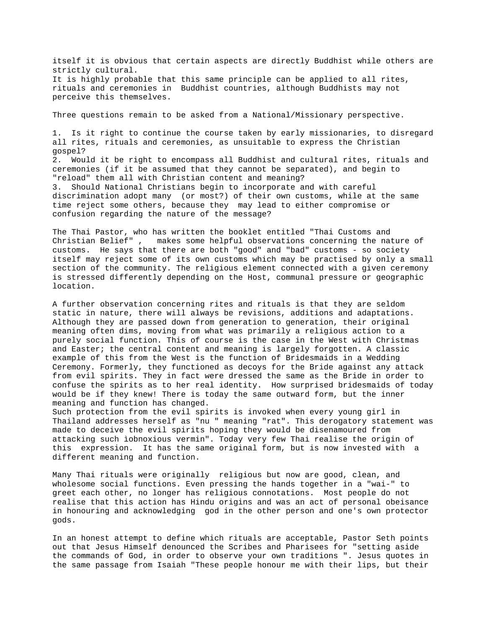itself it is obvious that certain aspects are directly Buddhist while others are strictly cultural. It is highly probable that this same principle can be applied to all rites, rituals and ceremonies in Buddhist countries, although Buddhists may not perceive this themselves.

Three questions remain to be asked from a National/Missionary perspective.

1. Is it right to continue the course taken by early missionaries, to disregard all rites, rituals and ceremonies, as unsuitable to express the Christian gospel? 2. Would it be right to encompass all Buddhist and cultural rites, rituals and ceremonies (if it be assumed that they cannot be separated), and begin to "reload" them all with Christian content and meaning? 3. Should National Christians begin to incorporate and with careful discrimination adopt many (or most?) of their own customs, while at the same time reject some others, because they may lead to either compromise or confusion regarding the nature of the message?

The Thai Pastor, who has written the booklet entitled "Thai Customs and Christian Belief" , makes some helpful observations concerning the nature of customs. He says that there are both "good" and "bad" customs - so society itself may reject some of its own customs which may be practised by only a small section of the community. The religious element connected with a given ceremony is stressed differently depending on the Host, communal pressure or geographic location.

A further observation concerning rites and rituals is that they are seldom static in nature, there will always be revisions, additions and adaptations. Although they are passed down from generation to generation, their original meaning often dims, moving from what was primarily a religious action to a purely social function. This of course is the case in the West with Christmas and Easter; the central content and meaning is largely forgotten. A classic example of this from the West is the function of Bridesmaids in a Wedding Ceremony. Formerly, they functioned as decoys for the Bride against any attack from evil spirits. They in fact were dressed the same as the Bride in order to confuse the spirits as to her real identity. How surprised bridesmaids of today would be if they knew! There is today the same outward form, but the inner meaning and function has changed.

Such protection from the evil spirits is invoked when every young girl in Thailand addresses herself as "nu " meaning "rat". This derogatory statement was made to deceive the evil spirits hoping they would be disenamoured from attacking such ìobnoxious vermin". Today very few Thai realise the origin of this expression. It has the same original form, but is now invested with a different meaning and function.

Many Thai rituals were originally religious but now are good, clean, and wholesome social functions. Even pressing the hands together in a "wai-" to greet each other, no longer has religious connotations. Most people do not realise that this action has Hindu origins and was an act of personal obeisance in honouring and acknowledging god in the other person and one's own protector gods.

In an honest attempt to define which rituals are acceptable, Pastor Seth points out that Jesus Himself denounced the Scribes and Pharisees for "setting aside the commands of God, in order to observe your own traditions ". Jesus quotes in the same passage from Isaiah "These people honour me with their lips, but their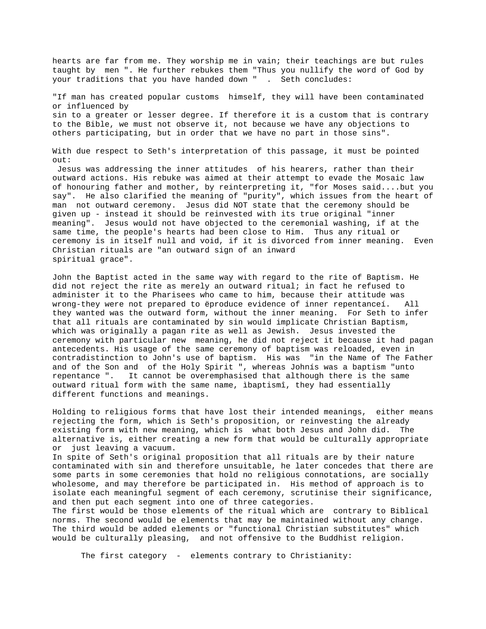hearts are far from me. They worship me in vain; their teachings are but rules taught by men ". He further rebukes them "Thus you nullify the word of God by your traditions that you have handed down " . Seth concludes: "If man has created popular customs himself, they will have been contaminated or influenced by sin to a greater or lesser degree. If therefore it is a custom that is contrary to the Bible, we must not observe it, not because we have any objections to others participating, but in order that we have no part in those sins". With due respect to Seth's interpretation of this passage, it must be pointed out: Jesus was addressing the inner attitudes of his hearers, rather than their outward actions. His rebuke was aimed at their attempt to evade the Mosaic law of honouring father and mother, by reinterpreting it, "for Moses said....but you say". He also clarified the meaning of "purity", which issues from the heart of man not outward ceremony. Jesus did NOT state that the ceremony should be given up - instead it should be reinvested with its true original "inner meaning". Jesus would not have objected to the ceremonial washing, if at the same time, the people's hearts had been close to Him. Thus any ritual or ceremony is in itself null and void, if it is divorced from inner meaning. Even Christian rituals are "an outward sign of an inward

John the Baptist acted in the same way with regard to the rite of Baptism. He did not reject the rite as merely an outward ritual; in fact he refused to administer it to the Pharisees who came to him, because their attitude was wrong-they were not prepared to ëproduce evidence of inner repentanceí. All they wanted was the outward form, without the inner meaning. For Seth to infer that all rituals are contaminated by sin would implicate Christian Baptism, which was originally a pagan rite as well as Jewish. Jesus invested the ceremony with particular new meaning, he did not reject it because it had pagan antecedents. His usage of the same ceremony of baptism was reloaded, even in contradistinction to John's use of baptism. His was "in the Name of The Father and of the Son and of the Holy Spirit ", whereas Johnís was a baptism "unto repentance ". It cannot be overemphasised that although there is the same outward ritual form with the same name, ìbaptismî, they had essentially different functions and meanings.

spiritual grace".

Holding to religious forms that have lost their intended meanings, either means rejecting the form, which is Seth's proposition, or reinvesting the already existing form with new meaning, which is what both Jesus and John did. The alternative is, either creating a new form that would be culturally appropriate or just leaving a vacuum.

In spite of Seth's original proposition that all rituals are by their nature contaminated with sin and therefore unsuitable, he later concedes that there are some parts in some ceremonies that hold no religious connotations, are socially wholesome, and may therefore be participated in. His method of approach is to isolate each meaningful segment of each ceremony, scrutinise their significance, and then put each segment into one of three categories.

The first would be those elements of the ritual which are contrary to Biblical norms. The second would be elements that may be maintained without any change. The third would be added elements or "functional Christian substitutes" which would be culturally pleasing, and not offensive to the Buddhist religion.

The first category - elements contrary to Christianity: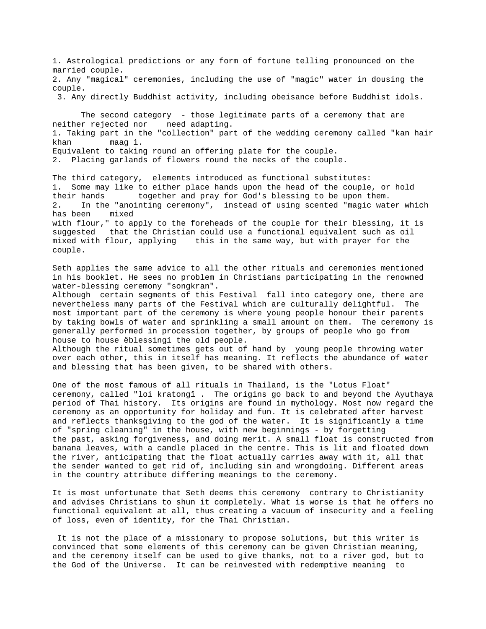1. Astrological predictions or any form of fortune telling pronounced on the married couple. 2. Any "magical" ceremonies, including the use of "magic" water in dousing the couple. 3. Any directly Buddhist activity, including obeisance before Buddhist idols. The second category - those legitimate parts of a ceremony that are neither rejected nor need adapting. 1. Taking part in the "collection" part of the wedding ceremony called "kan hair khan maag ì. Equivalent to taking round an offering plate for the couple. 2. Placing garlands of flowers round the necks of the couple.

The third category, elements introduced as functional substitutes: 1. Some may like to either place hands upon the head of the couple, or hold their hands together and pray for God's blessing to be upon them. 2. In the "anointing ceremony", instead of using scented "magic water which has been mixed with flour," to apply to the foreheads of the couple for their blessing, it is suggested that the Christian could use a functional equivalent such as oil mixed with flour, applying this in the same way, but with prayer for the couple.

Seth applies the same advice to all the other rituals and ceremonies mentioned in his booklet. He sees no problem in Christians participating in the renowned water-blessing ceremony "songkran". Although certain segments of this Festival fall into category one, there are nevertheless many parts of the Festival which are culturally delightful. The most important part of the ceremony is where young people honour their parents by taking bowls of water and sprinkling a small amount on them. The ceremony is generally performed in procession together, by groups of people who go from house to house ëblessingí the old people. Although the ritual sometimes gets out of hand by young people throwing water

over each other, this in itself has meaning. It reflects the abundance of water and blessing that has been given, to be shared with others.

One of the most famous of all rituals in Thailand, is the "Lotus Float" ceremony, called "loi kratongî . The origins go back to and beyond the Ayuthaya period of Thai history. Its origins are found in mythology. Most now regard the ceremony as an opportunity for holiday and fun. It is celebrated after harvest and reflects thanksgiving to the god of the water. It is significantly a time of "spring cleaning" in the house, with new beginnings - by forgetting the past, asking forgiveness, and doing merit. A small float is constructed from banana leaves, with a candle placed in the centre. This is lit and floated down the river, anticipating that the float actually carries away with it, all that the sender wanted to get rid of, including sin and wrongdoing. Different areas in the country attribute differing meanings to the ceremony.

It is most unfortunate that Seth deems this ceremony contrary to Christianity and advises Christians to shun it completely. What is worse is that he offers no functional equivalent at all, thus creating a vacuum of insecurity and a feeling of loss, even of identity, for the Thai Christian.

 It is not the place of a missionary to propose solutions, but this writer is convinced that some elements of this ceremony can be given Christian meaning, and the ceremony itself can be used to give thanks, not to a river god, but to the God of the Universe. It can be reinvested with redemptive meaning to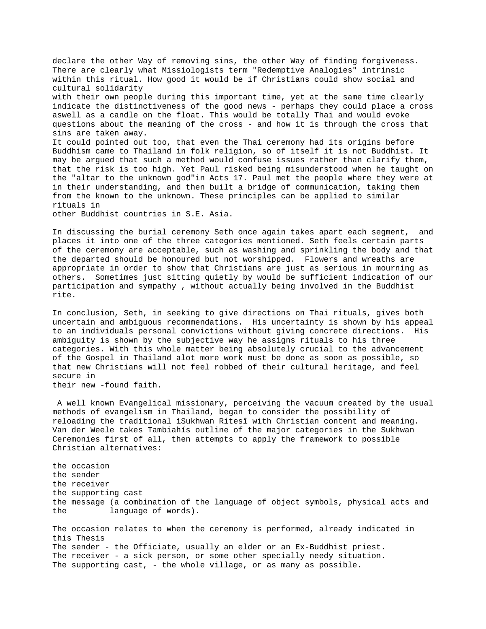declare the other Way of removing sins, the other Way of finding forgiveness. There are clearly what Missiologists term "Redemptive Analogies" intrinsic within this ritual. How good it would be if Christians could show social and cultural solidarity with their own people during this important time, yet at the same time clearly indicate the distinctiveness of the good news - perhaps they could place a cross aswell as a candle on the float. This would be totally Thai and would evoke questions about the meaning of the cross - and how it is through the cross that sins are taken away. It could pointed out too, that even the Thai ceremony had its origins before Buddhism came to Thailand in folk religion, so of itself it is not Buddhist. It may be argued that such a method would confuse issues rather than clarify them, that the risk is too high. Yet Paul risked being misunderstood when he taught on the "altar to the unknown god"in Acts 17. Paul met the people where they were at in their understanding, and then built a bridge of communication, taking them from the known to the unknown. These principles can be applied to similar rituals in

other Buddhist countries in S.E. Asia.

In discussing the burial ceremony Seth once again takes apart each segment, and places it into one of the three categories mentioned. Seth feels certain parts of the ceremony are acceptable, such as washing and sprinkling the body and that the departed should be honoured but not worshipped. Flowers and wreaths are appropriate in order to show that Christians are just as serious in mourning as others. Sometimes just sitting quietly by would be sufficient indication of our participation and sympathy , without actually being involved in the Buddhist rite.

In conclusion, Seth, in seeking to give directions on Thai rituals, gives both uncertain and ambiguous recommendations. His uncertainty is shown by his appeal to an individuals personal convictions without giving concrete directions. His ambiguity is shown by the subjective way he assigns rituals to his three categories. With this whole matter being absolutely crucial to the advancement of the Gospel in Thailand alot more work must be done as soon as possible, so that new Christians will not feel robbed of their cultural heritage, and feel secure in

their new -found faith.

 A well known Evangelical missionary, perceiving the vacuum created by the usual methods of evangelism in Thailand, began to consider the possibility of reloading the traditional ìSukhwan Ritesî with Christian content and meaning. Van der Weele takes Tambiahís outline of the major categories in the Sukhwan Ceremonies first of all, then attempts to apply the framework to possible Christian alternatives:

the occasion the sender the receiver the supporting cast the message (a combination of the language of object symbols, physical acts and the language of words). The occasion relates to when the ceremony is performed, already indicated in this Thesis The sender - the Officiate, usually an elder or an Ex-Buddhist priest. The receiver - a sick person, or some other specially needy situation.

The supporting cast, - the whole village, or as many as possible.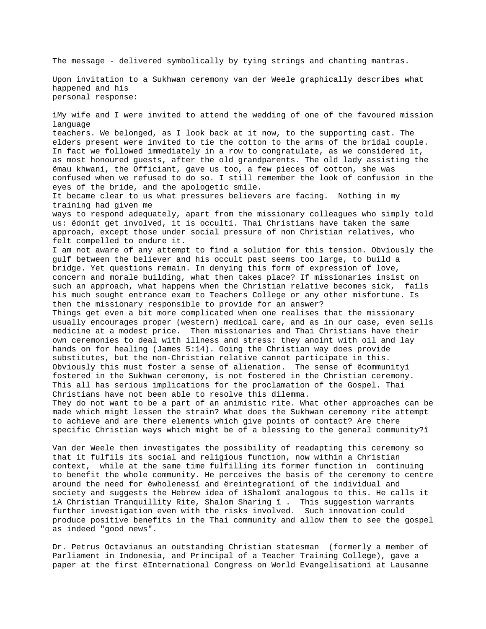The message - delivered symbolically by tying strings and chanting mantras.

Upon invitation to a Sukhwan ceremony van der Weele graphically describes what happened and his personal response:

ìMy wife and I were invited to attend the wedding of one of the favoured mission language teachers. We belonged, as I look back at it now, to the supporting cast. The elders present were invited to tie the cotton to the arms of the bridal couple. In fact we followed immediately in a row to congratulate, as we considered it, as most honoured guests, after the old grandparents. The old lady assisting the ëmau khwaní, the Officiant, gave us too, a few pieces of cotton, she was confused when we refused to do so. I still remember the look of confusion in the eyes of the bride, and the apologetic smile. It became clear to us what pressures believers are facing. Nothing in my training had given me ways to respond adequately, apart from the missionary colleagues who simply told us: ëdonít get involved, it is occultí. Thai Christians have taken the same approach, except those under social pressure of non Christian relatives, who felt compelled to endure it. I am not aware of any attempt to find a solution for this tension. Obviously the gulf between the believer and his occult past seems too large, to build a bridge. Yet questions remain. In denying this form of expression of love, concern and morale building, what then takes place? If missionaries insist on such an approach, what happens when the Christian relative becomes sick, fails his much sought entrance exam to Teachers College or any other misfortune. Is then the missionary responsible to provide for an answer? Things get even a bit more complicated when one realises that the missionary usually encourages proper (western) medical care, and as in our case, even sells medicine at a modest price. Then missionaries and Thai Christians have their own ceremonies to deal with illness and stress: they anoint with oil and lay hands on for healing (James 5:14). Going the Christian way does provide substitutes, but the non-Christian relative cannot participate in this. Obviously this must foster a sense of alienation. The sense of ëcommunityí fostered in the Sukhwan ceremony, is not fostered in the Christian ceremony. This all has serious implications for the proclamation of the Gospel. Thai Christians have not been able to resolve this dilemma. They do not want to be a part of an animistic rite. What other approaches can be made which might lessen the strain? What does the Sukhwan ceremony rite attempt to achieve and are there elements which give points of contact? Are there specific Christian ways which might be of a blessing to the general community?î Van der Weele then investigates the possibility of readapting this ceremony so

that it fulfils its social and religious function, now within a Christian context, while at the same time fulfilling its former function in continuing to benefit the whole community. He perceives the basis of the ceremony to centre around the need for ëwholenessí and ëreintegrationí of the individual and society and suggests the Hebrew idea of ìShalomî analogous to this. He calls it ìA Christian Tranquillity Rite, Shalom Sharing î . This suggestion warrants further investigation even with the risks involved. Such innovation could produce positive benefits in the Thai community and allow them to see the gospel as indeed "good news".

Dr. Petrus Octavianus an outstanding Christian statesman (formerly a member of Parliament in Indonesia, and Principal of a Teacher Training College), gave a paper at the first ëInternational Congress on World Evangelisationí at Lausanne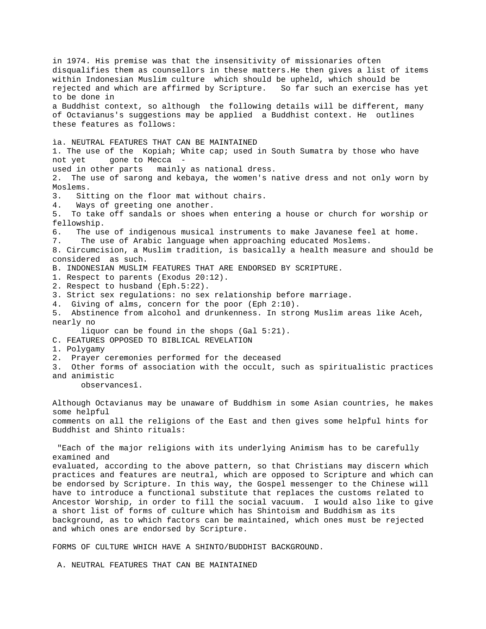in 1974. His premise was that the insensitivity of missionaries often disqualifies them as counsellors in these matters.He then gives a list of items within Indonesian Muslim culture which should be upheld, which should be rejected and which are affirmed by Scripture. So far such an exercise has yet to be done in a Buddhist context, so although the following details will be different, many of Octavianus's suggestions may be applied a Buddhist context. He outlines these features as follows: ìa. NEUTRAL FEATURES THAT CAN BE MAINTAINED 1. The use of the Kopiah; White cap; used in South Sumatra by those who have not yet gone to Mecca used in other parts mainly as national dress. 2. The use of sarong and kebaya, the women's native dress and not only worn by Moslems. 3. Sitting on the floor mat without chairs. 4. Ways of greeting one another. 5. To take off sandals or shoes when entering a house or church for worship or fellowship. 6. The use of indigenous musical instruments to make Javanese feel at home. 7. The use of Arabic language when approaching educated Moslems. 8. Circumcision, a Muslim tradition, is basically a health measure and should be considered as such. B. INDONESIAN MUSLIM FEATURES THAT ARE ENDORSED BY SCRIPTURE. 1. Respect to parents (Exodus 20:12). 2. Respect to husband (Eph.5:22). 3. Strict sex regulations: no sex relationship before marriage. 4. Giving of alms, concern for the poor (Eph 2:10). 5. Abstinence from alcohol and drunkenness. In strong Muslim areas like Aceh, nearly no liquor can be found in the shops (Gal 5:21). C. FEATURES OPPOSED TO BIBLICAL REVELATION 1. Polygamy 2. Prayer ceremonies performed for the deceased 3. Other forms of association with the occult, such as spiritualistic practices and animistic observancesî. Although Octavianus may be unaware of Buddhism in some Asian countries, he makes some helpful comments on all the religions of the East and then gives some helpful hints for Buddhist and Shinto rituals: "Each of the major religions with its underlying Animism has to be carefully examined and evaluated, according to the above pattern, so that Christians may discern which practices and features are neutral, which are opposed to Scripture and which can be endorsed by Scripture. In this way, the Gospel messenger to the Chinese will have to introduce a functional substitute that replaces the customs related to Ancestor Worship, in order to fill the social vacuum. I would also like to give a short list of forms of culture which has Shintoism and Buddhism as its background, as to which factors can be maintained, which ones must be rejected and which ones are endorsed by Scripture.

FORMS OF CULTURE WHICH HAVE A SHINTO/BUDDHIST BACKGROUND.

A. NEUTRAL FEATURES THAT CAN BE MAINTAINED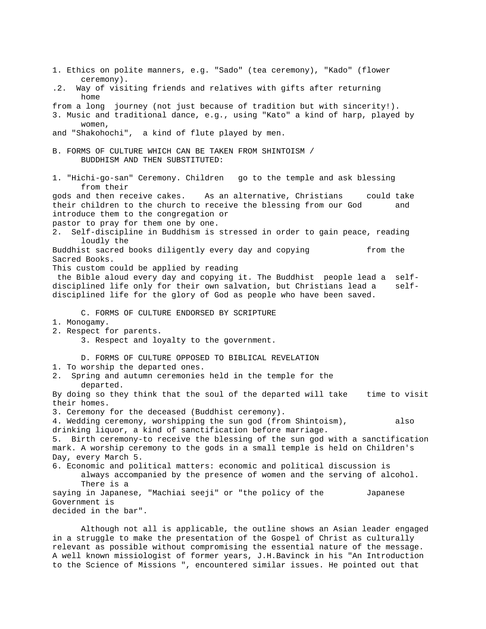1. Ethics on polite manners, e.g. "Sado" (tea ceremony), "Kado" (flower ceremony). .2. Way of visiting friends and relatives with gifts after returning home from a long journey (not just because of tradition but with sincerity!). 3. Music and traditional dance, e.g., using "Kato" a kind of harp, played by women, and "Shakohochi", a kind of flute played by men. B. FORMS OF CULTURE WHICH CAN BE TAKEN FROM SHINTOISM / BUDDHISM AND THEN SUBSTITUTED: 1. "Hichi-go-san" Ceremony. Children go to the temple and ask blessing from their gods and then receive cakes. As an alternative, Christians could take their children to the church to receive the blessing from our God and introduce them to the congregation or pastor to pray for them one by one. 2. Self-discipline in Buddhism is stressed in order to gain peace, reading loudly the Buddhist sacred books diligently every day and copying from the Sacred Books. This custom could be applied by reading the Bible aloud every day and copying it. The Buddhist people lead a selfdisciplined life only for their own salvation, but Christians lead a selfdisciplined life for the glory of God as people who have been saved. C. FORMS OF CULTURE ENDORSED BY SCRIPTURE 1. Monogamy. 2. Respect for parents. 3. Respect and loyalty to the government. D. FORMS OF CULTURE OPPOSED TO BIBLICAL REVELATION 1. To worship the departed ones. 2. Spring and autumn ceremonies held in the temple for the departed. By doing so they think that the soul of the departed will take time to visit their homes. 3. Ceremony for the deceased (Buddhist ceremony). 4. Wedding ceremony, worshipping the sun god (from Shintoism), also drinking liquor, a kind of sanctification before marriage. 5. Birth ceremony-to receive the blessing of the sun god with a sanctification mark. A worship ceremony to the gods in a small temple is held on Children's Day, every March 5. 6. Economic and political matters: economic and political discussion is always accompanied by the presence of women and the serving of alcohol. There is a saying in Japanese, "Machiai seeji" or "the policy of the Japanese Government is decided in the bar".

Although not all is applicable, the outline shows an Asian leader engaged in a struggle to make the presentation of the Gospel of Christ as culturally relevant as possible without compromising the essential nature of the message. A well known missiologist of former years, J.H.Bavinck in his "An Introduction to the Science of Missions ", encountered similar issues. He pointed out that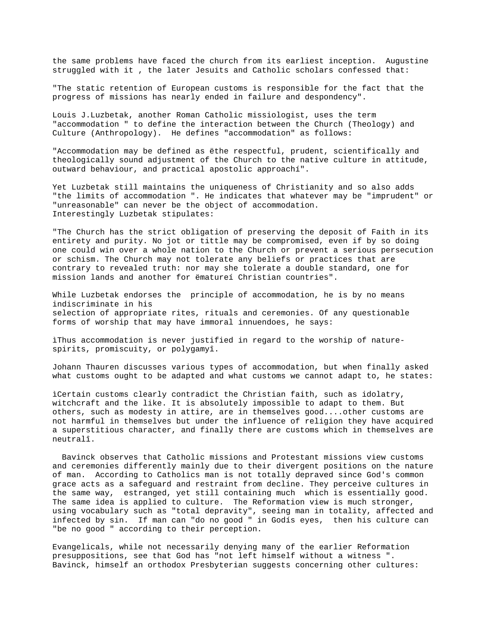the same problems have faced the church from its earliest inception. Augustine struggled with it , the later Jesuits and Catholic scholars confessed that:

"The static retention of European customs is responsible for the fact that the progress of missions has nearly ended in failure and despondency".

Louis J.Luzbetak, another Roman Catholic missiologist, uses the term "accommodation " to define the interaction between the Church (Theology) and Culture (Anthropology). He defines "accommodation" as follows:

"Accommodation may be defined as ëthe respectful, prudent, scientifically and theologically sound adjustment of the Church to the native culture in attitude, outward behaviour, and practical apostolic approachí".

Yet Luzbetak still maintains the uniqueness of Christianity and so also adds "the limits of accommodation ". He indicates that whatever may be "imprudent" or "unreasonable" can never be the object of accommodation. Interestingly Luzbetak stipulates:

"The Church has the strict obligation of preserving the deposit of Faith in its entirety and purity. No jot or tittle may be compromised, even if by so doing one could win over a whole nation to the Church or prevent a serious persecution or schism. The Church may not tolerate any beliefs or practices that are contrary to revealed truth: nor may she tolerate a double standard, one for mission lands and another for ëmatureí Christian countries".

While Luzbetak endorses the principle of accommodation, he is by no means indiscriminate in his selection of appropriate rites, rituals and ceremonies. Of any questionable forms of worship that may have immoral innuendoes, he says:

ìThus accommodation is never justified in regard to the worship of naturespirits, promiscuity, or polygamyî.

Johann Thauren discusses various types of accommodation, but when finally asked what customs ought to be adapted and what customs we cannot adapt to, he states:

ìCertain customs clearly contradict the Christian faith, such as idolatry, witchcraft and the like. It is absolutely impossible to adapt to them. But others, such as modesty in attire, are in themselves good....other customs are not harmful in themselves but under the influence of religion they have acquired a superstitious character, and finally there are customs which in themselves are neutralî.

 Bavinck observes that Catholic missions and Protestant missions view customs and ceremonies differently mainly due to their divergent positions on the nature of man. According to Catholics man is not totally depraved since God's common grace acts as a safeguard and restraint from decline. They perceive cultures in the same way, estranged, yet still containing much which is essentially good. The same idea is applied to culture. The Reformation view is much stronger, using vocabulary such as "total depravity", seeing man in totality, affected and infected by sin. If man can "do no good " in Godís eyes, then his culture can "be no good " according to their perception.

Evangelicals, while not necessarily denying many of the earlier Reformation presuppositions, see that God has "not left himself without a witness ". Bavinck, himself an orthodox Presbyterian suggests concerning other cultures: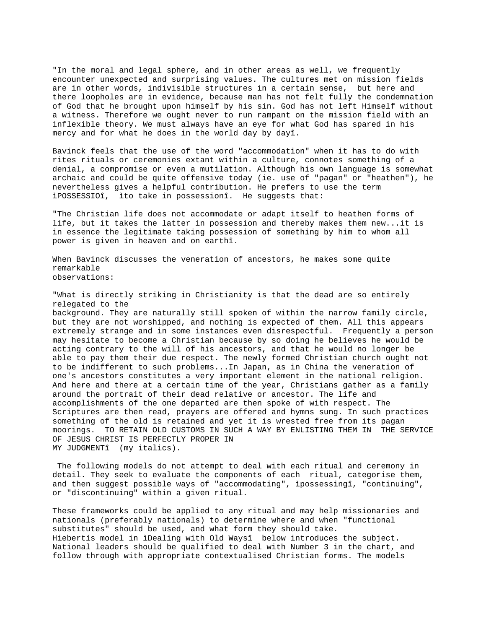"In the moral and legal sphere, and in other areas as well, we frequently encounter unexpected and surprising values. The cultures met on mission fields are in other words, indivisible structures in a certain sense, but here and there loopholes are in evidence, because man has not felt fully the condemnation of God that he brought upon himself by his sin. God has not left Himself without a witness. Therefore we ought never to run rampant on the mission field with an inflexible theory. We must always have an eye for what God has spared in his mercy and for what he does in the world day by dayî.

Bavinck feels that the use of the word "accommodation" when it has to do with rites rituals or ceremonies extant within a culture, connotes something of a denial, a compromise or even a mutilation. Although his own language is somewhat archaic and could be quite offensive today (ie. use of "pagan" or "heathen"), he nevertheless gives a helpful contribution. He prefers to use the term ìPOSSESSIOî, ìto take in possessionî. He suggests that:

"The Christian life does not accommodate or adapt itself to heathen forms of life, but it takes the latter in possession and thereby makes them new...it is in essence the legitimate taking possession of something by him to whom all power is given in heaven and on earthî.

When Bavinck discusses the veneration of ancestors, he makes some quite remarkable observations:

"What is directly striking in Christianity is that the dead are so entirely relegated to the background. They are naturally still spoken of within the narrow family circle, but they are not worshipped, and nothing is expected of them. All this appears extremely strange and in some instances even disrespectful. Frequently a person may hesitate to become a Christian because by so doing he believes he would be acting contrary to the will of his ancestors, and that he would no longer be able to pay them their due respect. The newly formed Christian church ought not to be indifferent to such problems...In Japan, as in China the veneration of one's ancestors constitutes a very important element in the national religion. And here and there at a certain time of the year, Christians gather as a family around the portrait of their dead relative or ancestor. The life and accomplishments of the one departed are then spoke of with respect. The Scriptures are then read, prayers are offered and hymns sung. In such practices something of the old is retained and yet it is wrested free from its pagan moorings. TO RETAIN OLD CUSTOMS IN SUCH A WAY BY ENLISTING THEM IN THE SERVICE OF JESUS CHRIST IS PERFECTLY PROPER IN MY JUDGMENTî (my italics).

 The following models do not attempt to deal with each ritual and ceremony in detail. They seek to evaluate the components of each ritual, categorise them, and then suggest possible ways of "accommodating", ìpossessingî, "continuing", or "discontinuing" within a given ritual.

These frameworks could be applied to any ritual and may help missionaries and nationals (preferably nationals) to determine where and when "functional substitutes" should be used, and what form they should take. Hiebertís model in ìDealing with Old Waysî below introduces the subject. National leaders should be qualified to deal with Number 3 in the chart, and follow through with appropriate contextualised Christian forms. The models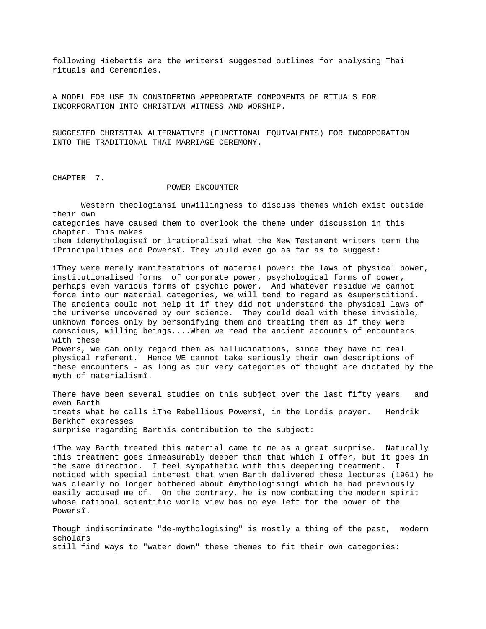following Hiebertís are the writersí suggested outlines for analysing Thai rituals and Ceremonies.

A MODEL FOR USE IN CONSIDERING APPROPRIATE COMPONENTS OF RITUALS FOR INCORPORATION INTO CHRISTIAN WITNESS AND WORSHIP.

SUGGESTED CHRISTIAN ALTERNATIVES (FUNCTIONAL EQUIVALENTS) FOR INCORPORATION INTO THE TRADITIONAL THAI MARRIAGE CEREMONY.

CHAPTER 7.

## POWER ENCOUNTER

 Western theologiansí unwillingness to discuss themes which exist outside their own categories have caused them to overlook the theme under discussion in this chapter. This makes them ìdemythologiseî or ìrationaliseî what the New Testament writers term the ìPrincipalities and Powersî. They would even go as far as to suggest:

ìThey were merely manifestations of material power: the laws of physical power, institutionalised forms of corporate power, psychological forms of power, perhaps even various forms of psychic power. And whatever residue we cannot force into our material categories, we will tend to regard as ësuperstitioní. The ancients could not help it if they did not understand the physical laws of the universe uncovered by our science. They could deal with these invisible, unknown forces only by personifying them and treating them as if they were conscious, willing beings....When we read the ancient accounts of encounters with these Powers, we can only regard them as hallucinations, since they have no real

physical referent. Hence WE cannot take seriously their own descriptions of these encounters - as long as our very categories of thought are dictated by the myth of materialismî.

There have been several studies on this subject over the last fifty years and even Barth treats what he calls ìThe Rebellious Powersî, in the Lordís prayer. Hendrik Berkhof expresses surprise regarding Barthís contribution to the subject:

ìThe way Barth treated this material came to me as a great surprise. Naturally this treatment goes immeasurably deeper than that which I offer, but it goes in the same direction. I feel sympathetic with this deepening treatment. I noticed with special interest that when Barth delivered these lectures (1961) he was clearly no longer bothered about ëmythologisingí which he had previously easily accused me of. On the contrary, he is now combating the modern spirit whose rational scientific world view has no eye left for the power of the Powersî.

Though indiscriminate "de-mythologising" is mostly a thing of the past, modern scholars still find ways to "water down" these themes to fit their own categories: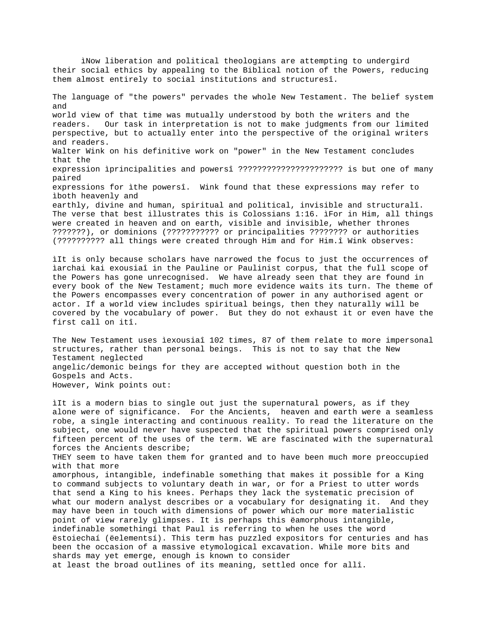their social ethics by appealing to the Biblical notion of the Powers, reducing them almost entirely to social institutions and structuresî. The language of "the powers" pervades the whole New Testament. The belief system and world view of that time was mutually understood by both the writers and the readers. Our task in interpretation is not to make judgments from our limited perspective, but to actually enter into the perspective of the original writers and readers. Walter Wink on his definitive work on "power" in the New Testament concludes that the expression ìprincipalities and powersî ?????????????????????? is but one of many paired expressions for ìthe powersî. Wink found that these expressions may refer to ìboth heavenly and earthly, divine and human, spiritual and political, invisible and structuralî. The verse that best illustrates this is Colossians 1:16. ìFor in Him, all things were created in heaven and on earth, visible and invisible, whether thrones ???????), or dominions (??????????? or principalities ???????? or authorities (?????????? all things were created through Him and for Him.î Wink observes:

ìNow liberation and political theologians are attempting to undergird

ìIt is only because scholars have narrowed the focus to just the occurrences of ìarchai kai exousiaî in the Pauline or Paulinist corpus, that the full scope of the Powers has gone unrecognised. We have already seen that they are found in every book of the New Testament; much more evidence waits its turn. The theme of the Powers encompasses every concentration of power in any authorised agent or actor. If a world view includes spiritual beings, then they naturally will be covered by the vocabulary of power. But they do not exhaust it or even have the first call on itî.

The New Testament uses ìexousiaî 102 times, 87 of them relate to more impersonal structures, rather than personal beings. This is not to say that the New Testament neglected angelic/demonic beings for they are accepted without question both in the Gospels and Acts. However, Wink points out:

ìIt is a modern bias to single out just the supernatural powers, as if they alone were of significance. For the Ancients, heaven and earth were a seamless robe, a single interacting and continuous reality. To read the literature on the subject, one would never have suspected that the spiritual powers comprised only fifteen percent of the uses of the term. WE are fascinated with the supernatural forces the Ancients describe; THEY seem to have taken them for granted and to have been much more preoccupied with that more amorphous, intangible, indefinable something that makes it possible for a King to command subjects to voluntary death in war, or for a Priest to utter words that send a King to his knees. Perhaps they lack the systematic precision of what our modern analyst describes or a vocabulary for designating it. And they may have been in touch with dimensions of power which our more materialistic point of view rarely glimpses. It is perhaps this ëamorphous intangible, indefinable somethingí that Paul is referring to when he uses the word ëstoiechaí (ëelementsí). This term has puzzled expositors for centuries and has been the occasion of a massive etymological excavation. While more bits and shards may yet emerge, enough is known to consider at least the broad outlines of its meaning, settled once for allî.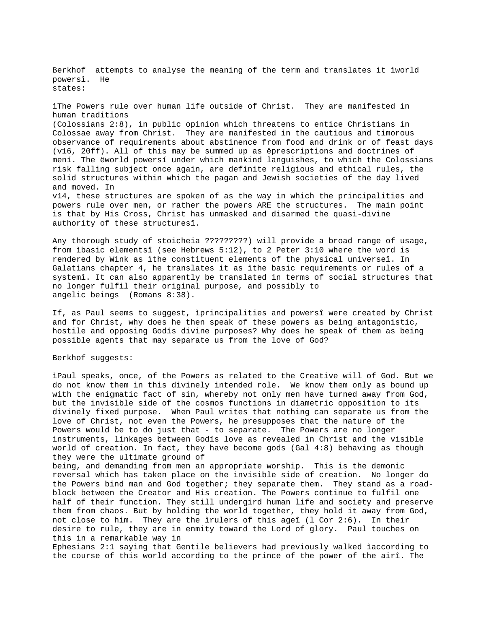Berkhof attempts to analyse the meaning of the term and translates it ìworld powersî. He states: ìThe Powers rule over human life outside of Christ. They are manifested in human traditions (Colossians 2:8), in public opinion which threatens to entice Christians in Colossae away from Christ. They are manifested in the cautious and timorous observance of requirements about abstinence from food and drink or of feast days (v16, 20ff). All of this may be summed up as ëprescriptions and doctrines of mení. The ëworld powersí under which mankind languishes, to which the Colossians risk falling subject once again, are definite religious and ethical rules, the solid structures within which the pagan and Jewish societies of the day lived and moved. In v14, these structures are spoken of as the way in which the principalities and powers rule over men, or rather the powers ARE the structures. The main point is that by His Cross, Christ has unmasked and disarmed the quasi-divine authority of these structuresî.

Any thorough study of stoicheia ?????????) will provide a broad range of usage, from ìbasic elementsî (see Hebrews 5:12), to 2 Peter 3:10 where the word is rendered by Wink as ìthe constituent elements of the physical universeî. In Galatians chapter 4, he translates it as ìthe basic requirements or rules of a systemî. It can also apparently be translated in terms of social structures that no longer fulfil their original purpose, and possibly to angelic beings (Romans 8:38).

If, as Paul seems to suggest, ìprincipalities and powersî were created by Christ and for Christ, why does he then speak of these powers as being antagonistic, hostile and opposing Godís divine purposes? Why does he speak of them as being possible agents that may separate us from the love of God?

## Berkhof suggests:

ìPaul speaks, once, of the Powers as related to the Creative will of God. But we do not know them in this divinely intended role. We know them only as bound up with the enigmatic fact of sin, whereby not only men have turned away from God, but the invisible side of the cosmos functions in diametric opposition to its divinely fixed purpose. When Paul writes that nothing can separate us from the love of Christ, not even the Powers, he presupposes that the nature of the Powers would be to do just that - to separate. The Powers are no longer instruments, linkages between Godís love as revealed in Christ and the visible world of creation. In fact, they have become gods (Gal 4:8) behaving as though they were the ultimate ground of

being, and demanding from men an appropriate worship. This is the demonic reversal which has taken place on the invisible side of creation. No longer do the Powers bind man and God together; they separate them. They stand as a roadblock between the Creator and His creation. The Powers continue to fulfil one half of their function. They still undergird human life and society and preserve them from chaos. But by holding the world together, they hold it away from God, not close to him. They are the ìrulers of this ageî (l Cor 2:6). In their desire to rule, they are in enmity toward the Lord of glory. Paul touches on this in a remarkable way in

Ephesians 2:1 saying that Gentile believers had previously walked ìaccording to the course of this world according to the prince of the power of the airî. The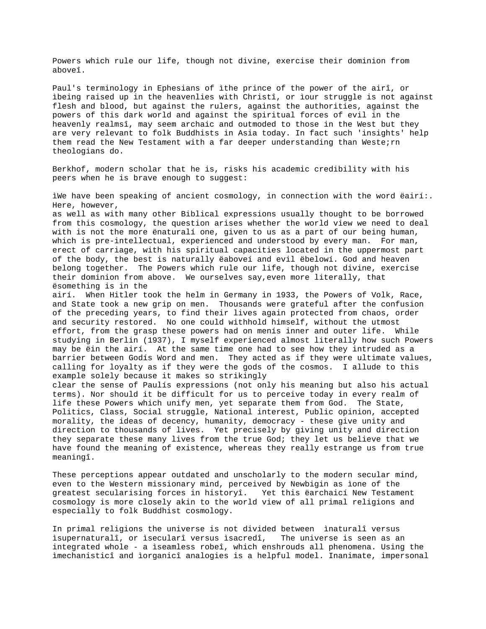Powers which rule our life, though not divine, exercise their dominion from aboveî.

Paul's terminology in Ephesians of ìthe prince of the power of the airî, or ìbeing raised up in the heavenlies with Christî, or ìour struggle is not against flesh and blood, but against the rulers, against the authorities, against the powers of this dark world and against the spiritual forces of evil in the heavenly realmsî, may seem archaic and outmoded to those in the West but they are very relevant to folk Buddhists in Asia today. In fact such 'insights' help them read the New Testament with a far deeper understanding than Weste;  $rn$ theologians do.

Berkhof, modern scholar that he is, risks his academic credibility with his peers when he is brave enough to suggest:

ìWe have been speaking of ancient cosmology, in connection with the word ëairí:. Here, however,

as well as with many other Biblical expressions usually thought to be borrowed from this cosmology, the question arises whether the world view we need to deal with is not the more ënaturalí one, given to us as a part of our being human, which is pre-intellectual, experienced and understood by every man. For man, erect of carriage, with his spiritual capacities located in the uppermost part of the body, the best is naturally ëaboveí and evil ëbelowí. God and heaven belong together. The Powers which rule our life, though not divine, exercise their dominion from above. We ourselves say,even more literally, that ësomething is in the

airí. When Hitler took the helm in Germany in 1933, the Powers of Volk, Race, and State took a new grip on men. Thousands were grateful after the confusion of the preceding years, to find their lives again protected from chaos, order and security restored. No one could withhold himself, without the utmost effort, from the grasp these powers had on menís inner and outer life. While studying in Berlin (1937), I myself experienced almost literally how such Powers may be ëin the airí. At the same time one had to see how they intruded as a barrier between Godís Word and men. They acted as if they were ultimate values, calling for loyalty as if they were the gods of the cosmos. I allude to this example solely because it makes so strikingly

clear the sense of Paulís expressions (not only his meaning but also his actual terms). Nor should it be difficult for us to perceive today in every realm of life these Powers which unify men, yet separate them from God. The State, Politics, Class, Social struggle, National interest, Public opinion, accepted morality, the ideas of decency, humanity, democracy - these give unity and direction to thousands of lives. Yet precisely by giving unity and direction they separate these many lives from the true God; they let us believe that we have found the meaning of existence, whereas they really estrange us from true meaningî.

These perceptions appear outdated and unscholarly to the modern secular mind, even to the Western missionary mind, perceived by Newbigin as ìone of the greatest secularising forces in historyî. Yet this ëarchaicí New Testament cosmology is more closely akin to the world view of all primal religions and especially to folk Buddhist cosmology.

In primal religions the universe is not divided between ìnaturalî versus ìsupernaturalî, or ìsecularî versus ìsacredî, The universe is seen as an integrated whole - a ìseamless robeî, which enshrouds all phenomena. Using the ìmechanisticî and ìorganicî analogies is a helpful model. Inanimate, impersonal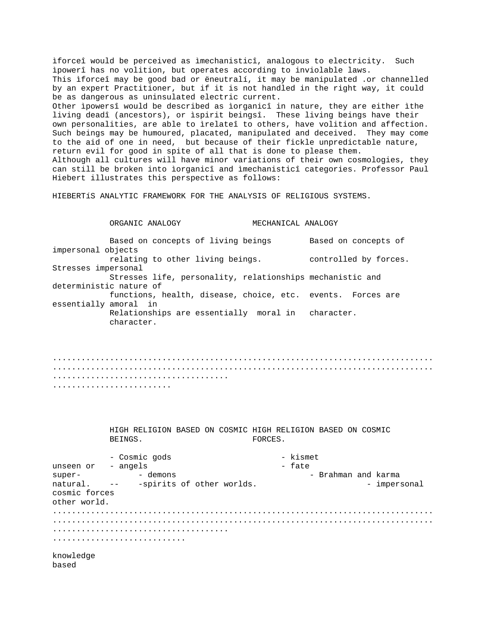ìforceî would be perceived as ìmechanisticî, analogous to electricity. Such ìpowerî has no volition, but operates according to inviolable laws. This ìforceî may be good bad or ëneutralí, it may be manipulated .or channelled by an expert Practitioner, but if it is not handled in the right way, it could be as dangerous as uninsulated electric current. Other ìpowersî would be described as ìorganicî in nature, they are either ìthe living deadî (ancestors), or ìspirit beingsî. These living beings have their own personalities, are able to ìrelateî to others, have volition and affection. Such beings may be humoured, placated, manipulated and deceived. They may come to the aid of one in need, but because of their fickle unpredictable nature, return evil for good in spite of all that is done to please them. Although all cultures will have minor variations of their own cosmologies, they can still be broken into ìorganicî and ìmechanisticî categories. Professor Paul Hiebert illustrates this perspective as follows:

HIEBERTíS ANALYTIC FRAMEWORK FOR THE ANALYSIS OF RELIGIOUS SYSTEMS.

ORGANIC ANALOGY MECHANICAL ANALOGY

Based on concepts of living beings Based on concepts of impersonal objects relating to other living beings. controlled by forces. Stresses impersonal Stresses life, personality, relationships mechanistic and deterministic nature of functions, health, disease, choice, etc. events. Forces are essentially amoral in Relationships are essentially moral in character. character.

................................................................................ ................................................................................ ..................................... .........................

> HIGH RELIGION BASED ON COSMIC HIGH RELIGION BASED ON COSMIC BEINGS. FORCES.

- Cosmic gods - kismet unseen or - angels - fate super-  $-$  demons  $-$  demons  $-$  Brahman and karma natural. -- - spirits of other worlds. The same sense impersonal cosmic forces other world. ................................................................................ ................................................................................ ..................................... ............................

knowledge based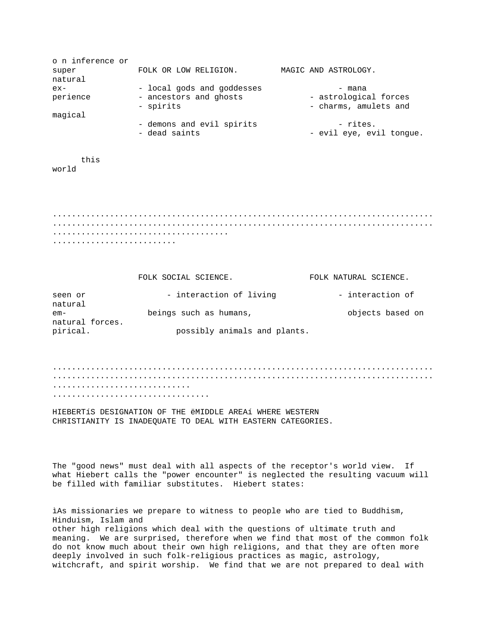| o n inference or |                            |                          |
|------------------|----------------------------|--------------------------|
| super            | FOLK OR LOW RELIGION.      | MAGIC AND ASTROLOGY.     |
| natural          |                            |                          |
| $ex-$            | - local gods and goddesses | - mana                   |
| perience         | - ancestors and ghosts     | - astrological forces    |
|                  | - spirits                  | - charms, amulets and    |
| magical          |                            |                          |
|                  | - demons and evil spirits  | - rites.                 |
|                  | - dead saints              | - evil eye, evil tongue. |

this world

................................................................................ ................................................................................ ..................................... ..........................

|                        | FOLK SOCIAL SCIENCE.         | FOLK NATURAL SCIENCE. |
|------------------------|------------------------------|-----------------------|
| seen or<br>natural     | - interaction of living      | - interaction of      |
| em-<br>natural forces. | beings such as humans,       | objects based on      |
| pirical.               | possibly animals and plants. |                       |

................................................................................ ................................................................................ ............................. .................................

HIEBERTíS DESIGNATION OF THE ëMIDDLE AREAí WHERE WESTERN CHRISTIANITY IS INADEQUATE TO DEAL WITH EASTERN CATEGORIES.

The "good news" must deal with all aspects of the receptor's world view. If what Hiebert calls the "power encounter" is neglected the resulting vacuum will be filled with familiar substitutes. Hiebert states:

ìAs missionaries we prepare to witness to people who are tied to Buddhism, Hinduism, Islam and other high religions which deal with the questions of ultimate truth and meaning. We are surprised, therefore when we find that most of the common folk do not know much about their own high religions, and that they are often more deeply involved in such folk-religious practices as magic, astrology, witchcraft, and spirit worship. We find that we are not prepared to deal with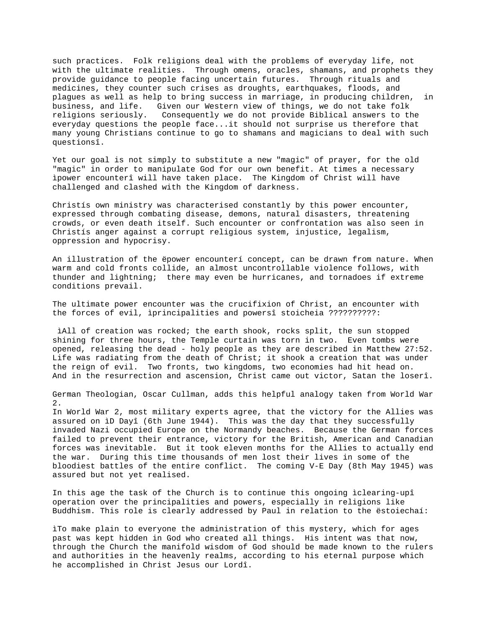such practices. Folk religions deal with the problems of everyday life, not with the ultimate realities. Through omens, oracles, shamans, and prophets they provide guidance to people facing uncertain futures. Through rituals and medicines, they counter such crises as droughts, earthquakes, floods, and plagues as well as help to bring success in marriage, in producing children, in business, and life. Given our Western view of things, we do not take folk religions seriously. Consequently we do not provide Biblical answers to the everyday questions the people face...it should not surprise us therefore that many young Christians continue to go to shamans and magicians to deal with such questionsî.

Yet our goal is not simply to substitute a new "magic" of prayer, for the old "magic" in order to manipulate God for our own benefit. At times a necessary ìpower encounterî will have taken place. The Kingdom of Christ will have challenged and clashed with the Kingdom of darkness.

Christís own ministry was characterised constantly by this power encounter, expressed through combating disease, demons, natural disasters, threatening crowds, or even death itself. Such encounter or confrontation was also seen in Christís anger against a corrupt religious system, injustice, legalism, oppression and hypocrisy.

An illustration of the ëpower encounterí concept, can be drawn from nature. When warm and cold fronts collide, an almost uncontrollable violence follows, with thunder and lightning; there may even be hurricanes, and tornadoes if extreme conditions prevail.

The ultimate power encounter was the crucifixion of Christ, an encounter with the forces of evil, ìprincipalities and powersî stoicheia ??????????:

iAll of creation was rocked; the earth shook, rocks split, the sun stopped shining for three hours, the Temple curtain was torn in two. Even tombs were opened, releasing the dead - holy people as they are described in Matthew 27:52. Life was radiating from the death of Christ; it shook a creation that was under the reign of evil. Two fronts, two kingdoms, two economies had hit head on. And in the resurrection and ascension, Christ came out victor, Satan the loserî.

German Theologian, Oscar Cullman, adds this helpful analogy taken from World War  $2.$ 

In World War 2, most military experts agree, that the victory for the Allies was assured on ìD Dayî (6th June 1944). This was the day that they successfully invaded Nazi occupied Europe on the Normandy beaches. Because the German forces failed to prevent their entrance, victory for the British, American and Canadian forces was inevitable. But it took eleven months for the Allies to actually end the war. During this time thousands of men lost their lives in some of the bloodiest battles of the entire conflict. The coming V-E Day (8th May 1945) was assured but not yet realised.

In this age the task of the Church is to continue this ongoing ìclearing-upî operation over the principalities and powers, especially in religions like Buddhism. This role is clearly addressed by Paul in relation to the ëstoiechaí:

ìTo make plain to everyone the administration of this mystery, which for ages past was kept hidden in God who created all things. His intent was that now, through the Church the manifold wisdom of God should be made known to the rulers and authorities in the heavenly realms, according to his eternal purpose which he accomplished in Christ Jesus our Lordî.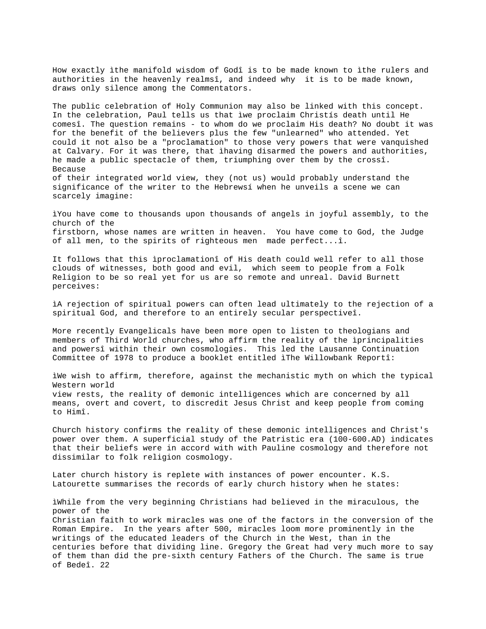How exactly ìthe manifold wisdom of Godî is to be made known to ìthe rulers and authorities in the heavenly realmsî, and indeed why it is to be made known, draws only silence among the Commentators.

The public celebration of Holy Communion may also be linked with this concept. In the celebration, Paul tells us that ìwe proclaim Christís death until He comesî. The question remains - to whom do we proclaim His death? No doubt it was for the benefit of the believers plus the few "unlearned" who attended. Yet could it not also be a "proclamation" to those very powers that were vanquished at Calvary. For it was there, that ìhaving disarmed the powers and authorities, he made a public spectacle of them, triumphing over them by the crossî. Because of their integrated world view, they (not us) would probably understand the significance of the writer to the Hebrewsí when he unveils a scene we can scarcely imagine:

ìYou have come to thousands upon thousands of angels in joyful assembly, to the church of the firstborn, whose names are written in heaven. You have come to God, the Judge of all men, to the spirits of righteous men made perfect...î.

It follows that this ìproclamationî of His death could well refer to all those clouds of witnesses, both good and evil, which seem to people from a Folk Religion to be so real yet for us are so remote and unreal. David Burnett perceives:

ìA rejection of spiritual powers can often lead ultimately to the rejection of a spiritual God, and therefore to an entirely secular perspectiveî.

More recently Evangelicals have been more open to listen to theologians and members of Third World churches, who affirm the reality of the ìprincipalities and powersî within their own cosmologies. This led the Lausanne Continuation Committee of 1978 to produce a booklet entitled ìThe Willowbank Reportî:

ìWe wish to affirm, therefore, against the mechanistic myth on which the typical Western world view rests, the reality of demonic intelligences which are concerned by all means, overt and covert, to discredit Jesus Christ and keep people from coming to Himî.

Church history confirms the reality of these demonic intelligences and Christ's power over them. A superficial study of the Patristic era (100-600.AD) indicates that their beliefs were in accord with with Pauline cosmology and therefore not dissimilar to folk religion cosmology.

Later church history is replete with instances of power encounter. K.S. Latourette summarises the records of early church history when he states:

ìWhile from the very beginning Christians had believed in the miraculous, the power of the Christian faith to work miracles was one of the factors in the conversion of the Roman Empire. In the years after 500, miracles loom more prominently in the writings of the educated leaders of the Church in the West, than in the centuries before that dividing line. Gregory the Great had very much more to say of them than did the pre-sixth century Fathers of the Church. The same is true of Bedeî. 22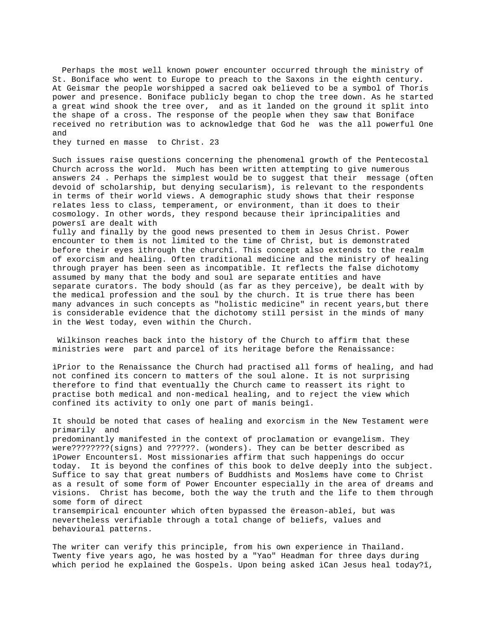Perhaps the most well known power encounter occurred through the ministry of St. Boniface who went to Europe to preach to the Saxons in the eighth century. At Geismar the people worshipped a sacred oak believed to be a symbol of Thorís power and presence. Boniface publicly began to chop the tree down. As he started a great wind shook the tree over, and as it landed on the ground it split into the shape of a cross. The response of the people when they saw that Boniface received no retribution was to acknowledge that God he was the all powerful One and

they turned en masse to Christ. 23

Such issues raise questions concerning the phenomenal growth of the Pentecostal Church across the world. Much has been written attempting to give numerous answers 24 . Perhaps the simplest would be to suggest that their message (often devoid of scholarship, but denying secularism), is relevant to the respondents in terms of their world views. A demographic study shows that their response relates less to class, temperament, or environment, than it does to their cosmology. In other words, they respond because their ìprincipalities and powersî are dealt with

fully and finally by the good news presented to them in Jesus Christ. Power encounter to them is not limited to the time of Christ, but is demonstrated before their eyes ìthrough the churchî. This concept also extends to the realm of exorcism and healing. Often traditional medicine and the ministry of healing through prayer has been seen as incompatible. It reflects the false dichotomy assumed by many that the body and soul are separate entities and have separate curators. The body should (as far as they perceive), be dealt with by the medical profession and the soul by the church. It is true there has been many advances in such concepts as "holistic medicine" in recent years,but there is considerable evidence that the dichotomy still persist in the minds of many in the West today, even within the Church.

 Wilkinson reaches back into the history of the Church to affirm that these ministries were part and parcel of its heritage before the Renaissance:

ìPrior to the Renaissance the Church had practised all forms of healing, and had not confined its concern to matters of the soul alone. It is not surprising therefore to find that eventually the Church came to reassert its right to practise both medical and non-medical healing, and to reject the view which confined its activity to only one part of manís beingî.

It should be noted that cases of healing and exorcism in the New Testament were primarily and

predominantly manifested in the context of proclamation or evangelism. They were????????(signs) and ??????. (wonders). They can be better described as ìPower Encountersî. Most missionaries affirm that such happenings do occur today. It is beyond the confines of this book to delve deeply into the subject. Suffice to say that great numbers of Buddhists and Moslems have come to Christ as a result of some form of Power Encounter especially in the area of dreams and visions. Christ has become, both the way the truth and the life to them through some form of direct transempirical encounter which often bypassed the ëreason-ableí, but was

nevertheless verifiable through a total change of beliefs, values and behavioural patterns.

The writer can verify this principle, from his own experience in Thailand. Twenty five years ago, he was hosted by a "Yao" Headman for three days during which period he explained the Gospels. Upon being asked ìCan Jesus heal today?î,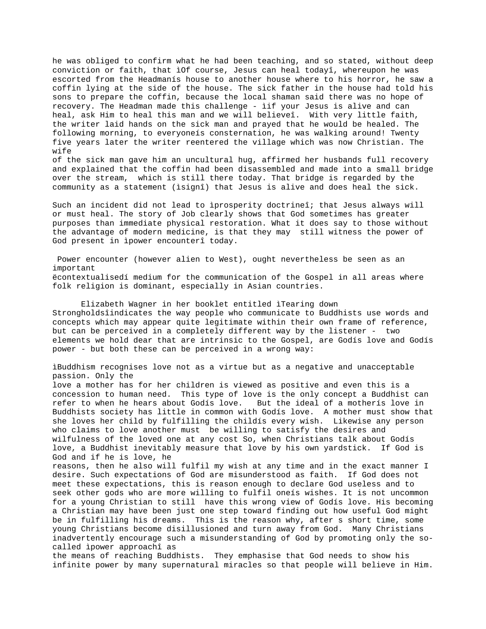he was obliged to confirm what he had been teaching, and so stated, without deep conviction or faith, that ìOf course, Jesus can heal todayî, whereupon he was escorted from the Headmanís house to another house where to his horror, he saw a coffin lying at the side of the house. The sick father in the house had told his sons to prepare the coffin, because the local shaman said there was no hope of recovery. The Headman made this challenge - ìif your Jesus is alive and can heal, ask Him to heal this man and we will believeî. With very little faith, the writer laid hands on the sick man and prayed that he would be healed. The following morning, to everyoneís consternation, he was walking around! Twenty five years later the writer reentered the village which was now Christian. The wife

of the sick man gave him an uncultural hug, affirmed her husbands full recovery and explained that the coffin had been disassembled and made into a small bridge over the stream, which is still there today. That bridge is regarded by the community as a statement (ìsignî) that Jesus is alive and does heal the sick.

Such an incident did not lead to ìprosperity doctrineî; that Jesus always will or must heal. The story of Job clearly shows that God sometimes has greater purposes than immediate physical restoration. What it does say to those without the advantage of modern medicine, is that they may still witness the power of God present in ìpower encounterî today.

 Power encounter (however alien to West), ought nevertheless be seen as an important ëcontextualisedí medium for the communication of the Gospel in all areas where folk religion is dominant, especially in Asian countries.

Elizabeth Wagner in her booklet entitled ìTearing down Strongholdsîindicates the way people who communicate to Buddhists use words and concepts which may appear quite legitimate within their own frame of reference, but can be perceived in a completely different way by the listener - two elements we hold dear that are intrinsic to the Gospel, are Godís love and Godís power - but both these can be perceived in a wrong way:

ìBuddhism recognises love not as a virtue but as a negative and unacceptable passion. Only the love a mother has for her children is viewed as positive and even this is a concession to human need. This type of love is the only concept a Buddhist can refer to when he hears about Godís love. But the ideal of a motherís love in Buddhists society has little in common with Godís love. A mother must show that she loves her child by fulfilling the childís every wish. Likewise any person who claims to love another must be willing to satisfy the desires and wilfulness of the loved one at any cost So, when Christians talk about Godís love, a Buddhist inevitably measure that love by his own yardstick. If God is God and if he is love, he reasons, then he also will fulfil my wish at any time and in the exact manner I desire. Such expectations of God are misunderstood as faith. If God does not meet these expectations, this is reason enough to declare God useless and to seek other gods who are more willing to fulfil oneís wishes. It is not uncommon for a young Christian to still have this wrong view of Godís love. His becoming a Christian may have been just one step toward finding out how useful God might

be in fulfilling his dreams. This is the reason why, after s short time, some young Christians become disillusioned and turn away from God. Many Christians inadvertently encourage such a misunderstanding of God by promoting only the socalled ìpower approachî as

the means of reaching Buddhists. They emphasise that God needs to show his infinite power by many supernatural miracles so that people will believe in Him.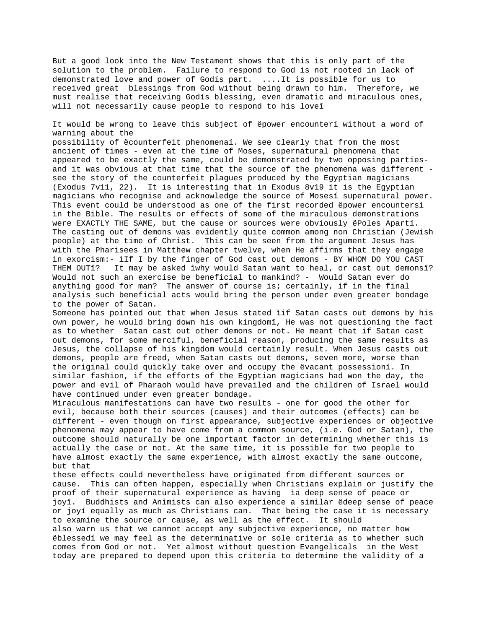But a good look into the New Testament shows that this is only part of the solution to the problem. Failure to respond to God is not rooted in lack of demonstrated love and power of Godís part. ....It is possible for us to received great blessings from God without being drawn to him. Therefore, we must realise that receiving Godís blessing, even dramatic and miraculous ones, will not necessarily cause people to respond to his loveî

It would be wrong to leave this subject of ëpower encounterí without a word of warning about the

possibility of ëcounterfeit phenomenaí. We see clearly that from the most ancient of times - even at the time of Moses, supernatural phenomena that appeared to be exactly the same, could be demonstrated by two opposing partiesand it was obvious at that time that the source of the phenomena was different see the story of the counterfeit plagues produced by the Egyptian magicians (Exodus 7v11, 22). It is interesting that in Exodus 8v19 it is the Egyptian magicians who recognise and acknowledge the source of Mosesí supernatural power. This event could be understood as one of the first recorded ëpower encountersí in the Bible. The results or effects of some of the miraculous demonstrations were EXACTLY THE SAME, but the cause or sources were obviously ëPoles Apartí. The casting out of demons was evidently quite common among non Christian (Jewish people) at the time of Christ. This can be seen from the argument Jesus has with the Pharisees in Matthew chapter twelve, when He affirms that they engage in exorcism:- ìIf I by the finger of God cast out demons - BY WHOM DO YOU CAST THEM OUTî? It may be asked ìwhy would Satan want to heal, or cast out demonsî? Would not such an exercise be beneficial to mankind? - Would Satan ever do anything good for man? The answer of course is; certainly, if in the final analysis such beneficial acts would bring the person under even greater bondage to the power of Satan.

Someone has pointed out that when Jesus stated ìif Satan casts out demons by his own power, he would bring down his own kingdomî, He was not questioning the fact as to whether Satan cast out other demons or not. He meant that if Satan cast out demons, for some merciful, beneficial reason, producing the same results as Jesus, the collapse of his kingdom would certainly result. When Jesus casts out demons, people are freed, when Satan casts out demons, seven more, worse than the original could quickly take over and occupy the ëvacant possessioní. In similar fashion, if the efforts of the Egyptian magicians had won the day, the power and evil of Pharaoh would have prevailed and the children of Israel would have continued under even greater bondage.

Miraculous manifestations can have two results - one for good the other for evil, because both their sources (causes) and their outcomes (effects) can be different - even though on first appearance, subjective experiences or objective phenomena may appear to have come from a common source, (i.e. God or Satan), the outcome should naturally be one important factor in determining whether this is actually the case or not. At the same time, it is possible for two people to have almost exactly the same experience, with almost exactly the same outcome, but that

these effects could nevertheless have originated from different sources or cause. This can often happen, especially when Christians explain or justify the proof of their supernatural experience as having ìa deep sense of peace or joyî. Buddhists and Animists can also experience a similar ëdeep sense of peace or joyí equally as much as Christians can. That being the case it is necessary to examine the source or cause, as well as the effect. It should also warn us that we cannot accept any subjective experience, no matter how ëblessedí we may feel as the determinative or sole criteria as to whether such comes from God or not. Yet almost without question Evangelicals in the West today are prepared to depend upon this criteria to determine the validity of a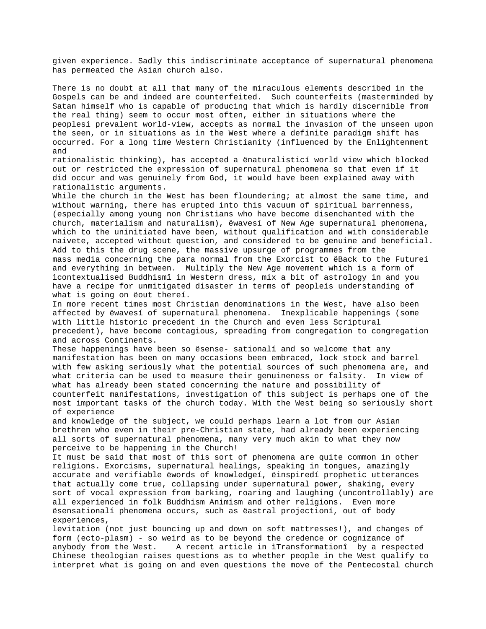given experience. Sadly this indiscriminate acceptance of supernatural phenomena has permeated the Asian church also.

There is no doubt at all that many of the miraculous elements described in the Gospels can be and indeed are counterfeited. Such counterfeits (masterminded by Satan himself who is capable of producing that which is hardly discernible from the real thing) seem to occur most often, either in situations where the peoplesí prevalent world-view, accepts as normal the invasion of the unseen upon the seen, or in situations as in the West where a definite paradigm shift has occurred. For a long time Western Christianity (influenced by the Enlightenment and

rationalistic thinking), has accepted a ënaturalisticí world view which blocked out or restricted the expression of supernatural phenomena so that even if it did occur and was genuinely from God, it would have been explained away with rationalistic arguments.

While the church in the West has been floundering; at almost the same time, and without warning, there has erupted into this vacuum of spiritual barrenness, (especially among young non Christians who have become disenchanted with the church, materialism and naturalism), ëwavesí of New Age supernatural phenomena, which to the uninitiated have been, without qualification and with considerable naivete, accepted without question, and considered to be genuine and beneficial. Add to this the drug scene, the massive upsurge of programmes from the mass media concerning the para normal from the Exorcist to ëBack to the Futureí and everything in between. Multiply the New Age movement which is a form of ìcontextualised Buddhismî in Western dress, mix a bit of astrology in and you have a recipe for unmitigated disaster in terms of peopleís understanding of what is going on ëout thereí.

In more recent times most Christian denominations in the West, have also been affected by ëwavesí of supernatural phenomena. Inexplicable happenings (some with little historic precedent in the Church and even less Scriptural precedent), have become contagious, spreading from congregation to congregation and across Continents.

These happenings have been so ësense- sationalí and so welcome that any manifestation has been on many occasions been embraced, lock stock and barrel with few asking seriously what the potential sources of such phenomena are, and what criteria can be used to measure their genuineness or falsity. In view of what has already been stated concerning the nature and possibility of counterfeit manifestations, investigation of this subject is perhaps one of the most important tasks of the church today. With the West being so seriously short of experience

and knowledge of the subject, we could perhaps learn a lot from our Asian brethren who even in their pre-Christian state, had already been experiencing all sorts of supernatural phenomena, many very much akin to what they now perceive to be happening in the Church!

It must be said that most of this sort of phenomena are quite common in other religions. Exorcisms, supernatural healings, speaking in tongues, amazingly accurate and verifiable ëwords of knowledgeí, ëinspiredí prophetic utterances that actually come true, collapsing under supernatural power, shaking, every sort of vocal expression from barking, roaring and laughing (uncontrollably) are all experienced in folk Buddhism Animism and other religions. Even more ësensationalí phenomena occurs, such as ëastral projectioní, out of body experiences,

levitation (not just bouncing up and down on soft mattresses!), and changes of form (ecto-plasm) - so weird as to be beyond the credence or cognizance of anybody from the West. A recent article in ìTransformationî by a respected Chinese theologian raises questions as to whether people in the West qualify to interpret what is going on and even questions the move of the Pentecostal church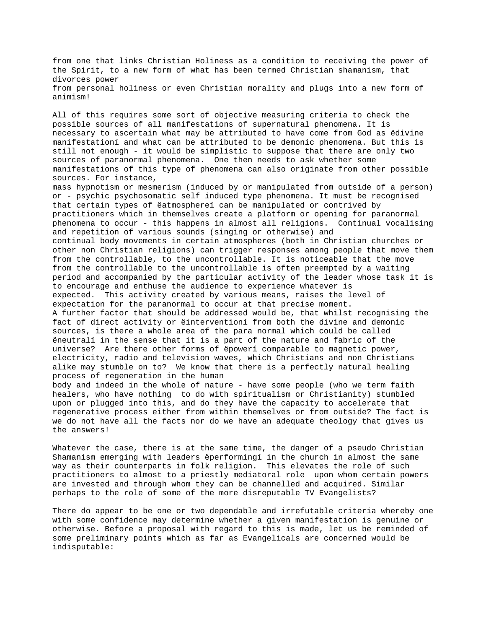from one that links Christian Holiness as a condition to receiving the power of the Spirit, to a new form of what has been termed Christian shamanism, that divorces power from personal holiness or even Christian morality and plugs into a new form of animism!

All of this requires some sort of objective measuring criteria to check the possible sources of all manifestations of supernatural phenomena. It is necessary to ascertain what may be attributed to have come from God as ëdivine manifestationí and what can be attributed to be demonic phenomena. But this is still not enough - it would be simplistic to suppose that there are only two sources of paranormal phenomena. One then needs to ask whether some manifestations of this type of phenomena can also originate from other possible sources. For instance, mass hypnotism or mesmerism (induced by or manipulated from outside of a person) or - psychic psychosomatic self induced type phenomena. It must be recognised that certain types of ëatmosphereí can be manipulated or contrived by practitioners which in themselves create a platform or opening for paranormal phenomena to occur - this happens in almost all religions. Continual vocalising and repetition of various sounds (singing or otherwise) and continual body movements in certain atmospheres (both in Christian churches or other non Christian religions) can trigger responses among people that move them from the controllable, to the uncontrollable. It is noticeable that the move from the controllable to the uncontrollable is often preempted by a waiting period and accompanied by the particular activity of the leader whose task it is to encourage and enthuse the audience to experience whatever is expected. This activity created by various means, raises the level of expectation for the paranormal to occur at that precise moment.

A further factor that should be addressed would be, that whilst recognising the fact of direct activity or ëinterventioní from both the divine and demonic sources, is there a whole area of the para normal which could be called ëneutralí in the sense that it is a part of the nature and fabric of the universe? Are there other forms of ëpowerí comparable to magnetic power, electricity, radio and television waves, which Christians and non Christians alike may stumble on to? We know that there is a perfectly natural healing process of regeneration in the human

body and indeed in the whole of nature - have some people (who we term faith healers, who have nothing to do with spiritualism or Christianity) stumbled upon or plugged into this, and do they have the capacity to accelerate that regenerative process either from within themselves or from outside? The fact is we do not have all the facts nor do we have an adequate theology that gives us the answers!

Whatever the case, there is at the same time, the danger of a pseudo Christian Shamanism emerging with leaders ëperformingí in the church in almost the same way as their counterparts in folk religion. This elevates the role of such practitioners to almost to a priestly mediatoral role upon whom certain powers are invested and through whom they can be channelled and acquired. Similar perhaps to the role of some of the more disreputable TV Evangelists?

There do appear to be one or two dependable and irrefutable criteria whereby one with some confidence may determine whether a given manifestation is genuine or otherwise. Before a proposal with regard to this is made, let us be reminded of some preliminary points which as far as Evangelicals are concerned would be indisputable: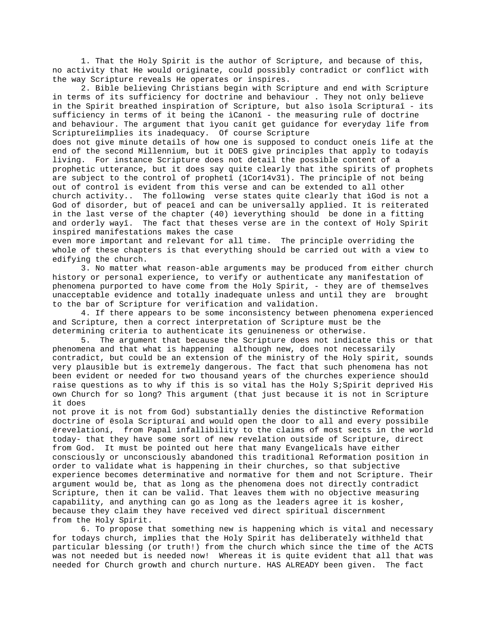1. That the Holy Spirit is the author of Scripture, and because of this, no activity that He would originate, could possibly contradict or conflict with the way Scripture reveals He operates or inspires.

2. Bible believing Christians begin with Scripture and end with Scripture in terms of its sufficiency for doctrine and behaviour . They not only believe in the Spirit breathed inspiration of Scripture, but also ìsola Scripturaî - its sufficiency in terms of it being the ìCanonî - the measuring rule of doctrine and behaviour. The argument that ìyou canít get guidance for everyday life from Scriptureîimplies its inadequacy. Of course Scripture does not give minute details of how one is supposed to conduct oneís life at the end of the second Millennium, but it DOES give principles that apply to todayís living. For instance Scripture does not detail the possible content of a prophetic utterance, but it does say quite clearly that ìthe spirits of prophets are subject to the control of prophetî (1Cor14v31). The principle of not being out of control is evident from this verse and can be extended to all other church activity.. The following verse states quite clearly that ìGod is not a God of disorder, but of peaceî and can be universally applied. It is reiterated in the last verse of the chapter (40) ìeverything should be done in a fitting and orderly wayî. The fact that theses verse are in the context of Holy Spirit inspired manifestations makes the case

even more important and relevant for all time. The principle overriding the whole of these chapters is that everything should be carried out with a view to edifying the church.

3. No matter what reason-able arguments may be produced from either church history or personal experience, to verify or authenticate any manifestation of phenomena purported to have come from the Holy Spirit, - they are of themselves unacceptable evidence and totally inadequate unless and until they are brought to the bar of Scripture for verification and validation.

4. If there appears to be some inconsistency between phenomena experienced and Scripture, then a correct interpretation of Scripture must be the determining criteria to authenticate its genuineness or otherwise.

5. The argument that because the Scripture does not indicate this or that phenomena and that what is happening although new, does not necessarily contradict, but could be an extension of the ministry of the Holy spirit, sounds very plausible but is extremely dangerous. The fact that such phenomena has not been evident or needed for two thousand years of the churches experience should raise questions as to why if this is so vital has the Holy S; Spirit deprived His own Church for so long? This argument (that just because it is not in Scripture it does

not prove it is not from God) substantially denies the distinctive Reformation doctrine of ësola Scripturaí and would open the door to all and every possibile ërevelationí, from Papal infallibility to the claims of most sects in the world today- that they have some sort of new revelation outside of Scripture, direct from God. It must be pointed out here that many Evangelicals have either consciously or unconsciously abandoned this traditional Reformation position in order to validate what is happening in their churches, so that subjective experience becomes determinative and normative for them and not Scripture. Their argument would be, that as long as the phenomena does not directly contradict Scripture, then it can be valid. That leaves them with no objective measuring capability, and anything can go as long as the leaders agree it is kosher, because they claim they have received ved direct spiritual discernment from the Holy Spirit.

6. To propose that something new is happening which is vital and necessary for todays church, implies that the Holy Spirit has deliberately withheld that particular blessing (or truth!) from the church which since the time of the ACTS was not needed but is needed now! Whereas it is quite evident that all that was needed for Church growth and church nurture. HAS ALREADY been given. The fact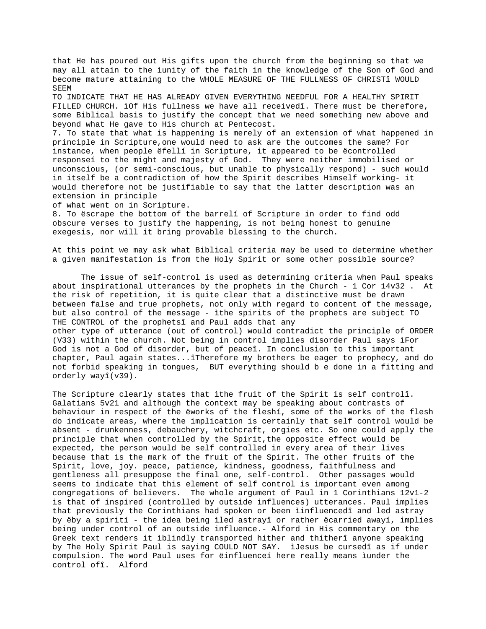that He has poured out His gifts upon the church from the beginning so that we may all attain to the ìunity of the faith in the knowledge of the Son of God and become mature attaining to the WHOLE MEASURE OF THE FULLNESS OF CHRISTî WOULD SEEM

TO INDICATE THAT HE HAS ALREADY GIVEN EVERYTHING NEEDFUL FOR A HEALTHY SPIRIT FILLED CHURCH. ìOf His fullness we have all receivedî. There must be therefore, some Biblical basis to justify the concept that we need something new above and beyond what He gave to His church at Pentecost.

7. To state that what is happening is merely of an extension of what happened in principle in Scripture,one would need to ask are the outcomes the same? For instance, when people ëfellí in Scripture, it appeared to be ëcontrolled responseí to the might and majesty of God. They were neither immobilised or unconscious, (or semi-conscious, but unable to physically respond) - such would in itself be a contradiction of how the Spirit describes Himself working- it would therefore not be justifiable to say that the latter description was an extension in principle

of what went on in Scripture.

8. To ëscrape the bottom of the barrelí of Scripture in order to find odd obscure verses to justify the happening, is not being honest to genuine exegesis, nor will it bring provable blessing to the church.

At this point we may ask what Biblical criteria may be used to determine whether a given manifestation is from the Holy Spirit or some other possible source?

The issue of self-control is used as determining criteria when Paul speaks about inspirational utterances by the prophets in the Church - 1 Cor 14v32 . At the risk of repetition, it is quite clear that a distinctive must be drawn between false and true prophets, not only with regard to content of the message, but also control of the message - ìthe spirits of the prophets are subject TO THE CONTROL of the prophetsî and Paul adds that any other type of utterance (out of control) would contradict the principle of ORDER (V33) within the church. Not being in control implies disorder Paul says ìFor God is not a God of disorder, but of peaceî. In conclusion to this important chapter, Paul again states...îTherefore my brothers be eager to prophecy, and do not forbid speaking in tongues, BUT everything should b e done in a fitting and orderly wayî(v39).

The Scripture clearly states that ìthe fruit of the Spirit is self controlî. Galatians 5v21 and although the context may be speaking about contrasts of behaviour in respect of the ëworks of the fleshí, some of the works of the flesh do indicate areas, where the implication is certainly that self control would be absent - drunkenness, debauchery, witchcraft, orgies etc. So one could apply the principle that when controlled by the Spirit,the opposite effect would be expected, the person would be self controlled in every area of their lives because that is the mark of the fruit of the Spirit. The other fruits of the Spirit, love, joy. peace, patience, kindness, goodness, faithfulness and gentleness all presuppose the final one, self-control. Other passages would seems to indicate that this element of self control is important even among congregations of believers. The whole argument of Paul in 1 Corinthians 12v1-2 is that of inspired (controlled by outside influences) utterances. Paul implies that previously the Corinthians had spoken or been ìinfluencedî and led astray by ëby a spirití - the idea being ìled astrayî or rather ëcarried awayí, implies being under control of an outside influence.- Alford in His commentary on the Greek text renders it ìblindly transported hither and thitherî anyone speaking by The Holy Spirit Paul is saying COULD NOT SAY. ìJesus be cursedî as if under compulsion. The word Paul uses for ëinfluenceí here really means ìunder the control ofî. Alford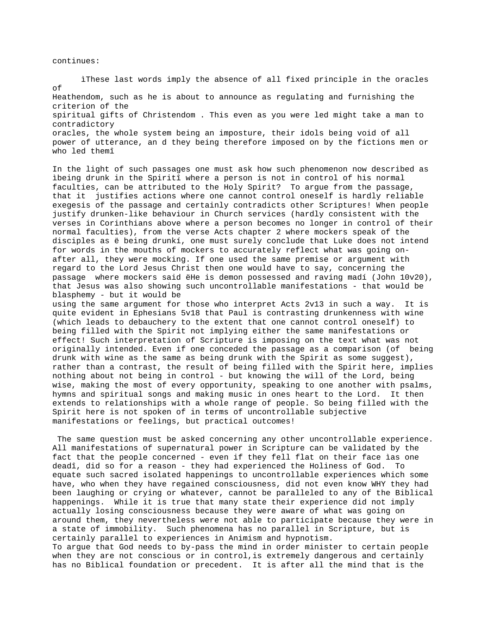continues:

ìThese last words imply the absence of all fixed principle in the oracles of Heathendom, such as he is about to announce as regulating and furnishing the criterion of the spiritual gifts of Christendom . This even as you were led might take a man to contradictory oracles, the whole system being an imposture, their idols being void of all power of utterance, an d they being therefore imposed on by the fictions men or who led themî

In the light of such passages one must ask how such phenomenon now described as ìbeing drunk in the Spiritî where a person is not in control of his normal faculties, can be attributed to the Holy Spirit? To argue from the passage, that it justifies actions where one cannot control oneself is hardly reliable exegesis of the passage and certainly contradicts other Scriptures! When people justify drunken-like behaviour in Church services (hardly consistent with the verses in Corinthians above where a person becomes no longer in control of their normal faculties), from the verse Acts chapter 2 where mockers speak of the disciples as ë being drunkí, one must surely conclude that Luke does not intend for words in the mouths of mockers to accurately reflect what was going onafter all, they were mocking. If one used the same premise or argument with regard to the Lord Jesus Christ then one would have to say, concerning the passage where mockers said ëHe is demon possessed and raving madí (John 10v20), that Jesus was also showing such uncontrollable manifestations - that would be blasphemy - but it would be using the same argument for those who interpret Acts 2v13 in such a way. It is

quite evident in Ephesians 5v18 that Paul is contrasting drunkenness with wine (which leads to debauchery to the extent that one cannot control oneself) to being filled with the Spirit not implying either the same manifestations or effect! Such interpretation of Scripture is imposing on the text what was not originally intended. Even if one conceded the passage as a comparison (of being drunk with wine as the same as being drunk with the Spirit as some suggest), rather than a contrast, the result of being filled with the Spirit here, implies nothing about not being in control - but knowing the will of the Lord, being wise, making the most of every opportunity, speaking to one another with psalms, hymns and spiritual songs and making music in ones heart to the Lord. It then extends to relationships with a whole range of people. So being filled with the Spirit here is not spoken of in terms of uncontrollable subjective manifestations or feelings, but practical outcomes!

 The same question must be asked concerning any other uncontrollable experience. All manifestations of supernatural power in Scripture can be validated by the fact that the people concerned - even if they fell flat on their face ìas one deadî, did so for a reason - they had experienced the Holiness of God. To equate such sacred isolated happenings to uncontrollable experiences which some have, who when they have regained consciousness, did not even know WHY they had been laughing or crying or whatever, cannot be paralleled to any of the Biblical happenings. While it is true that many state their experience did not imply actually losing consciousness because they were aware of what was going on around them, they nevertheless were not able to participate because they were in a state of immobility. Such phenomena has no parallel in Scripture, but is certainly parallel to experiences in Animism and hypnotism. To argue that God needs to by-pass the mind in order minister to certain people when they are not conscious or in control,is extremely dangerous and certainly has no Biblical foundation or precedent. It is after all the mind that is the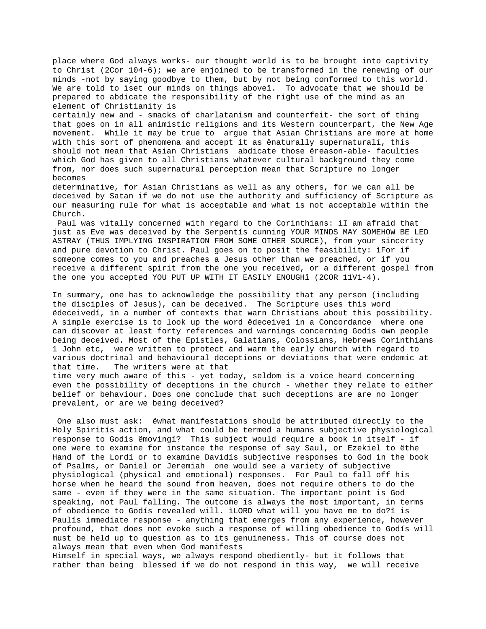place where God always works- our thought world is to be brought into captivity to Christ (2Cor 104-6); we are enjoined to be transformed in the renewing of our minds -not by saying goodbye to them, but by not being conformed to this world. We are told to ìset our minds on things aboveî. To advocate that we should be prepared to abdicate the responsibility of the right use of the mind as an element of Christianity is

certainly new and - smacks of charlatanism and counterfeit- the sort of thing that goes on in all animistic religions and its Western counterpart, the New Age movement. While it may be true to argue that Asian Christians are more at home with this sort of phenomena and accept it as ënaturally supernaturalí, this should not mean that Asian Christians abdicate those ëreason-able- faculties which God has given to all Christians whatever cultural background they come from, nor does such supernatural perception mean that Scripture no longer becomes

determinative, for Asian Christians as well as any others, for we can all be deceived by Satan if we do not use the authority and sufficiency of Scripture as our measuring rule for what is acceptable and what is not acceptable within the Church.

 Paul was vitally concerned with regard to the Corinthians: ìI am afraid that just as Eve was deceived by the Serpentís cunning YOUR MINDS MAY SOMEHOW BE LED ASTRAY (THUS IMPLYING INSPIRATION FROM SOME OTHER SOURCE), from your sincerity and pure devotion to Christ. Paul goes on to posit the feasibility: ìFor if someone comes to you and preaches a Jesus other than we preached, or if you receive a different spirit from the one you received, or a different gospel from the one you accepted YOU PUT UP WITH IT EASILY ENOUGHî (2COR 11V1-4).

In summary, one has to acknowledge the possibility that any person (including the disciples of Jesus), can be deceived. The Scripture uses this word ëdeceivedí, in a number of contexts that warn Christians about this possibility. A simple exercise is to look up the word ëdeceiveí in a Concordance where one can discover at least forty references and warnings concerning Godís own people being deceived. Most of the Epistles, Galatians, Colossians, Hebrews Corinthians 1 John etc, were written to protect and warm the early church with regard to various doctrinal and behavioural deceptions or deviations that were endemic at that time. The writers were at that

time very much aware of this - yet today, seldom is a voice heard concerning even the possibility of deceptions in the church - whether they relate to either belief or behaviour. Does one conclude that such deceptions are are no longer prevalent, or are we being deceived?

 One also must ask: ëwhat manifestations should be attributed directly to the Holy Spiritís action, and what could be termed a humans subjective physiological response to Godís ëmovingí? This subject would require a book in itself - if one were to examine for instance the response of say Saul, or Ezekiel to ëthe Hand of the Lordí or to examine Davidís subjective responses to God in the book of Psalms, or Daniel or Jeremiah one would see a variety of subjective physiological (physical and emotional) responses. For Paul to fall off his horse when he heard the sound from heaven, does not require others to do the same - even if they were in the same situation. The important point is God speaking, not Paul falling. The outcome is always the most important, in terms of obedience to Godís revealed will. ìLORD what will you have me to do?î is Paulís immediate response - anything that emerges from any experience, however profound, that does not evoke such a response of willing obedience to Godís will must be held up to question as to its genuineness. This of course does not always mean that even when God manifests

Himself in special ways, we always respond obediently- but it follows that rather than being blessed if we do not respond in this way, we will receive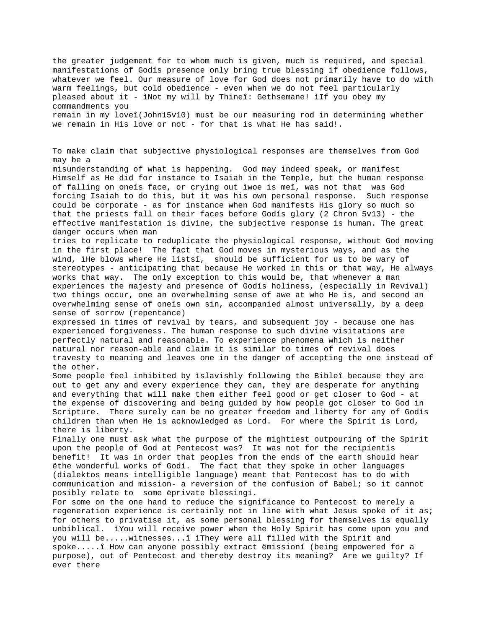the greater judgement for to whom much is given, much is required, and special manifestations of Godís presence only bring true blessing if obedience follows, whatever we feel. Our measure of love for God does not primarily have to do with warm feelings, but cold obedience - even when we do not feel particularly pleased about it - ìNot my will by Thineî: Gethsemane! ìIf you obey my commandments you remain in my loveî(John15v10) must be our measuring rod in determining whether we remain in His love or not - for that is what He has said!. To make claim that subjective physiological responses are themselves from God may be a misunderstanding of what is happening. God may indeed speak, or manifest Himself as He did for instance to Isaiah in the Temple, but the human response of falling on oneís face, or crying out ìwoe is meî, was not that was God forcing Isaiah to do this, but it was his own personal response. Such response could be corporate - as for instance when God manifests His glory so much so that the priests fall on their faces before Godís glory (2 Chron 5v13) - the effective manifestation is divine, the subjective response is human. The great danger occurs when man tries to replicate to reduplicate the physiological response, without God moving in the first place! The fact that God moves in mysterious ways, and as the wind, ìHe blows where He listsî, should be sufficient for us to be wary of stereotypes - anticipating that because He worked in this or that way, He always works that way. The only exception to this would be, that whenever a man experiences the majesty and presence of Godís holiness, (especially in Revival) two things occur, one an overwhelming sense of awe at who He is, and second an overwhelming sense of oneís own sin, accompanied almost universally, by a deep sense of sorrow (repentance) expressed in times of revival by tears, and subsequent joy - because one has experienced forgiveness. The human response to such divine visitations are perfectly natural and reasonable. To experience phenomena which is neither natural nor reason-able and claim it is similar to times of revival does travesty to meaning and leaves one in the danger of accepting the one instead of the other. Some people feel inhibited by ìslavishly following the Bibleî because they are out to get any and every experience they can, they are desperate for anything and everything that will make them either feel good or get closer to God - at the expense of discovering and being guided by how people got closer to God in Scripture. There surely can be no greater freedom and liberty for any of Godís children than when He is acknowledged as Lord. For where the Spirit is Lord, there is liberty. Finally one must ask what the purpose of the mightiest outpouring of the Spirit upon the people of God at Pentecost was? It was not for the recipientís benefit! It was in order that peoples from the ends of the earth should hear ëthe wonderful works of Godí. The fact that they spoke in other languages (dialektos means intelligible language) meant that Pentecost has to do with communication and mission- a reversion of the confusion of Babel; so it cannot posibly relate to some ëprivate blessingí. For some on the one hand to reduce the significance to Pentecost to merely a regeneration experience is certainly not in line with what Jesus spoke of it as; for others to privatise it, as some personal blessing for themselves is equally unbiblical. ìYou will receive power when the Holy Spirit has come upon you and you will be.....witnesses...î ìThey were all filled with the Spirit and spoke.....î How can anyone possibly extract ëmissioní (being empowered for a purpose), out of Pentecost and thereby destroy its meaning? Are we guilty? If ever there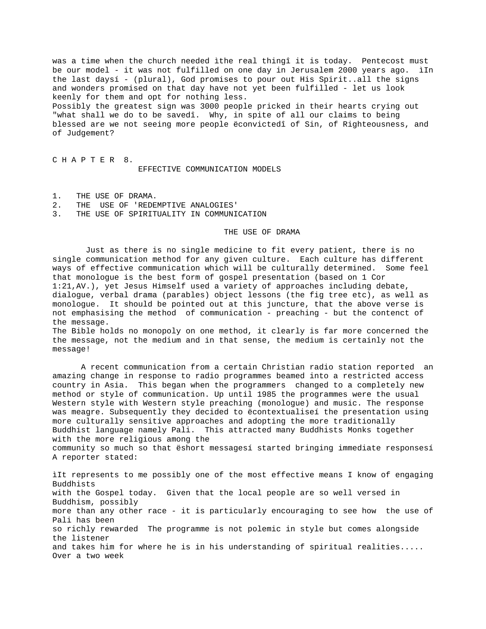was a time when the church needed ìthe real thingî it is today. Pentecost must be our model - it was not fulfilled on one day in Jerusalem 2000 years ago. ìIn the last daysí - (plural), God promises to pour out His Spirit..all the signs and wonders promised on that day have not yet been fulfilled - let us look keenly for them and opt for nothing less. Possibly the greatest sign was 3000 people pricked in their hearts crying out "what shall we do to be savedî. Why, in spite of all our claims to being blessed are we not seeing more people ëconvictedî of Sin, of Righteousness, and of Judgement?

C H A P T E R 8. EFFECTIVE COMMUNICATION MODELS

- 1. THE USE OF DRAMA.
- 2. THE USE OF 'REDEMPTIVE ANALOGIES'
- 3. THE USE OF SPIRITUALITY IN COMMUNICATION

## THE USE OF DRAMA

 Just as there is no single medicine to fit every patient, there is no single communication method for any given culture. Each culture has different ways of effective communication which will be culturally determined. Some feel that monologue is the best form of gospel presentation (based on 1 Cor 1:21,AV.), yet Jesus Himself used a variety of approaches including debate, dialogue, verbal drama (parables) object lessons (the fig tree etc), as well as monologue. It should be pointed out at this juncture, that the above verse is not emphasising the method of communication - preaching - but the contenct of the message. The Bible holds no monopoly on one method, it clearly is far more concerned the

the message, not the medium and in that sense, the medium is certainly not the message!

A recent communication from a certain Christian radio station reported an amazing change in response to radio programmes beamed into a restricted access country in Asia. This began when the programmers changed to a completely new method or style of communication. Up until 1985 the programmes were the usual Western style with Western style preaching (monologue) and music. The response was meagre. Subsequently they decided to ëcontextualiseí the presentation using more culturally sensitive approaches and adopting the more traditionally Buddhist language namely Pali. This attracted many Buddhists Monks together with the more religious among the community so much so that ëshort messagesí started bringing immediate responsesí A reporter stated:

ìIt represents to me possibly one of the most effective means I know of engaging Buddhists with the Gospel today. Given that the local people are so well versed in Buddhism, possibly more than any other race - it is particularly encouraging to see how the use of Pali has been so richly rewarded The programme is not polemic in style but comes alongside the listener and takes him for where he is in his understanding of spiritual realities..... Over a two week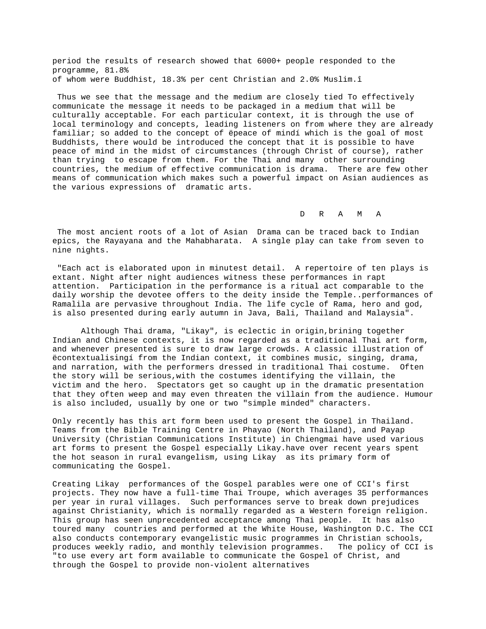period the results of research showed that 6000+ people responded to the programme, 81.8% of whom were Buddhist, 18.3% per cent Christian and 2.0% Muslim.î

 Thus we see that the message and the medium are closely tied To effectively communicate the message it needs to be packaged in a medium that will be culturally acceptable. For each particular context, it is through the use of local terminology and concepts, leading listeners on from where they are already familiar; so added to the concept of ëpeace of mindí which is the goal of most Buddhists, there would be introduced the concept that it is possible to have peace of mind in the midst of circumstances (through Christ of course), rather than trying to escape from them. For the Thai and many other surrounding countries, the medium of effective communication is drama. There are few other means of communication which makes such a powerful impact on Asian audiences as the various expressions of dramatic arts.

D R A M A

 The most ancient roots of a lot of Asian Drama can be traced back to Indian epics, the Rayayana and the Mahabharata. A single play can take from seven to nine nights.

 "Each act is elaborated upon in minutest detail. A repertoire of ten plays is extant. Night after night audiences witness these performances in rapt attention. Participation in the performance is a ritual act comparable to the daily worship the devotee offers to the deity inside the Temple..performances of Ramalila are pervasive throughout India. The life cycle of Rama, hero and god, is also presented during early autumn in Java, Bali, Thailand and Malaysia".

Although Thai drama, "Likay", is eclectic in origin,brining together Indian and Chinese contexts, it is now regarded as a traditional Thai art form, and whenever presented is sure to draw large crowds. A classic illustration of ëcontextualisingí from the Indian context, it combines music, singing, drama, and narration, with the performers dressed in traditional Thai costume. Often the story will be serious,with the costumes identifying the villain, the victim and the hero. Spectators get so caught up in the dramatic presentation that they often weep and may even threaten the villain from the audience. Humour is also included, usually by one or two "simple minded" characters.

Only recently has this art form been used to present the Gospel in Thailand. Teams from the Bible Training Centre in Phayao (North Thailand), and Payap University (Christian Communications Institute) in Chiengmai have used various art forms to present the Gospel especially Likay.have over recent years spent the hot season in rural evangelism, using Likay as its primary form of communicating the Gospel.

Creating Likay performances of the Gospel parables were one of CCI's first projects. They now have a full-time Thai Troupe, which averages 35 performances per year in rural villages. Such performances serve to break down prejudices against Christianity, which is normally regarded as a Western foreign religion. This group has seen unprecedented acceptance among Thai people. It has also toured many countries and performed at the White House, Washington D.C. The CCI also conducts contemporary evangelistic music programmes in Christian schools, produces weekly radio, and monthly television programmes. The policy of CCI is "to use every art form available to communicate the Gospel of Christ, and through the Gospel to provide non-violent alternatives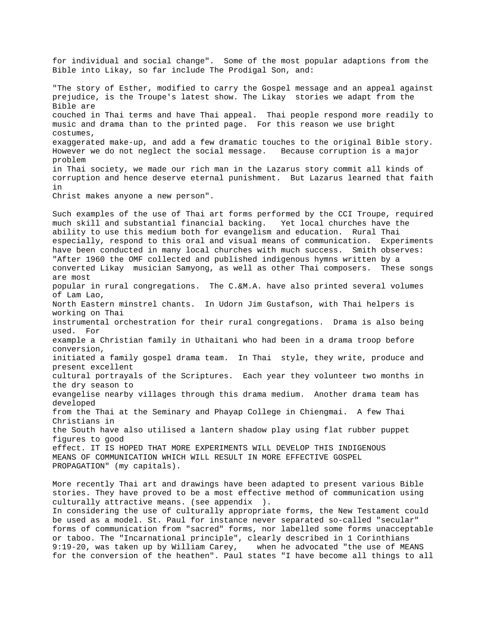for individual and social change". Some of the most popular adaptions from the Bible into Likay, so far include The Prodigal Son, and: "The story of Esther, modified to carry the Gospel message and an appeal against prejudice, is the Troupe's latest show. The Likay stories we adapt from the Bible are couched in Thai terms and have Thai appeal. Thai people respond more readily to music and drama than to the printed page. For this reason we use bright costumes, exaggerated make-up, and add a few dramatic touches to the original Bible story. However we do not neglect the social message. Because corruption is a major problem in Thai society, we made our rich man in the Lazarus story commit all kinds of corruption and hence deserve eternal punishment. But Lazarus learned that faith in Christ makes anyone a new person". Such examples of the use of Thai art forms performed by the CCI Troupe, required much skill and substantial financial backing. Yet local churches have the ability to use this medium both for evangelism and education. Rural Thai especially, respond to this oral and visual means of communication. Experiments have been conducted in many local churches with much success. Smith observes: "After 1960 the OMF collected and published indigenous hymns written by a converted Likay musician Samyong, as well as other Thai composers. These songs are most popular in rural congregations. The C.&M.A. have also printed several volumes of Lam Lao, North Eastern minstrel chants. In Udorn Jim Gustafson, with Thai helpers is working on Thai instrumental orchestration for their rural congregations. Drama is also being used. For example a Christian family in Uthaitani who had been in a drama troop before conversion, initiated a family gospel drama team. In Thai style, they write, produce and present excellent cultural portrayals of the Scriptures. Each year they volunteer two months in the dry season to evangelise nearby villages through this drama medium. Another drama team has developed from the Thai at the Seminary and Phayap College in Chiengmai. A few Thai Christians in the South have also utilised a lantern shadow play using flat rubber puppet figures to good effect. IT IS HOPED THAT MORE EXPERIMENTS WILL DEVELOP THIS INDIGENOUS MEANS OF COMMUNICATION WHICH WILL RESULT IN MORE EFFECTIVE GOSPEL PROPAGATION" (my capitals).

More recently Thai art and drawings have been adapted to present various Bible stories. They have proved to be a most effective method of communication using culturally attractive means. (see appendix ). In considering the use of culturally appropriate forms, the New Testament could be used as a model. St. Paul for instance never separated so-called "secular" forms of communication from "sacred" forms, nor labelled some forms unacceptable or taboo. The "Incarnational principle", clearly described in 1 Corinthians 9:19-20, was taken up by William Carey, when he advocated "the use of MEANS for the conversion of the heathen". Paul states "I have become all things to all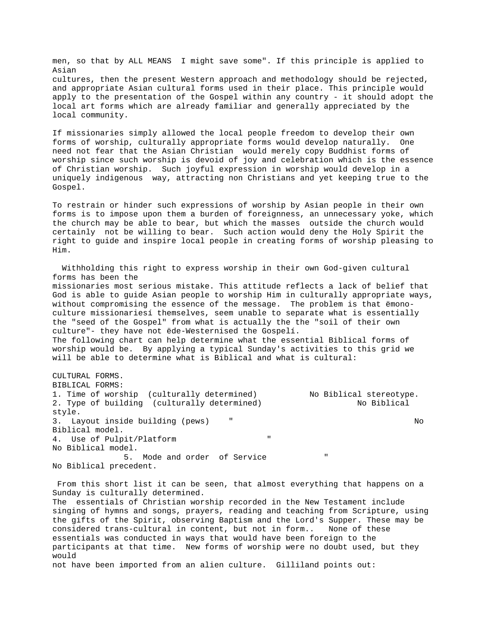men, so that by ALL MEANS I might save some". If this principle is applied to Asian cultures, then the present Western approach and methodology should be rejected, and appropriate Asian cultural forms used in their place. This principle would apply to the presentation of the Gospel within any country - it should adopt the local art forms which are already familiar and generally appreciated by the local community.

If missionaries simply allowed the local people freedom to develop their own forms of worship, culturally appropriate forms would develop naturally. One need not fear that the Asian Christian would merely copy Buddhist forms of worship since such worship is devoid of joy and celebration which is the essence of Christian worship. Such joyful expression in worship would develop in a uniquely indigenous way, attracting non Christians and yet keeping true to the Gospel.

To restrain or hinder such expressions of worship by Asian people in their own forms is to impose upon them a burden of foreignness, an unnecessary yoke, which the church may be able to bear, but which the masses outside the church would certainly not be willing to bear. Such action would deny the Holy Spirit the right to guide and inspire local people in creating forms of worship pleasing to Him.

 Withholding this right to express worship in their own God-given cultural forms has been the missionaries most serious mistake. This attitude reflects a lack of belief that God is able to guide Asian people to worship Him in culturally appropriate ways, without compromising the essence of the message. The problem is that ëmonoculture missionariesí themselves, seem unable to separate what is essentially the "seed of the Gospel" from what is actually the the "soil of their own culture"- they have not ëde-Westernised the Gospelí. The following chart can help determine what the essential Biblical forms of worship would be. By applying a typical Sunday's activities to this grid we will be able to determine what is Biblical and what is cultural:

CULTURAL FORMS. BIBLICAL FORMS: 1. Time of worship (culturally determined) No Biblical stereotype. 2. Type of building (culturally determined) No Biblical style. 3. Layout inside building (pews)  $\blacksquare$ Biblical model. 4. Use of Pulpit/Platform No Biblical model. 5. Mode and order of Service No Biblical precedent.

 From this short list it can be seen, that almost everything that happens on a Sunday is culturally determined. The essentials of Christian worship recorded in the New Testament include singing of hymns and songs, prayers, reading and teaching from Scripture, using the gifts of the Spirit, observing Baptism and the Lord's Supper. These may be considered trans-cultural in content, but not in form.. None of these essentials was conducted in ways that would have been foreign to the participants at that time. New forms of worship were no doubt used, but they would not have been imported from an alien culture. Gilliland points out: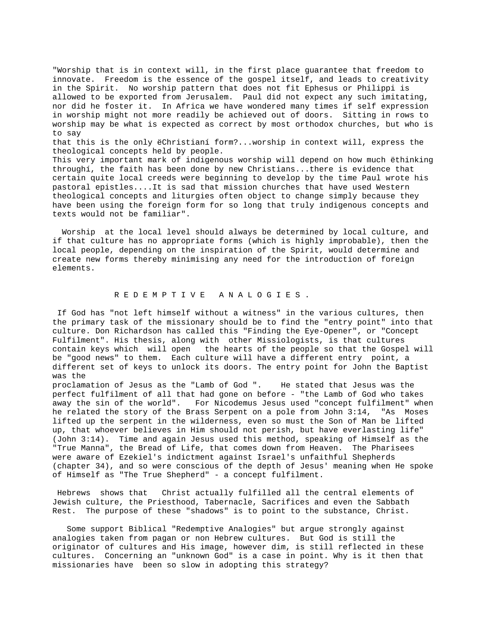"Worship that is in context will, in the first place guarantee that freedom to innovate. Freedom is the essence of the gospel itself, and leads to creativity in the Spirit. No worship pattern that does not fit Ephesus or Philippi is allowed to be exported from Jerusalem. Paul did not expect any such imitating, nor did he foster it. In Africa we have wondered many times if self expression in worship might not more readily be achieved out of doors. Sitting in rows to worship may be what is expected as correct by most orthodox churches, but who is to say that this is the only ëChristianí form?...worship in context will, express the theological concepts held by people. This very important mark of indigenous worship will depend on how much ëthinking throughí, the faith has been done by new Christians...there is evidence that

certain quite local creeds were beginning to develop by the time Paul wrote his pastoral epistles....It is sad that mission churches that have used Western theological concepts and liturgies often object to change simply because they have been using the foreign form for so long that truly indigenous concepts and texts would not be familiar".

 Worship at the local level should always be determined by local culture, and if that culture has no appropriate forms (which is highly improbable), then the local people, depending on the inspiration of the Spirit, would determine and create new forms thereby minimising any need for the introduction of foreign elements.

# R E D E M P T I V E A N A L O G I E S .

 If God has "not left himself without a witness" in the various cultures, then the primary task of the missionary should be to find the "entry point" into that culture. Don Richardson has called this "Finding the Eye-Opener", or "Concept Fulfilment". His thesis, along with other Missiologists, is that cultures contain keys which will open the hearts of the people so that the Gospel will be "good news" to them. Each culture will have a different entry point, a different set of keys to unlock its doors. The entry point for John the Baptist was the

proclamation of Jesus as the "Lamb of God ". He stated that Jesus was the perfect fulfilment of all that had gone on before - "the Lamb of God who takes away the sin of the world". For Nicodemus Jesus used "concept fulfilment" when he related the story of the Brass Serpent on a pole from John 3:14, "As Moses lifted up the serpent in the wilderness, even so must the Son of Man be lifted up, that whoever believes in Him should not perish, but have everlasting life" (John 3:14). Time and again Jesus used this method, speaking of Himself as the "True Manna", the Bread of Life, that comes down from Heaven. The Pharisees were aware of Ezekiel's indictment against Israel's unfaithful Shepherds (chapter 34), and so were conscious of the depth of Jesus' meaning when He spoke of Himself as "The True Shepherd" - a concept fulfilment.

 Hebrews shows that Christ actually fulfilled all the central elements of Jewish culture, the Priesthood, Tabernacle, Sacrifices and even the Sabbath Rest. The purpose of these "shadows" is to point to the substance, Christ.

 Some support Biblical "Redemptive Analogies" but argue strongly against analogies taken from pagan or non Hebrew cultures. But God is still the originator of cultures and His image, however dim, is still reflected in these cultures. Concerning an "unknown God" is a case in point. Why is it then that missionaries have been so slow in adopting this strategy?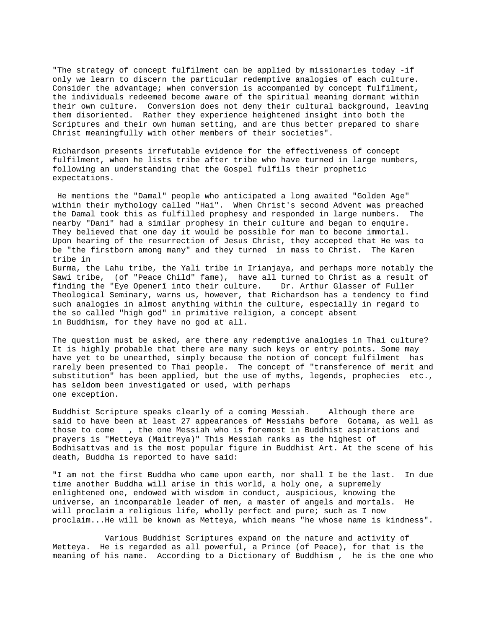"The strategy of concept fulfilment can be applied by missionaries today -if only we learn to discern the particular redemptive analogies of each culture. Consider the advantage; when conversion is accompanied by concept fulfilment, the individuals redeemed become aware of the spiritual meaning dormant within their own culture. Conversion does not deny their cultural background, leaving them disoriented. Rather they experience heightened insight into both the Scriptures and their own human setting, and are thus better prepared to share Christ meaningfully with other members of their societies".

Richardson presents irrefutable evidence for the effectiveness of concept fulfilment, when he lists tribe after tribe who have turned in large numbers, following an understanding that the Gospel fulfils their prophetic expectations.

 He mentions the "Damal" people who anticipated a long awaited "Golden Age" within their mythology called "Hai". When Christ's second Advent was preached the Damal took this as fulfilled prophesy and responded in large numbers. The nearby "Dani" had a similar prophesy in their culture and began to enquire. They believed that one day it would be possible for man to become immortal. Upon hearing of the resurrection of Jesus Christ, they accepted that He was to be "the firstborn among many" and they turned in mass to Christ. The Karen tribe in Burma, the Lahu tribe, the Yali tribe in Irianjaya, and perhaps more notably the

Sawi tribe, (of "Peace Child" fame), have all turned to Christ as a result of finding the "Eye Openerî into their culture. Dr. Arthur Glasser of Fuller Theological Seminary, warns us, however, that Richardson has a tendency to find such analogies in almost anything within the culture, especially in regard to the so called "high god" in primitive religion, a concept absent in Buddhism, for they have no god at all.

The question must be asked, are there any redemptive analogies in Thai culture? It is highly probable that there are many such keys or entry points. Some may have yet to be unearthed, simply because the notion of concept fulfilment has rarely been presented to Thai people. The concept of "transference of merit and substitution" has been applied, but the use of myths, legends, prophecies etc., has seldom been investigated or used, with perhaps one exception.

Buddhist Scripture speaks clearly of a coming Messiah. Although there are said to have been at least 27 appearances of Messiahs before Gotama, as well as those to come , the one Messiah who is foremost in Buddhist aspirations and prayers is "Metteya (Maitreya)" This Messiah ranks as the highest of Bodhisattvas and is the most popular figure in Buddhist Art. At the scene of his death, Buddha is reported to have said:

"I am not the first Buddha who came upon earth, nor shall I be the last. In due time another Buddha will arise in this world, a holy one, a supremely enlightened one, endowed with wisdom in conduct, auspicious, knowing the universe, an incomparable leader of men, a master of angels and mortals. He will proclaim a religious life, wholly perfect and pure; such as I now proclaim...He will be known as Metteya, which means "he whose name is kindness".

 Various Buddhist Scriptures expand on the nature and activity of Metteya. He is regarded as all powerful, a Prince (of Peace), for that is the meaning of his name. According to a Dictionary of Buddhism , he is the one who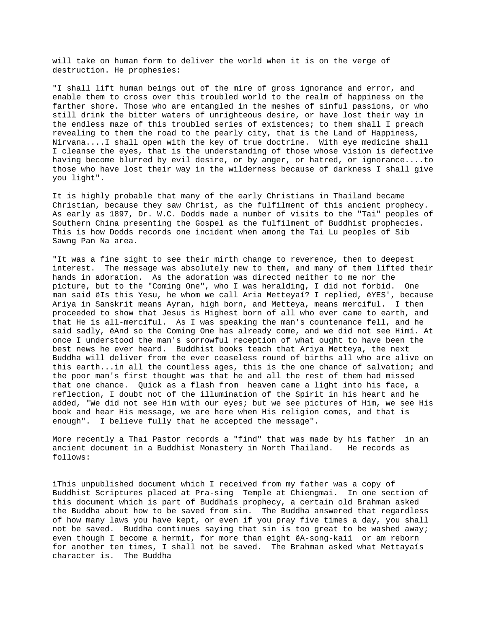will take on human form to deliver the world when it is on the verge of destruction. He prophesies:

"I shall lift human beings out of the mire of gross ignorance and error, and enable them to cross over this troubled world to the realm of happiness on the farther shore. Those who are entangled in the meshes of sinful passions, or who still drink the bitter waters of unrighteous desire, or have lost their way in the endless maze of this troubled series of existences; to them shall I preach revealing to them the road to the pearly city, that is the Land of Happiness, Nirvana....I shall open with the key of true doctrine. With eye medicine shall I cleanse the eyes, that is the understanding of those whose vision is defective having become blurred by evil desire, or by anger, or hatred, or ignorance....to those who have lost their way in the wilderness because of darkness I shall give you light".

It is highly probable that many of the early Christians in Thailand became Christian, because they saw Christ, as the fulfilment of this ancient prophecy. As early as 1897, Dr. W.C. Dodds made a number of visits to the "Tai" peoples of Southern China presenting the Gospel as the fulfilment of Buddhist prophecies. This is how Dodds records one incident when among the Tai Lu peoples of Sib Sawng Pan Na area.

"It was a fine sight to see their mirth change to reverence, then to deepest interest. The message was absolutely new to them, and many of them lifted their hands in adoration. As the adoration was directed neither to me nor the picture, but to the "Coming One", who I was heralding, I did not forbid. One man said ëIs this Yesu, he whom we call Aria Metteyaí? I replied, ëYES', because Ariya in Sanskrit means Ayran, high born, and Metteya, means merciful. I then proceeded to show that Jesus is Highest born of all who ever came to earth, and that He is all-merciful. As I was speaking the man's countenance fell, and he said sadly, ëAnd so the Coming One has already come, and we did not see Himí. At once I understood the man's sorrowful reception of what ought to have been the best news he ever heard. Buddhist books teach that Ariya Metteya, the next Buddha will deliver from the ever ceaseless round of births all who are alive on this earth...in all the countless ages, this is the one chance of salvation; and the poor man's first thought was that he and all the rest of them had missed that one chance. Quick as a flash from heaven came a light into his face, a reflection, I doubt not of the illumination of the Spirit in his heart and he added, "We did not see Him with our eyes; but we see pictures of Him, we see His book and hear His message, we are here when His religion comes, and that is enough". I believe fully that he accepted the message".

More recently a Thai Pastor records a "find" that was made by his father in an ancient document in a Buddhist Monastery in North Thailand. He records as follows:

ìThis unpublished document which I received from my father was a copy of Buddhist Scriptures placed at Pra-sing Temple at Chiengmai. In one section of this document which is part of Buddhaís prophecy, a certain old Brahman asked the Buddha about how to be saved from sin. The Buddha answered that regardless of how many laws you have kept, or even if you pray five times a day, you shall not be saved. Buddha continues saying that sin is too great to be washed away; even though I become a hermit, for more than eight ëA-song-kaií or am reborn for another ten times, I shall not be saved. The Brahman asked what Mettayaís character is. The Buddha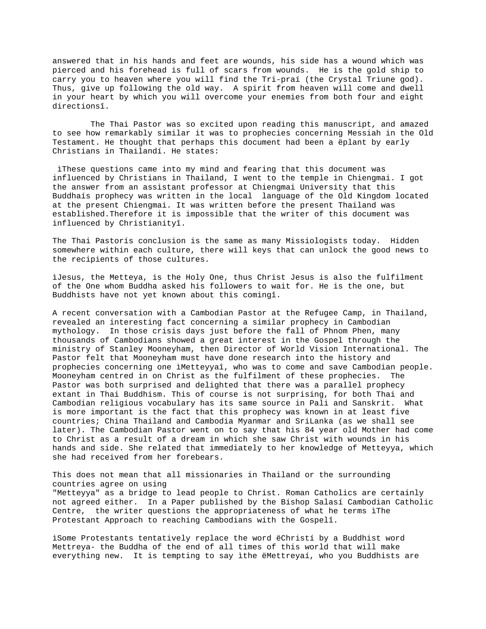answered that in his hands and feet are wounds, his side has a wound which was pierced and his forehead is full of scars from wounds. He is the gold ship to carry you to heaven where you will find the Tri-praí (the Crystal Triune god). Thus, give up following the old way. A spirit from heaven will come and dwell in your heart by which you will overcome your enemies from both four and eight directionsî.

 The Thai Pastor was so excited upon reading this manuscript, and amazed to see how remarkably similar it was to prophecies concerning Messiah in the Old Testament. He thought that perhaps this document had been a ëplant by early Christians in Thailandí. He states:

 ìThese questions came into my mind and fearing that this document was influenced by Christians in Thailand, I went to the temple in Chiengmai. I got the answer from an assistant professor at Chiengmai University that this Buddhaís prophecy was written in the local language of the Old Kingdom located at the present Chiengmai. It was written before the present Thailand was established.Therefore it is impossible that the writer of this document was influenced by Christianityî.

The Thai Pastorís conclusion is the same as many Missiologists today. Hidden somewhere within each culture, there will keys that can unlock the good news to the recipients of those cultures.

ìJesus, the Metteya, is the Holy One, thus Christ Jesus is also the fulfilment of the One whom Buddha asked his followers to wait for. He is the one, but Buddhists have not yet known about this comingî.

A recent conversation with a Cambodian Pastor at the Refugee Camp, in Thailand, revealed an interesting fact concerning a similar prophecy in Cambodian mythology. In those crisis days just before the fall of Phnom Phen, many thousands of Cambodians showed a great interest in the Gospel through the ministry of Stanley Mooneyham, then Director of World Vision International. The Pastor felt that Mooneyham must have done research into the history and prophecies concerning one ìMetteyyaî, who was to come and save Cambodian people. Mooneyham centred in on Christ as the fulfilment of these prophecies. The Pastor was both surprised and delighted that there was a parallel prophecy extant in Thai Buddhism. This of course is not surprising, for both Thai and Cambodian religious vocabulary has its same source in Pali and Sanskrit. What is more important is the fact that this prophecy was known in at least five countries; China Thailand and Cambodia Myanmar and SriLanka (as we shall see later). The Cambodian Pastor went on to say that his 84 year old Mother had come to Christ as a result of a dream in which she saw Christ with wounds in his hands and side. She related that immediately to her knowledge of Metteyya, which she had received from her forebears.

This does not mean that all missionaries in Thailand or the surrounding countries agree on using "Metteyya" as a bridge to lead people to Christ. Roman Catholics are certainly not agreed either. In a Paper published by the Bishop Salasí Cambodian Catholic Centre, the writer questions the appropriateness of what he terms ìThe Protestant Approach to reaching Cambodians with the Gospelî.

ìSome Protestants tentatively replace the word ëChristí by a Buddhist word Mettreya- the Buddha of the end of all times of this world that will make everything new. It is tempting to say ìthe ëMettreyaí, who you Buddhists are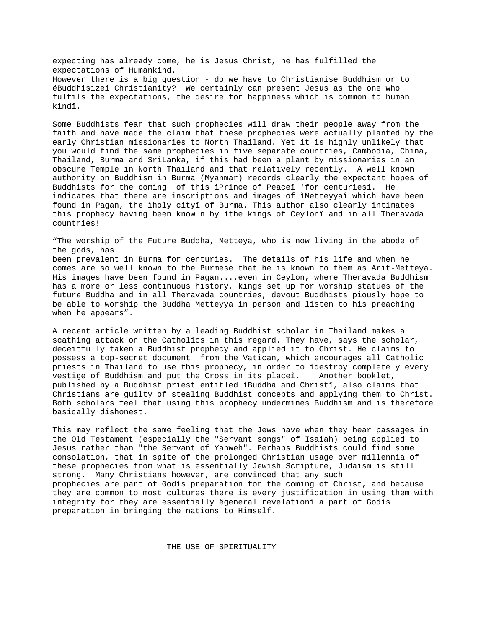expecting has already come, he is Jesus Christ, he has fulfilled the expectations of Humankind. However there is a big question - do we have to Christianise Buddhism or to ëBuddhisizeí Christianity? We certainly can present Jesus as the one who fulfils the expectations, the desire for happiness which is common to human kindî.

Some Buddhists fear that such prophecies will draw their people away from the faith and have made the claim that these prophecies were actually planted by the early Christian missionaries to North Thailand. Yet it is highly unlikely that you would find the same prophecies in five separate countries, Cambodia, China, Thailand, Burma and SriLanka, if this had been a plant by missionaries in an obscure Temple in North Thailand and that relatively recently. A well known authority on Buddhism in Burma (Myanmar) records clearly the expectant hopes of Buddhists for the coming of this ìPrince of Peaceî 'for centuriesí. He indicates that there are inscriptions and images of ìMetteyyaî which have been found in Pagan, the ìholy cityî of Burma. This author also clearly intimates this prophecy having been know n by ìthe kings of Ceylonî and in all Theravada countries!

"The worship of the Future Buddha, Metteya, who is now living in the abode of the gods, has been prevalent in Burma for centuries. The details of his life and when he comes are so well known to the Burmese that he is known to them as Arit-Metteya. His images have been found in Pagan....even in Ceylon, where Theravada Buddhism has a more or less continuous history, kings set up for worship statues of the future Buddha and in all Theravada countries, devout Buddhists piously hope to be able to worship the Buddha Metteyya in person and listen to his preaching when he appears".

A recent article written by a leading Buddhist scholar in Thailand makes a scathing attack on the Catholics in this regard. They have, says the scholar, deceitfully taken a Buddhist prophecy and applied it to Christ. He claims to possess a top-secret document from the Vatican, which encourages all Catholic priests in Thailand to use this prophecy, in order to ìdestroy completely every vestige of Buddhism and put the Cross in its placeî. Another booklet, published by a Buddhist priest entitled ìBuddha and Christî, also claims that Christians are guilty of stealing Buddhist concepts and applying them to Christ. Both scholars feel that using this prophecy undermines Buddhism and is therefore basically dishonest.

This may reflect the same feeling that the Jews have when they hear passages in the Old Testament (especially the "Servant songs" of Isaiah) being applied to Jesus rather than "the Servant of Yahweh". Perhaps Buddhists could find some consolation, that in spite of the prolonged Christian usage over millennia of these prophecies from what is essentially Jewish Scripture, Judaism is still strong. Many Christians however, are convinced that any such prophecies are part of Godís preparation for the coming of Christ, and because they are common to most cultures there is every justification in using them with integrity for they are essentially ëgeneral revelationí a part of Godís preparation in bringing the nations to Himself.

THE USE OF SPIRITUALITY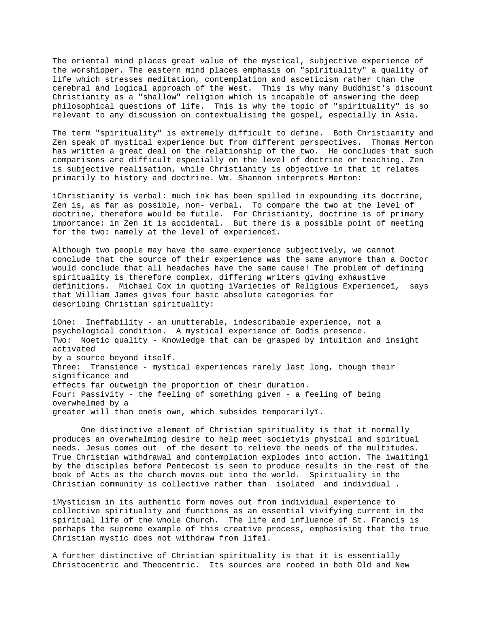The oriental mind places great value of the mystical, subjective experience of the worshipper. The eastern mind places emphasis on "spirituality" a quality of life which stresses meditation, contemplation and asceticism rather than the cerebral and logical approach of the West. This is why many Buddhist's discount Christianity as a "shallow" religion which is incapable of answering the deep philosophical questions of life. This is why the topic of "spirituality" is so relevant to any discussion on contextualising the gospel, especially in Asia.

The term "spirituality" is extremely difficult to define. Both Christianity and Zen speak of mystical experience but from different perspectives. Thomas Merton has written a great deal on the relationship of the two. He concludes that such comparisons are difficult especially on the level of doctrine or teaching. Zen is subjective realisation, while Christianity is objective in that it relates primarily to history and doctrine. Wm. Shannon interprets Merton:

ìChristianity is verbal: much ink has been spilled in expounding its doctrine, Zen is, as far as possible, non- verbal. To compare the two at the level of doctrine, therefore would be futile. For Christianity, doctrine is of primary importance: in Zen it is accidental. But there is a possible point of meeting for the two: namely at the level of experienceî.

Although two people may have the same experience subjectively, we cannot conclude that the source of their experience was the same anymore than a Doctor would conclude that all headaches have the same cause! The problem of defining spirituality is therefore complex, differing writers giving exhaustive definitions. Michael Cox in quoting ìVarieties of Religious Experienceî, says that William James gives four basic absolute categories for describing Christian spirituality:

ìOne: Ineffability - an unutterable, indescribable experience, not a psychological condition. A mystical experience of Godís presence. Two: Noetic quality - Knowledge that can be grasped by intuition and insight activated by a source beyond itself. Three: Transience - mystical experiences rarely last long, though their significance and effects far outweigh the proportion of their duration. Four: Passivity - the feeling of something given - a feeling of being overwhelmed by a greater will than oneís own, which subsides temporarilyî.

One distinctive element of Christian spirituality is that it normally produces an overwhelming desire to help meet societyís physical and spiritual needs. Jesus comes out of the desert to relieve the needs of the multitudes. True Christian withdrawal and contemplation explodes into action. The ìwaitingî by the disciples before Pentecost is seen to produce results in the rest of the book of Acts as the church moves out into the world. Spirituality in the Christian community is collective rather than isolated and individual .

ìMysticism in its authentic form moves out from individual experience to collective spirituality and functions as an essential vivifying current in the spiritual life of the whole Church. The life and influence of St. Francis is perhaps the supreme example of this creative process, emphasising that the true Christian mystic does not withdraw from lifeî.

A further distinctive of Christian spirituality is that it is essentially Christocentric and Theocentric. Its sources are rooted in both Old and New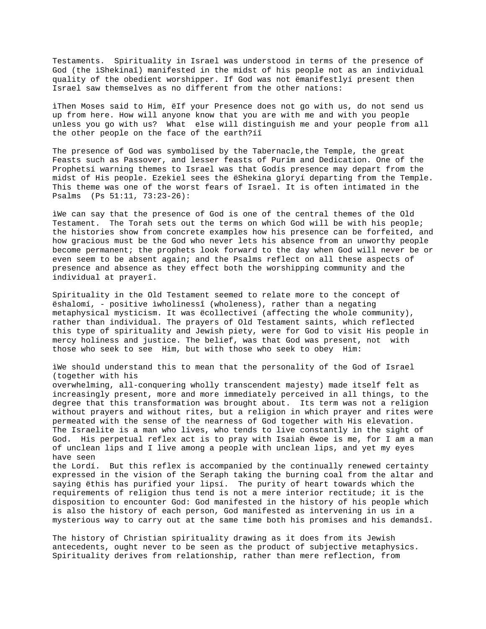Testaments. Spirituality in Israel was understood in terms of the presence of God (the ìShekinaî) manifested in the midst of his people not as an individual quality of the obedient worshipper. If God was not ëmanifestlyí present then Israel saw themselves as no different from the other nations:

ìThen Moses said to Him, ëIf your Presence does not go with us, do not send us up from here. How will anyone know that you are with me and with you people unless you go with us? What else will distinguish me and your people from all the other people on the face of the earth?íî

The presence of God was symbolised by the Tabernacle,the Temple, the great Feasts such as Passover, and lesser feasts of Purim and Dedication. One of the Prophetsí warning themes to Israel was that Godís presence may depart from the midst of His people. Ezekiel sees the ëShekina gloryí departing from the Temple. This theme was one of the worst fears of Israel. It is often intimated in the Psalms (Ps 51:11, 73:23-26):

ìWe can say that the presence of God is one of the central themes of the Old Testament. The Torah sets out the terms on which God will be with his people; the histories show from concrete examples how his presence can be forfeited, and how gracious must be the God who never lets his absence from an unworthy people become permanent; the prophets look forward to the day when God will never be or even seem to be absent again; and the Psalms reflect on all these aspects of presence and absence as they effect both the worshipping community and the individual at prayerî.

Spirituality in the Old Testament seemed to relate more to the concept of ëshalomí, - positive ìwholinessî (wholeness), rather than a negating metaphysical mysticism. It was ëcollectiveí (affecting the whole community), rather than individual. The prayers of Old Testament saints, which reflected this type of spirituality and Jewish piety, were for God to visit His people in mercy holiness and justice. The belief, was that God was present, not with those who seek to see Him, but with those who seek to obey Him:

ìWe should understand this to mean that the personality of the God of Israel (together with his overwhelming, all-conquering wholly transcendent majesty) made itself felt as increasingly present, more and more immediately perceived in all things, to the degree that this transformation was brought about. Its term was not a religion without prayers and without rites, but a religion in which prayer and rites were permeated with the sense of the nearness of God together with His elevation. The Israelite is a man who lives, who tends to live constantly in the sight of God. His perpetual reflex act is to pray with Isaiah ëwoe is me, for I am a man of unclean lips and I live among a people with unclean lips, and yet my eyes have seen the Lordí. But this reflex is accompanied by the continually renewed certainty

expressed in the vision of the Seraph taking the burning coal from the altar and saying ëthis has purified your lipsí. The purity of heart towards which the requirements of religion thus tend is not a mere interior rectitude; it is the disposition to encounter God: God manifested in the history of his people which is also the history of each person, God manifested as intervening in us in a mysterious way to carry out at the same time both his promises and his demandsî.

The history of Christian spirituality drawing as it does from its Jewish antecedents, ought never to be seen as the product of subjective metaphysics. Spirituality derives from relationship, rather than mere reflection, from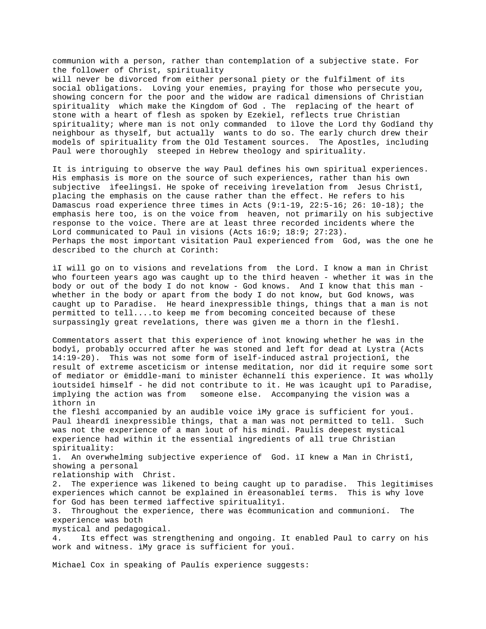communion with a person, rather than contemplation of a subjective state. For the follower of Christ, spirituality will never be divorced from either personal piety or the fulfilment of its social obligations. Loving your enemies, praying for those who persecute you, showing concern for the poor and the widow are radical dimensions of Christian spirituality which make the Kingdom of God . The replacing of the heart of stone with a heart of flesh as spoken by Ezekiel, reflects true Christian spirituality; where man is not only commanded to ìlove the Lord thy Godîand thy neighbour as thyself, but actually wants to do so. The early church drew their models of spirituality from the Old Testament sources. The Apostles, including Paul were thoroughly steeped in Hebrew theology and spirituality.

It is intriguing to observe the way Paul defines his own spiritual experiences. His emphasis is more on the source of such experiences, rather than his own subjective ìfeelingsî. He spoke of receiving ìrevelation from Jesus Christî, placing the emphasis on the cause rather than the effect. He refers to his Damascus road experience three times in Acts (9:1-19, 22:5-16; 26: 10-18); the emphasis here too, is on the voice from heaven, not primarily on his subjective response to the voice. There are at least three recorded incidents where the Lord communicated to Paul in visions (Acts 16:9; 18:9; 27:23). Perhaps the most important visitation Paul experienced from God, was the one he described to the church at Corinth:

ìI will go on to visions and revelations from the Lord. I know a man in Christ who fourteen years ago was caught up to the third heaven - whether it was in the body or out of the body I do not know - God knows. And I know that this man whether in the body or apart from the body I do not know, but God knows, was caught up to Paradise. He heard inexpressible things, things that a man is not permitted to tell....to keep me from becoming conceited because of these surpassingly great revelations, there was given me a thorn in the fleshî.

Commentators assert that this experience of ìnot knowing whether he was in the bodyî, probably occurred after he was stoned and left for dead at Lystra (Acts 14:19-20). This was not some form of ìself-induced astral projectionî, the result of extreme asceticism or intense meditation, nor did it require some sort of mediator or ëmiddle-maní to minister ëchannelí this experience. It was wholly ìoutsideî himself - he did not contribute to it. He was ìcaught upî to Paradise, implying the action was from someone else. Accompanying the vision was a ìthorn in

the fleshî accompanied by an audible voice ìMy grace is sufficient for youî. Paul ìheardî inexpressible things, that a man was not permitted to tell. Such was not the experience of a man ìout of his mindî. Paulís deepest mystical experience had within it the essential ingredients of all true Christian spirituality:

1. An overwhelming subjective experience of God. ìI knew a Man in Christî, showing a personal

relationship with Christ.

2. The experience was likened to being caught up to paradise. This legitimises experiences which cannot be explained in ëreasonableí terms. This is why love for God has been termed ìaffective spiritualityî.

3. Throughout the experience, there was ëcommunication and communioní. The experience was both

mystical and pedagogical.

4. Its effect was strengthening and ongoing. It enabled Paul to carry on his work and witness. ìMy grace is sufficient for youî.

Michael Cox in speaking of Paulís experience suggests: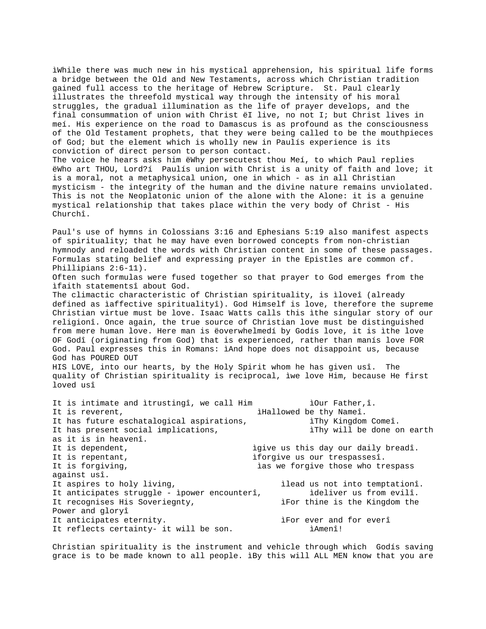ìWhile there was much new in his mystical apprehension, his spiritual life forms a bridge between the Old and New Testaments, across which Christian tradition gained full access to the heritage of Hebrew Scripture. St. Paul clearly illustrates the threefold mystical way through the intensity of his moral struggles, the gradual illumination as the life of prayer develops, and the final consummation of union with Christ ëI live, no not I; but Christ lives in meí. His experience on the road to Damascus is as profound as the consciousness of the Old Testament prophets, that they were being called to be the mouthpieces of God; but the element which is wholly new in Paulís experience is its conviction of direct person to person contact. The voice he hears asks him ëWhy persecutest thou Meí, to which Paul replies ëWho art THOU, Lord?í Paulís union with Christ is a unity of faith and love; it is a moral, not a metaphysical union, one in which - as in all Christian mysticism - the integrity of the human and the divine nature remains unviolated. This is not the Neoplatonic union of the alone with the Alone: it is a genuine mystical relationship that takes place within the very body of Christ - His Churchî. Paul's use of hymns in Colossians 3:16 and Ephesians 5:19 also manifest aspects of spirituality; that he may have even borrowed concepts from non-christian hymnody and reloaded the words with Christian content in some of these passages. Formulas stating belief and expressing prayer in the Epistles are common cf. Phillipians 2:6-11). Often such formulas were fused together so that prayer to God emerges from the ìfaith statementsî about God. The climactic characteristic of Christian spirituality, is ìloveî (already defined as ìaffective spiritualityî). God Himself is love, therefore the supreme Christian virtue must be love. Isaac Watts calls this ìthe singular story of our religionî. Once again, the true source of Christian love must be distinguished from mere human love. Here man is ëoverwhelmedí by Godís love, it is ìthe love OF Godî (originating from God) that is experienced, rather than manís love FOR God. Paul expresses this in Romans: ìAnd hope does not disappoint us, because God has POURED OUT

HIS LOVE, into our hearts, by the Holy Spirit whom he has given usî. The quality of Christian spirituality is reciprocal, ìwe love Him, because He first loved usî

| It is intimate and itrustingî, we call Him   | iOur Father, î.                     |
|----------------------------------------------|-------------------------------------|
| It is reverent,                              | iHallowed be thy Nameî.             |
| It has future eschatalogical aspirations,    | iThy Kingdom Comeî.                 |
| It has present social implications,          | iThy will be done on earth          |
| as it is in heavenî.                         |                                     |
| It is dependent,                             | igive us this day our daily breadî. |
| It is repentant,                             | iforgive us our trespassesî.        |
| It is forgiving,                             | ias we forgive those who trespass   |
| against usî.                                 |                                     |
| It aspires to holy living,                   | ilead us not into temptationî.      |
| It anticipates struggle - ipower encounterî, | ideliver us from evilî.             |
| It recognises His Soveriegnty,               | iFor thine is the Kingdom the       |
| Power and gloryî                             |                                     |
| It anticipates eternity.                     | iFor ever and for everî             |
| It reflects certainty- it will be son.       | ìAmenî!                             |
|                                              |                                     |

Christian spirituality is the instrument and vehicle through which Godís saving grace is to be made known to all people. ìBy this will ALL MEN know that you are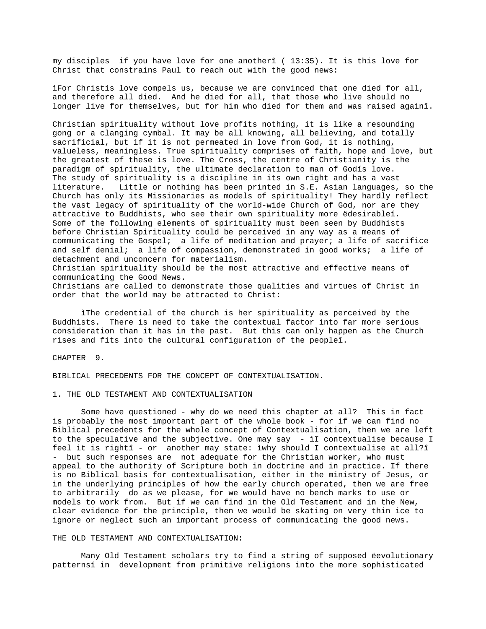my disciples if you have love for one anotherî ( 13:35). It is this love for Christ that constrains Paul to reach out with the good news:

ìFor Christís love compels us, because we are convinced that one died for all, and therefore all died. And he died for all, that those who live should no longer live for themselves, but for him who died for them and was raised againî.

Christian spirituality without love profits nothing, it is like a resounding gong or a clanging cymbal. It may be all knowing, all believing, and totally sacrificial, but if it is not permeated in love from God, it is nothing, valueless, meaningless. True spirituality comprises of faith, hope and love, but the greatest of these is love. The Cross, the centre of Christianity is the paradigm of spirituality, the ultimate declaration to man of Godís love. The study of spirituality is a discipline in its own right and has a vast literature. Little or nothing has been printed in S.E. Asian languages, so the Church has only its Missionaries as models of spirituality! They hardly reflect the vast legacy of spirituality of the world-wide Church of God, nor are they attractive to Buddhists, who see their own spirituality more ëdesirableí. Some of the following elements of spirituality must been seen by Buddhists before Christian Spirituality could be perceived in any way as a means of communicating the Gospel; a life of meditation and prayer; a life of sacrifice and self denial; a life of compassion, demonstrated in good works; a life of detachment and unconcern for materialism. Christian spirituality should be the most attractive and effective means of communicating the Good News.

Christians are called to demonstrate those qualities and virtues of Christ in order that the world may be attracted to Christ:

ìThe credential of the church is her spirituality as perceived by the Buddhists. There is need to take the contextual factor into far more serious consideration than it has in the past. But this can only happen as the Church rises and fits into the cultural configuration of the peopleî.

CHAPTER 9.

BIBLICAL PRECEDENTS FOR THE CONCEPT OF CONTEXTUALISATION.

1. THE OLD TESTAMENT AND CONTEXTUALISATION

Some have questioned - why do we need this chapter at all? This in fact is probably the most important part of the whole book - for if we can find no Biblical precedents for the whole concept of Contextualisation, then we are left to the speculative and the subjective. One may say - ìI contextualise because I feel it is rightî - or another may state: ìwhy should I contextualise at all?î - but such responses are not adequate for the Christian worker, who must appeal to the authority of Scripture both in doctrine and in practice. If there is no Biblical basis for contextualisation, either in the ministry of Jesus, or in the underlying principles of how the early church operated, then we are free to arbitrarily do as we please, for we would have no bench marks to use or models to work from. But if we can find in the Old Testament and in the New, clear evidence for the principle, then we would be skating on very thin ice to ignore or neglect such an important process of communicating the good news.

#### THE OLD TESTAMENT AND CONTEXTUALISATION:

Many Old Testament scholars try to find a string of supposed ëevolutionary patternsí in development from primitive religions into the more sophisticated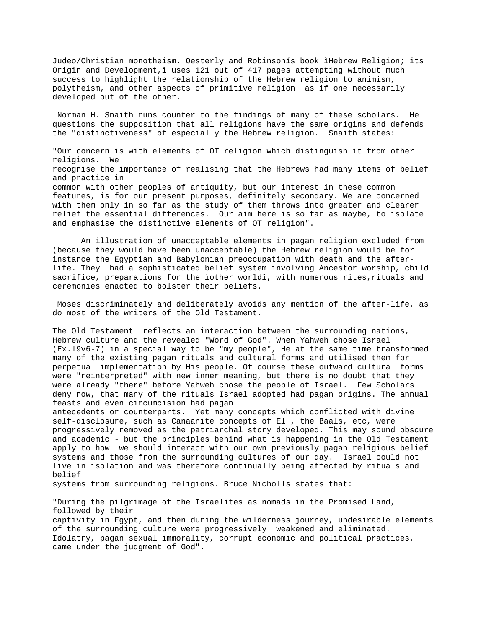Judeo/Christian monotheism. Oesterly and Robinsonís book ìHebrew Religion; its Origin and Development,î uses 121 out of 417 pages attempting without much success to highlight the relationship of the Hebrew religion to animism, polytheism, and other aspects of primitive religion as if one necessarily developed out of the other.

 Norman H. Snaith runs counter to the findings of many of these scholars. He questions the supposition that all religions have the same origins and defends the "distinctiveness" of especially the Hebrew religion. Snaith states:

"Our concern is with elements of OT religion which distinguish it from other religions. We recognise the importance of realising that the Hebrews had many items of belief and practice in common with other peoples of antiquity, but our interest in these common features, is for our present purposes, definitely secondary. We are concerned with them only in so far as the study of them throws into greater and clearer relief the essential differences. Our aim here is so far as maybe, to isolate and emphasise the distinctive elements of OT religion".

An illustration of unacceptable elements in pagan religion excluded from (because they would have been unacceptable) the Hebrew religion would be for instance the Egyptian and Babylonian preoccupation with death and the afterlife. They had a sophisticated belief system involving Ancestor worship, child sacrifice, preparations for the ìother worldî, with numerous rites,rituals and ceremonies enacted to bolster their beliefs.

 Moses discriminately and deliberately avoids any mention of the after-life, as do most of the writers of the Old Testament.

The Old Testament reflects an interaction between the surrounding nations, Hebrew culture and the revealed "Word of God". When Yahweh chose Israel (Ex.l9v6-7) in a special way to be "my people", He at the same time transformed many of the existing pagan rituals and cultural forms and utilised them for perpetual implementation by His people. Of course these outward cultural forms were "reinterpreted" with new inner meaning, but there is no doubt that they were already "there" before Yahweh chose the people of Israel. Few Scholars deny now, that many of the rituals Israel adopted had pagan origins. The annual feasts and even circumcision had pagan

antecedents or counterparts. Yet many concepts which conflicted with divine self-disclosure, such as Canaanite concepts of El , the Baals, etc, were progressively removed as the patriarchal story developed. This may sound obscure and academic - but the principles behind what is happening in the Old Testament apply to how we should interact with our own previously pagan religious belief systems and those from the surrounding cultures of our day. Israel could not live in isolation and was therefore continually being affected by rituals and belief

systems from surrounding religions. Bruce Nicholls states that:

"During the pilgrimage of the Israelites as nomads in the Promised Land, followed by their captivity in Egypt, and then during the wilderness journey, undesirable elements of the surrounding culture were progressively weakened and eliminated. Idolatry, pagan sexual immorality, corrupt economic and political practices, came under the judgment of God".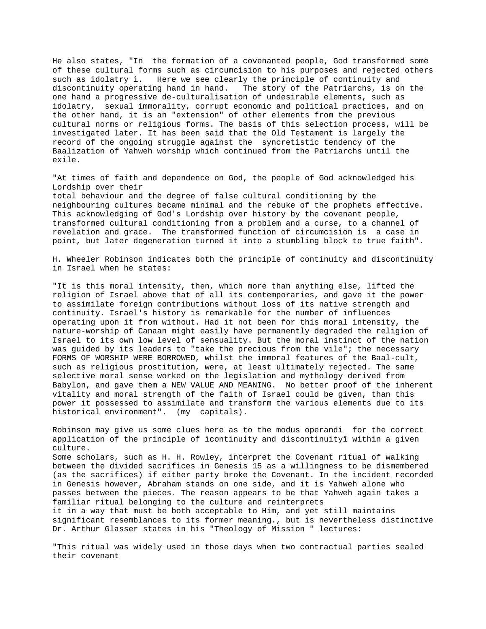He also states, "In the formation of a covenanted people, God transformed some of these cultural forms such as circumcision to his purposes and rejected others such as idolatry ì. Here we see clearly the principle of continuity and discontinuity operating hand in hand. The story of the Patriarchs, is on the one hand a progressive de-culturalisation of undesirable elements, such as idolatry, sexual immorality, corrupt economic and political practices, and on the other hand, it is an "extension" of other elements from the previous cultural norms or religious forms. The basis of this selection process, will be investigated later. It has been said that the Old Testament is largely the record of the ongoing struggle against the syncretistic tendency of the Baalization of Yahweh worship which continued from the Patriarchs until the exile.

"At times of faith and dependence on God, the people of God acknowledged his Lordship over their

total behaviour and the degree of false cultural conditioning by the neighbouring cultures became minimal and the rebuke of the prophets effective. This acknowledging of God's Lordship over history by the covenant people, transformed cultural conditioning from a problem and a curse, to a channel of revelation and grace. The transformed function of circumcision is a case in point, but later degeneration turned it into a stumbling block to true faith".

H. Wheeler Robinson indicates both the principle of continuity and discontinuity in Israel when he states:

"It is this moral intensity, then, which more than anything else, lifted the religion of Israel above that of all its contemporaries, and gave it the power to assimilate foreign contributions without loss of its native strength and continuity. Israel's history is remarkable for the number of influences operating upon it from without. Had it not been for this moral intensity, the nature-worship of Canaan might easily have permanently degraded the religion of Israel to its own low level of sensuality. But the moral instinct of the nation was guided by its leaders to "take the precious from the vile"; the necessary FORMS OF WORSHIP WERE BORROWED, whilst the immoral features of the Baal-cult, such as religious prostitution, were, at least ultimately rejected. The same selective moral sense worked on the legislation and mythology derived from Babylon, and gave them a NEW VALUE AND MEANING. No better proof of the inherent vitality and moral strength of the faith of Israel could be given, than this power it possessed to assimilate and transform the various elements due to its historical environment". (my capitals).

Robinson may give us some clues here as to the modus operandi for the correct application of the principle of ìcontinuity and discontinuityî within a given culture.

Some scholars, such as H. H. Rowley, interpret the Covenant ritual of walking between the divided sacrifices in Genesis 15 as a willingness to be dismembered (as the sacrifices) if either party broke the Covenant. In the incident recorded in Genesis however, Abraham stands on one side, and it is Yahweh alone who passes between the pieces. The reason appears to be that Yahweh again takes a familiar ritual belonging to the culture and reinterprets it in a way that must be both acceptable to Him, and yet still maintains

significant resemblances to its former meaning., but is nevertheless distinctive Dr. Arthur Glasser states in his "Theology of Mission " lectures:

"This ritual was widely used in those days when two contractual parties sealed their covenant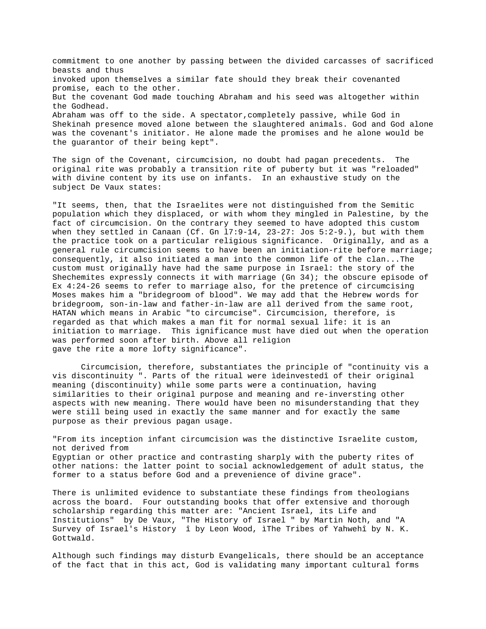commitment to one another by passing between the divided carcasses of sacrificed beasts and thus invoked upon themselves a similar fate should they break their covenanted promise, each to the other. But the covenant God made touching Abraham and his seed was altogether within the Godhead. Abraham was off to the side. A spectator,completely passive, while God in Shekinah presence moved alone between the slaughtered animals. God and God alone was the covenant's initiator. He alone made the promises and he alone would be the guarantor of their being kept".

The sign of the Covenant, circumcision, no doubt had pagan precedents. The original rite was probably a transition rite of puberty but it was "reloaded" with divine content by its use on infants. In an exhaustive study on the subject De Vaux states:

"It seems, then, that the Israelites were not distinguished from the Semitic population which they displaced, or with whom they mingled in Palestine, by the fact of circumcision. On the contrary they seemed to have adopted this custom when they settled in Canaan (Cf. Gn l7:9-14, 23-27: Jos 5:2-9.), but with them the practice took on a particular religious significance. Originally, and as a general rule circumcision seems to have been an initiation-rite before marriage; consequently, it also initiated a man into the common life of the clan...The custom must originally have had the same purpose in Israel: the story of the Shechemites expressly connects it with marriage (Gn 34); the obscure episode of Ex 4:24-26 seems to refer to marriage also, for the pretence of circumcising Moses makes him a "bridegroom of blood". We may add that the Hebrew words for bridegroom, son-in-law and father-in-law are all derived from the same root, HATAN which means in Arabic "to circumcise". Circumcision, therefore, is regarded as that which makes a man fit for normal sexual life: it is an initiation to marriage. This ignificance must have died out when the operation was performed soon after birth. Above all religion gave the rite a more lofty significance".

Circumcision, therefore, substantiates the principle of "continuity vis a vis discontinuity ". Parts of the ritual were ìdeinvestedî of their original meaning (discontinuity) while some parts were a continuation, having similarities to their original purpose and meaning and re-inversting other aspects with new meaning. There would have been no misunderstanding that they were still being used in exactly the same manner and for exactly the same purpose as their previous pagan usage.

"From its inception infant circumcision was the distinctive Israelite custom, not derived from Egyptian or other practice and contrasting sharply with the puberty rites of other nations: the latter point to social acknowledgement of adult status, the former to a status before God and a prevenience of divine grace".

There is unlimited evidence to substantiate these findings from theologians across the board. Four outstanding books that offer extensive and thorough scholarship regarding this matter are: "Ancient Israel, its Life and Institutions" by De Vaux, "The History of Israel " by Martin Noth, and "A Survey of Israel's History î by Leon Wood, ìThe Tribes of Yahwehî by N. K. Gottwald.

Although such findings may disturb Evangelicals, there should be an acceptance of the fact that in this act, God is validating many important cultural forms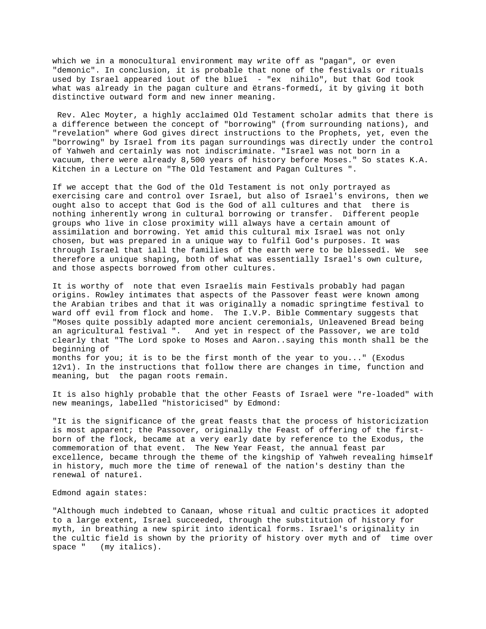which we in a monocultural environment may write off as "pagan", or even "demonic". In conclusion, it is probable that none of the festivals or rituals used by Israel appeared ìout of the blueî - "ex nihilo", but that God took what was already in the pagan culture and ëtrans-formedí, it by giving it both distinctive outward form and new inner meaning.

 Rev. Alec Moyter, a highly acclaimed Old Testament scholar admits that there is a difference between the concept of "borrowing" (from surrounding nations), and "revelation" where God gives direct instructions to the Prophets, yet, even the "borrowing" by Israel from its pagan surroundings was directly under the control of Yahweh and certainly was not indiscriminate. "Israel was not born in a vacuum, there were already 8,500 years of history before Moses." So states K.A. Kitchen in a Lecture on "The Old Testament and Pagan Cultures ".

If we accept that the God of the Old Testament is not only portrayed as exercising care and control over Israel, but also of Israel's environs, then we ought also to accept that God is the God of all cultures and that there is nothing inherently wrong in cultural borrowing or transfer. Different people groups who live in close proximity will always have a certain amount of assimilation and borrowing. Yet amid this cultural mix Israel was not only chosen, but was prepared in a unique way to fulfil God's purposes. It was through Israel that ìall the families of the earth were to be blessedî. We see therefore a unique shaping, both of what was essentially Israel's own culture, and those aspects borrowed from other cultures.

It is worthy of note that even Israelís main Festivals probably had pagan origins. Rowley intimates that aspects of the Passover feast were known among the Arabian tribes and that it was originally a nomadic springtime festival to ward off evil from flock and home. The I.V.P. Bible Commentary suggests that "Moses quite possibly adapted more ancient ceremonials, Unleavened Bread being an agricultural festival ". And yet in respect of the Passover, we are told clearly that "The Lord spoke to Moses and Aaron..saying this month shall be the beginning of months for you; it is to be the first month of the year to you..." (Exodus 12v1). In the instructions that follow there are changes in time, function and

It is also highly probable that the other Feasts of Israel were "re-loaded" with new meanings, labelled "historicised" by Edmond:

"It is the significance of the great feasts that the process of historicization is most apparent; the Passover, originally the Feast of offering of the firstborn of the flock, became at a very early date by reference to the Exodus, the commemoration of that event. The New Year Feast, the annual feast par excellence, became through the theme of the kingship of Yahweh revealing himself in history, much more the time of renewal of the nation's destiny than the renewal of natureî.

### Edmond again states:

meaning, but the pagan roots remain.

"Although much indebted to Canaan, whose ritual and cultic practices it adopted to a large extent, Israel succeeded, through the substitution of history for myth, in breathing a new spirit into identical forms. Israel's originality in the cultic field is shown by the priority of history over myth and of time over space " (my italics).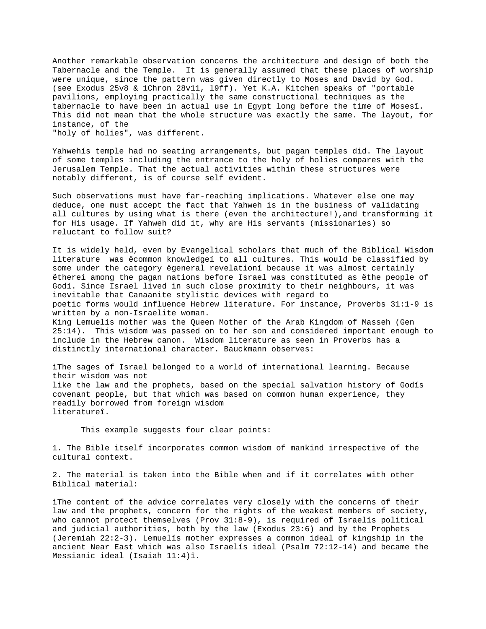Another remarkable observation concerns the architecture and design of both the Tabernacle and the Temple. It is generally assumed that these places of worship were unique, since the pattern was given directly to Moses and David by God. (see Exodus 25v8 & 1Chron 28v11, l9ff). Yet K.A. Kitchen speaks of "portable pavilions, employing practically the same constructional techniques as the tabernacle to have been in actual use in Egypt long before the time of Mosesî. This did not mean that the whole structure was exactly the same. The layout, for instance, of the

"holy of holies", was different.

Yahwehís temple had no seating arrangements, but pagan temples did. The layout of some temples including the entrance to the holy of holies compares with the Jerusalem Temple. That the actual activities within these structures were notably different, is of course self evident.

Such observations must have far-reaching implications. Whatever else one may deduce, one must accept the fact that Yahweh is in the business of validating all cultures by using what is there (even the architecture!),and transforming it for His usage. If Yahweh did it, why are His servants (missionaries) so reluctant to follow suit?

It is widely held, even by Evangelical scholars that much of the Biblical Wisdom literature was ëcommon knowledgeí to all cultures. This would be classified by some under the category ëgeneral revelationí because it was almost certainly ëthereí among the pagan nations before Israel was constituted as ëthe people of Godí. Since Israel lived in such close proximity to their neighbours, it was inevitable that Canaanite stylistic devices with regard to poetic forms would influence Hebrew literature. For instance, Proverbs 31:1-9 is written by a non-Israelite woman. King Lemuelís mother was the Queen Mother of the Arab Kingdom of Masseh (Gen 25:14). This wisdom was passed on to her son and considered important enough to include in the Hebrew canon. Wisdom literature as seen in Proverbs has a distinctly international character. Bauckmann observes:

ìThe sages of Israel belonged to a world of international learning. Because their wisdom was not like the law and the prophets, based on the special salvation history of Godís covenant people, but that which was based on common human experience, they readily borrowed from foreign wisdom literatureî.

This example suggests four clear points:

1. The Bible itself incorporates common wisdom of mankind irrespective of the cultural context.

2. The material is taken into the Bible when and if it correlates with other Biblical material:

ìThe content of the advice correlates very closely with the concerns of their law and the prophets, concern for the rights of the weakest members of society, who cannot protect themselves (Prov 31:8-9), is required of Israelís political and judicial authorities, both by the law (Exodus 23:6) and by the Prophets (Jeremiah 22:2-3). Lemuelís mother expresses a common ideal of kingship in the ancient Near East which was also Israelís ideal (Psalm 72:12-14) and became the Messianic ideal (Isaiah 11:4)î.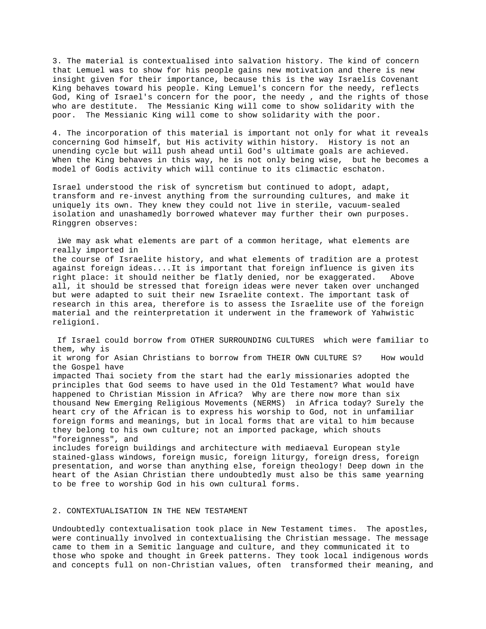3. The material is contextualised into salvation history. The kind of concern that Lemuel was to show for his people gains new motivation and there is new insight given for their importance, because this is the way Israelís Covenant King behaves toward his people. King Lemuel's concern for the needy, reflects God, King of Israel's concern for the poor, the needy , and the rights of those who are destitute. The Messianic King will come to show solidarity with the poor. The Messianic King will come to show solidarity with the poor.

4. The incorporation of this material is important not only for what it reveals concerning God himself, but His activity within history. History is not an unending cycle but will push ahead until God's ultimate goals are achieved. When the King behaves in this way, he is not only being wise, but he becomes a model of Godís activity which will continue to its climactic eschaton.

Israel understood the risk of syncretism but continued to adopt, adapt, transform and re-invest anything from the surrounding cultures, and make it uniquely its own. They knew they could not live in sterile, vacuum-sealed isolation and unashamedly borrowed whatever may further their own purposes. Ringgren observes:

 ìWe may ask what elements are part of a common heritage, what elements are really imported in the course of Israelite history, and what elements of tradition are a protest against foreign ideas....It is important that foreign influence is given its right place: it should neither be flatly denied, nor be exaggerated. Above all, it should be stressed that foreign ideas were never taken over unchanged but were adapted to suit their new Israelite context. The important task of research in this area, therefore is to assess the Israelite use of the foreign material and the reinterpretation it underwent in the framework of Yahwistic religionî.

 If Israel could borrow from OTHER SURROUNDING CULTURES which were familiar to them, why is it wrong for Asian Christians to borrow from THEIR OWN CULTURE S? How would the Gospel have impacted Thai society from the start had the early missionaries adopted the principles that God seems to have used in the Old Testament? What would have happened to Christian Mission in Africa? Why are there now more than six thousand New Emerging Religious Movements (NERMS) in Africa today? Surely the heart cry of the African is to express his worship to God, not in unfamiliar foreign forms and meanings, but in local forms that are vital to him because they belong to his own culture; not an imported package, which shouts "foreignness", and includes foreign buildings and architecture with mediaeval European style

stained-glass windows, foreign music, foreign liturgy, foreign dress, foreign presentation, and worse than anything else, foreign theology! Deep down in the heart of the Asian Christian there undoubtedly must also be this same yearning to be free to worship God in his own cultural forms.

# 2. CONTEXTUALISATION IN THE NEW TESTAMENT

Undoubtedly contextualisation took place in New Testament times. The apostles, were continually involved in contextualising the Christian message. The message came to them in a Semitic language and culture, and they communicated it to those who spoke and thought in Greek patterns. They took local indigenous words and concepts full on non-Christian values, often transformed their meaning, and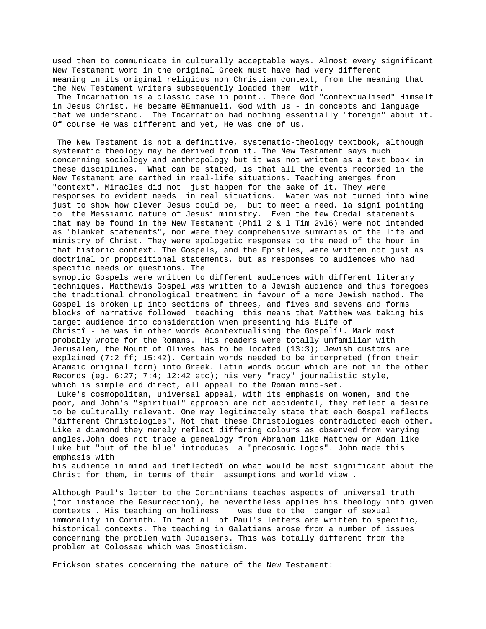used them to communicate in culturally acceptable ways. Almost every significant New Testament word in the original Greek must have had very different meaning in its original religious non Christian context, from the meaning that the New Testament writers subsequently loaded them with.

 The Incarnation is a classic case in point.. There God "contextualised" Himself in Jesus Christ. He became ëEmmanuelí, God with us - in concepts and language that we understand. The Incarnation had nothing essentially "foreign" about it. Of course He was different and yet, He was one of us.

 The New Testament is not a definitive, systematic-theology textbook, although systematic theology may be derived from it. The New Testament says much concerning sociology and anthropology but it was not written as a text book in these disciplines. What can be stated, is that all the events recorded in the New Testament are earthed in real-life situations. Teaching emerges from "context". Miracles did not just happen for the sake of it. They were responses to evident needs in real situations. Water was not turned into wine just to show how clever Jesus could be, but to meet a need. ìa signî pointing to the Messianic nature of Jesusí ministry. Even the few Credal statements that may be found in the New Testament (Phil 2 & l Tim 2vl6) were not intended as "blanket statements", nor were they comprehensive summaries of the life and ministry of Christ. They were apologetic responses to the need of the hour in that historic context. The Gospels, and the Epistles, were written not just as doctrinal or propositional statements, but as responses to audiences who had specific needs or questions. The

synoptic Gospels were written to different audiences with different literary techniques. Matthewís Gospel was written to a Jewish audience and thus foregoes the traditional chronological treatment in favour of a more Jewish method. The Gospel is broken up into sections of threes, and fives and sevens and forms blocks of narrative followed teaching this means that Matthew was taking his target audience into consideration when presenting his ëLife of Christî - he was in other words ëcontextualising the Gospelí!. Mark most probably wrote for the Romans. His readers were totally unfamiliar with Jerusalem, the Mount of Olives has to be located (13:3); Jewish customs are explained (7:2 ff; 15:42). Certain words needed to be interpreted (from their Aramaic original form) into Greek. Latin words occur which are not in the other Records (eg. 6:27; 7:4; 12:42 etc); his very "racy" journalistic style, which is simple and direct, all appeal to the Roman mind-set.

 Luke's cosmopolitan, universal appeal, with its emphasis on women, and the poor, and John's "spiritual" approach are not accidental, they reflect a desire to be culturally relevant. One may legitimately state that each Gospel reflects "different Christologies". Not that these Christologies contradicted each other. Like a diamond they merely reflect differing colours as observed from varying angles.John does not trace a genealogy from Abraham like Matthew or Adam like Luke but "out of the blue" introduces a "precosmic Logos". John made this emphasis with

his audience in mind and ìreflectedî on what would be most significant about the Christ for them, in terms of their assumptions and world view .

Although Paul's letter to the Corinthians teaches aspects of universal truth (for instance the Resurrection), he nevertheless applies his theology into given contexts . His teaching on holiness was due to the danger of sexual immorality in Corinth. In fact all of Paul's letters are written to specific, historical contexts. The teaching in Galatians arose from a number of issues concerning the problem with Judaisers. This was totally different from the problem at Colossae which was Gnosticism.

Erickson states concerning the nature of the New Testament: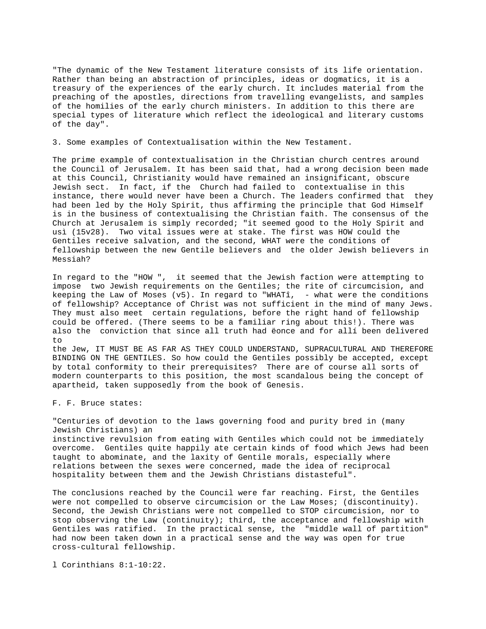"The dynamic of the New Testament literature consists of its life orientation. Rather than being an abstraction of principles, ideas or dogmatics, it is a treasury of the experiences of the early church. It includes material from the preaching of the apostles, directions from travelling evangelists, and samples of the homilies of the early church ministers. In addition to this there are special types of literature which reflect the ideological and literary customs of the day".

3. Some examples of Contextualisation within the New Testament.

The prime example of contextualisation in the Christian church centres around the Council of Jerusalem. It has been said that, had a wrong decision been made at this Council, Christianity would have remained an insignificant, obscure Jewish sect. In fact, if the Church had failed to contextualise in this instance, there would never have been a Church. The leaders confirmed that they had been led by the Holy Spirit, thus affirming the principle that God Himself is in the business of contextualising the Christian faith. The consensus of the Church at Jerusalem is simply recorded; "it seemed good to the Holy Spirit and usì (15v28). Two vital issues were at stake. The first was HOW could the Gentiles receive salvation, and the second, WHAT were the conditions of fellowship between the new Gentile believers and the older Jewish believers in Messiah?

In regard to the "HOW ", it seemed that the Jewish faction were attempting to impose two Jewish requirements on the Gentiles; the rite of circumcision, and keeping the Law of Moses  $(v5)$ . In regard to "WHATÎ, - what were the conditions of fellowship? Acceptance of Christ was not sufficient in the mind of many Jews. They must also meet certain regulations, before the right hand of fellowship could be offered. (There seems to be a familiar ring about this!). There was also the conviction that since all truth had ëonce and for allí been delivered to

the Jew, IT MUST BE AS FAR AS THEY COULD UNDERSTAND, SUPRACULTURAL AND THEREFORE BINDING ON THE GENTILES. So how could the Gentiles possibly be accepted, except by total conformity to their prerequisites? There are of course all sorts of modern counterparts to this position, the most scandalous being the concept of apartheid, taken supposedly from the book of Genesis.

F. F. Bruce states:

"Centuries of devotion to the laws governing food and purity bred in (many Jewish Christians) an instinctive revulsion from eating with Gentiles which could not be immediately overcome. Gentiles quite happily ate certain kinds of food which Jews had been taught to abominate, and the laxity of Gentile morals, especially where

relations between the sexes were concerned, made the idea of reciprocal hospitality between them and the Jewish Christians distasteful".

The conclusions reached by the Council were far reaching. First, the Gentiles were not compelled to observe circumcision or the Law Moses; (discontinuity). Second, the Jewish Christians were not compelled to STOP circumcision, nor to stop observing the Law (continuity); third, the acceptance and fellowship with Gentiles was ratified. In the practical sense, the "middle wall of partition" had now been taken down in a practical sense and the way was open for true cross-cultural fellowship.

l Corinthians 8:1-10:22.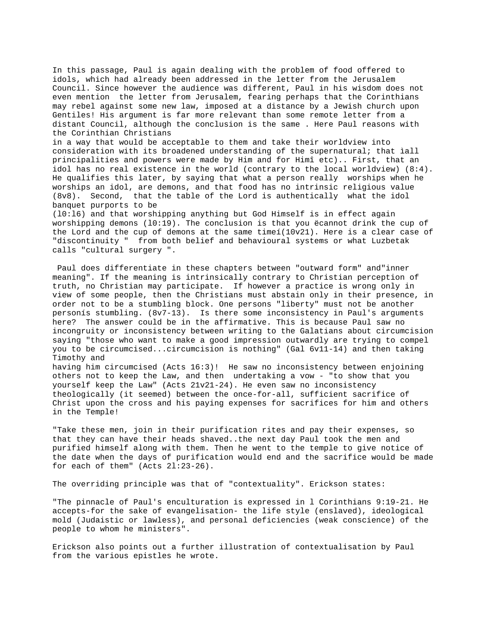In this passage, Paul is again dealing with the problem of food offered to idols, which had already been addressed in the letter from the Jerusalem Council. Since however the audience was different, Paul in his wisdom does not even mention the letter from Jerusalem, fearing perhaps that the Corinthians may rebel against some new law, imposed at a distance by a Jewish church upon Gentiles! His argument is far more relevant than some remote letter from a distant Council, although the conclusion is the same . Here Paul reasons with the Corinthian Christians

in a way that would be acceptable to them and take their worldview into consideration with its broadened understanding of the supernatural; that ìall principalities and powers were made by Him and for Himî etc).. First, that an idol has no real existence in the world (contrary to the local worldview) (8:4). He qualifies this later, by saying that what a person really worships when he worships an idol, are demons, and that food has no intrinsic religious value (8v8). Second, that the table of the Lord is authentically what the idol banquet purports to be

(l0:l6) and that worshipping anything but God Himself is in effect again worshipping demons (l0:19). The conclusion is that you ëcannot drink the cup of the Lord and the cup of demons at the same timeí(10v21). Here is a clear case of "discontinuity " from both belief and behavioural systems or what Luzbetak calls "cultural surgery ".

 Paul does differentiate in these chapters between "outward form" and"inner meaning". If the meaning is intrinsically contrary to Christian perception of truth, no Christian may participate. If however a practice is wrong only in view of some people, then the Christians must abstain only in their presence, in order not to be a stumbling block. One persons "liberty" must not be another personís stumbling. (8v7-13). Is there some inconsistency in Paul's arguments here? The answer could be in the affirmative. This is because Paul saw no incongruity or inconsistency between writing to the Galatians about circumcision saying "those who want to make a good impression outwardly are trying to compel you to be circumcised...circumcision is nothing" (Gal 6v11-14) and then taking Timothy and

having him circumcised (Acts 16:3)! He saw no inconsistency between enjoining others not to keep the Law, and then undertaking a vow - "to show that you yourself keep the Law" (Acts 21v21-24). He even saw no inconsistency theologically (it seemed) between the once-for-all, sufficient sacrifice of Christ upon the cross and his paying expenses for sacrifices for him and others in the Temple!

"Take these men, join in their purification rites and pay their expenses, so that they can have their heads shaved..the next day Paul took the men and purified himself along with them. Then he went to the temple to give notice of the date when the days of purification would end and the sacrifice would be made for each of them" (Acts 2l:23-26).

The overriding principle was that of "contextuality". Erickson states:

"The pinnacle of Paul's enculturation is expressed in l Corinthians 9:19-21. He accepts-for the sake of evangelisation- the life style (enslaved), ideological mold (Judaistic or lawless), and personal deficiencies (weak conscience) of the people to whom he ministers".

Erickson also points out a further illustration of contextualisation by Paul from the various epistles he wrote.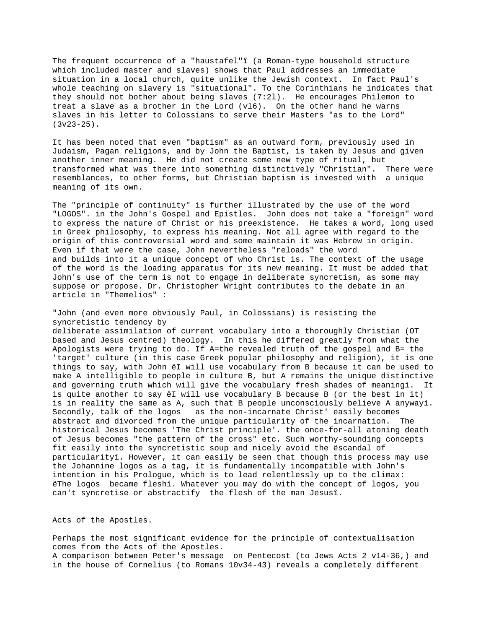The frequent occurrence of a "haustafel"î (a Roman-type household structure which included master and slaves) shows that Paul addresses an immediate situation in a local church, quite unlike the Jewish context. In fact Paul's whole teaching on slavery is "situational". To the Corinthians he indicates that they should not bother about being slaves (7:2l). He encourages Philemon to treat a slave as a brother in the Lord (vl6). On the other hand he warns slaves in his letter to Colossians to serve their Masters "as to the Lord"  $(3v23-25)$ .

It has been noted that even "baptism" as an outward form, previously used in Judaism, Pagan religions, and by John the Baptist, is taken by Jesus and given another inner meaning. He did not create some new type of ritual, but transformed what was there into something distinctively "Christian". There were resemblances, to other forms, but Christian baptism is invested with a unique meaning of its own.

The "principle of continuity" is further illustrated by the use of the word "LOGOS". in the John's Gospel and Epistles. John does not take a "foreign" word to express the nature of Christ or his preexistence. He takes a word, long used in Greek philosophy, to express his meaning. Not all agree with regard to the origin of this controversial word and some maintain it was Hebrew in origin. Even if that were the case, John nevertheless "reloads" the word and builds into it a unique concept of who Christ is. The context of the usage of the word is the loading apparatus for its new meaning. It must be added that John's use of the term is not to engage in deliberate syncretism, as some may suppose or propose. Dr. Christopher Wright contributes to the debate in an article in "Themelios" :

"John (and even more obviously Paul, in Colossians) is resisting the syncretistic tendency by

deliberate assimilation of current vocabulary into a thoroughly Christian (OT based and Jesus centred) theology. In this he differed greatly from what the Apologists were trying to do. If A=the revealed truth of the gospel and B= the 'target' culture (in this case Greek popular philosophy and religion), it is one things to say, with John ëI will use vocabulary from B because it can be used to make A intelligible to people in culture B, but A remains the unique distinctive and governing truth which will give the vocabulary fresh shades of meaningí. It is quite another to say ëI will use vocabulary B because B (or the best in it) is in reality the same as A, such that B people unconsciously believe A anywayí. Secondly, talk of the logos as the non-incarnate Christ' easily becomes abstract and divorced from the unique particularity of the incarnation. The historical Jesus becomes 'The Christ principle'. the once-for-all atoning death of Jesus becomes "the pattern of the cross" etc. Such worthy-sounding concepts fit easily into the syncretistic soup and nicely avoid the ëscandal of particularityí. However, it can easily be seen that though this process may use the Johannine logos as a tag, it is fundamentally incompatible with John's intention in his Prologue, which is to lead relentlessly up to the climax: ëThe logos became fleshí. Whatever you may do with the concept of logos, you can't syncretise or abstractify the flesh of the man Jesusî.

Acts of the Apostles.

Perhaps the most significant evidence for the principle of contextualisation comes from the Acts of the Apostles. A comparison between Peter's message on Pentecost (to Jews Acts 2 v14-36,) and in the house of Cornelius (to Romans 10v34-43) reveals a completely different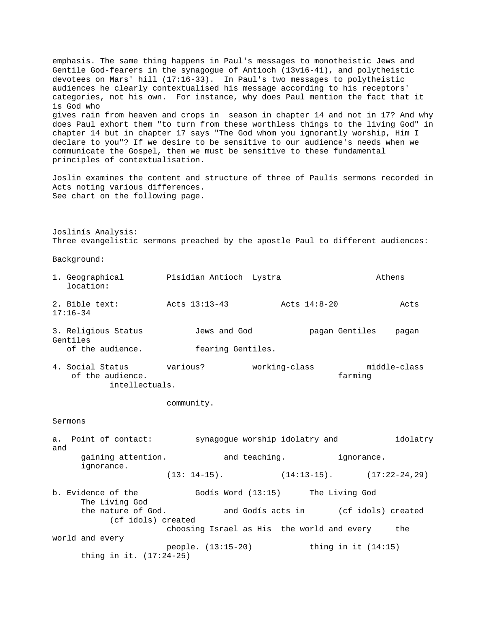emphasis. The same thing happens in Paul's messages to monotheistic Jews and Gentile God-fearers in the synagogue of Antioch (13v16-41), and polytheistic devotees on Mars' hill (17:16-33). In Paul's two messages to polytheistic audiences he clearly contextualised his message according to his receptors' categories, not his own. For instance, why does Paul mention the fact that it is God who gives rain from heaven and crops in season in chapter 14 and not in 17? And why does Paul exhort them "to turn from these worthless things to the living God" in chapter 14 but in chapter 17 says "The God whom you ignorantly worship, Him I declare to you"? If we desire to be sensitive to our audience's needs when we communicate the Gospel, then we must be sensitive to these fundamental principles of contextualisation. Joslin examines the content and structure of three of Paulís sermons recorded in Acts noting various differences. See chart on the following page. Joslinís Analysis: Three evangelistic sermons preached by the apostle Paul to different audiences: Background: 1. Geographical Pisidian Antioch Lystra and Athens location: 2. Bible text: Acts 13:13-43 Acts 14:8-20 Acts 17:16-34 3. Religious Status Jews and God pagan Gentiles pagan Gentiles of the audience. fearing Gentiles. 4. Social Status various? working-class middle-class of the audience. farming intellectuals. community. Sermons a. Point of contact: synagogue worship idolatry and idolatry and gaining attention. The and teaching. The ignorance. ignorance.  $(13: 14-15)$ .  $(14:13-15)$ .  $(17:22-24,29)$ b. Evidence of the Godís Word (13:15) The Living God The Living God and Godís acts in (cf idols) created (cf idols) created choosing Israel as His the world and every the world and every people. (13:15-20) thing in it (14:15) thing in it. (17:24-25)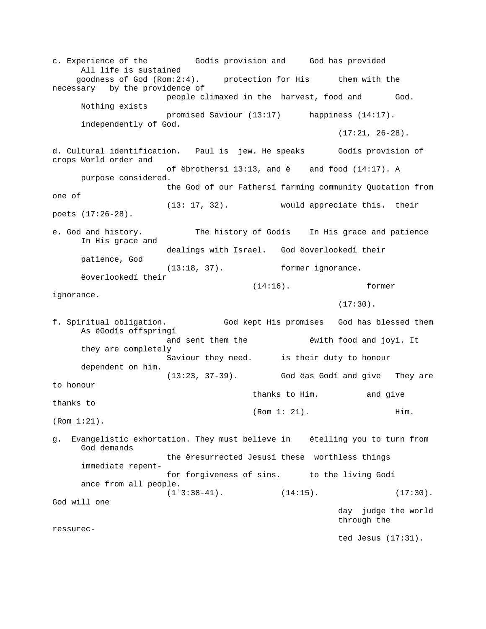c. Experience of the Godís provision and God has provided All life is sustained goodness of God (Rom:2:4). <br>
protection for His intervaliant them necessary by the providence of people climaxed in the harvest, food and God. Nothing exists promised Saviour (13:17) happiness (14:17). independently of God.  $(17:21, 26-28)$ . d. Cultural identification. Paul is jew. He speaks Godís provision of crops World order and of ëbrothersí 13:13, and ë and food (14:17). A purpose considered. the God of our Fathersí farming community Quotation from one of (13: 17, 32). would appreciate this. their poets (17:26-28). e. God and history. The history of Godís In His grace and patience In His grace and dealings with Israel. God ëoverlookedí their patience, God (13:18, 37). former ignorance. ëoverlookedí their (14:16). former ignorance.  $(17:30)$  . f. Spiritual obligation. God kept His promises God has blessed them As ëGodís offspringí and sent them the ëwith food and joyí. It they are completely Saviour they need. is their duty to honour dependent on him. (13:23, 37-39). God ëas Godí and give They are to honour thanks to Him. and give thanks to (Rom 1: 21). Him. (Rom 1:21). g. Evangelistic exhortation. They must believe in ëtelling you to turn from God demands the ëresurrected Jesusí these worthless things immediate repentfor forgiveness of sins. to the living Godí ance from all people.  $(1^{\texttt{3:38-41}})$ .  $(14:15)$ .  $(17:30)$ . God will one day judge the world through the ressurected Jesus (17:31).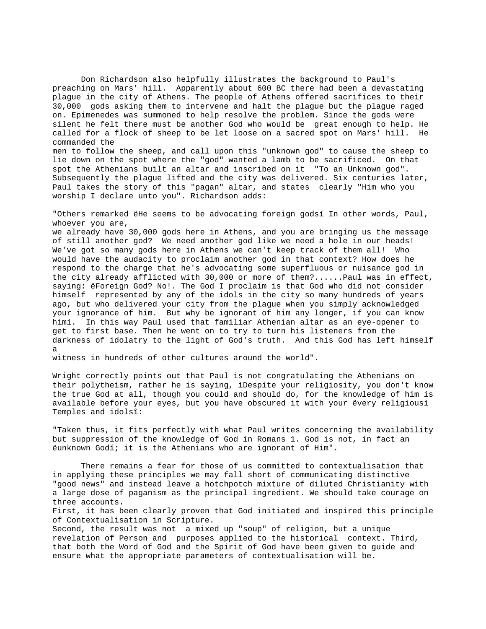Don Richardson also helpfully illustrates the background to Paul's preaching on Mars' hill. Apparently about 600 BC there had been a devastating plague in the city of Athens. The people of Athens offered sacrifices to their 30,000 gods asking them to intervene and halt the plague but the plague raged on. Epimenedes was summoned to help resolve the problem. Since the gods were silent he felt there must be another God who would be great enough to help. He called for a flock of sheep to be let loose on a sacred spot on Mars' hill. He commanded the men to follow the sheep, and call upon this "unknown god" to cause the sheep to

lie down on the spot where the "god" wanted a lamb to be sacrificed. On that spot the Athenians built an altar and inscribed on it "To an Unknown god". Subsequently the plague lifted and the city was delivered. Six centuries later, Paul takes the story of this "pagan" altar, and states clearly "Him who you worship I declare unto you". Richardson adds:

"Others remarked ëHe seems to be advocating foreign godsí In other words, Paul, whoever you are,

we already have 30,000 gods here in Athens, and you are bringing us the message of still another god? We need another god like we need a hole in our heads! We've got so many gods here in Athens we can't keep track of them all! Who would have the audacity to proclaim another god in that context? How does he respond to the charge that he's advocating some superfluous or nuisance god in the city already afflicted with 30,000 or more of them?......Paul was in effect, saying: ëForeign God? No!. The God I proclaim is that God who did not consider himself represented by any of the idols in the city so many hundreds of years ago, but who delivered your city from the plague when you simply acknowledged your ignorance of him. But why be ignorant of him any longer, if you can know himí. In this way Paul used that familiar Athenian altar as an eye-opener to get to first base. Then he went on to try to turn his listeners from the darkness of idolatry to the light of God's truth. And this God has left himself a

witness in hundreds of other cultures around the world".

Wright correctly points out that Paul is not congratulating the Athenians on their polytheism, rather he is saying, ìDespite your religiosity, you don't know the true God at all, though you could and should do, for the knowledge of him is available before your eyes, but you have obscured it with your ëvery religiousí Temples and idolsî:

"Taken thus, it fits perfectly with what Paul writes concerning the availability but suppression of the knowledge of God in Romans 1. God is not, in fact an ëunknown Godí; it is the Athenians who are ignorant of Him".

There remains a fear for those of us committed to contextualisation that in applying these principles we may fall short of communicating distinctive "good news" and instead leave a hotchpotch mixture of diluted Christianity with a large dose of paganism as the principal ingredient. We should take courage on three accounts.

First, it has been clearly proven that God initiated and inspired this principle of Contextualisation in Scripture.

Second, the result was not a mixed up "soup" of religion, but a unique revelation of Person and purposes applied to the historical context. Third, that both the Word of God and the Spirit of God have been given to guide and ensure what the appropriate parameters of contextualisation will be.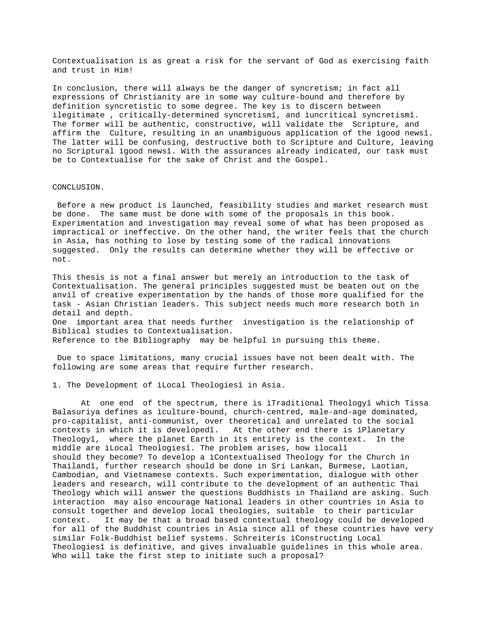Contextualisation is as great a risk for the servant of God as exercising faith and trust in Him!

In conclusion, there will always be the danger of syncretism; in fact all expressions of Christianity are in some way culture-bound and therefore by definition syncretistic to some degree. The key is to discern between ìlegitimate , critically-determined syncretismî, and ìuncritical syncretismî. The former will be authentic, constructive, will validate the Scripture, and affirm the Culture, resulting in an unambiguous application of the ìgood newsî. The latter will be confusing, destructive both to Scripture and Culture, leaving no Scriptural ìgood newsî. With the assurances already indicated, our task must be to Contextualise for the sake of Christ and the Gospel.

### CONCLUSION.

 Before a new product is launched, feasibility studies and market research must be done. The same must be done with some of the proposals in this book. Experimentation and investigation may reveal some of what has been proposed as impractical or ineffective. On the other hand, the writer feels that the church in Asia, has nothing to lose by testing some of the radical innovations suggested. Only the results can determine whether they will be effective or not.

This thesis is not a final answer but merely an introduction to the task of Contextualisation. The general principles suggested must be beaten out on the anvil of creative experimentation by the hands of those more qualified for the task - Asian Christian leaders. This subject needs much more research both in detail and depth. One important area that needs further investigation is the relationship of Biblical studies to Contextualisation.

Reference to the Bibliography may be helpful in pursuing this theme.

 Due to space limitations, many crucial issues have not been dealt with. The following are some areas that require further research.

1. The Development of ìLocal Theologiesî in Asia.

At one end of the spectrum, there is ìTraditional Theologyî which Tissa Balasuriya defines as ìculture-bound, church-centred, male-and-age dominated, pro-capitalist, anti-communist, over theoretical and unrelated to the social contexts in which it is developedî. At the other end there is ìPlanetary Theologyî, where the planet Earth in its entirety is the context. In the middle are ìLocal Theologiesî. The problem arises, how ìlocalî should they become? To develop a ìContextualised Theology for the Church in Thailandî, further research should be done in Sri Lankan, Burmese, Laotian, Cambodian, and Vietnamese contexts. Such experimentation, dialogue with other leaders and research, will contribute to the development of an authentic Thai Theology which will answer the questions Buddhists in Thailand are asking. Such interaction may also encourage National leaders in other countries in Asia to consult together and develop local theologies, suitable to their particular context. It may be that a broad based contextual theology could be developed for all of the Buddhist countries in Asia since all of these countries have very similar Folk-Buddhist belief systems. Schreiterís ìConstructing Local Theologiesî is definitive, and gives invaluable guidelines in this whole area. Who will take the first step to initiate such a proposal?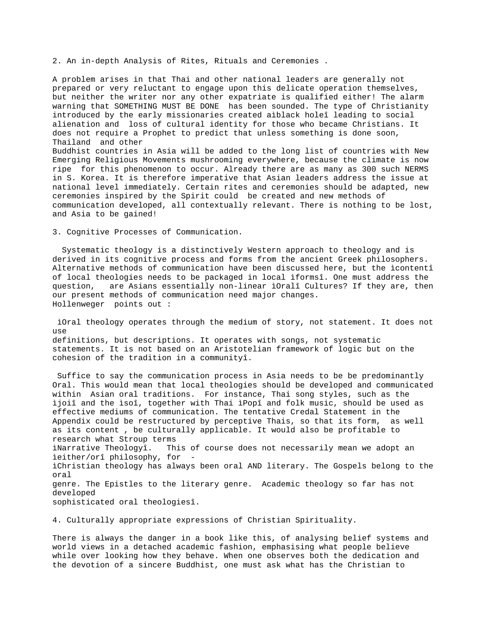2. An in-depth Analysis of Rites, Rituals and Ceremonies .

A problem arises in that Thai and other national leaders are generally not prepared or very reluctant to engage upon this delicate operation themselves, but neither the writer nor any other expatriate is qualified either! The alarm warning that SOMETHING MUST BE DONE has been sounded. The type of Christianity introduced by the early missionaries created aìblack holeî leading to social alienation and loss of cultural identity for those who became Christians. It does not require a Prophet to predict that unless something is done soon, Thailand and other Buddhist countries in Asia will be added to the long list of countries with New Emerging Religious Movements mushrooming everywhere, because the climate is now ripe for this phenomenon to occur. Already there are as many as 300 such NERMS in S. Korea. It is therefore imperative that Asian leaders address the issue at national level immediately. Certain rites and ceremonies should be adapted, new ceremonies inspired by the Spirit could be created and new methods of communication developed, all contextually relevant. There is nothing to be lost, and Asia to be gained!

3. Cognitive Processes of Communication.

 Systematic theology is a distinctively Western approach to theology and is derived in its cognitive process and forms from the ancient Greek philosophers. Alternative methods of communication have been discussed here, but the ìcontentî of local theologies needs to be packaged in local ìformsî. One must address the question, are Asians essentially non-linear ìOralî Cultures? If they are, then our present methods of communication need major changes. Hollenweger points out :

 ìOral theology operates through the medium of story, not statement. It does not use definitions, but descriptions. It operates with songs, not systematic statements. It is not based on an Aristotelian framework of logic but on the cohesion of the tradition in a communityî.

 Suffice to say the communication process in Asia needs to be be predominantly Oral. This would mean that local theologies should be developed and communicated within Asian oral traditions. For instance, Thai song styles, such as the ìjoiî and the ìsoî, together with Thai ìPopî and folk music, should be used as effective mediums of communication. The tentative Credal Statement in the Appendix could be restructured by perceptive Thais, so that its form, as well as its content , be culturally applicable. It would also be profitable to research what Stroup terms ìNarrative Theologyî. This of course does not necessarily mean we adopt an ìeither/orî philosophy, for ìChristian theology has always been oral AND literary. The Gospels belong to the oral genre. The Epistles to the literary genre. Academic theology so far has not developed sophisticated oral theologiesî.

4. Culturally appropriate expressions of Christian Spirituality.

There is always the danger in a book like this, of analysing belief systems and world views in a detached academic fashion, emphasising what people believe while over looking how they behave. When one observes both the dedication and the devotion of a sincere Buddhist, one must ask what has the Christian to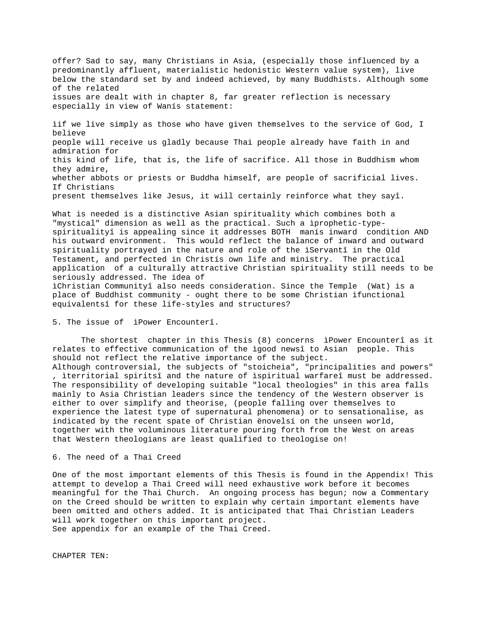offer? Sad to say, many Christians in Asia, (especially those influenced by a predominantly affluent, materialistic hedonistic Western value system), live below the standard set by and indeed achieved, by many Buddhists. Although some of the related issues are dealt with in chapter 8, far greater reflection is necessary especially in view of Wanís statement:

ìif we live simply as those who have given themselves to the service of God, I believe people will receive us gladly because Thai people already have faith in and admiration for this kind of life, that is, the life of sacrifice. All those in Buddhism whom they admire, whether abbots or priests or Buddha himself, are people of sacrificial lives. If Christians present themselves like Jesus, it will certainly reinforce what they sayî.

What is needed is a distinctive Asian spirituality which combines both a "mystical" dimension as well as the practical. Such a ìprophetic-typespiritualityî is appealing since it addresses BOTH manís inward condition AND his outward environment. This would reflect the balance of inward and outward spirituality portrayed in the nature and role of the ìServantî in the Old Testament, and perfected in Christís own life and ministry. The practical application of a culturally attractive Christian spirituality still needs to be seriously addressed. The idea of ìChristian Communityî also needs consideration. Since the Temple (Wat) is a place of Buddhist community - ought there to be some Christian ìfunctional equivalentsî for these life-styles and structures?

5. The issue of ìPower Encounterî.

The shortest chapter in this Thesis (8) concerns ìPower Encounterî as it relates to effective communication of the ìgood newsî to Asian people. This should not reflect the relative importance of the subject.

Although controversial, the subjects of "stoicheia", "principalities and powers" , ìterritorial spiritsî and the nature of ìspiritual warfareî must be addressed. The responsibility of developing suitable "local theologies" in this area falls mainly to Asia Christian leaders since the tendency of the Western observer is either to over simplify and theorise, (people falling over themselves to experience the latest type of supernatural phenomena) or to sensationalise, as indicated by the recent spate of Christian ënovelsí on the unseen world, together with the voluminous literature pouring forth from the West on areas that Western theologians are least qualified to theologise on!

### 6. The need of a Thai Creed

One of the most important elements of this Thesis is found in the Appendix! This attempt to develop a Thai Creed will need exhaustive work before it becomes meaningful for the Thai Church. An ongoing process has begun; now a Commentary on the Creed should be written to explain why certain important elements have been omitted and others added. It is anticipated that Thai Christian Leaders will work together on this important project. See appendix for an example of the Thai Creed.

CHAPTER TEN: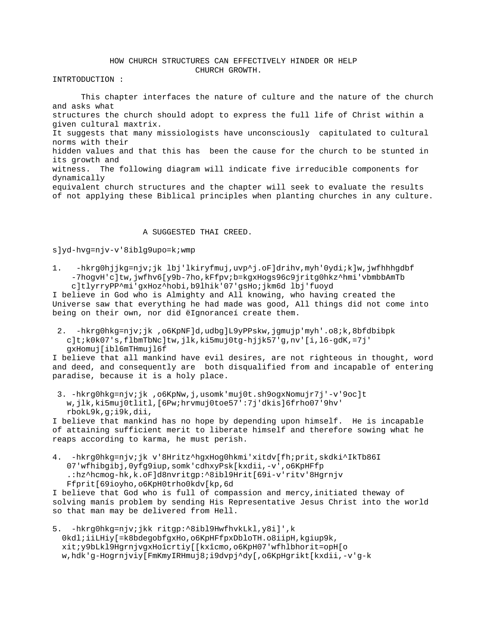# HOW CHURCH STRUCTURES CAN EFFECTIVELY HINDER OR HELP CHURCH GROWTH.

INTRTODUCTION :

This chapter interfaces the nature of culture and the nature of the church and asks what structures the church should adopt to express the full life of Christ within a given cultural maxtrix. It suggests that many missiologists have unconsciously capitulated to cultural norms with their hidden values and that this has been the cause for the church to be stunted in its growth and witness. The following diagram will indicate five irreducible components for dynamically equivalent church structures and the chapter will seek to evaluate the results of not applying these Biblical principles when planting churches in any culture.

#### A SUGGESTED THAI CREED.

### s]yd-hvg=njv-v'8iblg9upo=k;wmp

1. -hkrg0hjjkg=njv;jk lbj'lkiryfmuj,uvp^j.oF]drihv,myh'0ydi;k]w,jwfhhhgdbf -7hogvH'c]tw,jwfhv6[y9b-7ho,kFfpv;b=kgxHogs96c9jritg0hkz^hmi'vbmbbAmTb c]tlyrryPP^mi'gxHoz^hobi,b9lhik'07'gsHo;jkm6d lbj'fuoyd

I believe in God who is Almighty and All knowing, who having created the Universe saw that everything he had made was good, All things did not come into being on their own, nor did ëIgnoranceí create them.

 2. -hkrg0hkg=njv;jk ,o6KpNF]d,udbg]L9yPPskw,jgmujp'myh'.o8;k,8bfdbibpk c]t;k0k07's,flbmTbNc]tw,jlk,ki5muj0tg-hjjk57'g,nv'[i,l6-gdK,=7j' gxHomuj[ibl6mTHmujl6f

I believe that all mankind have evil desires, are not righteous in thought, word and deed, and consequently are both disqualified from and incapable of entering paradise, because it is a holy place.

 3. -hkrg0hkg=njv;jk ,o6KpNw,j,usomk'muj0t.sh9ogxNomujr7j'-v'9oc]t w,jlk,ki5muj0tlitl,[6Pw;hrvmuj0toe57':7j'dkis]6frho07'9hv' rbokL9k,g;i9k,dii,

I believe that mankind has no hope by depending upon himself. He is incapable of attaining sufficient merit to liberate himself and therefore sowing what he reaps according to karma, he must perish.

4. -hkrg0hkg=njv;jk v'8Hritz^hgxHog0hkmi'xitdv[fh;prit,skdki^IkTb86I 07'wfhibgibj,0yfg9iup,somk'cdhxyPsk[kxdii,-v',o6KpHFfp .:hz^hcmog-hk,k.oF]d8nvritgp:^8ibl9Hrit[69i-v'ritv'8Hgrnjv Ffprit[69ioyho,o6KpH0trho0kdv[kp,6d

I believe that God who is full of compassion and mercy,initiated theway of solving manís problem by sending His Representative Jesus Christ into the world so that man may be delivered from Hell.

5. -hkrg0hkg=njv;jkk ritgp:^8ibl9HwfhvkLkl,y8i]',k 0kdl;iiLHiy[=k8bdegobfgxHo,o6KpHFfpxDbloTH.o8iipH,kgiup9k, xit;y9bLkl9HgrnjvgxHoîcrtiy[[kxîcmo,o6KpH07'wfhlbhorit=opH[o w,hdk'g-Hogrnjviy[FmKmyIRHmuj8;i9dvpj^dy[,o6KpHgrikt[kxdii,-v'g-k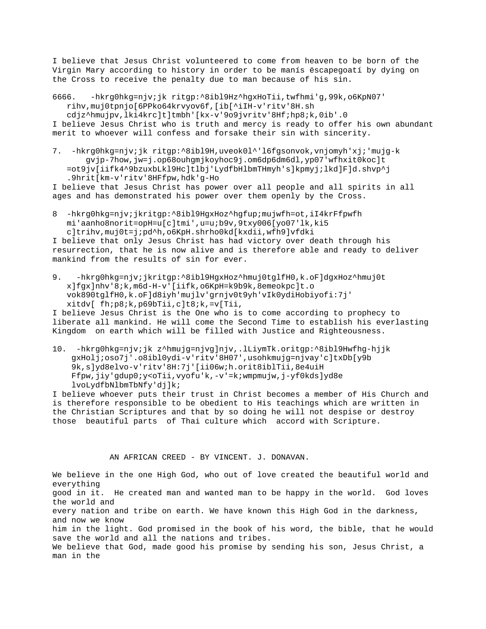I believe that Jesus Christ volunteered to come from heaven to be born of the Virgin Mary according to history in order to be manís ëscapegoatí by dying on the Cross to receive the penalty due to man because of his sin.

6666. -hkrg0hkg=njv;jk ritgp:^8ibl9Hz^hgxHoTii,twfhmi'g,99k,o6KpN07' rihv,muj0tpnjo[6PPko64krvyov6f,[ib[^iIH-v'ritv'8H.sh

 cdjz^hmujpv,lki4krc]t]tmbh'[kx-v'9o9jvritv'8Hf;hp8;k,0ib'.0 I believe Jesus Christ who is truth and mercy is ready to offer his own abundant merit to whoever will confess and forsake their sin with sincerity.

7. -hkrg0hkg=njv;jk ritgp:^8ibl9H,uveok0l^'l6fgsonvok,vnjomyh'xj;'mujg-k gvjp-7how,jw=j.op68ouhgmjkoyhoc9j.om6dp6dm6dl,yp07'wfhxit0koc]t =ot9jv[iifk4^9bzuxbLkl9Hc]tlbj'LydfbHlbmTHmyh's]kpmyj;lkd]F]d.shvp^j .9hrit[km-v'ritv'8HFfpw,hdk'g-Ho

I believe that Jesus Christ has power over all people and all spirits in all ages and has demonstrated his power over them openly by the Cross.

8 -hkrg0hkg=njv;jkritgp:^8ibl9HgxHoz^hgfup;mujwfh=ot,iI4krFfpwfh mi'aanho8norit=opH=u[c]tmi',u=u;b9v,9txy006[yo07'lk,ki5 c]trihv,muj0t=j;pd^h,o6KpH.shrho0kd[kxdii,wfh9]vfdki

I believe that only Jesus Christ has had victory over death through his resurrection, that he is now alive and is therefore able and ready to deliver mankind from the results of sin for ever.

9. -hkrg0hkg=njv;jkritgp:^8ibl9HgxHoz^hmuj0tglfH0,k.oF]dgxHoz^hmuj0t x]fgx]nhv'8;k,m6d-H-v'[iifk,o6KpH=k9b9k,8emeokpc]t.o vok890tglfH0,k.oF]d8iyh'mujlv'grnjv0t9yh'vIk0ydiHobiyofi:7j' xitdv[ fh;p8;k,p69bTii,c]t8;k,=v[Tii,

I believe Jesus Christ is the One who is to come according to prophecy to liberate all mankind. He will come the Second Time to establish his everlasting Kingdom on earth which will be filled with Justice and Righteousness.

10. -hkrg0hkg=njv;jk z^hmujg=njvg]njv,.lLiymTk.oritgp:^8ibl9Hwfhg-hjjk gxHolj;oso7j'.o8ibl0ydi-v'ritv'8H07',usohkmujg=njvay'c]txDb[y9b 9k,s]yd8elvo-v'ritv'8H:7j'[ii06w;h.orit8iblTii,8e4uiH Ffpw,jiy'gdup0;y<oTii,vyofu'k,-v'=k;wmpmujw,j-yf0kds]yd8e lvoLydfbNlbmTbNfy'dj]k;

I believe whoever puts their trust in Christ becomes a member of His Church and is therefore responsible to be obedient to His teachings which are written in the Christian Scriptures and that by so doing he will not despise or destroy those beautiful parts of Thai culture which accord with Scripture.

AN AFRICAN CREED - BY VINCENT. J. DONAVAN.

We believe in the one High God, who out of love created the beautiful world and everything good in it. He created man and wanted man to be happy in the world. God loves the world and every nation and tribe on earth. We have known this High God in the darkness, and now we know him in the light. God promised in the book of his word, the bible, that he would save the world and all the nations and tribes. We believe that God, made good his promise by sending his son, Jesus Christ, a man in the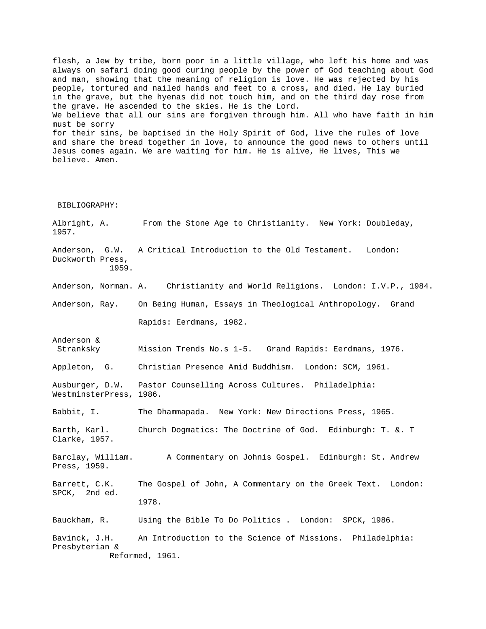flesh, a Jew by tribe, born poor in a little village, who left his home and was always on safari doing good curing people by the power of God teaching about God and man, showing that the meaning of religion is love. He was rejected by his people, tortured and nailed hands and feet to a cross, and died. He lay buried in the grave, but the hyenas did not touch him, and on the third day rose from the grave. He ascended to the skies. He is the Lord. We believe that all our sins are forgiven through him. All who have faith in him must be sorry for their sins, be baptised in the Holy Spirit of God, live the rules of love and share the bread together in love, to announce the good news to others until Jesus comes again. We are waiting for him. He is alive, He lives, This we believe. Amen.

BIBLIOGRAPHY:

Anderson &

Albright, A. From the Stone Age to Christianity. New York: Doubleday, 1957. Anderson, G.W. A Critical Introduction to the Old Testament. London: Duckworth Press,

1959.

Anderson, Norman. A. Christianity and World Religions. London: I.V.P., 1984.

Anderson, Ray. On Being Human, Essays in Theological Anthropology. Grand Rapids: Eerdmans, 1982.

Stranksky Mission Trends No.s 1-5. Grand Rapids: Eerdmans, 1976.

Appleton, G. Christian Presence Amid Buddhism. London: SCM, 1961.

Ausburger, D.W. Pastor Counselling Across Cultures. Philadelphia: WestminsterPress, 1986.

Babbit, I. The Dhammapada. New York: New Directions Press, 1965.

Barth, Karl. Church Dogmatics: The Doctrine of God. Edinburgh: T. &. T Clarke, 1957.

Barclay, William. A Commentary on Johnís Gospel. Edinburgh: St. Andrew Press, 1959.

Barrett, C.K. The Gospel of John, A Commentary on the Greek Text. London: SPCK, 2nd ed. 1978.

Bauckham, R. Using the Bible To Do Politics . London: SPCK, 1986. Bavinck, J.H. An Introduction to the Science of Missions. Philadelphia: Presbyterian &

Reformed, 1961.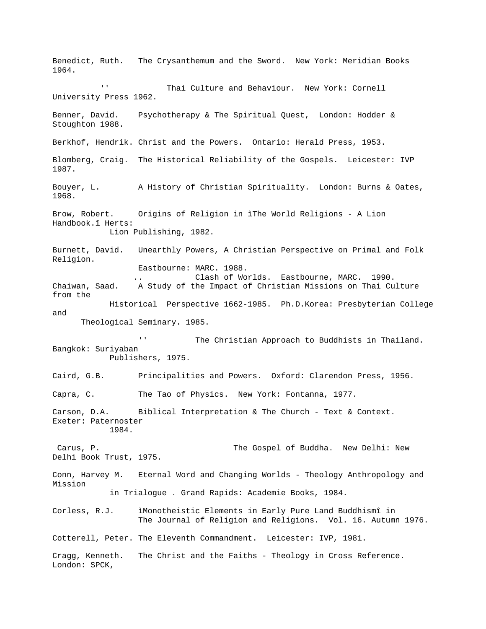Benedict, Ruth. The Crysanthemum and the Sword. New York: Meridian Books 1964. '' Thai Culture and Behaviour. New York: Cornell University Press 1962. Benner, David. Psychotherapy & The Spiritual Quest, London: Hodder & Stoughton 1988. Berkhof, Hendrik. Christ and the Powers. Ontario: Herald Press, 1953. Blomberg, Craig. The Historical Reliability of the Gospels. Leicester: IVP 1987. Bouyer, L. A History of Christian Spirituality. London: Burns & Oates, 1968. Brow, Robert. Origins of Religion in ìThe World Religions - A Lion Handbook.î Herts: Lion Publishing, 1982. Burnett, David. Unearthly Powers, A Christian Perspective on Primal and Folk Religion. Eastbourne: MARC. 1988. Clash of Worlds. Eastbourne, MARC. 1990. Chaiwan, Saad. A Study of the Impact of Christian Missions on Thai Culture from the Historical Perspective 1662-1985. Ph.D.Korea: Presbyterian College and Theological Seminary. 1985. '' The Christian Approach to Buddhists in Thailand. Bangkok: Suriyaban Publishers, 1975. Caird, G.B. Principalities and Powers. Oxford: Clarendon Press, 1956. Capra, C. The Tao of Physics. New York: Fontanna, 1977. Carson, D.A. Biblical Interpretation & The Church - Text & Context. Exeter: Paternoster 1984. Carus, P. The Gospel of Buddha. New Delhi: New Delhi Book Trust, 1975. Conn, Harvey M. Eternal Word and Changing Worlds - Theology Anthropology and Mission in Trialogue . Grand Rapids: Academie Books, 1984. Corless, R.J. ìMonotheistic Elements in Early Pure Land Buddhismî in The Journal of Religion and Religions. Vol. 16. Autumn 1976. Cotterell, Peter. The Eleventh Commandment. Leicester: IVP, 1981. Cragg, Kenneth. The Christ and the Faiths - Theology in Cross Reference. London: SPCK,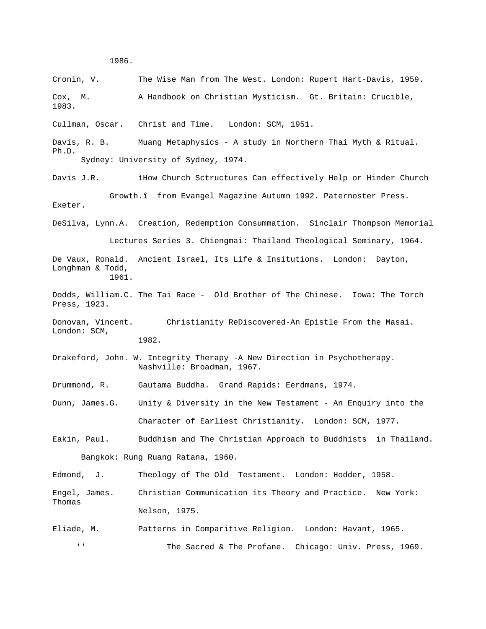1986.

Cronin, V. The Wise Man from The West. London: Rupert Hart-Davis, 1959. Cox, M. A Handbook on Christian Mysticism. Gt. Britain: Crucible, 1983. Cullman, Oscar. Christ and Time. London: SCM, 1951. Davis, R. B. Muang Metaphysics - A study in Northern Thai Myth & Ritual. Ph.D. Sydney: University of Sydney, 1974. Davis J.R. ìHow Church Sctructures Can effectively Help or Hinder Church Growth.î from Evangel Magazine Autumn 1992. Paternoster Press. Exeter. DeSilva, Lynn.A. Creation, Redemption Consummation. Sinclair Thompson Memorial Lectures Series 3. Chiengmai: Thailand Theological Seminary, 1964. De Vaux, Ronald. Ancient Israel, Its Life & Insitutions. London: Dayton, Longhman & Todd, 1961. Dodds, William.C. The Tai Race - Old Brother of The Chinese. Iowa: The Torch Press, 1923. Donovan, Vincent. Christianity ReDiscovered-An Epistle From the Masai. London: SCM, 1982. Drakeford, John. W. Integrity Therapy -A New Direction in Psychotherapy. Nashville: Broadman, 1967. Drummond, R. Gautama Buddha. Grand Rapids: Eerdmans, 1974. Dunn, James.G. Unity & Diversity in the New Testament - An Enquiry into the Character of Earliest Christianity. London: SCM, 1977. Eakin, Paul. Buddhism and The Christian Approach to Buddhists in Thailand. Bangkok: Rung Ruang Ratana, 1960. Edmond, J. Theology of The Old Testament. London: Hodder, 1958. Engel, James. Christian Communication its Theory and Practice. New York: Thomas Nelson, 1975. Eliade, M. Patterns in Comparitive Religion. London: Havant, 1965. '' The Sacred & The Profane. Chicago: Univ. Press, 1969.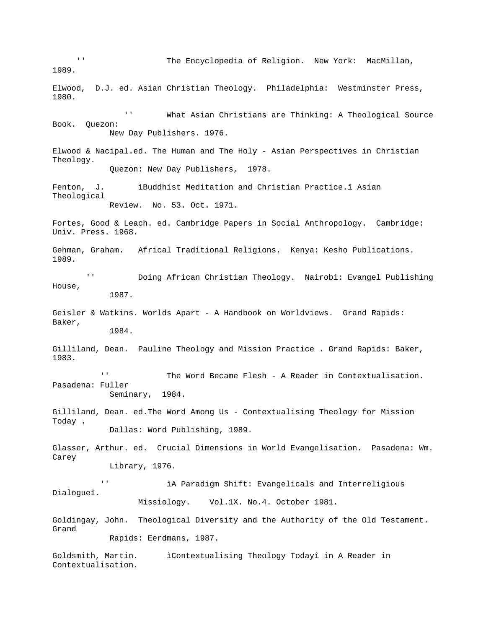'' The Encyclopedia of Religion. New York: MacMillan, 1989. Elwood, D.J. ed. Asian Christian Theology. Philadelphia: Westminster Press, 1980. '' What Asian Christians are Thinking: A Theological Source Book. Quezon: New Day Publishers. 1976. Elwood & Nacipal.ed. The Human and The Holy - Asian Perspectives in Christian Theology. Quezon: New Day Publishers, 1978. Fenton, J. **iBuddhist Meditation and Christian Practice.** î Asian Theological Review. No. 53. Oct. 1971. Fortes, Good & Leach. ed. Cambridge Papers in Social Anthropology. Cambridge: Univ. Press. 1968. Gehman, Graham. Africal Traditional Religions. Kenya: Kesho Publications. 1989. '' Doing African Christian Theology. Nairobi: Evangel Publishing House, 1987. Geisler & Watkins. Worlds Apart - A Handbook on Worldviews. Grand Rapids: Baker, 1984. Gilliland, Dean. Pauline Theology and Mission Practice . Grand Rapids: Baker, 1983. '' The Word Became Flesh - A Reader in Contextualisation. Pasadena: Fuller Seminary, 1984. Gilliland, Dean. ed.The Word Among Us - Contextualising Theology for Mission Today . Dallas: Word Publishing, 1989. Glasser, Arthur. ed. Crucial Dimensions in World Evangelisation. Pasadena: Wm. Carey Library, 1976. '' ìA Paradigm Shift: Evangelicals and Interreligious Dialogueî. Missiology. Vol.1X. No.4. October 1981. Goldingay, John. Theological Diversity and the Authority of the Old Testament. Grand Rapids: Eerdmans, 1987. Goldsmith, Martin. ìContextualising Theology Todayî in A Reader in Contextualisation.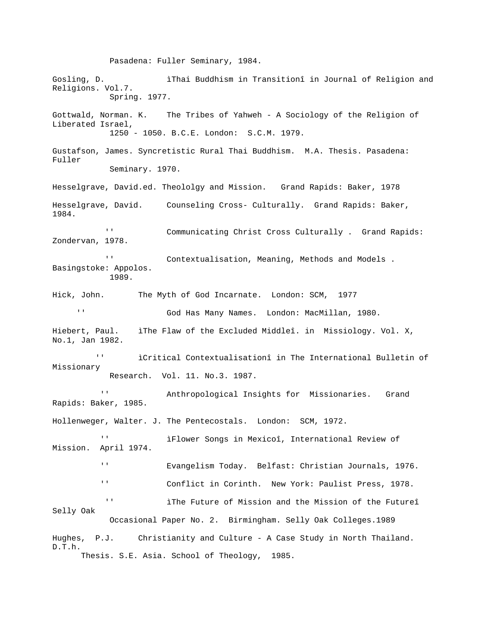Pasadena: Fuller Seminary, 1984. Gosling, D. **i**Thai Buddhism in Transitionî in Journal of Religion and Religions. Vol.7. Spring. 1977. Gottwald, Norman. K. The Tribes of Yahweh - A Sociology of the Religion of Liberated Israel, 1250 - 1050. B.C.E. London: S.C.M. 1979. Gustafson, James. Syncretistic Rural Thai Buddhism. M.A. Thesis. Pasadena: Fuller Seminary. 1970. Hesselgrave, David.ed. Theololgy and Mission. Grand Rapids: Baker, 1978 Hesselgrave, David. Counseling Cross- Culturally. Grand Rapids: Baker, 1984. '' Communicating Christ Cross Culturally . Grand Rapids: Zondervan, 1978. '' Contextualisation, Meaning, Methods and Models . Basingstoke: Appolos. 1989. Hick, John. The Myth of God Incarnate. London: SCM, 1977 '' God Has Many Names. London: MacMillan, 1980. Hiebert, Paul. ìThe Flaw of the Excluded Middleî. in Missiology. Vol. X, No.1, Jan 1982. '' ìCritical Contextualisationî in The International Bulletin of Missionary Research. Vol. 11. No.3. 1987. Anthropological Insights for Missionaries. Grand Rapids: Baker, 1985. Hollenweger, Walter. J. The Pentecostals. London: SCM, 1972. '' ìFlower Songs in Mexicoî, International Review of Mission. April 1974. '' Evangelism Today. Belfast: Christian Journals, 1976. '' Conflict in Corinth. New York: Paulist Press, 1978. '' iThe Future of Mission and the Mission of the Futureî Selly Oak Occasional Paper No. 2. Birmingham. Selly Oak Colleges.1989 Hughes, P.J. Christianity and Culture - A Case Study in North Thailand. D.T.h. Thesis. S.E. Asia. School of Theology, 1985.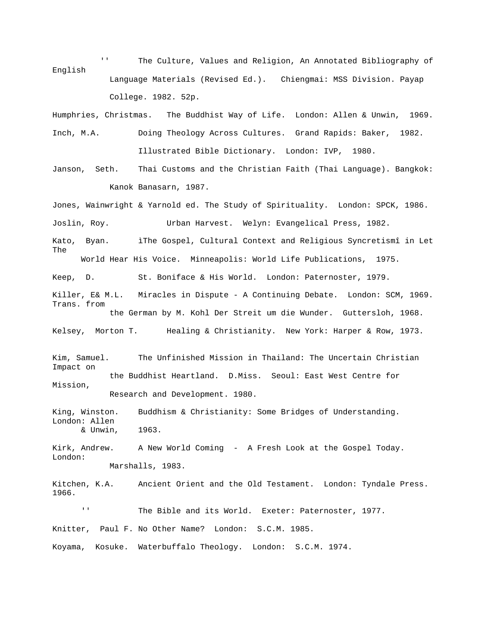'' The Culture, Values and Religion, An Annotated Bibliography of English Language Materials (Revised Ed.). Chiengmai: MSS Division. Payap College. 1982. 52p.

Humphries, Christmas. The Buddhist Way of Life. London: Allen & Unwin, 1969. Inch, M.A. Doing Theology Across Cultures. Grand Rapids: Baker, 1982. Illustrated Bible Dictionary. London: IVP, 1980.

Janson, Seth. Thai Customs and the Christian Faith (Thai Language). Bangkok: Kanok Banasarn, 1987.

Jones, Wainwright & Yarnold ed. The Study of Spirituality. London: SPCK, 1986. Joslin, Roy. Urban Harvest. Welyn: Evangelical Press, 1982. Kato, Byan. iThe Gospel, Cultural Context and Religious Syncretismî in Let The World Hear His Voice. Minneapolis: World Life Publications, 1975.

Keep, D. St. Boniface & His World. London: Paternoster, 1979.

Killer, E& M.L. Miracles in Dispute - A Continuing Debate. London: SCM, 1969. Trans. from the German by M. Kohl Der Streit um die Wunder. Guttersloh, 1968.

Kelsey, Morton T. Healing & Christianity. New York: Harper & Row, 1973.

Kim, Samuel. The Unfinished Mission in Thailand: The Uncertain Christian Impact on the Buddhist Heartland. D.Miss. Seoul: East West Centre for Mission, Research and Development. 1980.

King, Winston. Buddhism & Christianity: Some Bridges of Understanding. London: Allen & Unwin, 1963.

Kirk, Andrew. A New World Coming - A Fresh Look at the Gospel Today. London: Marshalls, 1983.

Kitchen, K.A. Ancient Orient and the Old Testament. London: Tyndale Press. 1966.

The Bible and its World. Exeter: Paternoster, 1977. Knitter, Paul F. No Other Name? London: S.C.M. 1985.

Koyama, Kosuke. Waterbuffalo Theology. London: S.C.M. 1974.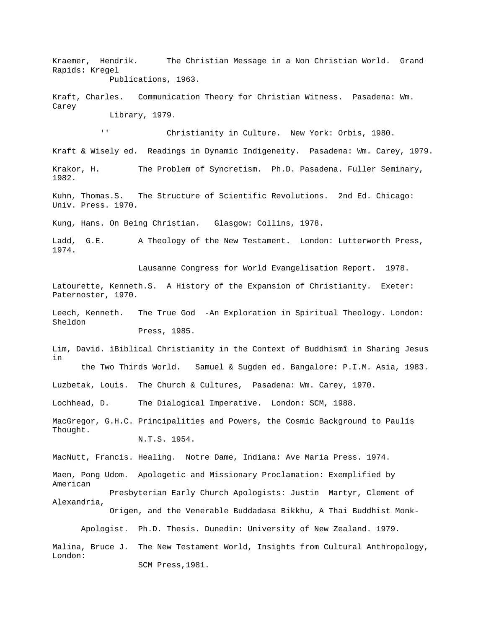Kraemer, Hendrik. The Christian Message in a Non Christian World. Grand Rapids: Kregel Publications, 1963.

Kraft, Charles. Communication Theory for Christian Witness. Pasadena: Wm. Carey Library, 1979.

'' Christianity in Culture. New York: Orbis, 1980.

Kraft & Wisely ed. Readings in Dynamic Indigeneity. Pasadena: Wm. Carey, 1979.

Krakor, H. The Problem of Syncretism. Ph.D. Pasadena. Fuller Seminary, 1982.

Kuhn, Thomas.S. The Structure of Scientific Revolutions. 2nd Ed. Chicago: Univ. Press. 1970.

Kung, Hans. On Being Christian. Glasgow: Collins, 1978.

Ladd, G.E. A Theology of the New Testament. London: Lutterworth Press, 1974.

Lausanne Congress for World Evangelisation Report. 1978.

Latourette, Kenneth.S. A History of the Expansion of Christianity. Exeter: Paternoster, 1970.

Leech, Kenneth. The True God -An Exploration in Spiritual Theology. London: Sheldon Press, 1985.

Lim, David. ìBiblical Christianity in the Context of Buddhismî in Sharing Jesus in the Two Thirds World. Samuel & Sugden ed. Bangalore: P.I.M. Asia, 1983.

Luzbetak, Louis. The Church & Cultures, Pasadena: Wm. Carey, 1970.

Lochhead, D. The Dialogical Imperative. London: SCM, 1988.

MacGregor, G.H.C. Principalities and Powers, the Cosmic Background to Paulís Thought. N.T.S. 1954.

MacNutt, Francis. Healing. Notre Dame, Indiana: Ave Maria Press. 1974.

Maen, Pong Udom. Apologetic and Missionary Proclamation: Exemplified by American

Presbyterian Early Church Apologists: Justin Martyr, Clement of Alexandria, Origen, and the Venerable Buddadasa Bikkhu, A Thai Buddhist Monk-

Apologist. Ph.D. Thesis. Dunedin: University of New Zealand. 1979.

Malina, Bruce J. The New Testament World, Insights from Cultural Anthropology, London: SCM Press,1981.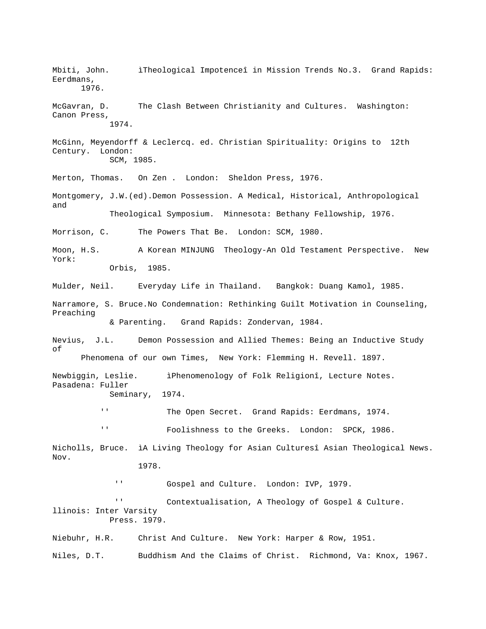Mbiti, John. iTheological Impotenceî in Mission Trends No.3. Grand Rapids: Eerdmans, 1976. McGavran, D. The Clash Between Christianity and Cultures. Washington: Canon Press, 1974. McGinn, Meyendorff & Leclercq. ed. Christian Spirituality: Origins to 12th Century. London: SCM, 1985. Merton, Thomas. On Zen . London: Sheldon Press, 1976. Montgomery, J.W.(ed).Demon Possession. A Medical, Historical, Anthropological and Theological Symposium. Minnesota: Bethany Fellowship, 1976. Morrison, C. The Powers That Be. London: SCM, 1980. Moon, H.S. A Korean MINJUNG Theology-An Old Testament Perspective. New York: Orbis, 1985. Mulder, Neil. Everyday Life in Thailand. Bangkok: Duang Kamol, 1985. Narramore, S. Bruce.No Condemnation: Rethinking Guilt Motivation in Counseling, Preaching & Parenting. Grand Rapids: Zondervan, 1984. Nevius, J.L. Demon Possession and Allied Themes: Being an Inductive Study of Phenomena of our own Times, New York: Flemming H. Revell. 1897. Newbiggin, Leslie. ìPhenomenology of Folk Religionî, Lecture Notes. Pasadena: Fuller Seminary, 1974. '' The Open Secret. Grand Rapids: Eerdmans, 1974. '' Foolishness to the Greeks. London: SPCK, 1986. Nicholls, Bruce. ìA Living Theology for Asian Culturesî Asian Theological News. Nov. 1978. '' Gospel and Culture. London: IVP, 1979. '' Contextualisation, A Theology of Gospel & Culture. llinois: Inter Varsity Press. 1979. Niebuhr, H.R. Christ And Culture. New York: Harper & Row, 1951. Niles, D.T. Buddhism And the Claims of Christ. Richmond, Va: Knox, 1967.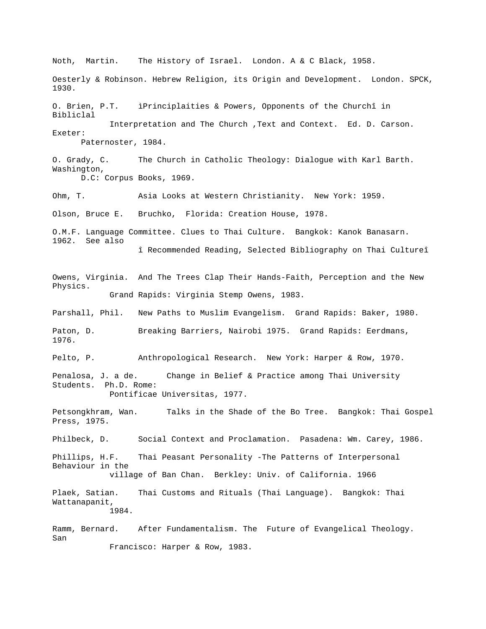Noth, Martin. The History of Israel. London. A & C Black, 1958. Oesterly & Robinson. Hebrew Religion, its Origin and Development. London. SPCK, 1930. O. Brien, P.T. ìPrinciplaities & Powers, Opponents of the Churchî in Bibliclal Interpretation and The Church ,Text and Context. Ed. D. Carson. Exeter: Paternoster, 1984. O. Grady, C. The Church in Catholic Theology: Dialogue with Karl Barth. Washington, D.C: Corpus Books, 1969. Ohm, T. Asia Looks at Western Christianity. New York: 1959. Olson, Bruce E. Bruchko, Florida: Creation House, 1978. O.M.F. Language Committee. Clues to Thai Culture. Bangkok: Kanok Banasarn. 1962. See also î Recommended Reading, Selected Bibliography on Thai Cultureî Owens, Virginia. And The Trees Clap Their Hands-Faith, Perception and the New Physics. Grand Rapids: Virginia Stemp Owens, 1983. Parshall, Phil. New Paths to Muslim Evangelism. Grand Rapids: Baker, 1980. Paton, D. Breaking Barriers, Nairobi 1975. Grand Rapids: Eerdmans, 1976. Pelto, P. Anthropological Research. New York: Harper & Row, 1970. Penalosa, J. a de. Change in Belief & Practice among Thai University Students. Ph.D. Rome: Pontificae Universitas, 1977. Petsongkhram, Wan. Talks in the Shade of the Bo Tree. Bangkok: Thai Gospel Press, 1975. Philbeck, D. Social Context and Proclamation. Pasadena: Wm. Carey, 1986. Phillips, H.F. Thai Peasant Personality -The Patterns of Interpersonal Behaviour in the village of Ban Chan. Berkley: Univ. of California. 1966 Plaek, Satian. Thai Customs and Rituals (Thai Language). Bangkok: Thai Wattanapanit, 1984. Ramm, Bernard. After Fundamentalism. The Future of Evangelical Theology. San Francisco: Harper & Row, 1983.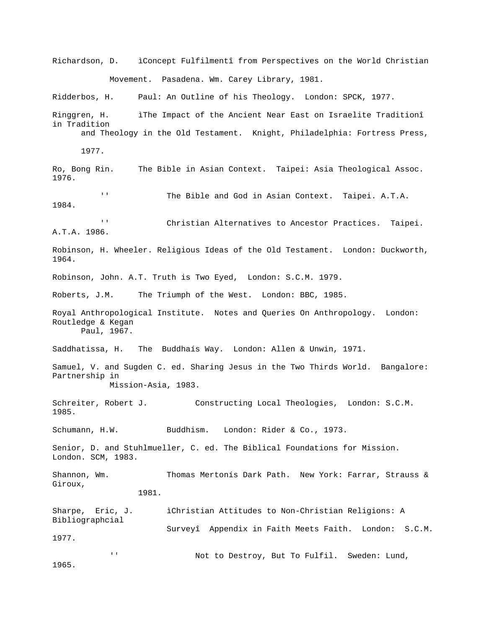Richardson, D. ìConcept Fulfilmentî from Perspectives on the World Christian Movement. Pasadena. Wm. Carey Library, 1981. Ridderbos, H. Paul: An Outline of his Theology. London: SPCK, 1977. Ringgren, H. ìThe Impact of the Ancient Near East on Israelite Traditionî in Tradition and Theology in the Old Testament. Knight, Philadelphia: Fortress Press, 1977. Ro, Bong Rin. The Bible in Asian Context. Taipei: Asia Theological Assoc. 1976. '' The Bible and God in Asian Context. Taipei. A.T.A. 1984. '' Christian Alternatives to Ancestor Practices. Taipei. A.T.A. 1986. Robinson, H. Wheeler. Religious Ideas of the Old Testament. London: Duckworth, 1964. Robinson, John. A.T. Truth is Two Eyed, London: S.C.M. 1979. Roberts, J.M. The Triumph of the West. London: BBC, 1985. Royal Anthropological Institute. Notes and Queries On Anthropology. London: Routledge & Kegan Paul, 1967. Saddhatissa, H. The Buddhaís Way. London: Allen & Unwin, 1971. Samuel, V. and Sugden C. ed. Sharing Jesus in the Two Thirds World. Bangalore: Partnership in Mission-Asia, 1983. Schreiter, Robert J. Constructing Local Theologies, London: S.C.M. 1985. Schumann, H.W. Buddhism. London: Rider & Co., 1973. Senior, D. and Stuhlmueller, C. ed. The Biblical Foundations for Mission. London. SCM, 1983. Shannon, Wm. Thomas Mertonís Dark Path. New York: Farrar, Strauss & Giroux, 1981. Sharpe, Eric, J. iChristian Attitudes to Non-Christian Religions: A Bibliographcial Surveyî Appendix in Faith Meets Faith. London: S.C.M. 1977. '' Not to Destroy, But To Fulfil. Sweden: Lund, 1965.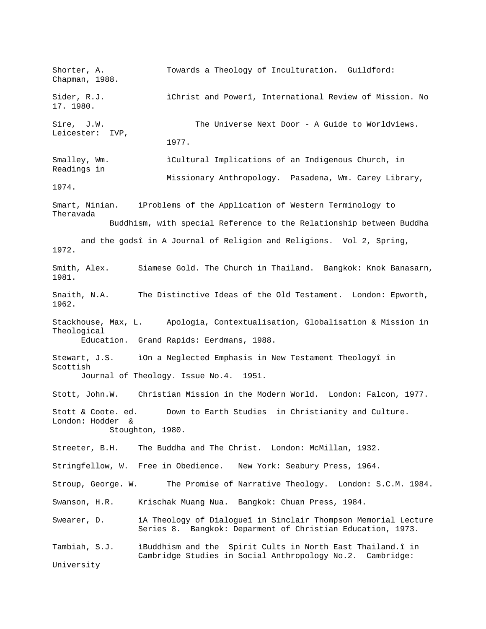Shorter, A. Towards a Theology of Inculturation. Guildford: Chapman, 1988. Sider, R.J. **i**Christ and Powerî, International Review of Mission. No 17. 1980. Sire, J.W. The Universe Next Door - A Guide to Worldviews. Leicester: IVP, 1977. Smalley, Wm. ìCultural Implications of an Indigenous Church, in Readings in Missionary Anthropology. Pasadena, Wm. Carey Library, 1974. Smart, Ninian. ìProblems of the Application of Western Terminology to Theravada Buddhism, with special Reference to the Relationship between Buddha and the godsî in A Journal of Religion and Religions. Vol 2, Spring, 1972. Smith, Alex. Siamese Gold. The Church in Thailand. Bangkok: Knok Banasarn, 1981. Snaith, N.A. The Distinctive Ideas of the Old Testament. London: Epworth, 1962. Stackhouse, Max, L. Apologia, Contextualisation, Globalisation & Mission in Theological Education. Grand Rapids: Eerdmans, 1988. Stewart, J.S. iOn a Neglected Emphasis in New Testament Theologyî in Scottish Journal of Theology. Issue No.4. 1951. Stott, John.W. Christian Mission in the Modern World. London: Falcon, 1977. Stott & Coote. ed. Down to Earth Studies in Christianity and Culture. London: Hodder & Stoughton, 1980. Streeter, B.H. The Buddha and The Christ. London: McMillan, 1932. Stringfellow, W. Free in Obedience. New York: Seabury Press, 1964. Stroup, George. W. The Promise of Narrative Theology. London: S.C.M. 1984. Swanson, H.R. Krischak Muang Nua. Bangkok: Chuan Press, 1984. Swearer, D. iA Theology of Dialogueî in Sinclair Thompson Memorial Lecture Series 8. Bangkok: Deparment of Christian Education, 1973. Tambiah, S.J. ìBuddhism and the Spirit Cults in North East Thailand.î in Cambridge Studies in Social Anthropology No.2. Cambridge: University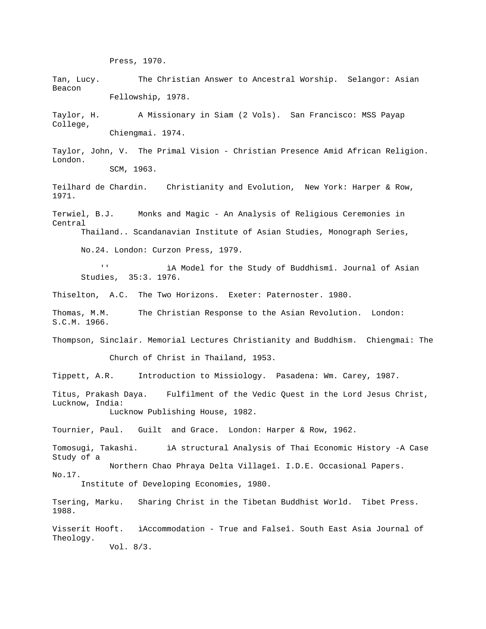Press, 1970.

Tan, Lucy. The Christian Answer to Ancestral Worship. Selangor: Asian Beacon Fellowship, 1978.

Taylor, H. A Missionary in Siam (2 Vols). San Francisco: MSS Payap College, Chiengmai. 1974.

Taylor, John, V. The Primal Vision - Christian Presence Amid African Religion. London. SCM, 1963.

Teilhard de Chardin. Christianity and Evolution, New York: Harper & Row, 1971.

Terwiel, B.J. Monks and Magic - An Analysis of Religious Ceremonies in Central Thailand.. Scandanavian Institute of Asian Studies, Monograph Series,

No.24. London: Curzon Press, 1979.

iA Model for the Study of Buddhismî. Journal of Asian Studies, 35:3. 1976.

Thiselton, A.C. The Two Horizons. Exeter: Paternoster. 1980.

Thomas, M.M. The Christian Response to the Asian Revolution. London: S.C.M. 1966.

Thompson, Sinclair. Memorial Lectures Christianity and Buddhism. Chiengmai: The Church of Christ in Thailand, 1953.

Tippett, A.R. Introduction to Missiology. Pasadena: Wm. Carey, 1987.

Titus, Prakash Daya. Fulfilment of the Vedic Quest in the Lord Jesus Christ, Lucknow, India: Lucknow Publishing House, 1982.

Tournier, Paul. Guilt and Grace. London: Harper & Row, 1962.

Tomosugi, Takashi. ìA structural Analysis of Thai Economic History -A Case Study of a Northern Chao Phraya Delta Villageî. I.D.E. Occasional Papers. No.17.

Institute of Developing Economies, 1980.

Tsering, Marku. Sharing Christ in the Tibetan Buddhist World. Tibet Press. 1988.

Visserít Hooft. ìAccommodation - True and Falseî. South East Asia Journal of Theology.

Vol. 8/3.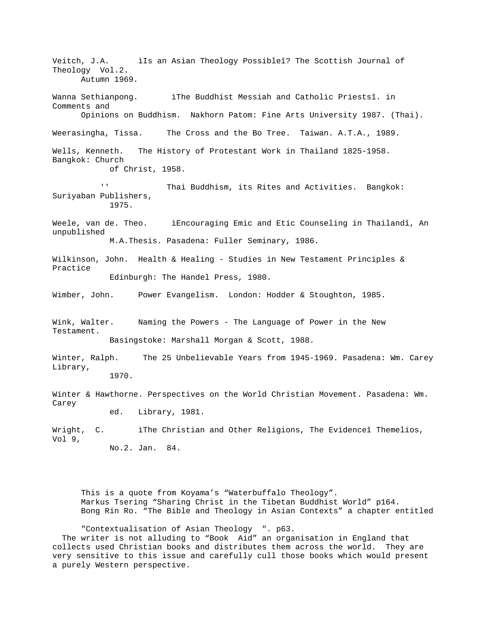Veitch, J.A. ìIs an Asian Theology Possibleî? The Scottish Journal of Theology Vol.2. Autumn 1969. Wanna Sethianpong. ìThe Buddhist Messiah and Catholic Priestsî. in Comments and Opinions on Buddhism. Nakhorn Patom: Fine Arts University 1987. (Thai). Weerasingha, Tissa. The Cross and the Bo Tree. Taiwan. A.T.A., 1989. Wells, Kenneth. The History of Protestant Work in Thailand 1825-1958. Bangkok: Church of Christ, 1958. '' Thai Buddhism, its Rites and Activities. Bangkok: Suriyaban Publishers, 1975. Weele, van de. Theo. ìEncouraging Emic and Etic Counseling in Thailandî, An unpublished M.A.Thesis. Pasadena: Fuller Seminary, 1986. Wilkinson, John. Health & Healing - Studies in New Testament Principles & Practice Edinburgh: The Handel Press, 1980. Wimber, John. Power Evangelism. London: Hodder & Stoughton, 1985. Wink, Walter. Naming the Powers - The Language of Power in the New Testament. Basingstoke: Marshall Morgan & Scott, 1988. Winter, Ralph. The 25 Unbelievable Years from 1945-1969. Pasadena: Wm. Carey Library, 1970. Winter & Hawthorne. Perspectives on the World Christian Movement. Pasadena: Wm. Carey ed. Library, 1981. Wright, C. iThe Christian and Other Religions, The Evidenceî Themelios, Vol 9, No.2. Jan. 84.

This is a quote from Koyama's "Waterbuffalo Theology". Markus Tsering "Sharing Christ in the Tibetan Buddhist World" p164. Bong Rin Ro. "The Bible and Theology in Asian Contexts" a chapter entitled

"Contextualisation of Asian Theology ". p63. The writer is not alluding to "Book Aid" an organisation in England that collects used Christian books and distributes them across the world. They are very sensitive to this issue and carefully cull those books which would present a purely Western perspective.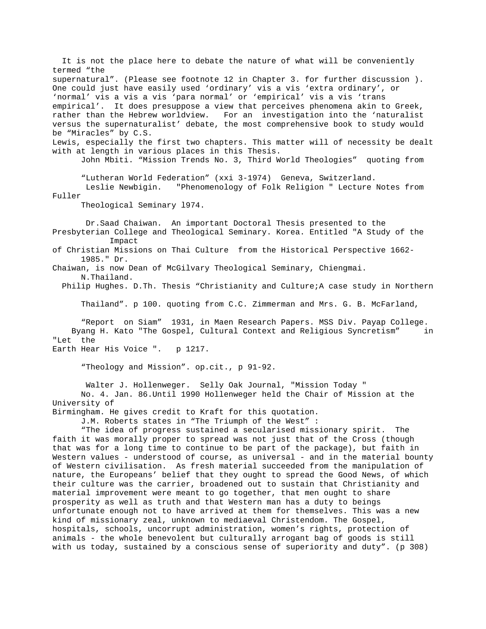It is not the place here to debate the nature of what will be conveniently termed "the supernatural". (Please see footnote 12 in Chapter 3. for further discussion ). One could just have easily used 'ordinary' vis a vis 'extra ordinary', or 'normal' vis a vis a vis 'para normal' or 'empirical' vis a vis 'trans empirical'. It does presuppose a view that perceives phenomena akin to Greek, rather than the Hebrew worldview. For an investigation into the 'naturalist versus the supernaturalist' debate, the most comprehensive book to study would be "Miracles" by C.S. Lewis, especially the first two chapters. This matter will of necessity be dealt with at length in various places in this Thesis. John Mbiti. "Mission Trends No. 3, Third World Theologies" quoting from "Lutheran World Federation" (xxi 3-1974) Geneva, Switzerland. Leslie Newbigin. "Phenomenology of Folk Religion " Lecture Notes from Fuller Theological Seminary l974. Dr.Saad Chaiwan. An important Doctoral Thesis presented to the Presbyterian College and Theological Seminary. Korea. Entitled "A Study of the Impact of Christian Missions on Thai Culture from the Historical Perspective 1662- 1985." Dr. Chaiwan, is now Dean of McGilvary Theological Seminary, Chiengmai. N.Thailand. Philip Hughes. D.Th. Thesis "Christianity and Culture;A case study in Northern Thailand". p 100. quoting from C.C. Zimmerman and Mrs. G. B. McFarland, "Report on Siam" 1931, in Maen Research Papers. MSS Div. Payap College. Byang H. Kato "The Gospel, Cultural Context and Religious Syncretism" in "Let the Earth Hear His Voice ". p 1217. "Theology and Mission". op.cit., p 91-92. Walter J. Hollenweger. Selly Oak Journal, "Mission Today " No. 4. Jan. 86.Until 1990 Hollenweger held the Chair of Mission at the University of Birmingham. He gives credit to Kraft for this quotation. J.M. Roberts states in "The Triumph of the West" : "The idea of progress sustained a secularised missionary spirit. The faith it was morally proper to spread was not just that of the Cross (though that was for a long time to continue to be part of the package), but faith in Western values - understood of course, as universal - and in the material bounty of Western civilisation. As fresh material succeeded from the manipulation of nature, the Europeans' belief that they ought to spread the Good News, of which their culture was the carrier, broadened out to sustain that Christianity and

material improvement were meant to go together, that men ought to share prosperity as well as truth and that Western man has a duty to beings unfortunate enough not to have arrived at them for themselves. This was a new kind of missionary zeal, unknown to mediaeval Christendom. The Gospel, hospitals, schools, uncorrupt administration, women's rights, protection of animals - the whole benevolent but culturally arrogant bag of goods is still with us today, sustained by a conscious sense of superiority and duty". (p 308)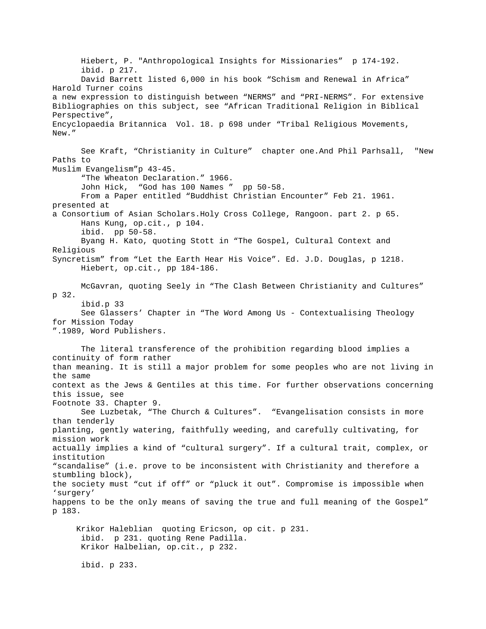Hiebert, P. "Anthropological Insights for Missionaries" p 174-192. ibid. p 217. David Barrett listed 6,000 in his book "Schism and Renewal in Africa" Harold Turner coins a new expression to distinguish between "NERMS" and "PRI-NERMS". For extensive Bibliographies on this subject, see "African Traditional Religion in Biblical Perspective", Encyclopaedia Britannica Vol. 18. p 698 under "Tribal Religious Movements, New." See Kraft, "Christianity in Culture" chapter one.And Phil Parhsall, "New Paths to Muslim Evangelism"p 43-45. "The Wheaton Declaration." 1966. John Hick, "God has 100 Names " pp 50-58. From a Paper entitled "Buddhist Christian Encounter" Feb 21. 1961. presented at a Consortium of Asian Scholars.Holy Cross College, Rangoon. part 2. p 65. Hans Kung, op.cit., p 104. ibid. pp 50-58. Byang H. Kato, quoting Stott in "The Gospel, Cultural Context and Religious Syncretism" from "Let the Earth Hear His Voice". Ed. J.D. Douglas, p 1218. Hiebert, op.cit., pp 184-186. McGavran, quoting Seely in "The Clash Between Christianity and Cultures" p 32. ibid.p 33 See Glassers' Chapter in "The Word Among Us - Contextualising Theology for Mission Today ".1989, Word Publishers. The literal transference of the prohibition regarding blood implies a continuity of form rather than meaning. It is still a major problem for some peoples who are not living in the same context as the Jews & Gentiles at this time. For further observations concerning this issue, see Footnote 33. Chapter 9. See Luzbetak, "The Church & Cultures". "Evangelisation consists in more than tenderly planting, gently watering, faithfully weeding, and carefully cultivating, for mission work actually implies a kind of "cultural surgery". If a cultural trait, complex, or institution "scandalise" (i.e. prove to be inconsistent with Christianity and therefore a stumbling block), the society must "cut if off" or "pluck it out". Compromise is impossible when 'surgery' happens to be the only means of saving the true and full meaning of the Gospel" p 183. Krikor Haleblian quoting Ericson, op cit. p 231. ibid. p 231. quoting Rene Padilla. Krikor Halbelian, op.cit., p 232. ibid. p 233.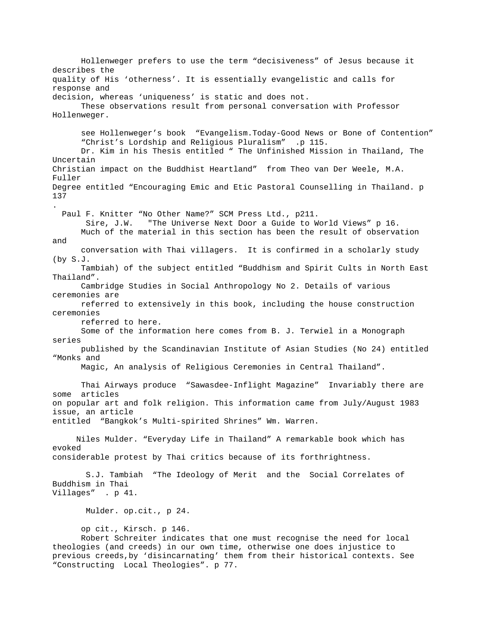Hollenweger prefers to use the term "decisiveness" of Jesus because it describes the quality of His 'otherness'. It is essentially evangelistic and calls for response and decision, whereas 'uniqueness' is static and does not. These observations result from personal conversation with Professor Hollenweger. see Hollenweger's book "Evangelism.Today-Good News or Bone of Contention" "Christ's Lordship and Religious Pluralism" .p 115. Dr. Kim in his Thesis entitled " The Unfinished Mission in Thailand, The Uncertain Christian impact on the Buddhist Heartland" from Theo van Der Weele, M.A. Fuller Degree entitled "Encouraging Emic and Etic Pastoral Counselling in Thailand. p 137 . Paul F. Knitter "No Other Name?" SCM Press Ltd., p211. Sire, J.W. "The Universe Next Door a Guide to World Views" p 16. Much of the material in this section has been the result of observation and conversation with Thai villagers. It is confirmed in a scholarly study (by S.J. Tambiah) of the subject entitled "Buddhism and Spirit Cults in North East Thailand". Cambridge Studies in Social Anthropology No 2. Details of various ceremonies are referred to extensively in this book, including the house construction ceremonies referred to here. Some of the information here comes from B. J. Terwiel in a Monograph series published by the Scandinavian Institute of Asian Studies (No 24) entitled "Monks and Magic, An analysis of Religious Ceremonies in Central Thailand". Thai Airways produce "Sawasdee-Inflight Magazine" Invariably there are some articles on popular art and folk religion. This information came from July/August 1983 issue, an article entitled "Bangkok's Multi-spirited Shrines" Wm. Warren. Niles Mulder. "Everyday Life in Thailand" A remarkable book which has evoked considerable protest by Thai critics because of its forthrightness. S.J. Tambiah "The Ideology of Merit and the Social Correlates of Buddhism in Thai Villages" . p 41. Mulder. op.cit., p 24. op cit., Kirsch. p 146. Robert Schreiter indicates that one must recognise the need for local theologies (and creeds) in our own time, otherwise one does injustice to previous creeds,by 'disincarnating' them from their historical contexts. See "Constructing Local Theologies". p 77.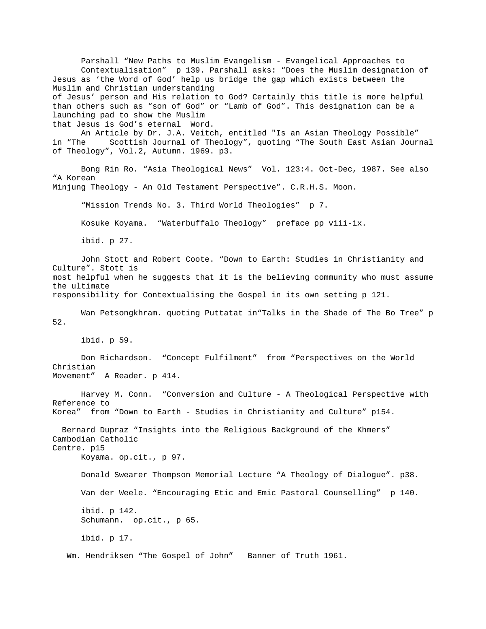Parshall "New Paths to Muslim Evangelism - Evangelical Approaches to Contextualisation" p 139. Parshall asks: "Does the Muslim designation of Jesus as 'the Word of God' help us bridge the gap which exists between the Muslim and Christian understanding of Jesus' person and His relation to God? Certainly this title is more helpful than others such as "son of God" or "Lamb of God". This designation can be a launching pad to show the Muslim that Jesus is God's eternal Word. An Article by Dr. J.A. Veitch, entitled "Is an Asian Theology Possible" in "The Scottish Journal of Theology", quoting "The South East Asian Journal of Theology", Vol.2, Autumn. 1969. p3. Bong Rin Ro. "Asia Theological News" Vol. 123:4. Oct-Dec, 1987. See also "A Korean Minjung Theology - An Old Testament Perspective". C.R.H.S. Moon. "Mission Trends No. 3. Third World Theologies" p 7. Kosuke Koyama. "Waterbuffalo Theology" preface pp viii-ix. ibid. p 27. John Stott and Robert Coote. "Down to Earth: Studies in Christianity and Culture". Stott is most helpful when he suggests that it is the believing community who must assume the ultimate responsibility for Contextualising the Gospel in its own setting p 121. Wan Petsongkhram. quoting Puttatat in"Talks in the Shade of The Bo Tree" p 52. ibid. p 59. Don Richardson. "Concept Fulfilment" from "Perspectives on the World Christian Movement" A Reader. p 414. Harvey M. Conn. "Conversion and Culture - A Theological Perspective with Reference to Korea" from "Down to Earth - Studies in Christianity and Culture" p154. Bernard Dupraz "Insights into the Religious Background of the Khmers" Cambodian Catholic Centre. p15 Koyama. op.cit., p 97. Donald Swearer Thompson Memorial Lecture "A Theology of Dialogue". p38. Van der Weele. "Encouraging Etic and Emic Pastoral Counselling" p 140. ibid. p 142. Schumann. op.cit., p 65. ibid. p 17. Wm. Hendriksen "The Gospel of John" Banner of Truth 1961.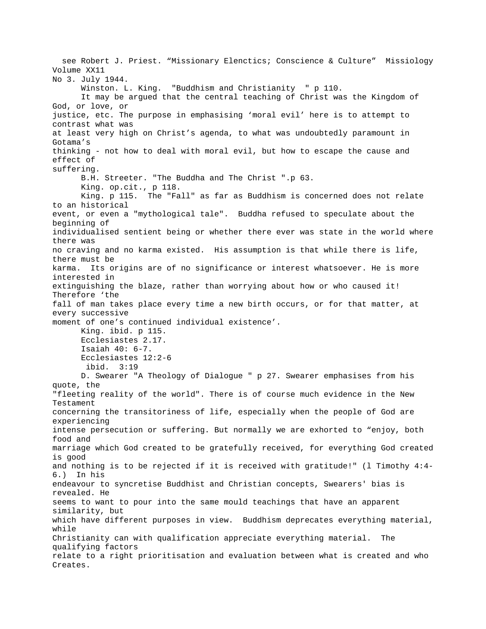see Robert J. Priest. "Missionary Elenctics; Conscience & Culture" Missiology Volume XX11 No 3. July 1944. Winston. L. King. "Buddhism and Christianity " p 110. It may be argued that the central teaching of Christ was the Kingdom of God, or love, or justice, etc. The purpose in emphasising 'moral evil' here is to attempt to contrast what was at least very high on Christ's agenda, to what was undoubtedly paramount in Gotama's thinking - not how to deal with moral evil, but how to escape the cause and effect of suffering. B.H. Streeter. "The Buddha and The Christ ".p 63. King. op.cit., p 118. King. p 115. The "Fall" as far as Buddhism is concerned does not relate to an historical event, or even a "mythological tale". Buddha refused to speculate about the beginning of individualised sentient being or whether there ever was state in the world where there was no craving and no karma existed. His assumption is that while there is life, there must be karma. Its origins are of no significance or interest whatsoever. He is more interested in extinguishing the blaze, rather than worrying about how or who caused it! Therefore 'the fall of man takes place every time a new birth occurs, or for that matter, at every successive moment of one's continued individual existence'. King. ibid. p 115. Ecclesiastes 2.17. Isaiah 40: 6-7. Ecclesiastes 12:2-6 ibid. 3:19 D. Swearer "A Theology of Dialogue " p 27. Swearer emphasises from his quote, the "fleeting reality of the world". There is of course much evidence in the New Testament concerning the transitoriness of life, especially when the people of God are experiencing intense persecution or suffering. But normally we are exhorted to "enjoy, both food and marriage which God created to be gratefully received, for everything God created is good and nothing is to be rejected if it is received with gratitude!" (l Timothy 4:4- 6.) In his endeavour to syncretise Buddhist and Christian concepts, Swearers' bias is revealed. He seems to want to pour into the same mould teachings that have an apparent similarity, but which have different purposes in view. Buddhism deprecates everything material, while Christianity can with qualification appreciate everything material. The qualifying factors relate to a right prioritisation and evaluation between what is created and who Creates.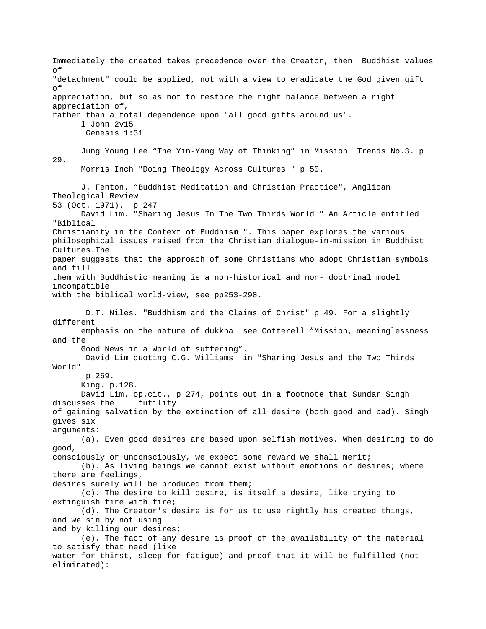Immediately the created takes precedence over the Creator, then Buddhist values of "detachment" could be applied, not with a view to eradicate the God given gift of appreciation, but so as not to restore the right balance between a right appreciation of, rather than a total dependence upon "all good gifts around us". l John 2v15 Genesis 1:31 Jung Young Lee "The Yin-Yang Way of Thinking" in Mission Trends No.3. p 29. Morris Inch "Doing Theology Across Cultures " p 50. J. Fenton. "Buddhist Meditation and Christian Practice", Anglican Theological Review 53 (Oct. 1971). p 247 David Lim. "Sharing Jesus In The Two Thirds World " An Article entitled "Biblical Christianity in the Context of Buddhism ". This paper explores the various philosophical issues raised from the Christian dialogue-in-mission in Buddhist Cultures.The paper suggests that the approach of some Christians who adopt Christian symbols and fill them with Buddhistic meaning is a non-historical and non- doctrinal model incompatible with the biblical world-view, see pp253-298. D.T. Niles. "Buddhism and the Claims of Christ" p 49. For a slightly different emphasis on the nature of dukkha see Cotterell "Mission, meaninglessness and the Good News in a World of suffering". David Lim quoting C.G. Williams in "Sharing Jesus and the Two Thirds World" p 269. King. p.128. David Lim. op.cit., p 274, points out in a footnote that Sundar Singh discusses the futility of gaining salvation by the extinction of all desire (both good and bad). Singh gives six arguments: (a). Even good desires are based upon selfish motives. When desiring to do good, consciously or unconsciously, we expect some reward we shall merit; (b). As living beings we cannot exist without emotions or desires; where there are feelings, desires surely will be produced from them; (c). The desire to kill desire, is itself a desire, like trying to extinguish fire with fire; (d). The Creator's desire is for us to use rightly his created things, and we sin by not using and by killing our desires; (e). The fact of any desire is proof of the availability of the material to satisfy that need (like water for thirst, sleep for fatigue) and proof that it will be fulfilled (not eliminated):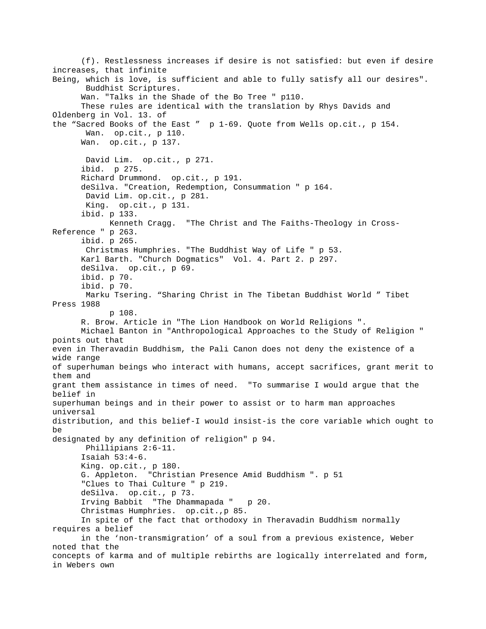(f). Restlessness increases if desire is not satisfied: but even if desire increases, that infinite Being, which is love, is sufficient and able to fully satisfy all our desires". Buddhist Scriptures. Wan. "Talks in the Shade of the Bo Tree " p110. These rules are identical with the translation by Rhys Davids and Oldenberg in Vol. 13. of the "Sacred Books of the East " p 1-69. Quote from Wells op.cit., p 154. Wan. op.cit., p 110. Wan. op.cit., p 137. David Lim. op.cit., p 271. ibid. p 275. Richard Drummond. op.cit., p 191. deSilva. "Creation, Redemption, Consummation " p 164. David Lim. op.cit., p 281. King. op.cit., p 131. ibid. p 133. Kenneth Cragg. "The Christ and The Faiths-Theology in Cross-Reference " p 263. ibid. p 265. Christmas Humphries. "The Buddhist Way of Life " p 53. Karl Barth. "Church Dogmatics" Vol. 4. Part 2. p 297. deSilva. op.cit., p 69. ibid. p 70. ibid. p 70. Marku Tsering. "Sharing Christ in The Tibetan Buddhist World " Tibet Press 1988 p 108. R. Brow. Article in "The Lion Handbook on World Religions ". Michael Banton in "Anthropological Approaches to the Study of Religion " points out that even in Theravadin Buddhism, the Pali Canon does not deny the existence of a wide range of superhuman beings who interact with humans, accept sacrifices, grant merit to them and grant them assistance in times of need. "To summarise I would argue that the belief in superhuman beings and in their power to assist or to harm man approaches universal distribution, and this belief-I would insist-is the core variable which ought to be designated by any definition of religion" p 94. Phillipians 2:6-11. Isaiah 53:4-6. King. op.cit., p 180. G. Appleton. "Christian Presence Amid Buddhism ". p 51 "Clues to Thai Culture " p 219. deSilva. op.cit., p 73. Irving Babbit "The Dhammapada " p 20. Christmas Humphries. op.cit.,p 85. In spite of the fact that orthodoxy in Theravadin Buddhism normally requires a belief in the 'non-transmigration' of a soul from a previous existence, Weber noted that the concepts of karma and of multiple rebirths are logically interrelated and form, in Webers own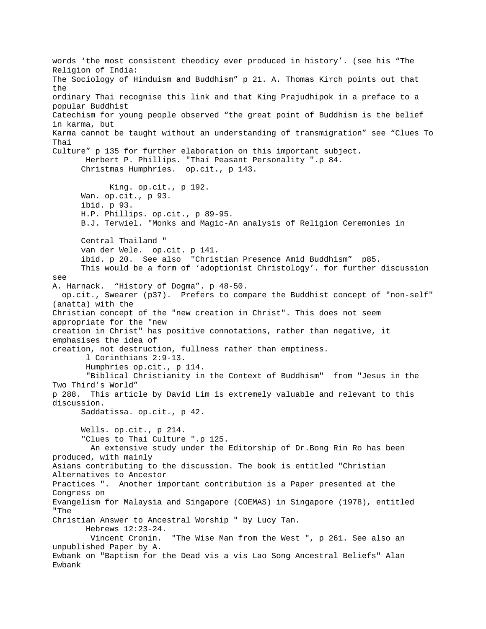words 'the most consistent theodicy ever produced in history'. (see his "The Religion of India: The Sociology of Hinduism and Buddhism" p 21. A. Thomas Kirch points out that the ordinary Thai recognise this link and that King Prajudhipok in a preface to a popular Buddhist Catechism for young people observed "the great point of Buddhism is the belief in karma, but Karma cannot be taught without an understanding of transmigration" see "Clues To Thai Culture" p 135 for further elaboration on this important subject. Herbert P. Phillips. "Thai Peasant Personality ".p 84. Christmas Humphries. op.cit., p 143. King. op.cit., p 192. Wan. op.cit., p 93. ibid. p 93. H.P. Phillips. op.cit., p 89-95. B.J. Terwiel. "Monks and Magic-An analysis of Religion Ceremonies in Central Thailand " van der Wele. op.cit. p 141. ibid. p 20. See also "Christian Presence Amid Buddhism" p85. This would be a form of 'adoptionist Christology'. for further discussion see A. Harnack. "History of Dogma". p 48-50. op.cit., Swearer (p37). Prefers to compare the Buddhist concept of "non-self" (anatta) with the Christian concept of the "new creation in Christ". This does not seem appropriate for the "new creation in Christ" has positive connotations, rather than negative, it emphasises the idea of creation, not destruction, fullness rather than emptiness. l Corinthians 2:9-13. Humphries op.cit., p 114. "Biblical Christianity in the Context of Buddhism" from "Jesus in the Two Third's World" p 288. This article by David Lim is extremely valuable and relevant to this discussion. Saddatissa. op.cit., p 42. Wells. op.cit., p 214. "Clues to Thai Culture ".p 125. An extensive study under the Editorship of Dr.Bong Rin Ro has been produced, with mainly Asians contributing to the discussion. The book is entitled "Christian Alternatives to Ancestor Practices ". Another important contribution is a Paper presented at the Congress on Evangelism for Malaysia and Singapore (COEMAS) in Singapore (1978), entitled "The Christian Answer to Ancestral Worship " by Lucy Tan. Hebrews 12:23-24. Vincent Cronin. "The Wise Man from the West ", p 261. See also an unpublished Paper by A. Ewbank on "Baptism for the Dead vis a vis Lao Song Ancestral Beliefs" Alan Ewbank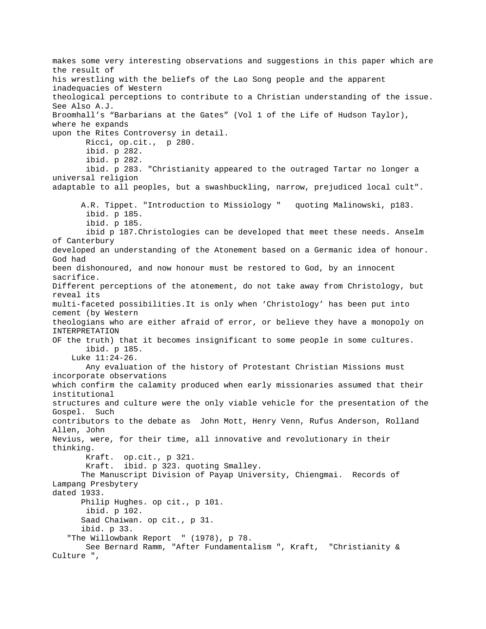makes some very interesting observations and suggestions in this paper which are the result of his wrestling with the beliefs of the Lao Song people and the apparent inadequacies of Western theological perceptions to contribute to a Christian understanding of the issue. See Also A.J. Broomhall's "Barbarians at the Gates" (Vol 1 of the Life of Hudson Taylor), where he expands upon the Rites Controversy in detail. Ricci, op.cit., p 280. ibid. p 282. ibid. p 282. ibid. p 283. "Christianity appeared to the outraged Tartar no longer a universal religion adaptable to all peoples, but a swashbuckling, narrow, prejudiced local cult". A.R. Tippet. "Introduction to Missiology " quoting Malinowski, p183. ibid. p 185. ibid. p 185. ibid p 187.Christologies can be developed that meet these needs. Anselm of Canterbury developed an understanding of the Atonement based on a Germanic idea of honour. God had been dishonoured, and now honour must be restored to God, by an innocent sacrifice. Different perceptions of the atonement, do not take away from Christology, but reveal its multi-faceted possibilities.It is only when 'Christology' has been put into cement (by Western theologians who are either afraid of error, or believe they have a monopoly on INTERPRETATION OF the truth) that it becomes insignificant to some people in some cultures. ibid. p 185. Luke 11:24-26. Any evaluation of the history of Protestant Christian Missions must incorporate observations which confirm the calamity produced when early missionaries assumed that their institutional structures and culture were the only viable vehicle for the presentation of the Gospel. Such contributors to the debate as John Mott, Henry Venn, Rufus Anderson, Rolland Allen, John Nevius, were, for their time, all innovative and revolutionary in their thinking. Kraft. op.cit., p 321. Kraft. ibid. p 323. quoting Smalley. The Manuscript Division of Payap University, Chiengmai. Records of Lampang Presbytery dated 1933. Philip Hughes. op cit., p 101. ibid. p 102. Saad Chaiwan. op cit., p 31. ibid. p 33. "The Willowbank Report " (1978), p 78. See Bernard Ramm, "After Fundamentalism ", Kraft, "Christianity & Culture ",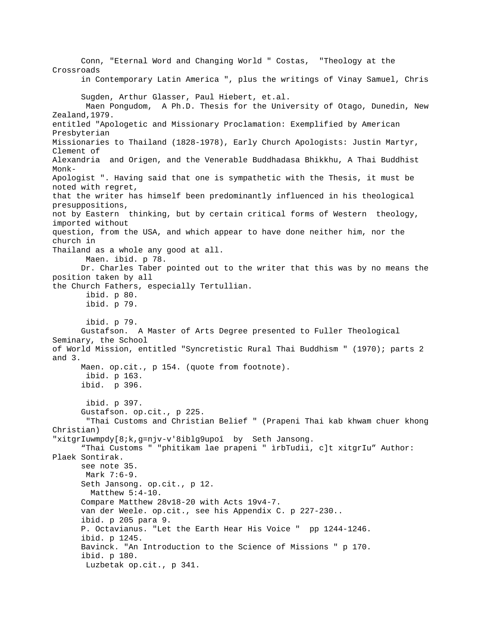Conn, "Eternal Word and Changing World " Costas, "Theology at the Crossroads in Contemporary Latin America ", plus the writings of Vinay Samuel, Chris Sugden, Arthur Glasser, Paul Hiebert, et.al. Maen Pongudom, A Ph.D. Thesis for the University of Otago, Dunedin, New Zealand,1979. entitled "Apologetic and Missionary Proclamation: Exemplified by American Presbyterian Missionaries to Thailand (1828-1978), Early Church Apologists: Justin Martyr, Clement of Alexandria and Origen, and the Venerable Buddhadasa Bhikkhu, A Thai Buddhist Monk-Apologist ". Having said that one is sympathetic with the Thesis, it must be noted with regret, that the writer has himself been predominantly influenced in his theological presuppositions, not by Eastern thinking, but by certain critical forms of Western theology, imported without question, from the USA, and which appear to have done neither him, nor the church in Thailand as a whole any good at all. Maen. ibid. p 78. Dr. Charles Taber pointed out to the writer that this was by no means the position taken by all the Church Fathers, especially Tertullian. ibid. p 80. ibid. p 79. ibid. p 79. Gustafson. A Master of Arts Degree presented to Fuller Theological Seminary, the School of World Mission, entitled "Syncretistic Rural Thai Buddhism " (1970); parts 2 and 3. Maen. op.cit., p 154. (quote from footnote). ibid. p 163. ibid. p 396. ibid. p 397. Gustafson. op.cit., p 225. "Thai Customs and Christian Belief " (Prapeni Thai kab khwam chuer khong Christian) "xitgrIuwmpdy[8;k,g=njv-v'8iblg9upoî by Seth Jansong. "Thai Customs " "phitikam lae prapeni " ìrbTudii, c]t xitgrIu" Author: Plaek Sontirak. see note 35. Mark 7:6-9. Seth Jansong. op.cit., p 12. Matthew 5:4-10. Compare Matthew 28v18-20 with Acts 19v4-7. van der Weele. op.cit., see his Appendix C. p 227-230.. ibid. p 205 para 9. P. Octavianus. "Let the Earth Hear His Voice " pp 1244-1246. ibid. p 1245. Bavinck. "An Introduction to the Science of Missions " p 170. ibid. p 180. Luzbetak op.cit., p 341.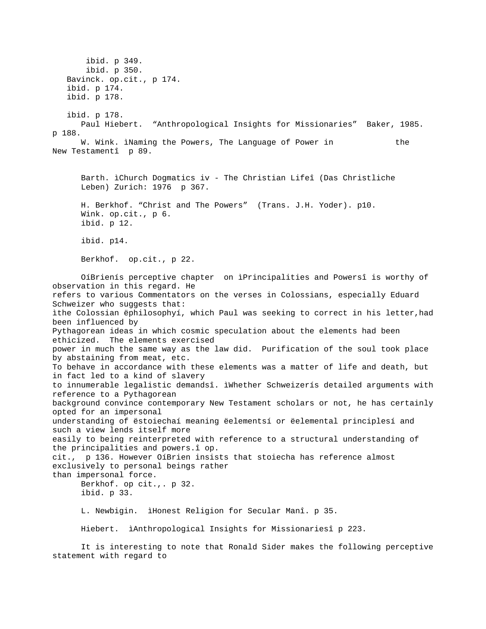ibid. p 349. ibid. p 350. Bavinck. op.cit., p 174. ibid. p 174. ibid. p 178. ibid. p 178. Paul Hiebert. "Anthropological Insights for Missionaries" Baker, 1985. p 188. W. Wink. ìNaming the Powers, The Language of Power in the New Testamentî p 89. Barth. ìChurch Dogmatics iv - The Christian Lifeî (Das Christliche Leben) Zurich: 1976 p 367. H. Berkhof. "Christ and The Powers" (Trans. J.H. Yoder). p10. Wink. op.cit., p 6. ibid. p 12. ibid. p14. Berkhof. op.cit., p 22. OíBrienís perceptive chapter on ìPrincipalities and Powersî is worthy of observation in this regard. He refers to various Commentators on the verses in Colossians, especially Eduard Schweizer who suggests that: ìthe Colossian ëphilosophyí, which Paul was seeking to correct in his letter,had been influenced by Pythagorean ideas in which cosmic speculation about the elements had been ethicized. The elements exercised power in much the same way as the law did. Purification of the soul took place by abstaining from meat, etc. To behave in accordance with these elements was a matter of life and death, but in fact led to a kind of slavery to innumerable legalistic demandsî. ìWhether Schweizerís detailed arguments with reference to a Pythagorean background convince contemporary New Testament scholars or not, he has certainly opted for an impersonal understanding of ëstoiechaí meaning ëelementsí or ëelemental principlesí and such a view lends itself more easily to being reinterpreted with reference to a structural understanding of the principalities and powers.î op. cit., p 136. However OíBrien insists that stoiecha has reference almost exclusively to personal beings rather than impersonal force. Berkhof. op cit.,. p 32. ibid. p 33. L. Newbigin. ìHonest Religion for Secular Manî. p 35. Hiebert. ìAnthropological Insights for Missionariesî p 223.

 It is interesting to note that Ronald Sider makes the following perceptive statement with regard to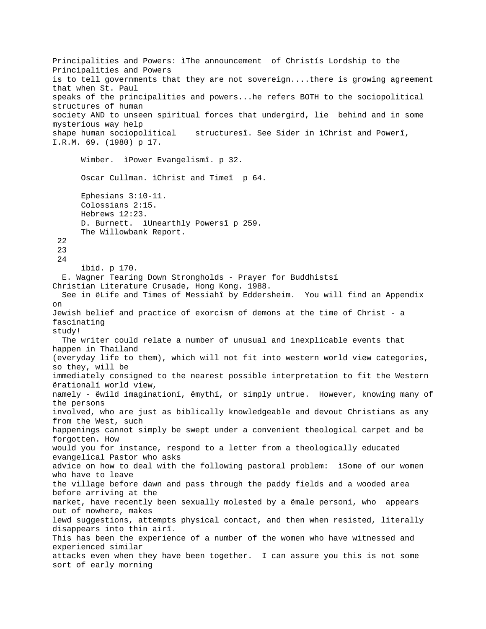Principalities and Powers: ìThe announcement of Christís Lordship to the Principalities and Powers is to tell governments that they are not sovereign....there is growing agreement that when St. Paul speaks of the principalities and powers...he refers BOTH to the sociopolitical structures of human society AND to unseen spiritual forces that undergird, lie behind and in some mysterious way help shape human sociopolitical structuresî. See Sider in ìChrist and Powerî, I.R.M. 69. (1980) p 17. Wimber. ìPower Evangelismî. p 32. Oscar Cullman. ìChrist and Timeî p 64. Ephesians 3:10-11. Colossians 2:15. Hebrews 12:23. D. Burnett. ìUnearthly Powersî p 259. The Willowbank Report. 22 23 24 ibid. p 170. E. Wagner Tearing Down Strongholds - Prayer for Buddhistsí Christian Literature Crusade, Hong Kong. 1988. See in ëLife and Times of Messiahî by Eddersheim. You will find an Appendix on Jewish belief and practice of exorcism of demons at the time of Christ - a fascinating study! The writer could relate a number of unusual and inexplicable events that happen in Thailand (everyday life to them), which will not fit into western world view categories, so they, will be immediately consigned to the nearest possible interpretation to fit the Western ërationalí world view, namely - ëwild imaginationí, ëmythí, or simply untrue. However, knowing many of the persons involved, who are just as biblically knowledgeable and devout Christians as any from the West, such happenings cannot simply be swept under a convenient theological carpet and be forgotten. How would you for instance, respond to a letter from a theologically educated evangelical Pastor who asks advice on how to deal with the following pastoral problem: ìSome of our women who have to leave the village before dawn and pass through the paddy fields and a wooded area before arriving at the market, have recently been sexually molested by a ëmale personí, who appears out of nowhere, makes lewd suggestions, attempts physical contact, and then when resisted, literally disappears into thin airî. This has been the experience of a number of the women who have witnessed and experienced similar attacks even when they have been together. I can assure you this is not some sort of early morning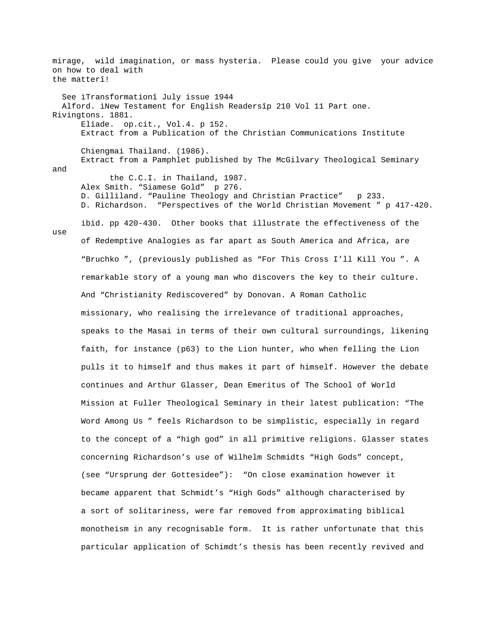mirage, wild imagination, or mass hysteria. Please could you give your advice on how to deal with the matterî! See ìTransformationî July issue 1944 Alford. ìNew Testament for English Readersîp 210 Vol 11 Part one. Rivingtons. 1881. Eliade. op.cit., Vol.4. p 152. Extract from a Publication of the Christian Communications Institute Chiengmai Thailand. (1986). Extract from a Pamphlet published by The McGilvary Theological Seminary and the C.C.I. in Thailand, 1987. Alex Smith. "Siamese Gold" p 276. D. Gilliland. "Pauline Theology and Christian Practice" p 233. D. Richardson. "Perspectives of the World Christian Movement " p 417-420. ibid. pp 420-430. Other books that illustrate the effectiveness of the use of Redemptive Analogies as far apart as South America and Africa, are "Bruchko ", (previously published as "For This Cross I'll Kill You ". A remarkable story of a young man who discovers the key to their culture. And "Christianity Rediscovered" by Donovan. A Roman Catholic missionary, who realising the irrelevance of traditional approaches, speaks to the Masai in terms of their own cultural surroundings, likening faith, for instance (p63) to the Lion hunter, who when felling the Lion pulls it to himself and thus makes it part of himself. However the debate continues and Arthur Glasser, Dean Emeritus of The School of World Mission at Fuller Theological Seminary in their latest publication: "The Word Among Us " feels Richardson to be simplistic, especially in regard to the concept of a "high god" in all primitive religions. Glasser states concerning Richardson's use of Wilhelm Schmidts "High Gods" concept, (see "Ursprung der Gottesidee"): "On close examination however it became apparent that Schmidt's "High Gods" although characterised by a sort of solitariness, were far removed from approximating biblical monotheism in any recognisable form. It is rather unfortunate that this particular application of Schimdt's thesis has been recently revived and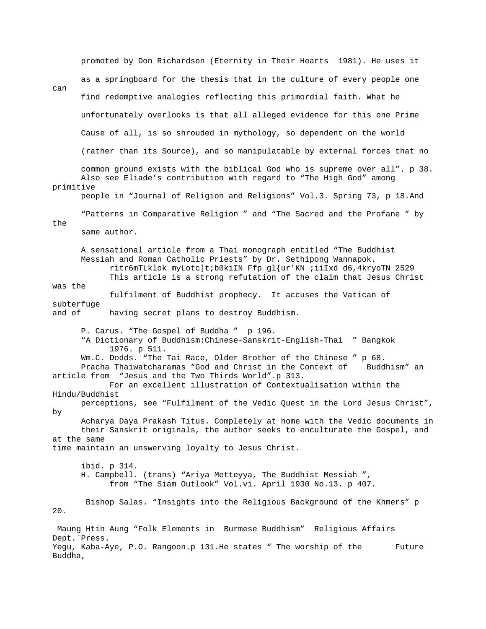promoted by Don Richardson (Eternity in Their Hearts 1981). He uses it as a springboard for the thesis that in the culture of every people one can find redemptive analogies reflecting this primordial faith. What he unfortunately overlooks is that all alleged evidence for this one Prime Cause of all, is so shrouded in mythology, so dependent on the world (rather than its Source), and so manipulatable by external forces that no common ground exists with the biblical God who is supreme over all". p 38. Also see Eliade's contribution with regard to "The High God" among primitive people in "Journal of Religion and Religions" Vol.3. Spring 73, p 18.And "Patterns in Comparative Religion " and "The Sacred and the Profane " by the same author. A sensational article from a Thai monograph entitled "The Buddhist Messiah and Roman Catholic Priests" by Dr. Sethipong Wannapok. ritr6mTLklok myLotc]t;b0kiIN Ffp gl{ur'KN ;iiIxd d6,4kryoTN 2529 This article is a strong refutation of the claim that Jesus Christ was the fulfilment of Buddhist prophecy. It accuses the Vatican of subterfuge and of having secret plans to destroy Buddhism. P. Carus. "The Gospel of Buddha " p 196. "A Dictionary of Buddhism:Chinese-Sanskrit-English-Thai " Bangkok 1976. p 511. Wm.C. Dodds. "The Tai Race, Older Brother of the Chinese " p 68. Pracha Thaiwatcharamas "God and Christ in the Context of Buddhism" an article from "Jesus and the Two Thirds World".p 313. For an excellent illustration of Contextualisation within the Hindu/Buddhist perceptions, see "Fulfilment of the Vedic Quest in the Lord Jesus Christ", by Acharya Daya Prakash Titus. Completely at home with the Vedic documents in their Sanskrit originals, the author seeks to enculturate the Gospel, and at the same time maintain an unswerving loyalty to Jesus Christ. ibid. p 314. H. Campbell. (trans) "Ariya Metteyya, The Buddhist Messiah ", from "The Siam Outlook" Vol.vi. April 1930 No.13. p 407. Bishop Salas. "Insights into the Religious Background of the Khmers" p 20. Maung Htin Aung "Folk Elements in Burmese Buddhism" Religious Affairs Dept.`Press. Yegu, Kaba-Aye, P.O. Rangoon.p 131.He states " The worship of the Future Buddha,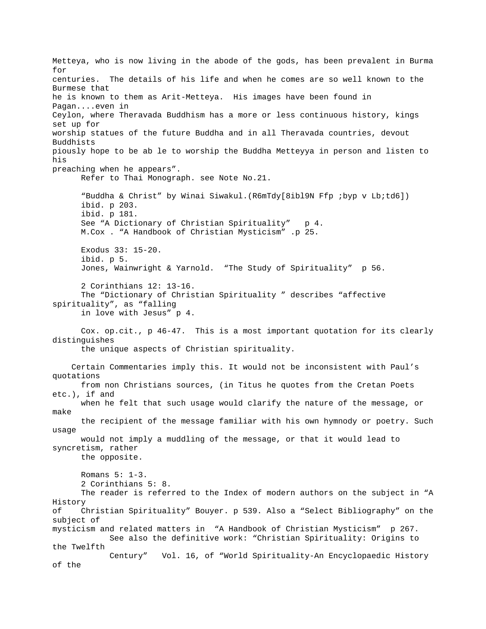Metteya, who is now living in the abode of the gods, has been prevalent in Burma for centuries. The details of his life and when he comes are so well known to the Burmese that he is known to them as Arit-Metteya. His images have been found in Pagan....even in Ceylon, where Theravada Buddhism has a more or less continuous history, kings set up for worship statues of the future Buddha and in all Theravada countries, devout Buddhists piously hope to be ab le to worship the Buddha Metteyya in person and listen to his preaching when he appears". Refer to Thai Monograph. see Note No.21. "Buddha & Christ" by Winai Siwakul.(R6mTdy[8ibl9N Ffp ;byp v Lb;td6]) ibid. p 203. ibid. p 181. See "A Dictionary of Christian Spirituality" p 4. M.Cox . "A Handbook of Christian Mysticism" .p 25. Exodus 33: 15-20. ibid. p 5. Jones, Wainwright & Yarnold. "The Study of Spirituality" p 56. 2 Corinthians 12: 13-16. The "Dictionary of Christian Spirituality " describes "affective spirituality", as "falling in love with Jesus" p 4. Cox. op.cit., p 46-47. This is a most important quotation for its clearly distinguishes the unique aspects of Christian spirituality. Certain Commentaries imply this. It would not be inconsistent with Paul's quotations from non Christians sources, (in Titus he quotes from the Cretan Poets etc.), if and when he felt that such usage would clarify the nature of the message, or make the recipient of the message familiar with his own hymnody or poetry. Such usage would not imply a muddling of the message, or that it would lead to syncretism, rather the opposite. Romans 5: 1-3. 2 Corinthians 5: 8. The reader is referred to the Index of modern authors on the subject in "A History of Christian Spirituality" Bouyer. p 539. Also a "Select Bibliography" on the subject of mysticism and related matters in "A Handbook of Christian Mysticism" p 267. See also the definitive work: "Christian Spirituality: Origins to the Twelfth Century" Vol. 16, of "World Spirituality-An Encyclopaedic History of the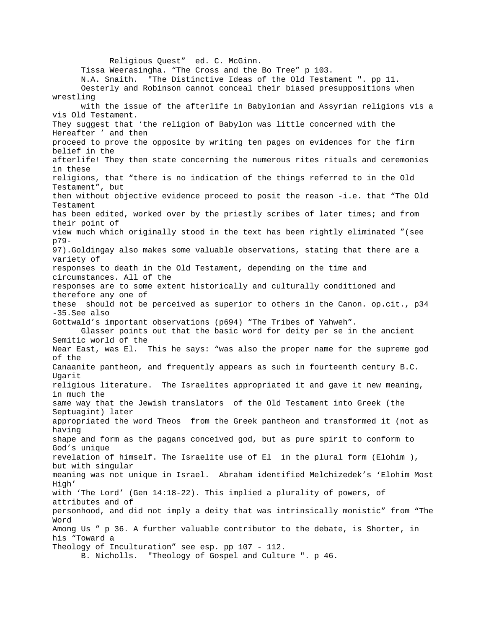Religious Quest" ed. C. McGinn. Tissa Weerasingha. "The Cross and the Bo Tree" p 103. N.A. Snaith. "The Distinctive Ideas of the Old Testament ". pp 11. Oesterly and Robinson cannot conceal their biased presuppositions when wrestling with the issue of the afterlife in Babylonian and Assyrian religions vis a vis Old Testament. They suggest that 'the religion of Babylon was little concerned with the Hereafter ' and then proceed to prove the opposite by writing ten pages on evidences for the firm belief in the afterlife! They then state concerning the numerous rites rituals and ceremonies in these religions, that "there is no indication of the things referred to in the Old Testament", but then without objective evidence proceed to posit the reason -i.e. that "The Old Testament has been edited, worked over by the priestly scribes of later times; and from their point of view much which originally stood in the text has been rightly eliminated "(see p79- 97).Goldingay also makes some valuable observations, stating that there are a variety of responses to death in the Old Testament, depending on the time and circumstances. All of the responses are to some extent historically and culturally conditioned and therefore any one of these should not be perceived as superior to others in the Canon. op.cit., p34 -35.See also Gottwald's important observations (p694) "The Tribes of Yahweh". Glasser points out that the basic word for deity per se in the ancient Semitic world of the Near East, was El. This he says: "was also the proper name for the supreme god of the Canaanite pantheon, and frequently appears as such in fourteenth century B.C. Ugarit religious literature. The Israelites appropriated it and gave it new meaning, in much the same way that the Jewish translators of the Old Testament into Greek (the Septuagint) later appropriated the word Theos from the Greek pantheon and transformed it (not as having shape and form as the pagans conceived god, but as pure spirit to conform to God's unique revelation of himself. The Israelite use of El in the plural form (Elohim ), but with singular meaning was not unique in Israel. Abraham identified Melchizedek's 'Elohim Most High' with 'The Lord' (Gen 14:18-22). This implied a plurality of powers, of attributes and of personhood, and did not imply a deity that was intrinsically monistic" from "The Word Among Us " p 36. A further valuable contributor to the debate, is Shorter, in his "Toward a Theology of Inculturation" see esp. pp 107 - 112. B. Nicholls. "Theology of Gospel and Culture ". p 46.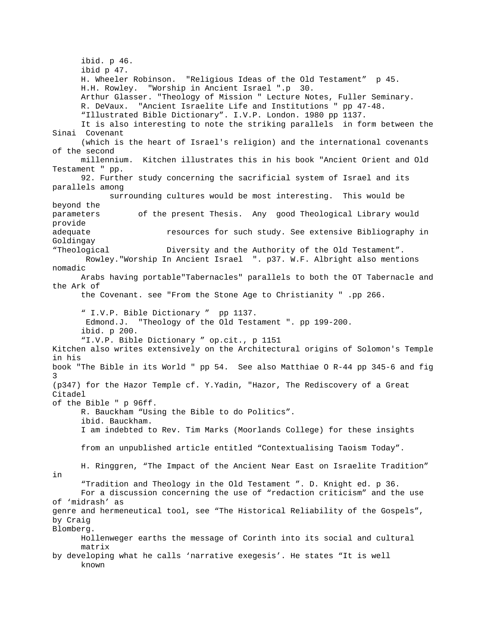ibid. p 46. ibid p 47. H. Wheeler Robinson. "Religious Ideas of the Old Testament" p 45. H.H. Rowley. "Worship in Ancient Israel ".p 30. Arthur Glasser. "Theology of Mission " Lecture Notes, Fuller Seminary. R. DeVaux. "Ancient Israelite Life and Institutions " pp 47-48. "Illustrated Bible Dictionary". I.V.P. London. 1980 pp 1137. It is also interesting to note the striking parallels in form between the Sinai Covenant (which is the heart of Israel's religion) and the international covenants of the second millennium. Kitchen illustrates this in his book "Ancient Orient and Old Testament " pp. 92. Further study concerning the sacrificial system of Israel and its parallels among surrounding cultures would be most interesting. This would be beyond the parameters of the present Thesis. Any good Theological Library would provide adequate resources for such study. See extensive Bibliography in Goldingay "Theological Diversity and the Authority of the Old Testament". Rowley."Worship In Ancient Israel ". p37. W.F. Albright also mentions nomadic Arabs having portable"Tabernacles" parallels to both the OT Tabernacle and the Ark of the Covenant. see "From the Stone Age to Christianity " .pp 266. " I.V.P. Bible Dictionary " pp 1137. Edmond.J. "Theology of the Old Testament ". pp 199-200. ibid. p 200. "I.V.P. Bible Dictionary " op.cit., p 1151 Kitchen also writes extensively on the Architectural origins of Solomon's Temple in his book "The Bible in its World " pp 54. See also Matthiae O R-44 pp 345-6 and fig 3 (p347) for the Hazor Temple cf. Y.Yadin, "Hazor, The Rediscovery of a Great Citadel of the Bible " p 96ff. R. Bauckham "Using the Bible to do Politics". ibid. Bauckham. I am indebted to Rev. Tim Marks (Moorlands College) for these insights from an unpublished article entitled "Contextualising Taoism Today". H. Ringgren, "The Impact of the Ancient Near East on Israelite Tradition" in "Tradition and Theology in the Old Testament ". D. Knight ed. p 36. For a discussion concerning the use of "redaction criticism" and the use of 'midrash' as genre and hermeneutical tool, see "The Historical Reliability of the Gospels", by Craig Blomberg. Hollenweger earths the message of Corinth into its social and cultural matrix by developing what he calls 'narrative exegesis'. He states "It is well known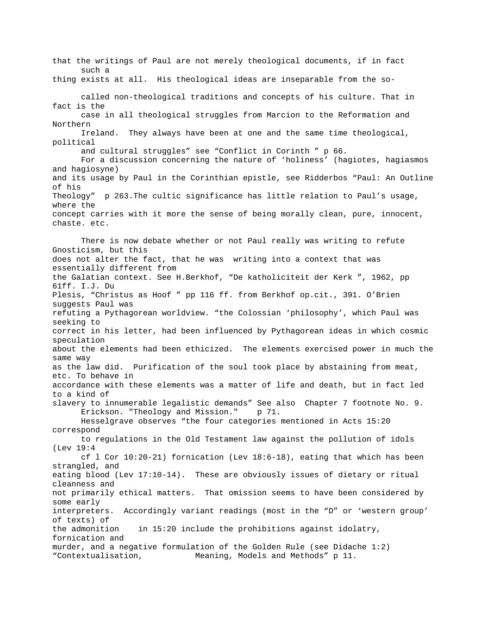that the writings of Paul are not merely theological documents, if in fact such a thing exists at all. His theological ideas are inseparable from the socalled non-theological traditions and concepts of his culture. That in fact is the case in all theological struggles from Marcion to the Reformation and Northern Ireland. They always have been at one and the same time theological, political and cultural struggles" see "Conflict in Corinth " p 66. For a discussion concerning the nature of 'holiness' (hagiotes, hagiasmos and hagiosyne) and its usage by Paul in the Corinthian epistle, see Ridderbos "Paul: An Outline of his Theology" p 263.The cultic significance has little relation to Paul's usage, where the concept carries with it more the sense of being morally clean, pure, innocent, chaste. etc. There is now debate whether or not Paul really was writing to refute Gnosticism, but this does not alter the fact, that he was writing into a context that was essentially different from the Galatian context. See H.Berkhof, "De katholiciteit der Kerk ", 1962, pp 61ff. I.J. Du Plesis, "Christus as Hoof " pp 116 ff. from Berkhof op.cit., 391. O'Brien suggests Paul was refuting a Pythagorean worldview. "the Colossian 'philosophy', which Paul was seeking to correct in his letter, had been influenced by Pythagorean ideas in which cosmic speculation about the elements had been ethicized. The elements exercised power in much the same way as the law did. Purification of the soul took place by abstaining from meat, etc. To behave in accordance with these elements was a matter of life and death, but in fact led to a kind of slavery to innumerable legalistic demands" See also Chapter 7 footnote No. 9. Erickson. "Theology and Mission." p 71. Hesselgrave observes "the four categories mentioned in Acts 15:20 correspond to regulations in the Old Testament law against the pollution of idols (Lev 19:4 cf l Cor 10:20-21) fornication (Lev 18:6-18), eating that which has been strangled, and eating blood (Lev 17:10-14). These are obviously issues of dietary or ritual cleanness and not primarily ethical matters. That omission seems to have been considered by some early interpreters. Accordingly variant readings (most in the "D" or 'western group' of texts) of the admonition in 15:20 include the prohibitions against idolatry, fornication and murder, and a negative formulation of the Golden Rule (see Didache 1:2) "Contextualisation, Meaning, Models and Methods" p 11.